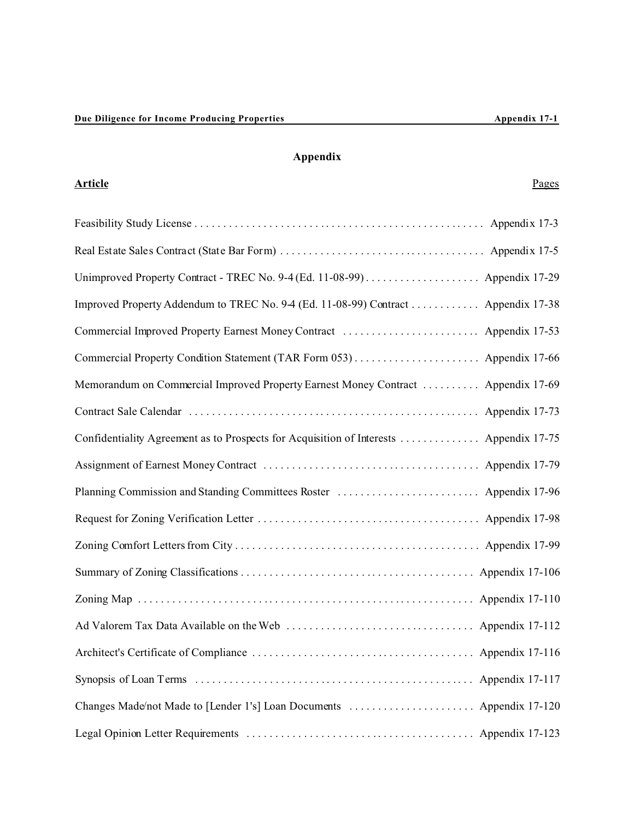# **Appendix**

#### **Article** Pages

| Unimproved Property Contract - TREC No. 9-4 (Ed. 11-08-99) Appendix 17-29              |
|----------------------------------------------------------------------------------------|
| Improved Property Addendum to TREC No. 9-4 (Ed. 11-08-99) Contract Appendix 17-38      |
| Commercial Improved Property Earnest Money Contract  Appendix 17-53                    |
|                                                                                        |
| Memorandum on Commercial Improved Property Earnest Money Contract  Appendix 17-69      |
|                                                                                        |
| Confidentiality Agreement as to Prospects for Acquisition of Interests  Appendix 17-75 |
|                                                                                        |
| Planning Commission and Standing Committees Roster  Appendix 17-96                     |
|                                                                                        |
|                                                                                        |
|                                                                                        |
|                                                                                        |
|                                                                                        |
|                                                                                        |
|                                                                                        |
| Changes Made/not Made to [Lender 1's] Loan Documents  Appendix 17-120                  |
|                                                                                        |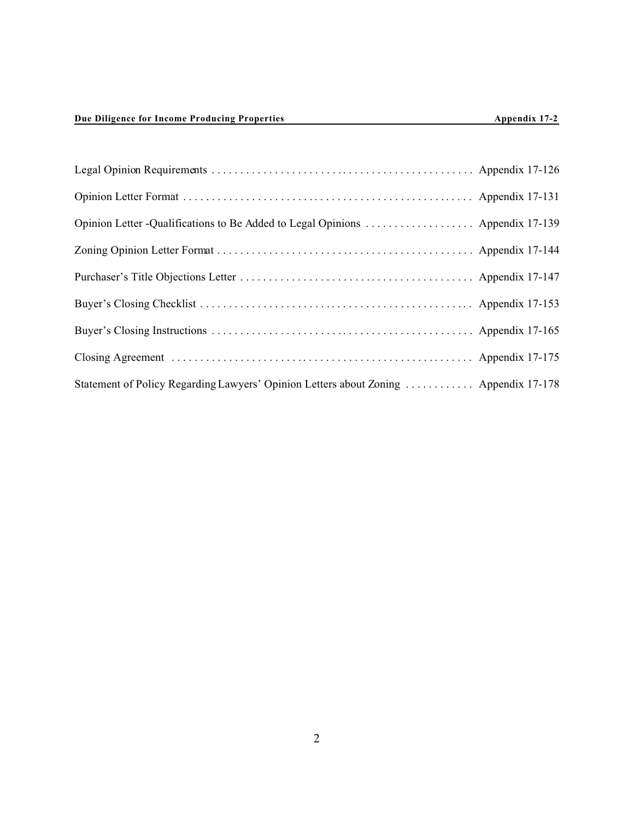| Opinion Letter -Qualifications to Be Added to Legal Opinions  Appendix 17-139        |  |
|--------------------------------------------------------------------------------------|--|
|                                                                                      |  |
|                                                                                      |  |
|                                                                                      |  |
|                                                                                      |  |
|                                                                                      |  |
| Statement of Policy Regarding Lawyers' Opinion Letters about Zoning  Appendix 17-178 |  |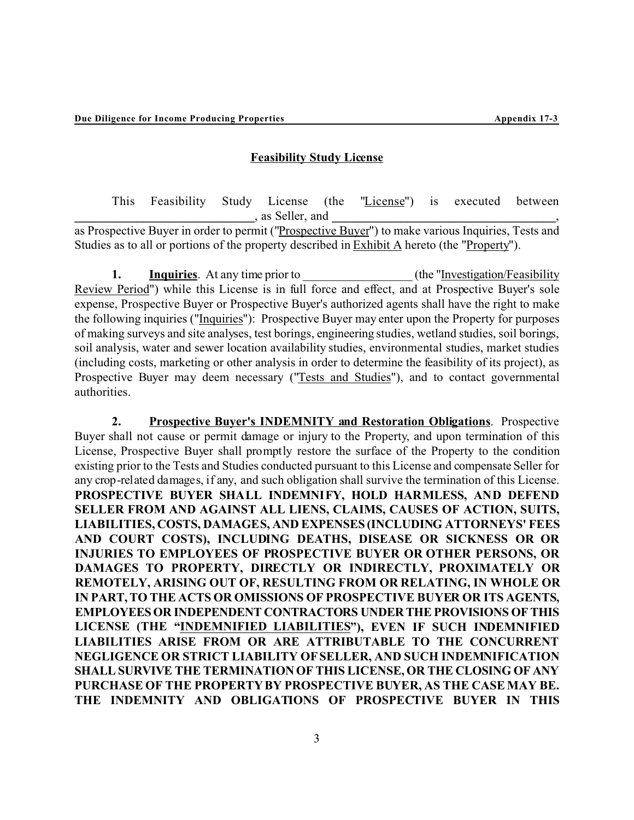#### **Feasibility Study License**

This Feasibility Study License (the "License") is executed between **\_\_\_\_\_\_\_\_\_\_\_\_\_\_\_\_\_\_\_\_\_\_\_\_\_\_\_\_\_**, as Seller, and **\_\_\_\_\_\_\_\_\_\_\_\_\_\_\_\_\_\_\_\_\_\_\_\_\_\_\_\_\_\_\_\_\_\_\_\_**, as Prospective Buyer in order to permit ("Prospective Buyer") to make various Inquiries, Tests and Studies as to all or portions of the property described in Exhibit A hereto (the "Property").

**1. Inquiries**. At any time prior to  $\qquad \qquad$  (the "Investigation/Feasibility Review Period") while this License is in full force and effect, and at Prospective Buyer's sole expense, Prospective Buyer or Prospective Buyer's authorized agents shall have the right to make the following inquiries ("Inquiries"): Prospective Buyer may enter upon the Property for purposes of making surveys and site analyses, test borings, engineering studies, wetland studies, soil borings, soil analysis, water and sewer location availability studies, environmental studies, market studies (including costs, marketing or other analysis in order to determine the feasibility of its project), as Prospective Buyer may deem necessary ("Tests and Studies"), and to contact governmental authorities.

**2. Prospective Buyer's INDEMNITY and Restoration Obligations**. Prospective Buyer shall not cause or permit damage or injury to the Property, and upon termination of this License, Prospective Buyer shall promptly restore the surface of the Property to the condition existing prior to the Tests and Studies conducted pursuant to this License and compensate Seller for any crop-related damages, if any, and such obligation shall survive the termination of this License. **PROSPECTIVE BUYER SHALL INDEMNIFY, HOLD HARMLESS, AND DEFEND SELLER FROM AND AGAINST ALL LIENS, CLAIMS, CAUSES OF ACTION, SUITS, LIABILITIES, COSTS, DAMAGES, AND EXPENSES (INCLUDING ATTORNEYS' FEES AND COURT COSTS), INCLUDING DEATHS, DISEASE OR SICKNESS OR OR INJURIES TO EMPLOYEES OF PROSPECTIVE BUYER OR OTHER PERSONS, OR DAMAGES TO PROPERTY, DIRECTLY OR INDIRECTLY, PROXIMATELY OR REMOTELY, ARISING OUT OF, RESULTING FROM OR RELATING, IN WHOLE OR IN PART,TO THE ACTS OR OMISSIONS OF PROSPECTIVE BUYER OR ITS AGENTS, EMPLOYEESOR INDEPENDENT CONTRACTORS UNDER THE PROVISIONS OFTHIS LICENSE (THE "INDEMNIFIED LIABILITIES"), EVEN IF SUCH INDEMNIFIED LIABILITIES ARISE FROM OR ARE ATTRIBUTABLE TO THE CONCURRENT NEGLIGENCE OR STRICT LIABILITY OF SELLER, AND SUCH INDEMNIFICATION SHALL SURVIVE THE TERMINATIONOF THIS LICENSE, OR THE CLOSING OF ANY PURCHASE OF THE PROPERTY BY PROSPECTIVE BUYER, AS THE CASE MAY BE. THE INDEMNITY AND OBLIGATIONS OF PROSPECTIVE BUYER IN THIS**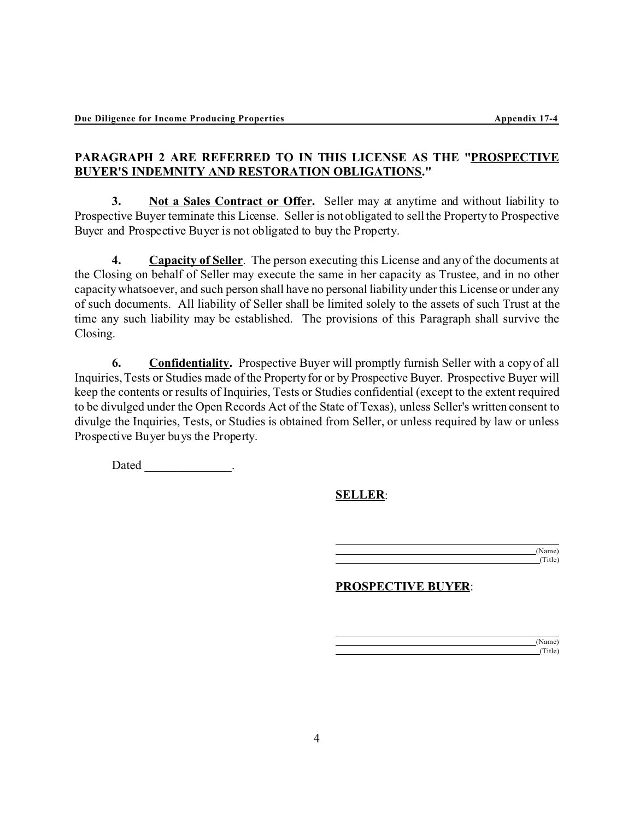# **PARAGRAPH 2 ARE REFERRED TO IN THIS LICENSE AS THE "PROSPECTIVE BUYER'S INDEMNITY AND RESTORATION OBLIGATIONS."**

**3. Not a Sales Contract or Offer.** Seller may at anytime and without liability to Prospective Buyer terminate this License. Seller is not obligated to sell the Property to Prospective Buyer and Prospective Buyer is not obligated to buy the Property.

**4. Capacity of Seller**. The person executing this License and any of the documents at the Closing on behalf of Seller may execute the same in her capacity as Trustee, and in no other capacity whatsoever, and such person shall have no personal liability under this License or under any of such documents. All liability of Seller shall be limited solely to the assets of such Trust at the time any such liability may be established. The provisions of this Paragraph shall survive the Closing.

**6. Confidentiality.** Prospective Buyer will promptly furnish Seller with a copy of all Inquiries, Tests or Studies made of the Propertyfor or by Prospective Buyer. Prospective Buyer will keep the contents or results of Inquiries, Tests or Studies confidential (except to the extent required to be divulged under the Open Records Act of the State of Texas), unless Seller's written consent to divulge the Inquiries, Tests, or Studies is obtained from Seller, or unless required by law or unless Prospective Buyer buys the Property.

Dated \_\_\_\_\_\_\_\_\_\_\_\_\_\_\_\_.

# **SELLER**:

(Name) (Title)

# **PROSPECTIVE BUYER**:

| (Name) |
|--------|
| Title) |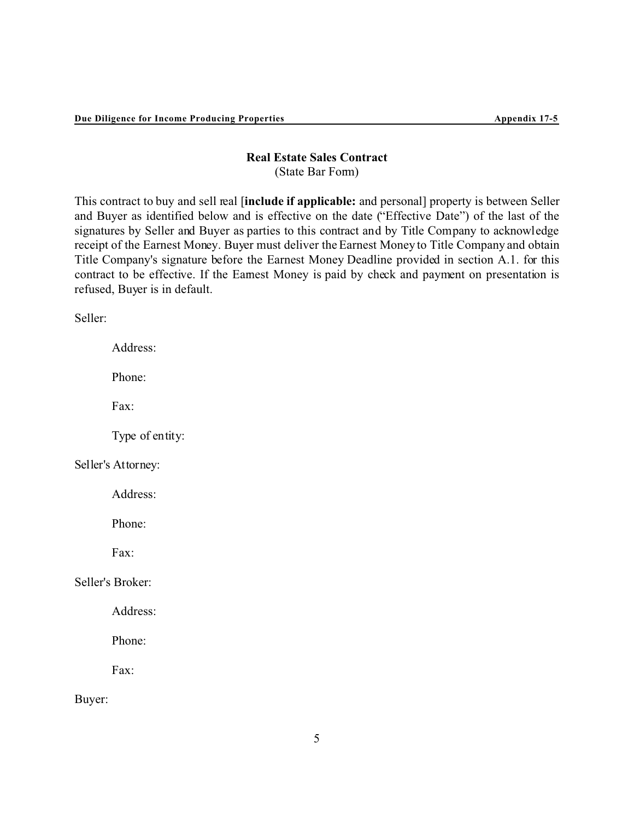## **Real Estate Sales Contract** (State Bar Form)

This contract to buy and sell real [**include if applicable:** and personal] property is between Seller and Buyer as identified below and is effective on the date ("Effective Date") of the last of the signatures by Seller and Buyer as parties to this contract and by Title Company to acknowledge receipt of the Earnest Money. Buyer must deliver the Earnest Money to Title Company and obtain Title Company's signature before the Earnest Money Deadline provided in section A.1. for this contract to be effective. If the Earnest Money is paid by check and payment on presentation is refused, Buyer is in default.

Seller:

Address:

Phone:

Fax:

Type of entity:

Seller's Attorney:

Address:

Phone:

Fax:

Seller's Broker:

Address:

Phone:

Fax:

Buyer: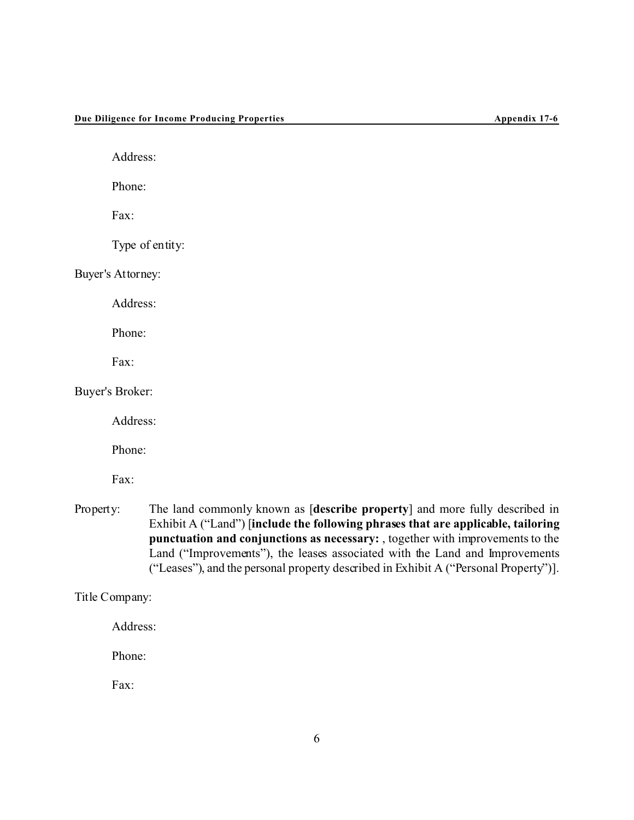Address:

Phone:

Fax:

Type of entity:

Buyer's Attorney:

Address:

Phone:

Fax:

Buyer's Broker:

Address:

Phone:

Fax:

Property: The land commonly known as [**describe property**] and more fully described in Exhibit A ("Land") [**include the following phrases that are applicable, tailoring punctuation and conjunctions as necessary:** , together with improvements to the Land ("Improvements"), the leases associated with the Land and Improvements ("Leases"), and the personal property described in Exhibit A ("Personal Property")].

Title Company:

Address:

Phone:

Fax: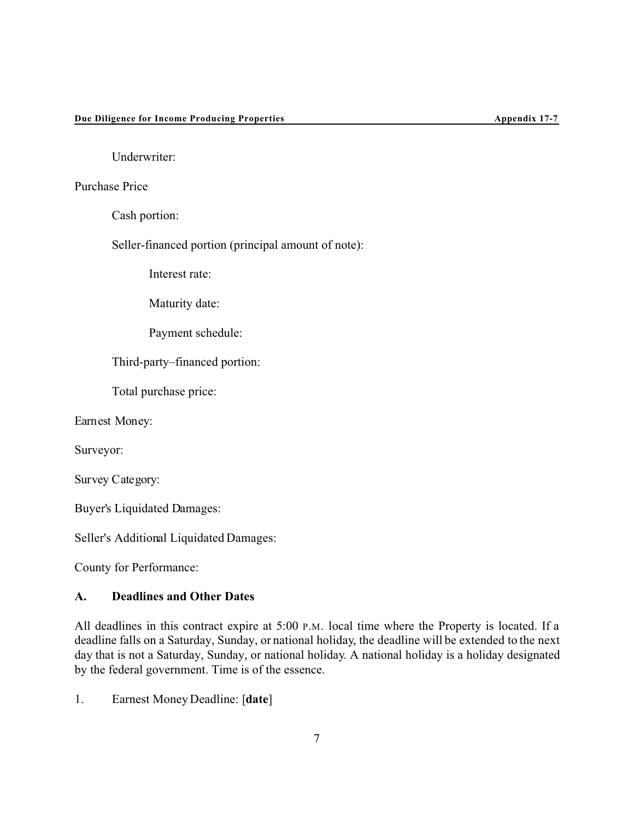Underwriter:

Purchase Price

Cash portion:

Seller-financed portion (principal amount of note):

Interest rate:

Maturity date:

Payment schedule:

Third-party–financed portion:

Total purchase price:

Earnest Money:

Surveyor:

Survey Category:

Buyer's Liquidated Damages:

Seller's Additional Liquidated Damages:

County for Performance:

## **A. Deadlines and Other Dates**

All deadlines in this contract expire at 5:00 P.M. local time where the Property is located. If a deadline falls on a Saturday, Sunday, or national holiday, the deadline will be extended to the next day that is not a Saturday, Sunday, or national holiday. A national holiday is a holiday designated by the federal government. Time is of the essence.

1. Earnest Money Deadline: [**date**]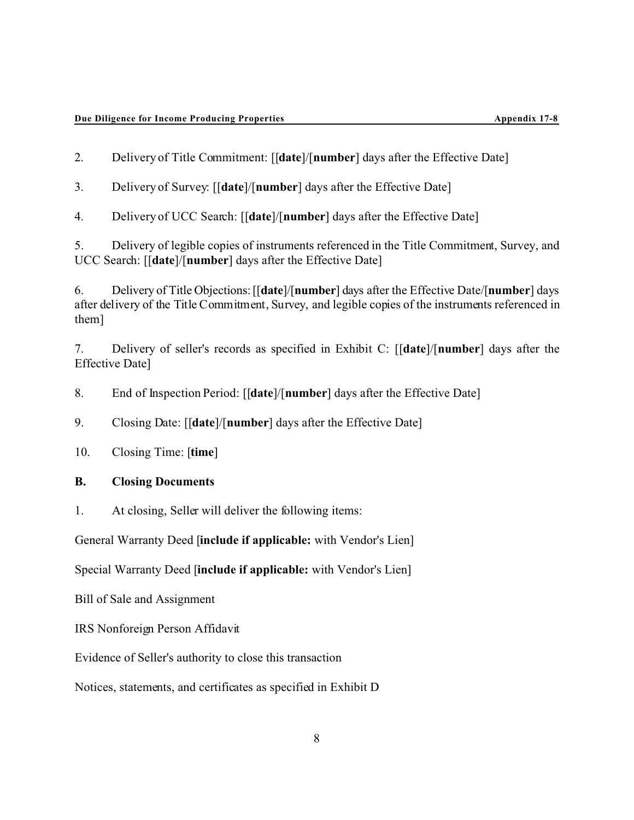2. Delivery of Title Commitment: [[**date**]/[**number**] days after the Effective Date]

3. Delivery of Survey: [[**date**]/[**number**] days after the Effective Date]

4. Delivery of UCC Search: [[**date**]/[**number**] days after the Effective Date]

5. Delivery of legible copies of instruments referenced in the Title Commitment, Survey, and UCC Search: [[**date**]/[**number**] days after the Effective Date]

6. Delivery of Title Objections:[[**date**]/[**number**] days after the Effective Date/[**number**] days after delivery of the Title Commitment, Survey, and legible copies of the instruments referenced in them]

7. Delivery of seller's records as specified in Exhibit C: [[**date**]/[**number**] days after the Effective Date]

8. End of Inspection Period: [[**date**]/[**number**] days after the Effective Date]

9. Closing Date: [[**date**]/[**number**] days after the Effective Date]

10. Closing Time: [**time**]

## **B. Closing Documents**

1. At closing, Seller will deliver the following items:

General Warranty Deed [**include if applicable:** with Vendor's Lien]

Special Warranty Deed [**include if applicable:** with Vendor's Lien]

Bill of Sale and Assignment

IRS Nonforeign Person Affidavit

Evidence of Seller's authority to close this transaction

Notices, statements, and certificates as specified in Exhibit D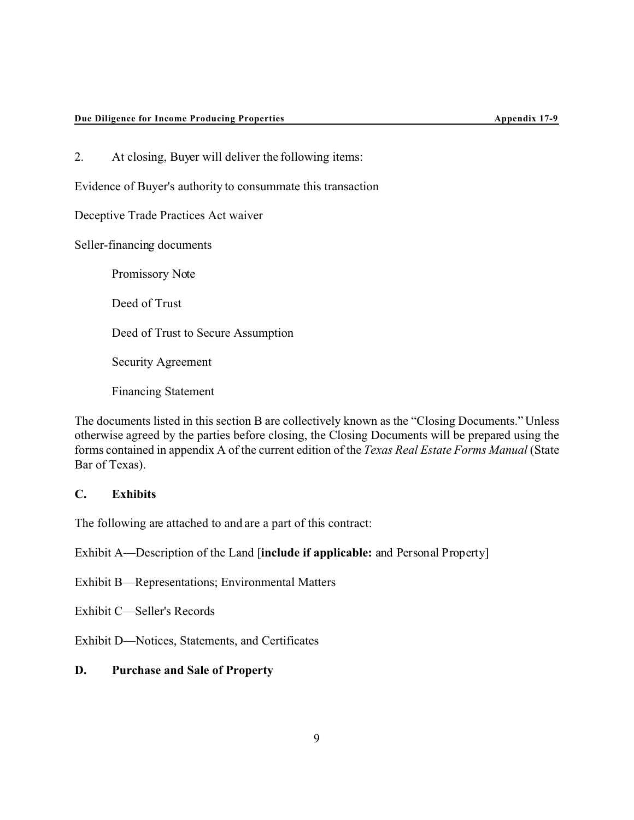2. At closing, Buyer will deliver the following items:

Evidence of Buyer's authority to consummate this transaction

Deceptive Trade Practices Act waiver

Seller-financing documents

Promissory Note

Deed of Trust

Deed of Trust to Secure Assumption

Security Agreement

Financing Statement

The documents listed in this section B are collectively known as the "Closing Documents." Unless otherwise agreed by the parties before closing, the Closing Documents will be prepared using the forms contained in appendix A of the current edition of the *Texas Real Estate Forms Manual* (State Bar of Texas).

#### **C. Exhibits**

The following are attached to and are a part of this contract:

Exhibit A—Description of the Land [**include if applicable:** and Personal Property]

Exhibit B—Representations; Environmental Matters

Exhibit C—Seller's Records

Exhibit D—Notices, Statements, and Certificates

### **D. Purchase and Sale of Property**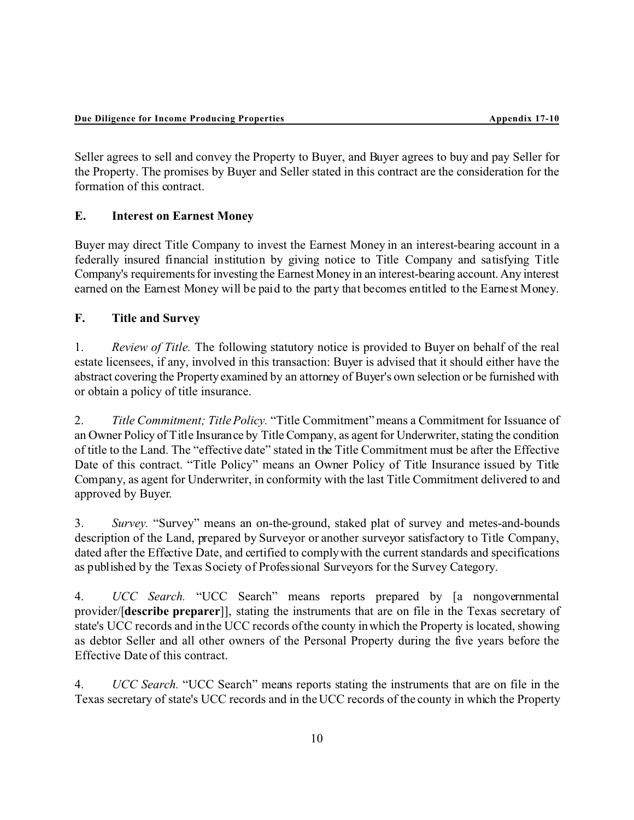Seller agrees to sell and convey the Property to Buyer, and Buyer agrees to buy and pay Seller for the Property. The promises by Buyer and Seller stated in this contract are the consideration for the formation of this contract.

# **E. Interest on Earnest Money**

Buyer may direct Title Company to invest the Earnest Money in an interest-bearing account in a federally insured financial institution by giving notice to Title Company and satisfying Title Company's requirements for investing the Earnest Money in an interest-bearing account. Any interest earned on the Earnest Money will be paid to the party that becomes entitled to the Earnest Money.

### **F. Title and Survey**

1. *Review of Title.* The following statutory notice is provided to Buyer on behalf of the real estate licensees, if any, involved in this transaction: Buyer is advised that it should either have the abstract covering the Propertyexamined by an attorney of Buyer's own selection or be furnished with or obtain a policy of title insurance.

2. *Title Commitment; Title Policy.* "Title Commitment" means a Commitment for Issuance of an Owner Policy of Title Insurance by Title Company, as agent for Underwriter, stating the condition of title to the Land. The "effective date" stated in the Title Commitment must be after the Effective Date of this contract. "Title Policy" means an Owner Policy of Title Insurance issued by Title Company, as agent for Underwriter, in conformity with the last Title Commitment delivered to and approved by Buyer.

3. *Survey.* "Survey" means an on-the-ground, staked plat of survey and metes-and-bounds description of the Land, prepared by Surveyor or another surveyor satisfactory to Title Company, dated after the Effective Date, and certified to comply with the current standards and specifications as published by the Texas Society of Professional Surveyors for the Survey Category.

4. *UCC Search.* "UCC Search" means reports prepared by [a nongovernmental provider/[**describe preparer**]], stating the instruments that are on file in the Texas secretary of state's UCC records and in the UCC records of the county in which the Property is located, showing as debtor Seller and all other owners of the Personal Property during the five years before the Effective Date of this contract.

4. *UCC Search.* "UCC Search" means reports stating the instruments that are on file in the Texas secretary of state's UCC records and in the UCC records of the county in which the Property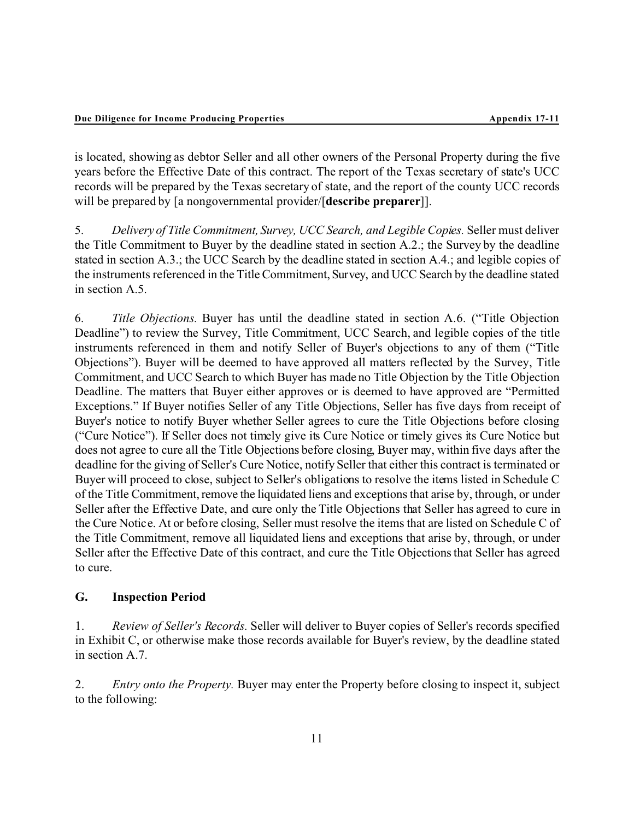is located, showing as debtor Seller and all other owners of the Personal Property during the five years before the Effective Date of this contract. The report of the Texas secretary of state's UCC records will be prepared by the Texas secretary of state, and the report of the county UCC records will be prepared by [a nongovernmental provider/[**describe preparer**]].

5. *Delivery of Title Commitment, Survey, UCC Search, and Legible Copies.* Seller must deliver the Title Commitment to Buyer by the deadline stated in section A.2.; the Survey by the deadline stated in section A.3.; the UCC Search by the deadline stated in section A.4.; and legible copies of the instruments referenced in the Title Commitment, Survey, and UCC Search by the deadline stated in section A.5.

6. *Title Objections.* Buyer has until the deadline stated in section A.6. ("Title Objection Deadline") to review the Survey, Title Commitment, UCC Search, and legible copies of the title instruments referenced in them and notify Seller of Buyer's objections to any of them ("Title Objections"). Buyer will be deemed to have approved all matters reflected by the Survey, Title Commitment, and UCC Search to which Buyer has made no Title Objection by the Title Objection Deadline. The matters that Buyer either approves or is deemed to have approved are "Permitted Exceptions." If Buyer notifies Seller of any Title Objections, Seller has five days from receipt of Buyer's notice to notify Buyer whether Seller agrees to cure the Title Objections before closing ("Cure Notice"). If Seller does not timely give its Cure Notice or timely gives its Cure Notice but does not agree to cure all the Title Objections before closing, Buyer may, within five days after the deadline for the giving of Seller's Cure Notice, notify Seller that either this contract is terminated or Buyer will proceed to close, subject to Seller's obligations to resolve the items listed in Schedule C of the Title Commitment, remove the liquidated liens and exceptions that arise by, through, or under Seller after the Effective Date, and cure only the Title Objections that Seller has agreed to cure in the Cure Notice. At or before closing, Seller must resolve the items that are listed on Schedule C of the Title Commitment, remove all liquidated liens and exceptions that arise by, through, or under Seller after the Effective Date of this contract, and cure the Title Objections that Seller has agreed to cure.

## **G. Inspection Period**

1. *Review of Seller's Records.* Seller will deliver to Buyer copies of Seller's records specified in Exhibit C, or otherwise make those records available for Buyer's review, by the deadline stated in section A.7.

2. *Entry onto the Property.* Buyer may enter the Property before closing to inspect it, subject to the following: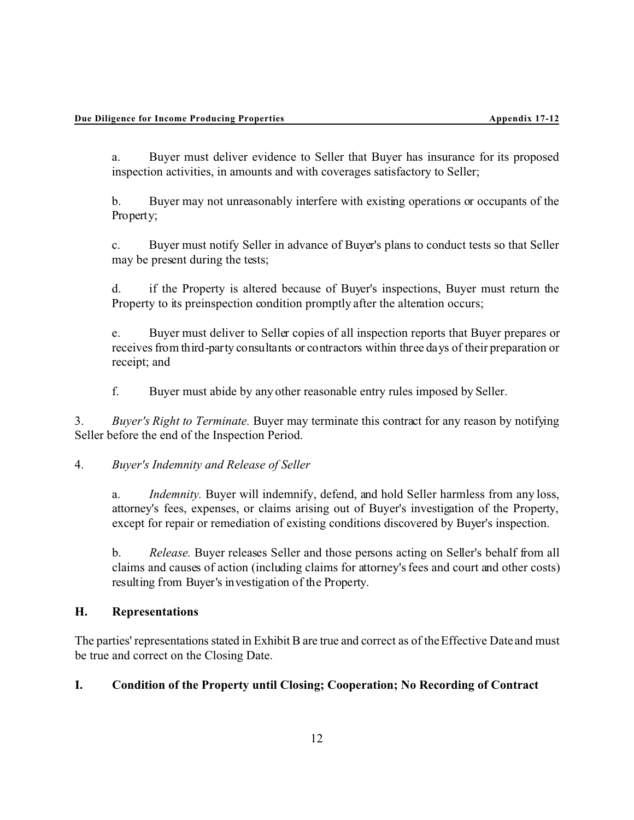a. Buyer must deliver evidence to Seller that Buyer has insurance for its proposed inspection activities, in amounts and with coverages satisfactory to Seller;

b. Buyer may not unreasonably interfere with existing operations or occupants of the Property;

c. Buyer must notify Seller in advance of Buyer's plans to conduct tests so that Seller may be present during the tests;

d. if the Property is altered because of Buyer's inspections, Buyer must return the Property to its preinspection condition promptly after the alteration occurs;

e. Buyer must deliver to Seller copies of all inspection reports that Buyer prepares or receives from third-party consultants or contractors within three days of their preparation or receipt; and

f. Buyer must abide by any other reasonable entry rules imposed by Seller.

3. *Buyer's Right to Terminate.* Buyer may terminate this contract for any reason by notifying Seller before the end of the Inspection Period.

### 4. *Buyer's Indemnity and Release of Seller*

a. *Indemnity.* Buyer will indemnify, defend, and hold Seller harmless from any loss, attorney's fees, expenses, or claims arising out of Buyer's investigation of the Property, except for repair or remediation of existing conditions discovered by Buyer's inspection.

b. *Release.* Buyer releases Seller and those persons acting on Seller's behalf from all claims and causes of action (including claims for attorney's fees and court and other costs) resulting from Buyer's investigation of the Property.

# **H. Representations**

The parties' representations stated in Exhibit B are true and correct as of the Effective Date and must be true and correct on the Closing Date.

# **I. Condition of the Property until Closing; Cooperation; No Recording of Contract**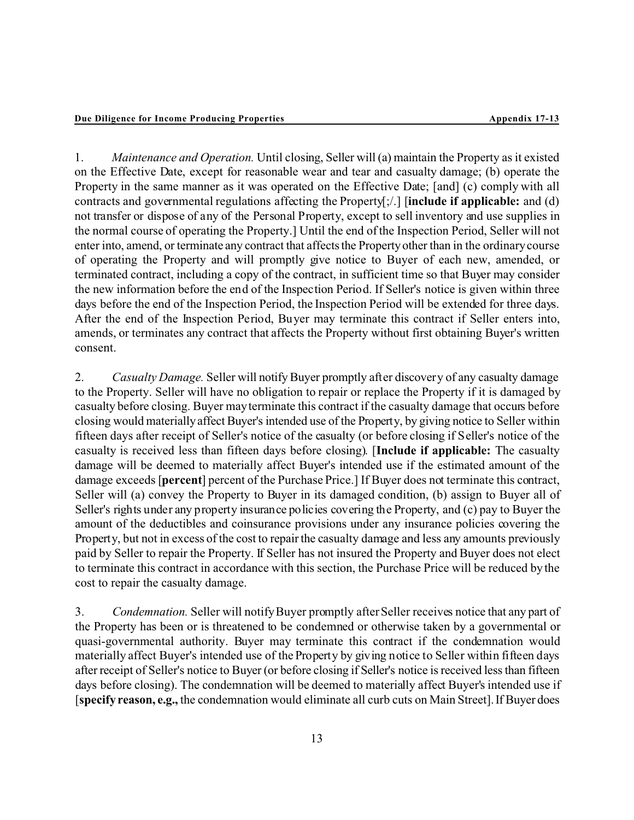1. *Maintenance and Operation.* Until closing, Seller will (a) maintain the Property as it existed on the Effective Date, except for reasonable wear and tear and casualty damage; (b) operate the Property in the same manner as it was operated on the Effective Date; [and] (c) comply with all contracts and governmental regulations affecting the Property[;/.] [**include if applicable:** and (d) not transfer or dispose of any of the Personal Property, except to sell inventory and use supplies in the normal course of operating the Property.] Until the end of the Inspection Period, Seller will not enter into, amend, or terminate any contract that affects the Property other than in the ordinary course of operating the Property and will promptly give notice to Buyer of each new, amended, or terminated contract, including a copy of the contract, in sufficient time so that Buyer may consider the new information before the end of the Inspection Period. If Seller's notice is given within three days before the end of the Inspection Period, the Inspection Period will be extended for three days. After the end of the Inspection Period, Buyer may terminate this contract if Seller enters into, amends, or terminates any contract that affects the Property without first obtaining Buyer's written consent.

2. *Casualty Damage.* Seller will notify Buyer promptly after discovery of any casualty damage to the Property. Seller will have no obligation to repair or replace the Property if it is damaged by casualty before closing. Buyer may terminate this contract if the casualty damage that occurs before closing would materiallyaffect Buyer's intended use of the Property, by giving notice to Seller within fifteen days after receipt of Seller's notice of the casualty (or before closing if Seller's notice of the casualty is received less than fifteen days before closing). [**Include if applicable:** The casualty damage will be deemed to materially affect Buyer's intended use if the estimated amount of the damage exceeds [**percent**] percent of the Purchase Price.] If Buyer does not terminate this contract, Seller will (a) convey the Property to Buyer in its damaged condition, (b) assign to Buyer all of Seller's rights under any property insurance policies covering the Property, and (c) pay to Buyer the amount of the deductibles and coinsurance provisions under any insurance policies covering the Property, but not in excess of the cost to repair the casualty damage and less any amounts previously paid by Seller to repair the Property. If Seller has not insured the Property and Buyer does not elect to terminate this contract in accordance with this section, the Purchase Price will be reduced by the cost to repair the casualty damage.

3. *Condemnation.* Seller will notify Buyer promptly after Seller receives notice that any part of the Property has been or is threatened to be condemned or otherwise taken by a governmental or quasi-governmental authority. Buyer may terminate this contract if the condemnation would materially affect Buyer's intended use of the Property by giving notice to Seller within fifteen days after receipt of Seller's notice to Buyer (or before closing if Seller's notice isreceived lessthan fifteen days before closing). The condemnation will be deemed to materially affect Buyer's intended use if [**specify reason, e.g.,** the condemnation would eliminate all curb cuts on Main Street].If Buyer does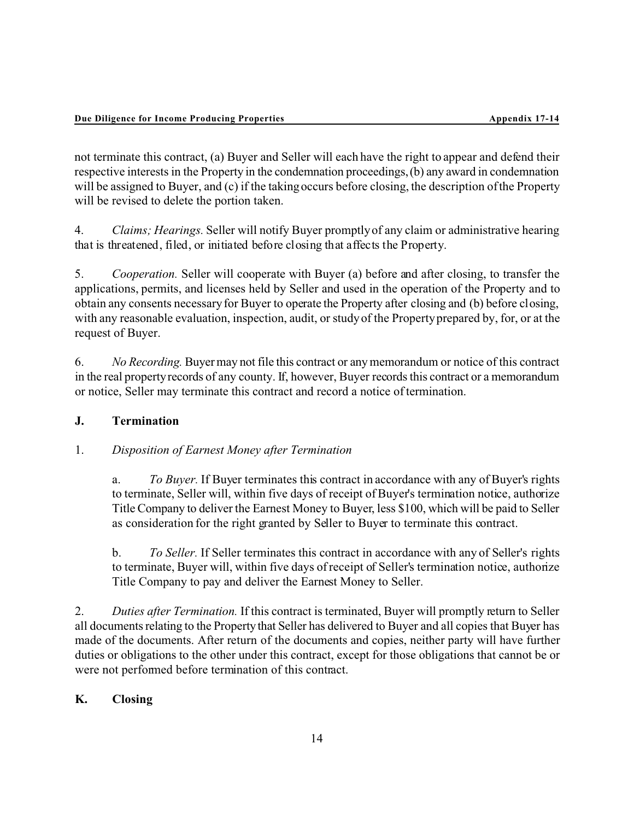not terminate this contract, (a) Buyer and Seller will each have the right to appear and defend their respective interests in the Property in the condemnation proceedings,(b) any award in condemnation will be assigned to Buyer, and (c) if the taking occurs before closing, the description of the Property will be revised to delete the portion taken.

4. *Claims; Hearings.* Seller will notify Buyer promptly of any claim or administrative hearing that is threatened, filed, or initiated before closing that affects the Property.

5. *Cooperation.* Seller will cooperate with Buyer (a) before and after closing, to transfer the applications, permits, and licenses held by Seller and used in the operation of the Property and to obtain any consents necessary for Buyer to operate the Property after closing and (b) before closing, with any reasonable evaluation, inspection, audit, or study of the Property prepared by, for, or at the request of Buyer.

6. *No Recording.* Buyermay not file this contract or any memorandum or notice of this contract in the real property records of any county. If, however, Buyer records this contract or a memorandum or notice, Seller may terminate this contract and record a notice of termination.

# **J. Termination**

# 1. *Disposition of Earnest Money after Termination*

a. *To Buyer.* If Buyer terminates this contract in accordance with any of Buyer's rights to terminate, Seller will, within five days of receipt of Buyer's termination notice, authorize Title Company to deliver the Earnest Money to Buyer, less \$100, which will be paid to Seller as consideration for the right granted by Seller to Buyer to terminate this contract.

b. *To Seller.* If Seller terminates this contract in accordance with any of Seller's rights to terminate, Buyer will, within five days of receipt of Seller's termination notice, authorize Title Company to pay and deliver the Earnest Money to Seller.

2. *Duties after Termination.* If this contract is terminated, Buyer will promptly return to Seller all documents relating to the Property that Seller has delivered to Buyer and all copies that Buyer has made of the documents. After return of the documents and copies, neither party will have further duties or obligations to the other under this contract, except for those obligations that cannot be or were not performed before termination of this contract.

# **K. Closing**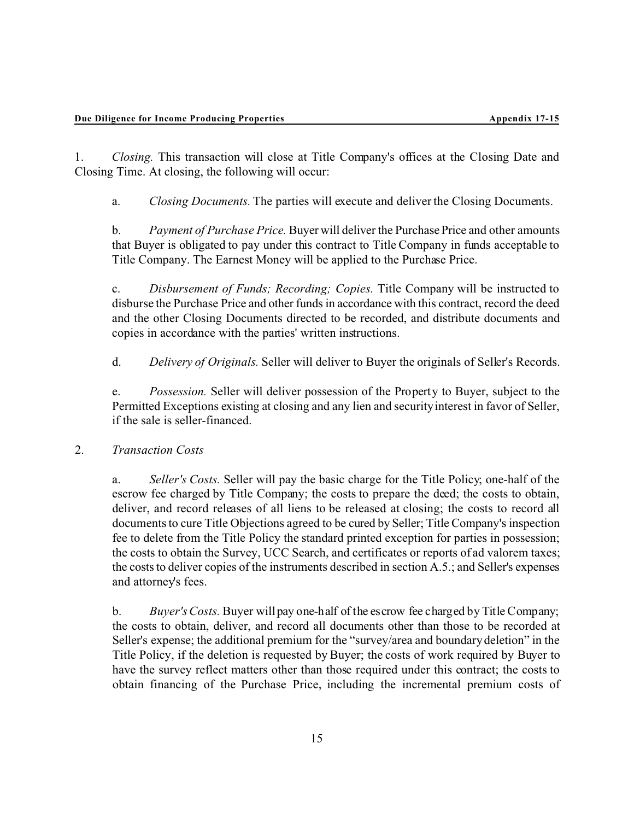1. *Closing.* This transaction will close at Title Company's offices at the Closing Date and Closing Time. At closing, the following will occur:

a. *Closing Documents.* The parties will execute and deliver the Closing Documents.

b. *Payment of Purchase Price.* Buyer will deliver the Purchase Price and other amounts that Buyer is obligated to pay under this contract to Title Company in funds acceptable to Title Company. The Earnest Money will be applied to the Purchase Price.

c. *Disbursement of Funds; Recording; Copies.* Title Company will be instructed to disburse the Purchase Price and other fundsin accordance with this contract, record the deed and the other Closing Documents directed to be recorded, and distribute documents and copies in accordance with the parties' written instructions.

d. *Delivery of Originals.* Seller will deliver to Buyer the originals of Seller's Records.

e. *Possession.* Seller will deliver possession of the Property to Buyer, subject to the Permitted Exceptions existing at closing and any lien and security interest in favor of Seller, if the sale is seller-financed.

## 2. *Transaction Costs*

a. *Seller's Costs.* Seller will pay the basic charge for the Title Policy; one-half of the escrow fee charged by Title Company; the costs to prepare the deed; the costs to obtain, deliver, and record releases of all liens to be released at closing; the costs to record all documents to cure Title Objections agreed to be cured by Seller; Title Company's inspection fee to delete from the Title Policy the standard printed exception for parties in possession; the costs to obtain the Survey, UCC Search, and certificates or reports of ad valorem taxes; the costs to deliver copies of the instruments described in section A.5.; and Seller's expenses and attorney's fees.

b. *Buyer's Costs.* Buyer will pay one-half of the escrow fee charged by Title Company; the costs to obtain, deliver, and record all documents other than those to be recorded at Seller's expense; the additional premium for the "survey/area and boundary deletion" in the Title Policy, if the deletion is requested by Buyer; the costs of work required by Buyer to have the survey reflect matters other than those required under this contract; the costs to obtain financing of the Purchase Price, including the incremental premium costs of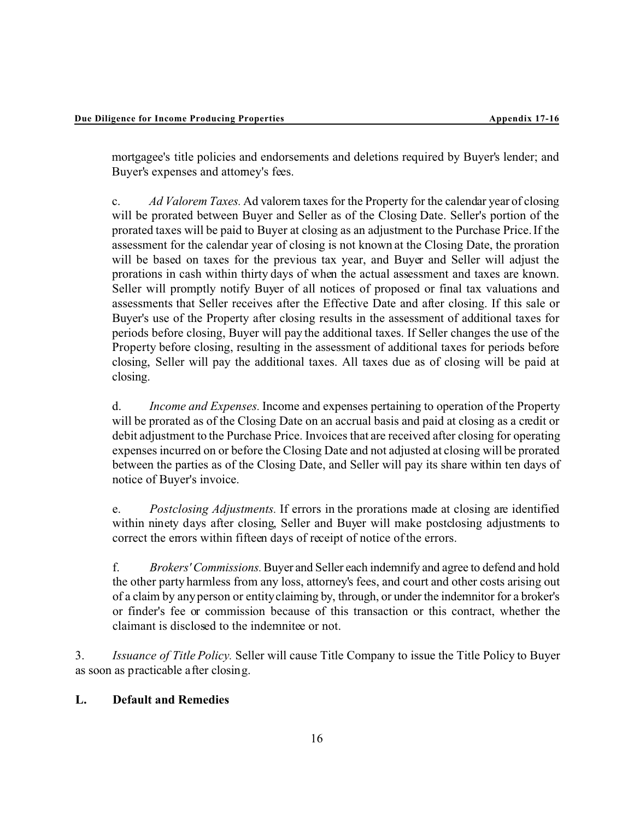mortgagee's title policies and endorsements and deletions required by Buyer's lender; and Buyer's expenses and attorney's fees.

c. *Ad Valorem Taxes.* Ad valorem taxes for the Property for the calendar year of closing will be prorated between Buyer and Seller as of the Closing Date. Seller's portion of the prorated taxes will be paid to Buyer at closing as an adjustment to the Purchase Price. If the assessment for the calendar year of closing is not known at the Closing Date, the proration will be based on taxes for the previous tax year, and Buyer and Seller will adjust the prorations in cash within thirty days of when the actual assessment and taxes are known. Seller will promptly notify Buyer of all notices of proposed or final tax valuations and assessments that Seller receives after the Effective Date and after closing. If this sale or Buyer's use of the Property after closing results in the assessment of additional taxes for periods before closing, Buyer will pay the additional taxes. If Seller changes the use of the Property before closing, resulting in the assessment of additional taxes for periods before closing, Seller will pay the additional taxes. All taxes due as of closing will be paid at closing.

d. *Income and Expenses.*Income and expenses pertaining to operation of the Property will be prorated as of the Closing Date on an accrual basis and paid at closing as a credit or debit adjustment to the Purchase Price. Invoices that are received after closing for operating expenses incurred on or before the Closing Date and not adjusted at closing will be prorated between the parties as of the Closing Date, and Seller will pay its share within ten days of notice of Buyer's invoice.

e. *Postclosing Adjustments.* If errors in the prorations made at closing are identified within ninety days after closing, Seller and Buyer will make postclosing adjustments to correct the errors within fifteen days of receipt of notice of the errors.

f. *Brokers'Commissions.*Buyer and Seller each indemnify and agree to defend and hold the other party harmless from any loss, attorney's fees, and court and other costs arising out of a claim by any person or entity claiming by, through, or under the indemnitor for a broker's or finder's fee or commission because of this transaction or this contract, whether the claimant is disclosed to the indemnitee or not.

3. *Issuance of Title Policy.* Seller will cause Title Company to issue the Title Policy to Buyer as soon as practicable after closing.

## **L. Default and Remedies**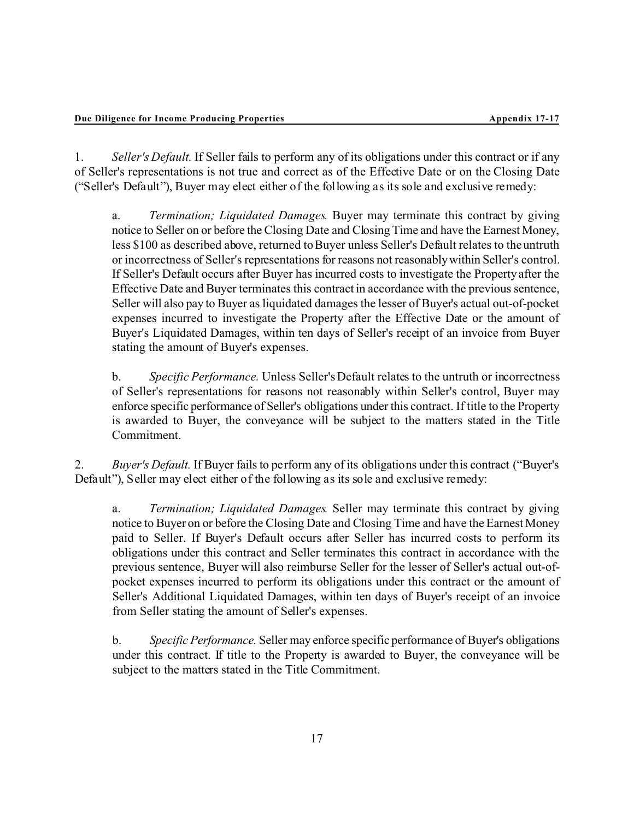1. *Seller's Default.* If Seller fails to perform any of its obligations under this contract or if any of Seller's representations is not true and correct as of the Effective Date or on the Closing Date ("Seller's Default"), Buyer may elect either of the following as its sole and exclusive remedy:

a. *Termination; Liquidated Damages.* Buyer may terminate this contract by giving notice to Seller on or before the Closing Date and Closing Time and have the Earnest Money, less \$100 as described above, returned to Buyer unless Seller's Default relates to the untruth or incorrectness of Seller's representations for reasons not reasonablywithin Seller's control. If Seller's Default occurs after Buyer has incurred costs to investigate the Property after the Effective Date and Buyer terminates this contract in accordance with the previous sentence, Seller will also pay to Buyer as liquidated damages the lesser of Buyer's actual out-of-pocket expenses incurred to investigate the Property after the Effective Date or the amount of Buyer's Liquidated Damages, within ten days of Seller's receipt of an invoice from Buyer stating the amount of Buyer's expenses.

b. *Specific Performance.* Unless Seller's Default relates to the untruth or incorrectness of Seller's representations for reasons not reasonably within Seller's control, Buyer may enforce specific performance of Seller's obligations under this contract. If title to the Property is awarded to Buyer, the conveyance will be subject to the matters stated in the Title Commitment.

2. *Buyer's Default.* If Buyer fails to perform any of its obligations under this contract ("Buyer's Default"), Seller may elect either of the following as its sole and exclusive remedy:

a. *Termination; Liquidated Damages.* Seller may terminate this contract by giving notice to Buyer on or before the Closing Date and Closing Time and have the Earnest Money paid to Seller. If Buyer's Default occurs after Seller has incurred costs to perform its obligations under this contract and Seller terminates this contract in accordance with the previous sentence, Buyer will also reimburse Seller for the lesser of Seller's actual out-ofpocket expenses incurred to perform its obligations under this contract or the amount of Seller's Additional Liquidated Damages, within ten days of Buyer's receipt of an invoice from Seller stating the amount of Seller's expenses.

b. *Specific Performance.* Seller may enforce specific performance of Buyer's obligations under this contract. If title to the Property is awarded to Buyer, the conveyance will be subject to the matters stated in the Title Commitment.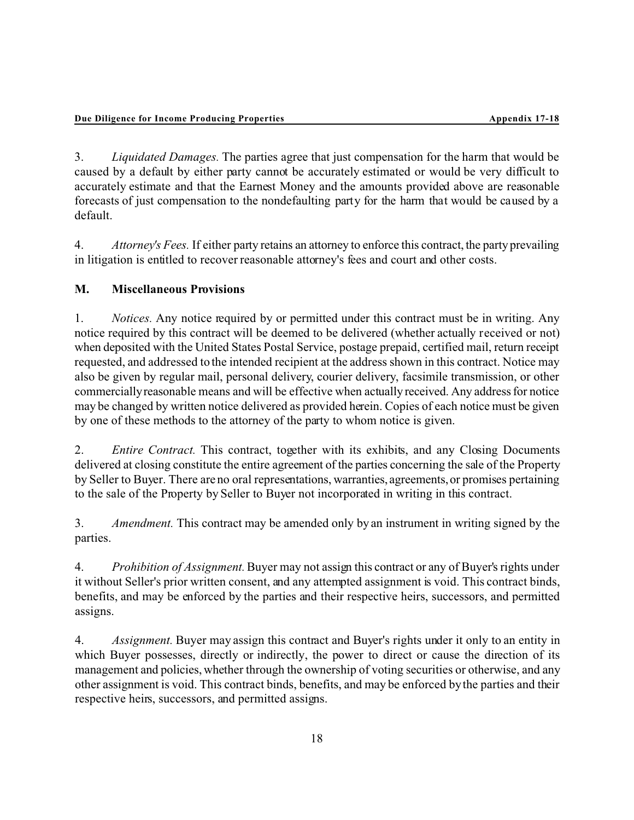3. *Liquidated Damages.* The parties agree that just compensation for the harm that would be caused by a default by either party cannot be accurately estimated or would be very difficult to accurately estimate and that the Earnest Money and the amounts provided above are reasonable forecasts of just compensation to the nondefaulting party for the harm that would be caused by a default.

4. *Attorney's Fees.* If either party retains an attorney to enforce this contract, the party prevailing in litigation is entitled to recover reasonable attorney's fees and court and other costs.

# **M. Miscellaneous Provisions**

1. *Notices.* Any notice required by or permitted under this contract must be in writing. Any notice required by this contract will be deemed to be delivered (whether actually received or not) when deposited with the United States Postal Service, postage prepaid, certified mail, return receipt requested, and addressed to the intended recipient at the address shown in this contract. Notice may also be given by regular mail, personal delivery, courier delivery, facsimile transmission, or other commercially reasonable means and will be effective when actually received. Any address for notice may be changed by written notice delivered as provided herein. Copies of each notice must be given by one of these methods to the attorney of the party to whom notice is given.

2. *Entire Contract.* This contract, together with its exhibits, and any Closing Documents delivered at closing constitute the entire agreement of the parties concerning the sale of the Property by Seller to Buyer. There are no oral representations, warranties, agreements,or promises pertaining to the sale of the Property by Seller to Buyer not incorporated in writing in this contract.

3. *Amendment.* This contract may be amended only by an instrument in writing signed by the parties.

4. *Prohibition of Assignment.* Buyer may not assign this contract or any of Buyer's rights under it without Seller's prior written consent, and any attempted assignment is void. This contract binds, benefits, and may be enforced by the parties and their respective heirs, successors, and permitted assigns.

4. *Assignment.* Buyer may assign this contract and Buyer's rights under it only to an entity in which Buyer possesses, directly or indirectly, the power to direct or cause the direction of its management and policies, whether through the ownership of voting securities or otherwise, and any other assignment is void. This contract binds, benefits, and may be enforced by the parties and their respective heirs, successors, and permitted assigns.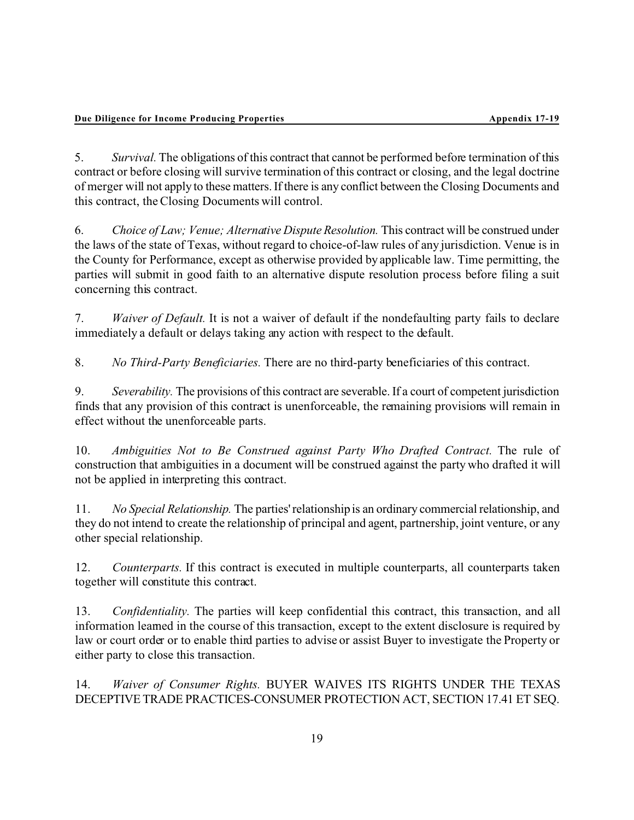5. *Survival.* The obligations of this contract that cannot be performed before termination of this contract or before closing will survive termination of this contract or closing, and the legal doctrine of merger will not apply to these matters.If there is any conflict between the Closing Documents and this contract, the Closing Documents will control.

6. *Choice of Law; Venue; Alternative Dispute Resolution.* This contract will be construed under the laws of the state of Texas, without regard to choice-of-law rules of any jurisdiction. Venue is in the County for Performance, except as otherwise provided by applicable law. Time permitting, the parties will submit in good faith to an alternative dispute resolution process before filing a suit concerning this contract.

7. *Waiver of Default.* It is not a waiver of default if the nondefaulting party fails to declare immediately a default or delays taking any action with respect to the default.

8. *No Third-Party Beneficiaries.* There are no third-party beneficiaries of this contract.

9. *Severability.* The provisions of this contract are severable. If a court of competent jurisdiction finds that any provision of this contract is unenforceable, the remaining provisions will remain in effect without the unenforceable parts.

10. *Ambiguities Not to Be Construed against Party Who Drafted Contract.* The rule of construction that ambiguities in a document will be construed against the party who drafted it will not be applied in interpreting this contract.

11. *No Special Relationship.* The parties'relationship is an ordinary commercial relationship, and they do not intend to create the relationship of principal and agent, partnership, joint venture, or any other special relationship.

12. *Counterparts.* If this contract is executed in multiple counterparts, all counterparts taken together will constitute this contract.

13. *Confidentiality.* The parties will keep confidential this contract, this transaction, and all information learned in the course of this transaction, except to the extent disclosure is required by law or court order or to enable third parties to advise or assist Buyer to investigate the Property or either party to close this transaction.

14. *Waiver of Consumer Rights.* BUYER WAIVES ITS RIGHTS UNDER THE TEXAS DECEPTIVE TRADE PRACTICES-CONSUMER PROTECTION ACT, SECTION 17.41 ET SEQ.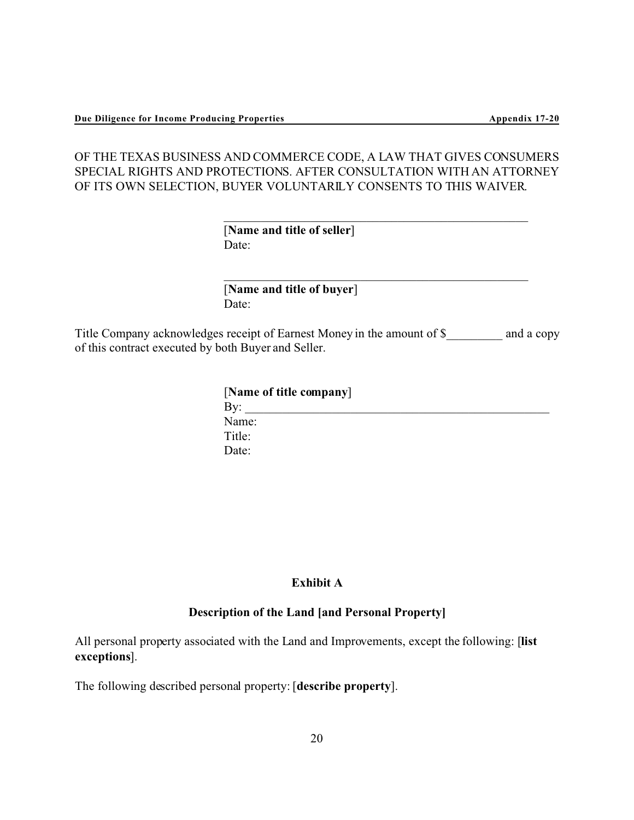# OF THE TEXAS BUSINESS AND COMMERCE CODE, A LAW THAT GIVES CONSUMERS SPECIAL RIGHTS AND PROTECTIONS. AFTER CONSULTATION WITH AN ATTORNEY OF ITS OWN SELECTION, BUYER VOLUNTARILY CONSENTS TO THIS WAIVER.

[**Name and title of seller**] Date:

[**Name and title of buyer**] Date:

Title Company acknowledges receipt of Earnest Money in the amount of \$ and a copy of this contract executed by both Buyer and Seller.

| [Name of title company] |  |
|-------------------------|--|
| $\rm{By:}$              |  |
| Name:                   |  |
| Title:                  |  |
| Date:                   |  |

\_\_\_\_\_\_\_\_\_\_\_\_\_\_\_\_\_\_\_\_\_\_\_\_\_\_\_\_\_\_\_\_\_\_\_\_\_\_\_\_\_\_\_\_\_\_\_\_\_

# **Exhibit A**

## **Description of the Land [and Personal Property]**

All personal property associated with the Land and Improvements, except the following: [**list exceptions**].

The following described personal property: [**describe property**].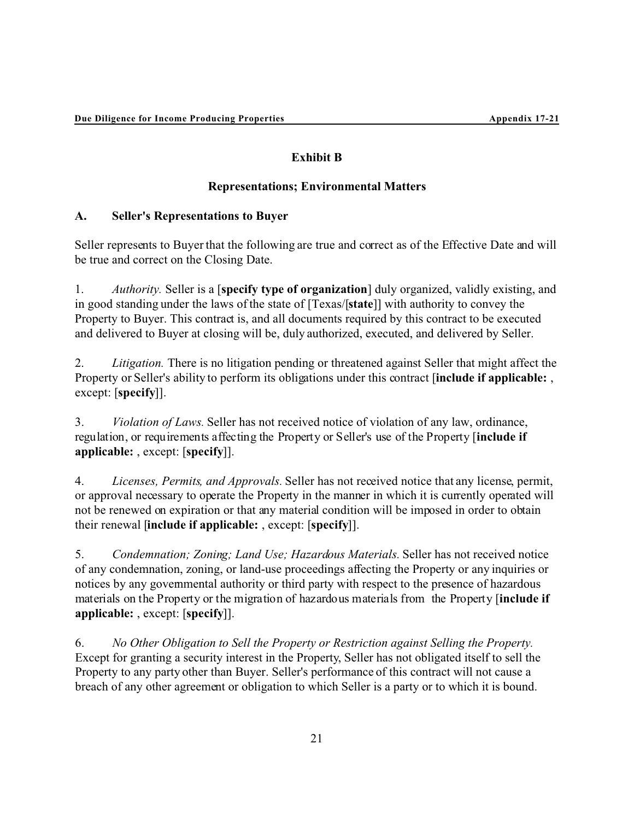# **Exhibit B**

# **Representations; Environmental Matters**

# **A. Seller's Representations to Buyer**

Seller represents to Buyer that the following are true and correct as of the Effective Date and will be true and correct on the Closing Date.

1. *Authority.* Seller is a [**specify type of organization**] duly organized, validly existing, and in good standing under the laws of the state of [Texas/[**state**]] with authority to convey the Property to Buyer. This contract is, and all documents required by this contract to be executed and delivered to Buyer at closing will be, duly authorized, executed, and delivered by Seller.

2. *Litigation.* There is no litigation pending or threatened against Seller that might affect the Property or Seller's ability to perform its obligations under this contract [**include if applicable:** , except: [**specify**]].

3. *Violation of Laws.* Seller has not received notice of violation of any law, ordinance, regulation, or requirements affecting the Property or Seller's use of the Property [**include if applicable:** , except: [**specify**]].

4. *Licenses, Permits, and Approvals.* Seller has not received notice that any license, permit, or approval necessary to operate the Property in the manner in which it is currently operated will not be renewed on expiration or that any material condition will be imposed in order to obtain their renewal [**include if applicable:** , except: [**specify**]].

5. *Condemnation; Zoning; Land Use; Hazardous Materials.* Seller has not received notice of any condemnation, zoning, or land-use proceedings affecting the Property or any inquiries or notices by any governmental authority or third party with respect to the presence of hazardous materials on the Property or the migration of hazardous materials from the Property [**include if applicable:** , except: [**specify**]].

6. *No Other Obligation to Sell the Property or Restriction against Selling the Property.* Except for granting a security interest in the Property, Seller has not obligated itself to sell the Property to any party other than Buyer. Seller's performance of this contract will not cause a breach of any other agreement or obligation to which Seller is a party or to which it is bound.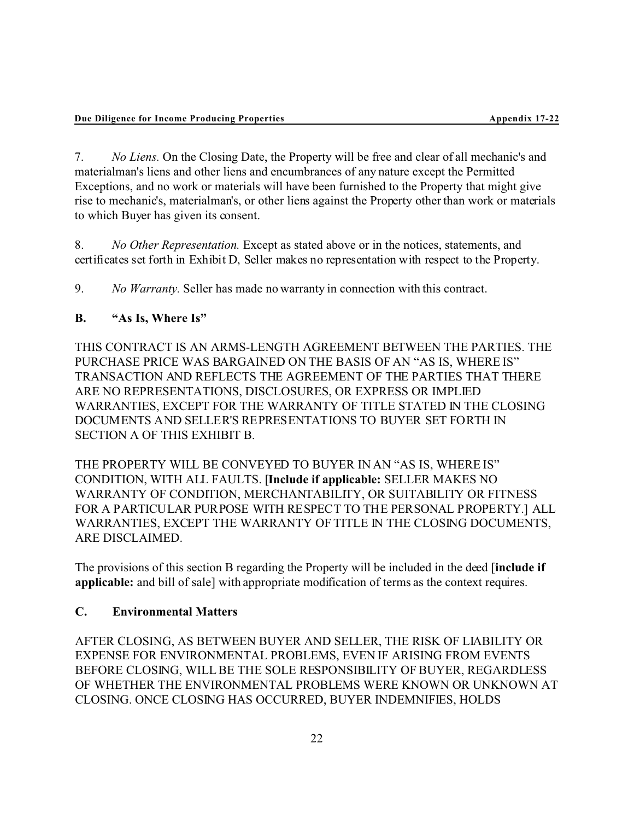7. *No Liens.* On the Closing Date, the Property will be free and clear of all mechanic's and materialman's liens and other liens and encumbrances of any nature except the Permitted Exceptions, and no work or materials will have been furnished to the Property that might give rise to mechanic's, materialman's, or other liens against the Property other than work or materials to which Buyer has given its consent.

8. *No Other Representation.* Except as stated above or in the notices, statements, and certificates set forth in Exhibit D, Seller makes no representation with respect to the Property.

9. *No Warranty.* Seller has made no warranty in connection with this contract.

# **B. "As Is, Where Is"**

THIS CONTRACT IS AN ARMS-LENGTH AGREEMENT BETWEEN THE PARTIES. THE PURCHASE PRICE WAS BARGAINED ON THE BASIS OF AN "AS IS, WHERE IS" TRANSACTION AND REFLECTS THE AGREEMENT OF THE PARTIES THAT THERE ARE NO REPRESENTATIONS, DISCLOSURES, OR EXPRESS OR IMPLIED WARRANTIES, EXCEPT FOR THE WARRANTY OF TITLE STATED IN THE CLOSING DOCUMENTS AND SELLER'S REPRESENTATIONS TO BUYER SET FORTH IN SECTION A OF THIS EXHIBIT B.

THE PROPERTY WILL BE CONVEYED TO BUYER IN AN "AS IS, WHERE IS" CONDITION, WITH ALL FAULTS. [**Include if applicable:** SELLER MAKES NO WARRANTY OF CONDITION, MERCHANTABILITY, OR SUITABILITY OR FITNESS FOR A PARTICULAR PURPOSE WITH RESPECT TO THE PERSONAL PROPERTY.] ALL WARRANTIES, EXCEPT THE WARRANTY OF TITLE IN THE CLOSING DOCUMENTS, ARE DISCLAIMED.

The provisions of this section B regarding the Property will be included in the deed [**include if applicable:** and bill of sale] with appropriate modification of terms as the context requires.

## **C. Environmental Matters**

AFTER CLOSING, AS BETWEEN BUYER AND SELLER, THE RISK OF LIABILITY OR EXPENSE FOR ENVIRONMENTAL PROBLEMS, EVEN IF ARISING FROM EVENTS BEFORE CLOSING, WILL BE THE SOLE RESPONSIBILITY OF BUYER, REGARDLESS OF WHETHER THE ENVIRONMENTAL PROBLEMS WERE KNOWN OR UNKNOWN AT CLOSING. ONCE CLOSING HAS OCCURRED, BUYER INDEMNIFIES, HOLDS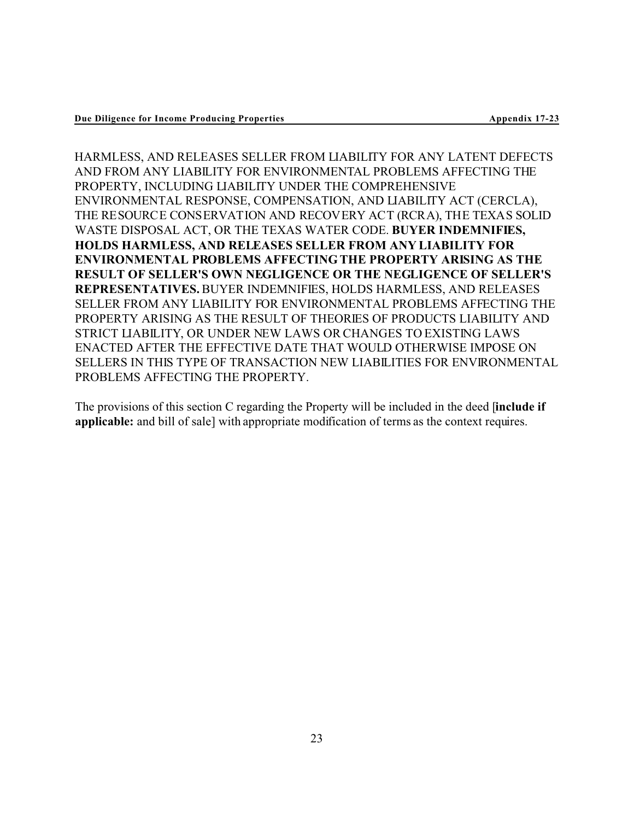HARMLESS, AND RELEASES SELLER FROM LIABILITY FOR ANY LATENT DEFECTS AND FROM ANY LIABILITY FOR ENVIRONMENTAL PROBLEMS AFFECTING THE PROPERTY, INCLUDING LIABILITY UNDER THE COMPREHENSIVE ENVIRONMENTAL RESPONSE, COMPENSATION, AND LIABILITY ACT (CERCLA), THE RESOURCE CONSERVATION AND RECOVERY ACT (RCRA), THE TEXAS SOLID WASTE DISPOSAL ACT, OR THE TEXAS WATER CODE. **BUYER INDEMNIFIES, HOLDS HARMLESS, AND RELEASES SELLER FROM ANY LIABILITY FOR ENVIRONMENTAL PROBLEMS AFFECTING THE PROPERTY ARISING AS THE RESULT OF SELLER'S OWN NEGLIGENCE OR THE NEGLIGENCE OF SELLER'S REPRESENTATIVES.** BUYER INDEMNIFIES, HOLDS HARMLESS, AND RELEASES SELLER FROM ANY LIABILITY FOR ENVIRONMENTAL PROBLEMS AFFECTING THE PROPERTY ARISING AS THE RESULT OF THEORIES OF PRODUCTS LIABILITY AND STRICT LIABILITY, OR UNDER NEW LAWS OR CHANGES TO EXISTING LAWS ENACTED AFTER THE EFFECTIVE DATE THAT WOULD OTHERWISE IMPOSE ON SELLERS IN THIS TYPE OF TRANSACTION NEW LIABILITIES FOR ENVIRONMENTAL PROBLEMS AFFECTING THE PROPERTY.

The provisions of this section C regarding the Property will be included in the deed [**include if applicable:** and bill of sale] with appropriate modification of terms as the context requires.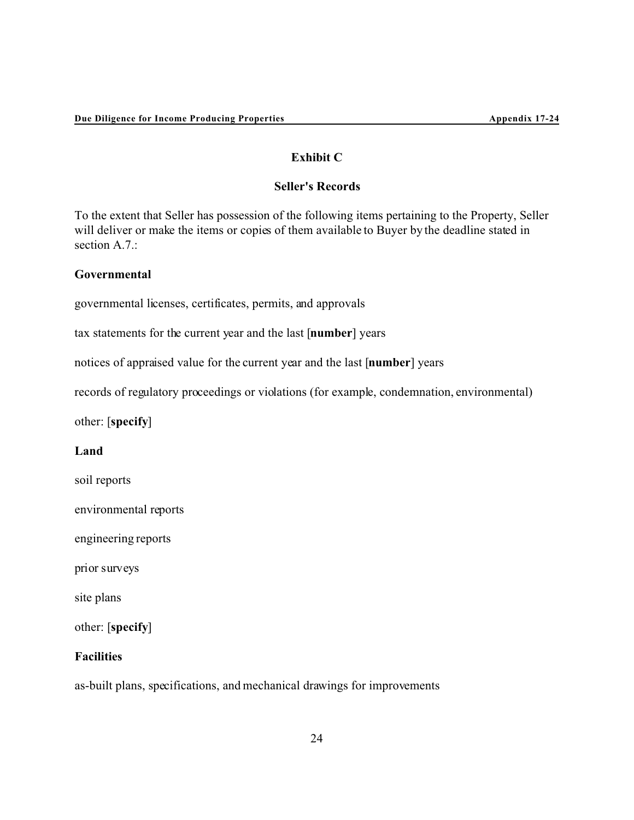## **Exhibit C**

#### **Seller's Records**

To the extent that Seller has possession of the following items pertaining to the Property, Seller will deliver or make the items or copies of them available to Buyer by the deadline stated in section A.7.:

### **Governmental**

governmental licenses, certificates, permits, and approvals

tax statements for the current year and the last [**number**] years

notices of appraised value for the current year and the last [**number**] years

records of regulatory proceedings or violations (for example, condemnation, environmental)

other: [**specify**]

# **Land**

soil reports

environmental reports

engineering reports

prior surveys

site plans

other: [**specify**]

## **Facilities**

as-built plans, specifications, and mechanical drawings for improvements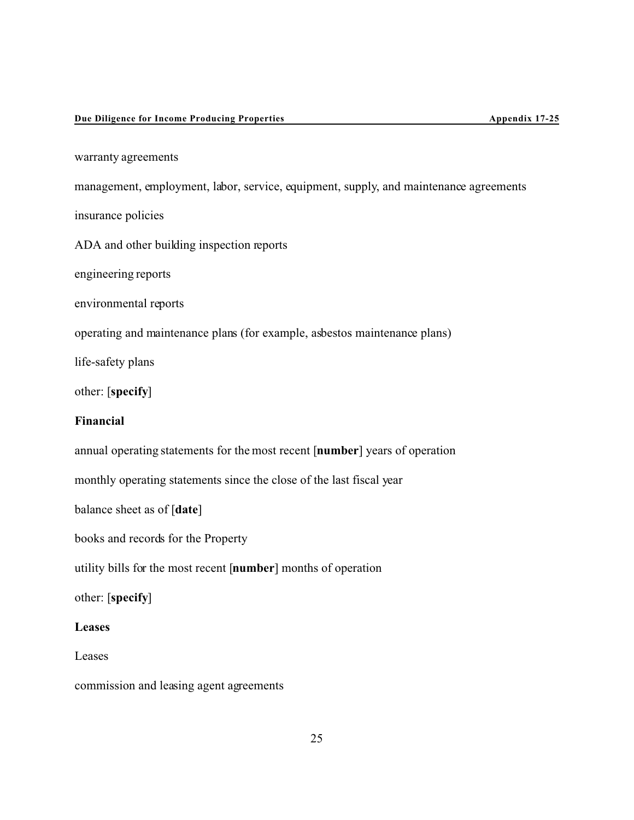warranty agreements

management, employment, labor, service, equipment, supply, and maintenance agreements

insurance policies

ADA and other building inspection reports

engineering reports

environmental reports

operating and maintenance plans (for example, asbestos maintenance plans)

life-safety plans

other: [**specify**]

## **Financial**

annual operating statements for the most recent [**number**] years of operation

monthly operating statements since the close of the last fiscal year

balance sheet as of [**date**]

books and records for the Property

utility bills for the most recent [**number**] months of operation

other: [**specify**]

#### **Leases**

Leases

commission and leasing agent agreements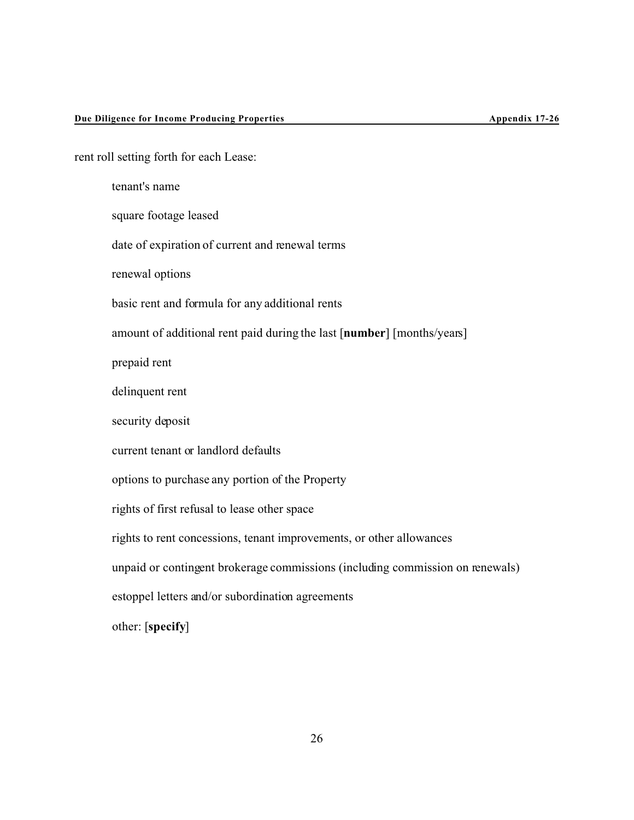rent roll setting forth for each Lease:

tenant's name square footage leased date of expiration of current and renewal terms renewal options basic rent and formula for any additional rents amount of additional rent paid during the last [**number**] [months/years] prepaid rent delinquent rent security deposit current tenant or landlord defaults options to purchase any portion of the Property rights of first refusal to lease other space rights to rent concessions, tenant improvements, or other allowances unpaid or contingent brokerage commissions (including commission on renewals) estoppel letters and/or subordination agreements other: [**specify**]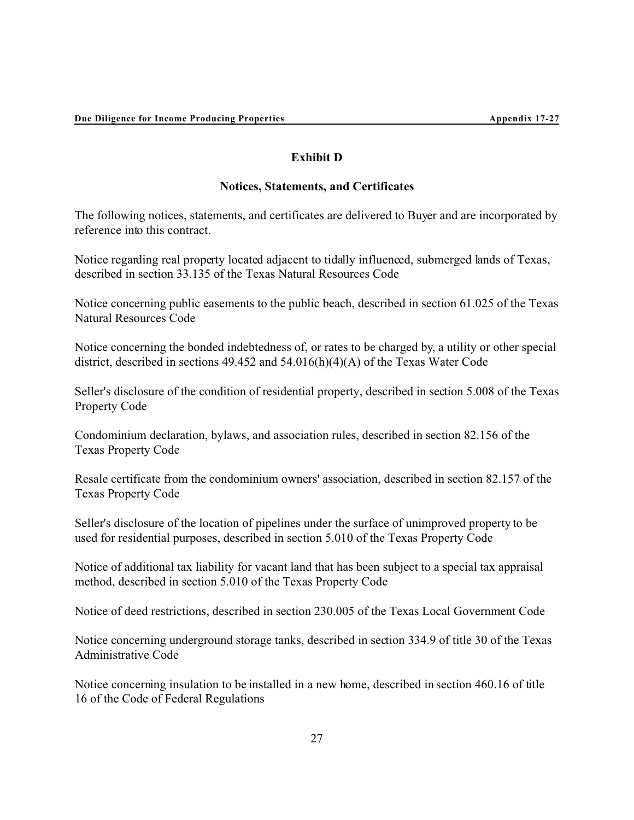#### **Exhibit D**

#### **Notices, Statements, and Certificates**

The following notices, statements, and certificates are delivered to Buyer and are incorporated by reference into this contract.

Notice regarding real property located adjacent to tidally influenced, submerged lands of Texas, described in section 33.135 of the Texas Natural Resources Code

Notice concerning public easements to the public beach, described in section 61.025 of the Texas Natural Resources Code

Notice concerning the bonded indebtedness of, or rates to be charged by, a utility or other special district, described in sections 49.452 and 54.016(h)(4)(A) of the Texas Water Code

Seller's disclosure of the condition of residential property, described in section 5.008 of the Texas Property Code

Condominium declaration, bylaws, and association rules, described in section 82.156 of the Texas Property Code

Resale certificate from the condominium owners' association, described in section 82.157 of the Texas Property Code

Seller's disclosure of the location of pipelines under the surface of unimproved property to be used for residential purposes, described in section 5.010 of the Texas Property Code

Notice of additional tax liability for vacant land that has been subject to a special tax appraisal method, described in section 5.010 of the Texas Property Code

Notice of deed restrictions, described in section 230.005 of the Texas Local Government Code

Notice concerning underground storage tanks, described in section 334.9 of title 30 of the Texas Administrative Code

Notice concerning insulation to be installed in a new home, described in section 460.16 of title 16 of the Code of Federal Regulations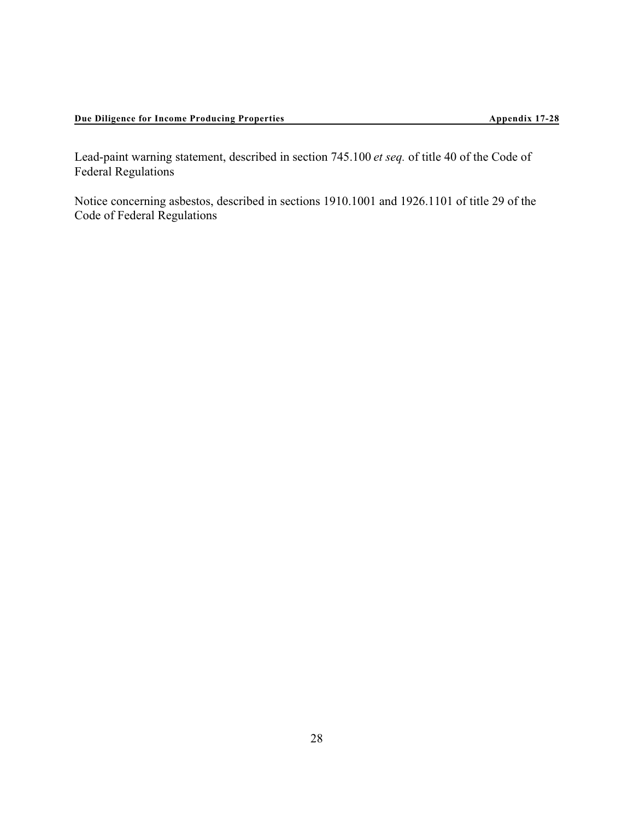Lead-paint warning statement, described in section 745.100 *et seq.* of title 40 of the Code of Federal Regulations

Notice concerning asbestos, described in sections 1910.1001 and 1926.1101 of title 29 of the Code of Federal Regulations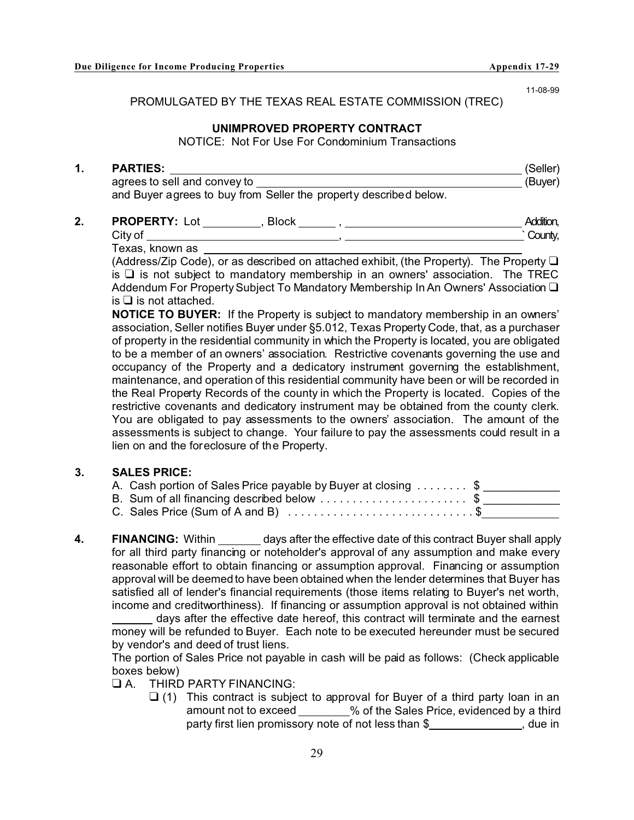11-08-99

#### PROMULGATED BY THE TEXAS REAL ESTATE COMMISSION (TREC)

#### **UNIMPROVED PROPERTY CONTRACT**

NOTICE: Not For Use For Condominium Transactions

# **1. PARTIES:** (Seller)

|                                                                   | ,,,,,,,, |
|-------------------------------------------------------------------|----------|
| agrees to sell and convey to                                      | (Buyer)  |
| and Buyer agrees to buy from Seller the property described below. |          |

# **2. PROPERTY:** Lot , Block , Addition,

City of , ` County, Texas, known as

(Address/Zip Code), or as described on attached exhibit, (the Property). The Property  $\Box$ is  $\Box$  is not subject to mandatory membership in an owners' association. The TREC Addendum For Property Subject To Mandatory Membership In An Owners' Association  $\square$ is  $\Box$  is not attached.

**NOTICE TO BUYER:** If the Property is subject to mandatory membership in an owners' association, Seller notifies Buyer under §5.012, Texas Property Code, that, as a purchaser of property in the residential community in which the Property is located, you are obligated to be a member of an owners' association. Restrictive covenants governing the use and occupancy of the Property and a dedicatory instrument governing the establishment, maintenance, and operation of this residential community have been or will be recorded in the Real Property Records of the county in which the Property is located. Copies of the restrictive covenants and dedicatory instrument may be obtained from the county clerk. You are obligated to pay assessments to the owners' association. The amount of the assessments is subject to change. Your failure to pay the assessments could result in a lien on and the foreclosure of the Property.

#### **3. SALES PRICE:**

| A. Cash portion of Sales Price payable by Buyer at closing \$ |  |
|---------------------------------------------------------------|--|
| B. Sum of all financing described below \$                    |  |
| C. Sales Price (Sum of A and B) $\ldots$ \$                   |  |

**4. FINANCING:** Within \_\_\_\_\_\_\_ days after the effective date of this contract Buyer shall apply for all third party financing or noteholder's approval of any assumption and make every reasonable effort to obtain financing or assumption approval. Financing or assumption approval will be deemed to have been obtained when the lender determines that Buyer has satisfied all of lender's financial requirements (those items relating to Buyer's net worth, income and creditworthiness). If financing or assumption approval is not obtained within

 days after the effective date hereof, this contract will terminate and the earnest money will be refunded to Buyer. Each note to be executed hereunder must be secured by vendor's and deed of trust liens.

The portion of Sales Price not payable in cash will be paid as follows: (Check applicable boxes below)

- A. THIRD PARTY FINANCING:
	- $\Box$  (1) This contract is subject to approval for Buyer of a third party loan in an amount not to exceed \_\_\_\_\_\_\_\_% of the Sales Price, evidenced by a third party first lien promissory note of not less than \$ , due in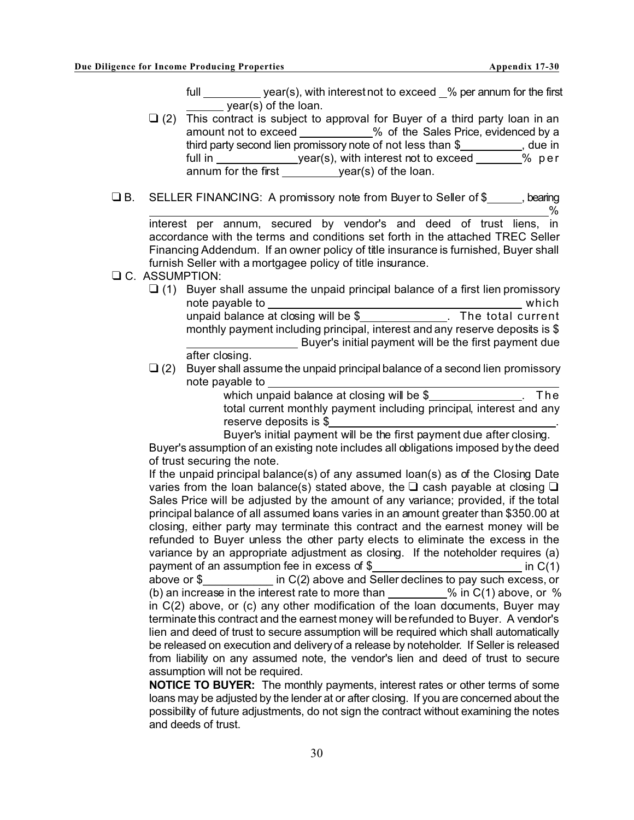- full \_\_\_\_\_\_\_\_\_\_\_\_ year(s), with interest not to exceed \_% per annum for the first year(s) of the loan.
- $\Box$  (2) This contract is subject to approval for Buyer of a third party loan in an amount not to exceed \_\_\_\_\_\_\_\_\_\_% of the Sales Price, evidenced by a third party second lien promissory note of not less than  $\frac{1}{2}$  , due in full in \_\_\_\_\_\_\_\_\_\_\_\_\_\_year(s), with interest not to exceed \_\_\_\_\_\_\_% per annum for the first \_\_\_\_\_\_\_\_\_year(s) of the loan.
- $\Box$  B. SELLER FINANCING: A promissory note from Buyer to Seller of \$, bearing %

interest per annum, secured by vendor's and deed of trust liens, in accordance with the terms and conditions set forth in the attached TREC Seller Financing Addendum. If an owner policy of title insurance is furnished, Buyer shall furnish Seller with a mortgagee policy of title insurance.

#### C. ASSUMPTION:

 $\Box$  (1) Buyer shall assume the unpaid principal balance of a first lien promissory note payable to which unpaid balance at closing will be  $$$   $\hbox{---}$  . The total current monthly payment including principal, interest and any reserve deposits is \$ Buyer's initial payment will be the first payment due

after closing.

 $\Box$  (2) Buyer shall assume the unpaid principal balance of a second lien promissory note payable to

> which unpaid balance at closing will be \$ . The total current monthly payment including principal, interest and any reserve deposits is \$

Buyer's initial payment will be the first payment due after closing.

Buyer's assumption of an existing note includes all obligations imposed by the deed of trust securing the note.

If the unpaid principal balance(s) of any assumed loan(s) as of the Closing Date varies from the loan balance(s) stated above, the  $\Box$  cash payable at closing  $\Box$ Sales Price will be adjusted by the amount of any variance; provided, if the total principal balance of all assumed loans varies in an amount greater than \$350.00 at closing, either party may terminate this contract and the earnest money will be refunded to Buyer unless the other party elects to eliminate the excess in the variance by an appropriate adjustment as closing. If the noteholder requires (a) payment of an assumption fee in excess of  $\$$  in  $C(1)$ payment of an assumption fee in excess of  $$$ above or \$ The C(2) above and Seller declines to pay such excess, or (b) an increase in the interest rate to more than  $\%$  in C(1) above, or  $\%$ in C(2) above, or (c) any other modification of the loan documents, Buyer may terminate this contract and the earnest money will be refunded to Buyer. A vendor's lien and deed of trust to secure assumption will be required which shall automatically be released on execution and delivery of a release by noteholder. If Seller is released from liability on any assumed note, the vendor's lien and deed of trust to secure assumption will not be required.

**NOTICE TO BUYER:** The monthly payments, interest rates or other terms of some loans may be adjusted by the lender at or after closing. If you are concerned about the possibility of future adjustments, do not sign the contract without examining the notes and deeds of trust.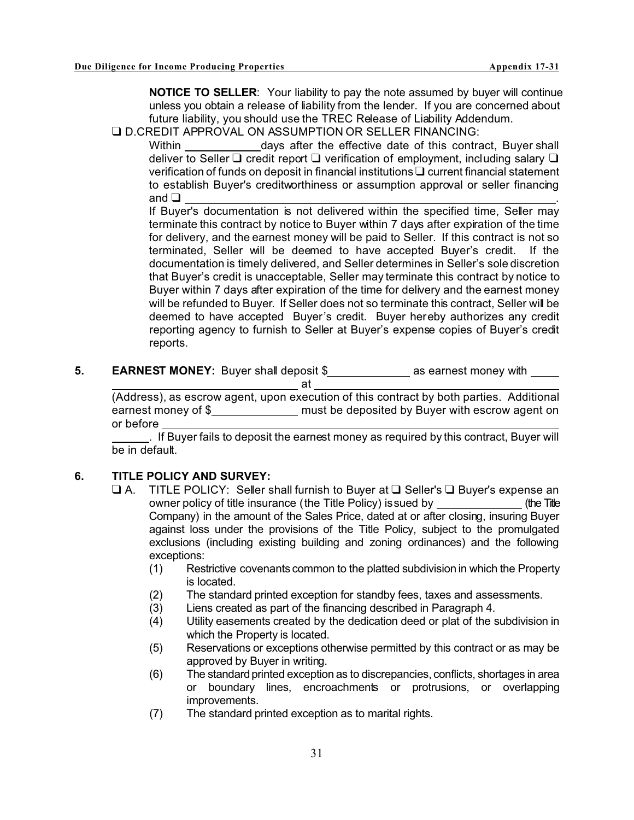**NOTICE TO SELLER**: Your liability to pay the note assumed by buyer will continue unless you obtain a release of liability from the lender. If you are concerned about future liability, you should use the TREC Release of Liability Addendum.

D.CREDIT APPROVAL ON ASSUMPTION OR SELLER FINANCING:

Within **days after the effective date of this contract**, Buyer shall deliver to Seller  $\Box$  credit report  $\Box$  verification of employment, including salary  $\Box$ verification of funds on deposit in financial institutions  $\square$  current financial statement to establish Buyer's creditworthiness or assumption approval or seller financing and  $\square$  . And the set of the set of the set of the set of the set of the set of the set of the set of the set o

If Buyer's documentation is not delivered within the specified time, Seller may terminate this contract by notice to Buyer within 7 days after expiration of the time for delivery, and the earnest money will be paid to Seller. If this contract is not so terminated, Seller will be deemed to have accepted Buyer's credit. If the documentation is timely delivered, and Seller determines in Seller's sole discretion that Buyer's credit is unacceptable, Seller may terminate this contract by notice to Buyer within 7 days after expiration of the time for delivery and the earnest money will be refunded to Buyer. If Seller does not so terminate this contract, Seller will be deemed to have accepted Buyer's credit. Buyer hereby authorizes any credit reporting agency to furnish to Seller at Buyer's expense copies of Buyer's credit reports.

| <b>EARNEST MONEY:</b> Buyer shall deposit \$<br>IJ. |  | as earnest money with |
|-----------------------------------------------------|--|-----------------------|
|-----------------------------------------------------|--|-----------------------|

at at the state of the state of the state of the state of the state of the state of the state of the state of

(Address), as escrow agent, upon execution of this contract by both parties. Additional earnest money of \$\_\_\_\_\_\_\_\_\_\_\_\_\_\_\_ must be deposited by Buyer with escrow agent on or before

. If Buyer fails to deposit the earnest money as required by this contract, Buyer will be in default.

# **6. TITLE POLICY AND SURVEY:**

- $\Box$  A. TITLE POLICY: Seller shall furnish to Buyer at  $\Box$  Seller's  $\Box$  Buyer's expense an owner policy of title insurance (the Title Policy) issued by \_\_\_\_\_\_\_\_\_\_\_\_\_\_(the Title Company) in the amount of the Sales Price, dated at or after closing, insuring Buyer against loss under the provisions of the Title Policy, subject to the promulgated exclusions (including existing building and zoning ordinances) and the following exceptions:
	- (1) Restrictive covenants common to the platted subdivision in which the Property is located.
	- (2) The standard printed exception for standby fees, taxes and assessments.
	- (3) Liens created as part of the financing described in Paragraph 4.
	- (4) Utility easements created by the dedication deed or plat of the subdivision in which the Property is located.
	- (5) Reservations or exceptions otherwise permitted by this contract or as may be approved by Buyer in writing.
	- (6) The standardprinted exception as to discrepancies, conflicts, shortages in area or boundary lines, encroachments or protrusions, or overlapping improvements.
	- (7) The standard printed exception as to marital rights.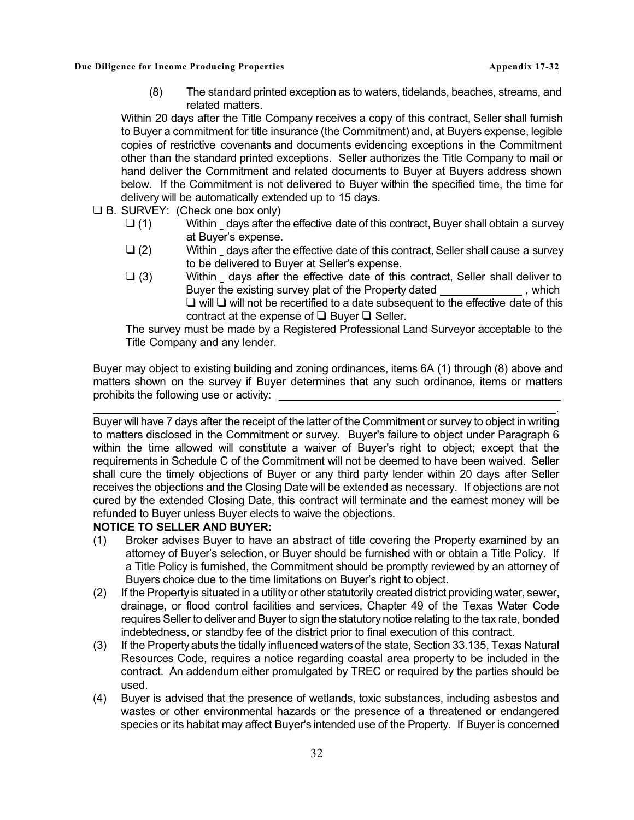.

(8) The standard printed exception as to waters, tidelands, beaches, streams, and related matters.

Within 20 days after the Title Company receives a copy of this contract, Seller shall furnish to Buyer a commitment for title insurance (the Commitment) and, at Buyers expense, legible copies of restrictive covenants and documents evidencing exceptions in the Commitment other than the standard printed exceptions. Seller authorizes the Title Company to mail or hand deliver the Commitment and related documents to Buyer at Buyers address shown below. If the Commitment is not delivered to Buyer within the specified time, the time for delivery will be automatically extended up to 15 days.

- $\Box$  B. SURVEY: (Check one box only)
	- $\Box$  (1) Within days after the effective date of this contract, Buyer shall obtain a survey at Buyer's expense.
	- $\Box$  (2) Within days after the effective date of this contract, Seller shall cause a survey to be delivered to Buyer at Seller's expense.
	- $\Box$  (3) Within days after the effective date of this contract, Seller shall deliver to Buyer the existing survey plat of the Property dated **Fig. 1.4 Solution**, which  $\Box$  will  $\Box$  will not be recertified to a date subsequent to the effective date of this contract at the expense of  $\Box$  Buyer  $\Box$  Seller.

The survey must be made by a Registered Professional Land Surveyor acceptable to the Title Company and any lender.

Buyer may object to existing building and zoning ordinances, items 6A (1) through (8) above and matters shown on the survey if Buyer determines that any such ordinance, items or matters prohibits the following use or activity:

Buyer will have 7 days after the receipt of the latter of the Commitment or survey to object in writing to matters disclosed in the Commitment or survey. Buyer's failure to object under Paragraph 6 within the time allowed will constitute a waiver of Buyer's right to object; except that the requirements in Schedule C of the Commitment will not be deemed to have been waived. Seller shall cure the timely objections of Buyer or any third party lender within 20 days after Seller receives the objections and the Closing Date will be extended as necessary. If objections are not cured by the extended Closing Date, this contract will terminate and the earnest money will be refunded to Buyer unless Buyer elects to waive the objections.

## **NOTICE TO SELLER AND BUYER:**

- (1) Broker advises Buyer to have an abstract of title covering the Property examined by an attorney of Buyer's selection, or Buyer should be furnished with or obtain a Title Policy. If a Title Policy is furnished, the Commitment should be promptly reviewed by an attorney of Buyers choice due to the time limitations on Buyer's right to object.
- (2) If the Property is situated in a utilityor other statutorily created district providing water, sewer, drainage, or flood control facilities and services, Chapter 49 of the Texas Water Code requires Seller to deliver and Buyer to sign the statutory notice relating to the tax rate, bonded indebtedness, or standby fee of the district prior to final execution of this contract.
- (3) If the Property abuts the tidally influenced waters of the state, Section 33.135, Texas Natural Resources Code, requires a notice regarding coastal area property to be included in the contract. An addendum either promulgated by TREC or required by the parties should be used.
- (4) Buyer is advised that the presence of wetlands, toxic substances, including asbestos and wastes or other environmental hazards or the presence of a threatened or endangered species or its habitat may affect Buyer's intended use of the Property. If Buyer is concerned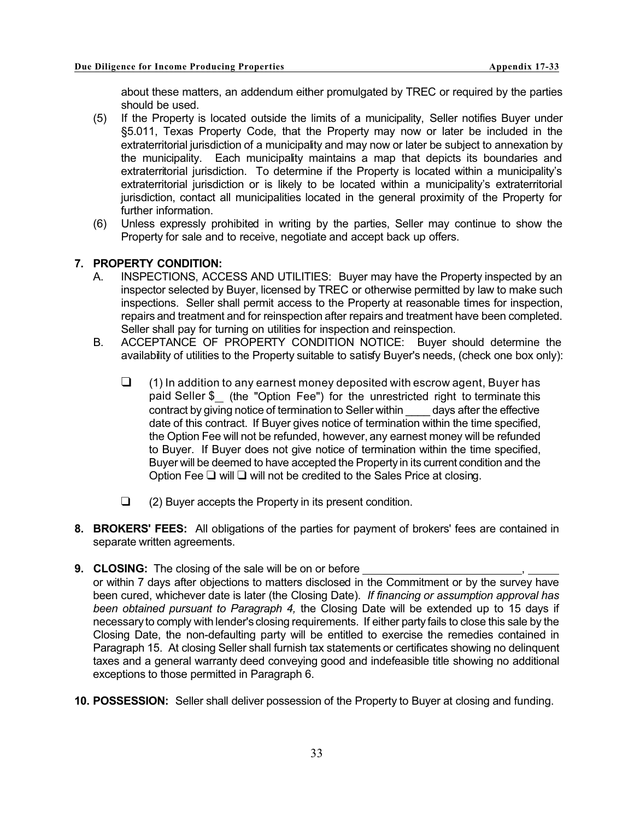about these matters, an addendum either promulgated by TREC or required by the parties should be used.

- (5) If the Property is located outside the limits of a municipality, Seller notifies Buyer under §5.011, Texas Property Code, that the Property may now or later be included in the extraterritorial jurisdiction of a municipality and may now or later be subject to annexation by the municipality. Each municipality maintains a map that depicts its boundaries and extraterritorial jurisdiction. To determine if the Property is located within a municipality's extraterritorial jurisdiction or is likely to be located within a municipality's extraterritorial jurisdiction, contact all municipalities located in the general proximity of the Property for further information.
- (6) Unless expressly prohibited in writing by the parties, Seller may continue to show the Property for sale and to receive, negotiate and accept back up offers.

### **7. PROPERTY CONDITION:**

- A. INSPECTIONS, ACCESS AND UTILITIES: Buyer may have the Property inspected by an inspector selected by Buyer, licensed by TREC or otherwise permitted by law to make such inspections. Seller shall permit access to the Property at reasonable times for inspection, repairs and treatment and for reinspection after repairs and treatment have been completed. Seller shall pay for turning on utilities for inspection and reinspection.
- B. ACCEPTANCE OF PROPERTY CONDITION NOTICE: Buyer should determine the availability of utilities to the Property suitable to satisfy Buyer's needs, (check one box only):
	- $\Box$  (1) In addition to any earnest money deposited with escrow agent, Buyer has paid Seller \$ (the "Option Fee") for the unrestricted right to terminate this contract by giving notice of termination to Seller within \_\_\_\_\_ days after the effective date of this contract. If Buyer gives notice of termination within the time specified, the Option Fee will not be refunded, however, any earnest money will be refunded to Buyer. If Buyer does not give notice of termination within the time specified, Buyer will be deemed to have accepted the Property in its current condition and the Option Fee  $\Box$  will  $\Box$  will not be credited to the Sales Price at closing.
	- $\Box$  (2) Buyer accepts the Property in its present condition.
- **8. BROKERS' FEES:** All obligations of the parties for payment of brokers' fees are contained in separate written agreements.
- **9. CLOSING:** The closing of the sale will be on or before

or within 7 days after objections to matters disclosed in the Commitment or by the survey have been cured, whichever date is later (the Closing Date). *If financing or assumption approval has been obtained pursuant to Paragraph 4,* the Closing Date will be extended up to 15 days if necessaryto comply with lender's closing requirements. If either party fails to close this sale by the Closing Date, the non-defaulting party will be entitled to exercise the remedies contained in Paragraph 15. At closing Seller shall furnish tax statements or certificates showing no delinquent taxes and a general warranty deed conveying good and indefeasible title showing no additional exceptions to those permitted in Paragraph 6.

**10. POSSESSION:** Seller shall deliver possession of the Property to Buyer at closing and funding.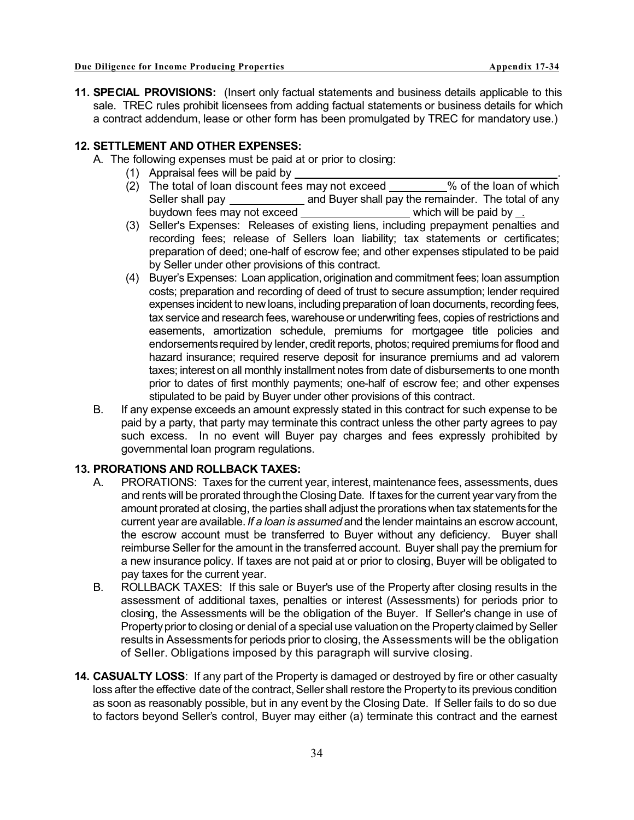**11. SPECIAL PROVISIONS:** (Insert only factual statements and business details applicable to this sale. TREC rules prohibit licensees from adding factual statements or business details for which a contract addendum, lease or other form has been promulgated by TREC for mandatory use.)

#### **12. SETTLEMENT AND OTHER EXPENSES:**

- A. The following expenses must be paid at or prior to closing:
	-
	- (1) Appraisal fees will be paid by  $(2)$  The total of loan discount fees may not exceed  $\frac{9}{6}$  of the loan of which  $(2)$  The total of loan discount fees may not exceed Seller shall pay and Buyer shall pay the remainder. The total of any buydown fees may not exceed **witch and respect to the paid by ...** buydown fees may not exceed **witch will be paid by** ...
	- (3) Seller's Expenses: Releases of existing liens, including prepayment penalties and recording fees; release of Sellers loan liability; tax statements or certificates; preparation of deed; one-half of escrow fee; and other expenses stipulated to be paid by Seller under other provisions of this contract.
	- (4) Buyer's Expenses: Loan application,origination and commitment fees; loan assumption costs; preparation and recording of deed of trust to secure assumption; lender required expenses incident to new loans, including preparation of loan documents, recording fees, tax service and research fees, warehouse or underwriting fees, copies of restrictions and easements, amortization schedule, premiums for mortgagee title policies and endorsements required by lender, credit reports, photos; required premiums for flood and hazard insurance; required reserve deposit for insurance premiums and ad valorem taxes; interest on all monthly installment notes from date of disbursements to one month prior to dates of first monthly payments; one-half of escrow fee; and other expenses stipulated to be paid by Buyer under other provisions of this contract.
- B. If any expense exceeds an amount expressly stated in this contract for such expense to be paid by a party, that party may terminate this contract unless the other party agrees to pay such excess. In no event will Buyer pay charges and fees expressly prohibited by governmental loan program regulations.

#### **13. PRORATIONS AND ROLLBACK TAXES:**

- A. PRORATIONS: Taxes for the current year, interest, maintenance fees, assessments, dues and rents will be prorated through the Closing Date. If taxes for the current year vary from the amount prorated at closing, the parties shall adjust the prorations when tax statementsfor the current year are available. *If a loan is assumed* and the lender maintains an escrow account, the escrow account must be transferred to Buyer without any deficiency. Buyer shall reimburse Seller for the amount in the transferred account. Buyer shall pay the premium for a new insurance policy. If taxes are not paid at or prior to closing, Buyer will be obligated to pay taxes for the current year.
- B. ROLLBACK TAXES: If this sale or Buyer's use of the Property after closing results in the assessment of additional taxes, penalties or interest (Assessments) for periods prior to closing, the Assessments will be the obligation of the Buyer. If Seller's change in use of Property prior to closing or denial of a special use valuation on the Property claimed by Seller results in Assessments for periods prior to closing, the Assessments will be the obligation of Seller. Obligations imposed by this paragraph will survive closing.
- **14. CASUALTY LOSS**: If any part of the Property is damaged or destroyed by fire or other casualty loss after the effective date of the contract, Seller shall restore the Property to its previous condition as soon as reasonably possible, but in any event by the Closing Date. If Seller fails to do so due to factors beyond Seller's control, Buyer may either (a) terminate this contract and the earnest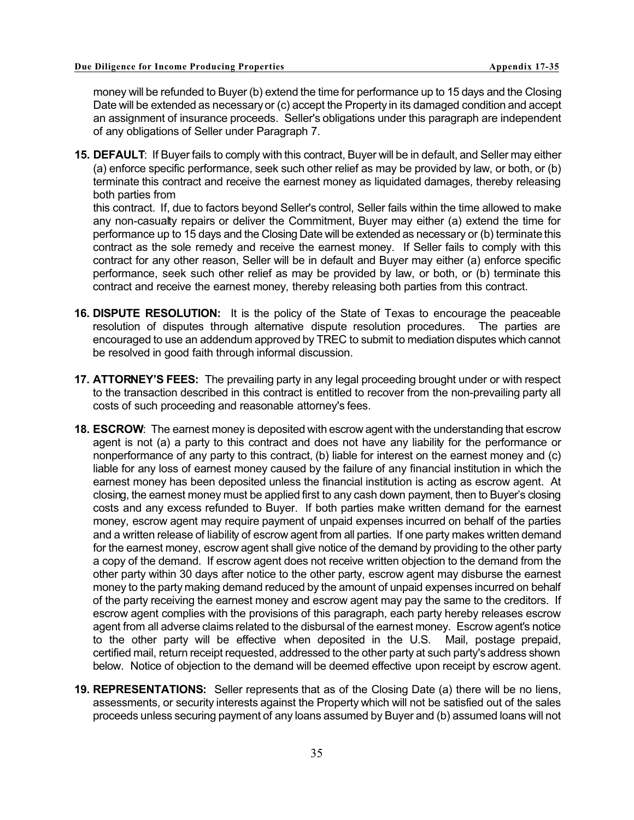money will be refunded to Buyer (b) extend the time for performance up to 15 days and the Closing Date will be extended as necessary or (c) accept the Property in its damaged condition and accept an assignment of insurance proceeds. Seller's obligations under this paragraph are independent of any obligations of Seller under Paragraph 7.

**15. DEFAULT**: If Buyer fails to comply with this contract, Buyer will be in default, and Seller may either (a) enforce specific performance, seek such other relief as may be provided by law, or both, or (b) terminate this contract and receive the earnest money as liquidated damages, thereby releasing both parties from

this contract. If, due to factors beyond Seller's control, Seller fails within the time allowed to make any non-casualty repairs or deliver the Commitment, Buyer may either (a) extend the time for performance up to 15 days and the Closing Date will be extended as necessary or (b) terminate this contract as the sole remedy and receive the earnest money. If Seller fails to comply with this contract for any other reason, Seller will be in default and Buyer may either (a) enforce specific performance, seek such other relief as may be provided by law, or both, or (b) terminate this contract and receive the earnest money, thereby releasing both parties from this contract.

- **16. DISPUTE RESOLUTION:** It is the policy of the State of Texas to encourage the peaceable resolution of disputes through alternative dispute resolution procedures. The parties are encouraged to use an addendum approved by TREC to submit to mediation disputes which cannot be resolved in good faith through informal discussion.
- **17. ATTORNEY'S FEES:** The prevailing party in any legal proceeding brought under or with respect to the transaction described in this contract is entitled to recover from the non-prevailing party all costs of such proceeding and reasonable attorney's fees.
- **18. ESCROW**: The earnest money is deposited with escrow agent with the understanding that escrow agent is not (a) a party to this contract and does not have any liability for the performance or nonperformance of any party to this contract, (b) liable for interest on the earnest money and (c) liable for any loss of earnest money caused by the failure of any financial institution in which the earnest money has been deposited unless the financial institution is acting as escrow agent. At closing, the earnest money must be applied first to any cash down payment, then to Buyer's closing costs and any excess refunded to Buyer. If both parties make written demand for the earnest money, escrow agent may require payment of unpaid expenses incurred on behalf of the parties and a written release of liability of escrow agent from all parties. If one party makes written demand for the earnest money, escrow agent shall give notice of the demand by providing to the other party a copy of the demand. If escrow agent does not receive written objection to the demand from the other party within 30 days after notice to the other party, escrow agent may disburse the earnest money to the party making demand reduced by the amount of unpaid expenses incurred on behalf of the party receiving the earnest money and escrow agent may pay the same to the creditors. If escrow agent complies with the provisions of this paragraph, each party hereby releases escrow agent from all adverse claims related to the disbursal of the earnest money. Escrow agent's notice to the other party will be effective when deposited in the U.S. Mail, postage prepaid, certified mail, return receipt requested, addressed to the other party at such party's address shown below. Notice of objection to the demand will be deemed effective upon receipt by escrow agent.
- **19. REPRESENTATIONS:** Seller represents that as of the Closing Date (a) there will be no liens, assessments, or security interests against the Property which will not be satisfied out of the sales proceeds unless securing payment of any loans assumed by Buyer and (b) assumed loans will not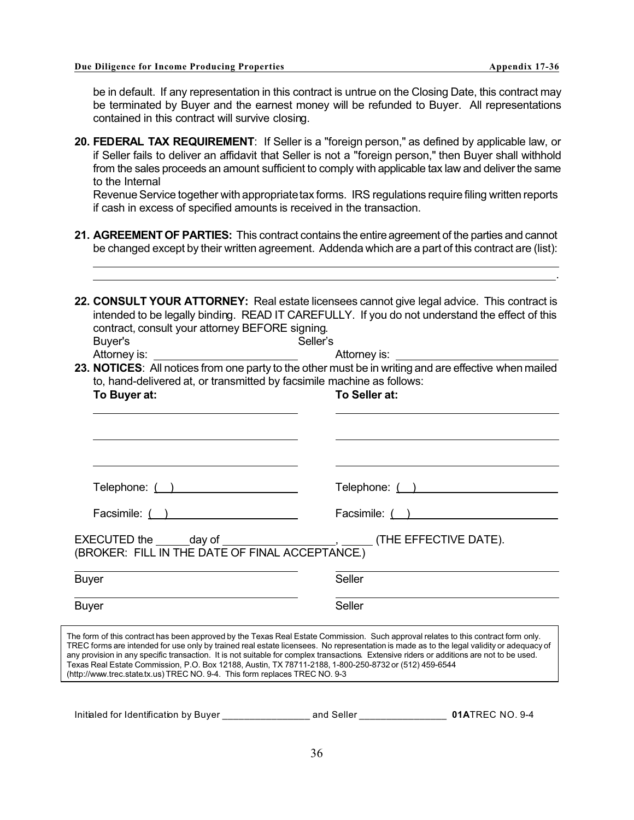be in default. If any representation in this contract is untrue on the Closing Date, this contract may be terminated by Buyer and the earnest money will be refunded to Buyer. All representations contained in this contract will survive closing.

**20. FEDERAL TAX REQUIREMENT**: If Seller is a "foreign person," as defined by applicable law, or if Seller fails to deliver an affidavit that Seller is not a "foreign person," then Buyer shall withhold from the sales proceeds an amount sufficient to comply with applicable tax law and deliver the same to the Internal

Revenue Service together with appropriate tax forms. IRS regulations require filing written reports if cash in excess of specified amounts is received in the transaction.

**21. AGREEMENTOF PARTIES:** This contract contains the entireagreement of the parties and cannot be changed except by their written agreement. Addenda which are a part of this contract are (list):

| contract, consult your attorney BEFORE signing.<br>Buyer's<br>to, hand-delivered at, or transmitted by facsimile machine as follows:<br>To Buyer at:                                 | 22. CONSULT YOUR ATTORNEY: Real estate licensees cannot give legal advice. This contract is<br>intended to be legally binding. READ IT CAREFULLY. If you do not understand the effect of this<br>Seller's<br>To Seller at:                                                                                                                                                                                                  |
|--------------------------------------------------------------------------------------------------------------------------------------------------------------------------------------|-----------------------------------------------------------------------------------------------------------------------------------------------------------------------------------------------------------------------------------------------------------------------------------------------------------------------------------------------------------------------------------------------------------------------------|
|                                                                                                                                                                                      |                                                                                                                                                                                                                                                                                                                                                                                                                             |
| Telephone: ( )                                                                                                                                                                       | Telephone: ( )                                                                                                                                                                                                                                                                                                                                                                                                              |
| Facsimile: ( )                                                                                                                                                                       | Facsimile: ( )                                                                                                                                                                                                                                                                                                                                                                                                              |
|                                                                                                                                                                                      |                                                                                                                                                                                                                                                                                                                                                                                                                             |
| <b>Buyer</b>                                                                                                                                                                         | Seller                                                                                                                                                                                                                                                                                                                                                                                                                      |
| <b>Buyer</b>                                                                                                                                                                         | Seller                                                                                                                                                                                                                                                                                                                                                                                                                      |
| Texas Real Estate Commission, P.O. Box 12188, Austin, TX 78711-2188, 1-800-250-8732 or (512) 459-6544<br>(http://www.trec.state.tx.us) TREC NO. 9-4. This form replaces TREC NO. 9-3 | The form of this contract has been approved by the Texas Real Estate Commission. Such approval relates to this contract form only.<br>TREC forms are intended for use only by trained real estate licensees. No representation is made as to the legal validity or adequacy of<br>any provision in any specific transaction. It is not suitable for complex transactions. Extensive riders or additions are not to be used. |
|                                                                                                                                                                                      |                                                                                                                                                                                                                                                                                                                                                                                                                             |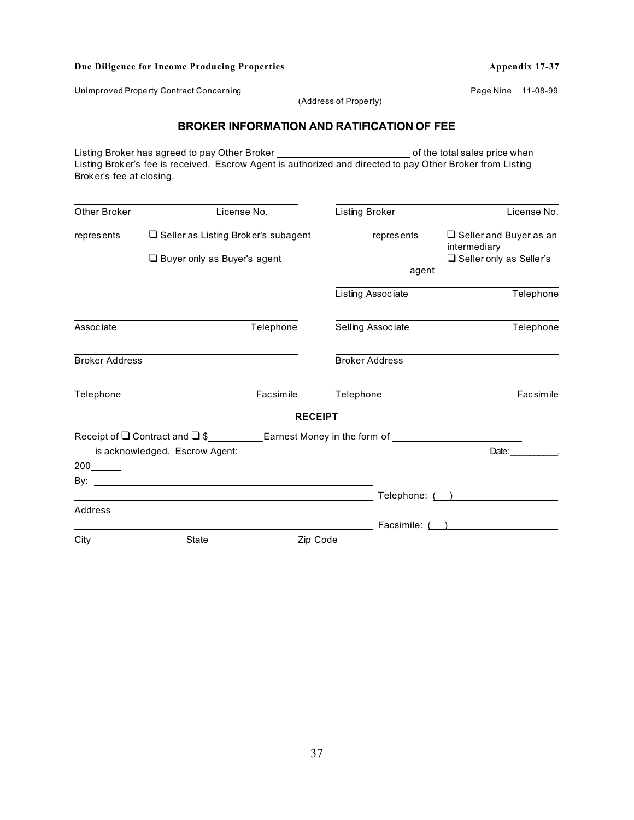Unimproved Prope rty Contract Concerning\_\_\_\_\_\_\_\_\_\_\_\_\_\_\_\_\_\_\_\_\_\_\_\_\_\_\_\_\_\_\_\_\_\_\_\_\_\_\_\_\_\_\_\_\_\_Page Nine 11-08-99

(Address of Prope rty)

## **BROKER INFORMATION AND RATIFICATION OF FEE**

Listing Broker has agreed to pay Other Broker **constrain the total sales price when** of the total sales price when Listing Brok er's fee is received. Escrow Agent is authorized and directed to pay Other Broker from Listing Brok er's fee at closing.

| Other Broker          |                                                             | License No.    | Listing Broker                                                                                        | License No.                                   |
|-----------------------|-------------------------------------------------------------|----------------|-------------------------------------------------------------------------------------------------------|-----------------------------------------------|
| repres ents           | $\Box$ Seller as Listing Broker's subagent                  |                | represents                                                                                            | $\Box$ Seller and Buyer as an<br>intermediary |
|                       | $\Box$ Buyer only as Buyer's agent                          |                |                                                                                                       | Seller only as Seller's                       |
|                       |                                                             |                | agent                                                                                                 |                                               |
|                       |                                                             |                | Listing Associate                                                                                     | Telephone                                     |
| Associate             |                                                             | Telephone      | Selling Associate                                                                                     | Telephone                                     |
| <b>Broker Address</b> |                                                             |                | <b>Broker Address</b>                                                                                 |                                               |
| Telephone             |                                                             | Facsimile      | Telephone                                                                                             | Facsimile                                     |
|                       |                                                             | <b>RECEIPT</b> |                                                                                                       |                                               |
|                       |                                                             |                | Receipt of Q Contract and Q \$____________Earnest Money in the form of ______________________________ |                                               |
|                       |                                                             |                |                                                                                                       | Date: Note:                                   |
|                       |                                                             |                |                                                                                                       |                                               |
|                       |                                                             |                |                                                                                                       |                                               |
|                       | <u> 1989 - Johann Stoff, amerikansk politiker (d. 1989)</u> |                |                                                                                                       | Telephone: ( )                                |
| Address               |                                                             |                |                                                                                                       |                                               |
| City                  | <b>State</b>                                                | Zip Code       |                                                                                                       | Facsimile: ( )                                |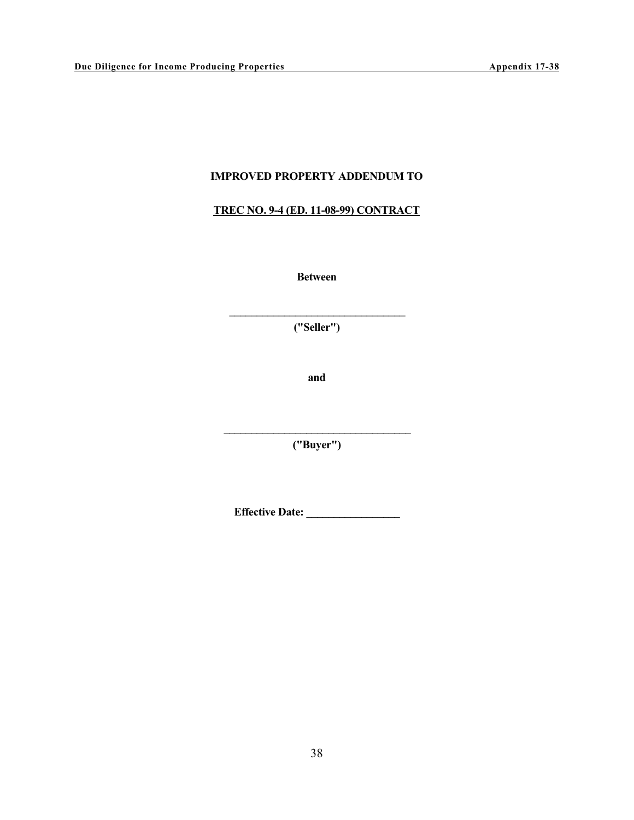## **IMPROVED PROPERTY ADDENDUM TO**

## **TREC NO. 9-4 (ED. 11-08-99) CONTRACT**

**Between**

\_\_\_\_\_\_\_\_\_\_\_\_\_\_\_\_\_\_\_\_\_\_\_\_\_\_\_\_\_\_\_\_ **("Seller")**

**and**

\_\_\_\_\_\_\_\_\_\_\_\_\_\_\_\_\_\_\_\_\_\_\_\_\_\_\_\_\_\_\_\_\_\_ **("Buyer")**

**Effective Date: \_\_\_\_\_\_\_\_\_\_\_\_\_\_\_\_\_**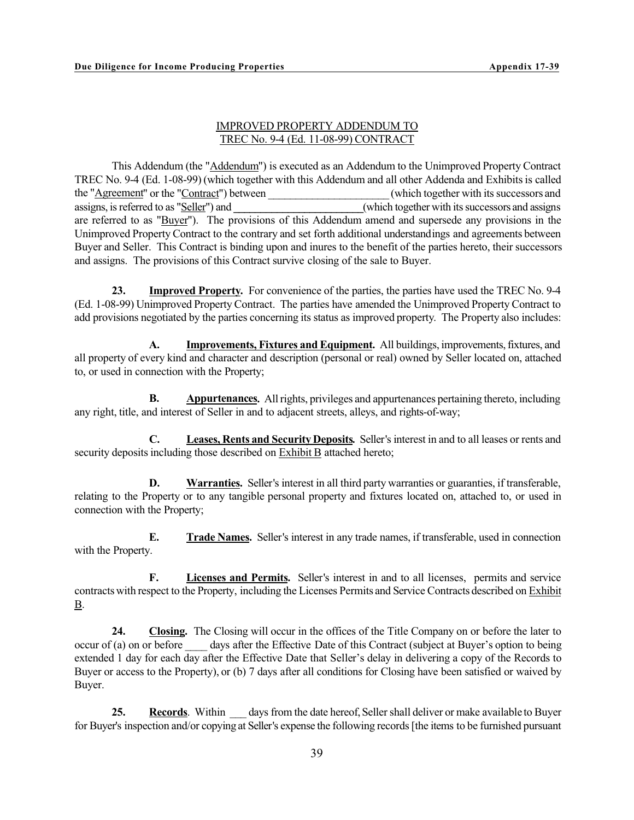#### IMPROVED PROPERTY ADDENDUM TO TREC No. 9-4 (Ed. 11-08-99) CONTRACT

This Addendum (the "Addendum") is executed as an Addendum to the Unimproved Property Contract TREC No. 9-4 (Ed. 1-08-99) (which together with this Addendum and all other Addenda and Exhibitsis called the "Agreement" or the "Contract") between  $\qquad \qquad$  (which together with its successors and assigns, is referred to as "Seller") and **the example of the example of the example of the example of the example of the example of the example of the example of the example of the example of the example of the example of** are referred to as "Buyer"). The provisions of this Addendum amend and supersede any provisions in the Unimproved Property Contract to the contrary and set forth additional understandings and agreements between Buyer and Seller. This Contract is binding upon and inures to the benefit of the parties hereto, their successors and assigns. The provisions of this Contract survive closing of the sale to Buyer.

**23. Improved Property.** For convenience of the parties, the parties have used the TREC No. 9-4 (Ed. 1-08-99) Unimproved Property Contract. The parties have amended the Unimproved Property Contract to add provisions negotiated by the parties concerning its status as improved property. The Property also includes:

**A. Improvements, Fixtures and Equipment.** All buildings, improvements,fixtures, and all property of every kind and character and description (personal or real) owned by Seller located on, attached to, or used in connection with the Property;

**B. Appurtenances.** All rights, privileges and appurtenances pertaining thereto, including any right, title, and interest of Seller in and to adjacent streets, alleys, and rights-of-way;

**C. Leases, Rents and Security Deposits.** Seller's interest in and to all leases or rents and security deposits including those described on Exhibit B attached hereto;

**D. Warranties.** Seller's interest in all third party warranties or guaranties, if transferable, relating to the Property or to any tangible personal property and fixtures located on, attached to, or used in connection with the Property;

**E. Trade Names.** Seller's interest in any trade names, if transferable, used in connection with the Property.

**F. Licenses and Permits.** Seller's interest in and to all licenses, permits and service contractswith respect to the Property, including the Licenses Permits and Service Contracts described on Exhibit B.

**24. Closing.** The Closing will occur in the offices of the Title Company on or before the later to occur of (a) on or before \_\_\_\_ days after the Effective Date of this Contract (subject at Buyer's option to being extended 1 day for each day after the Effective Date that Seller's delay in delivering a copy of the Records to Buyer or access to the Property), or (b) 7 days after all conditions for Closing have been satisfied or waived by Buyer.

**25. Records**. Within days from the date hereof, Seller shall deliver or make available to Buyer for Buyer's inspection and/or copying at Seller's expense the following records [the items to be furnished pursuant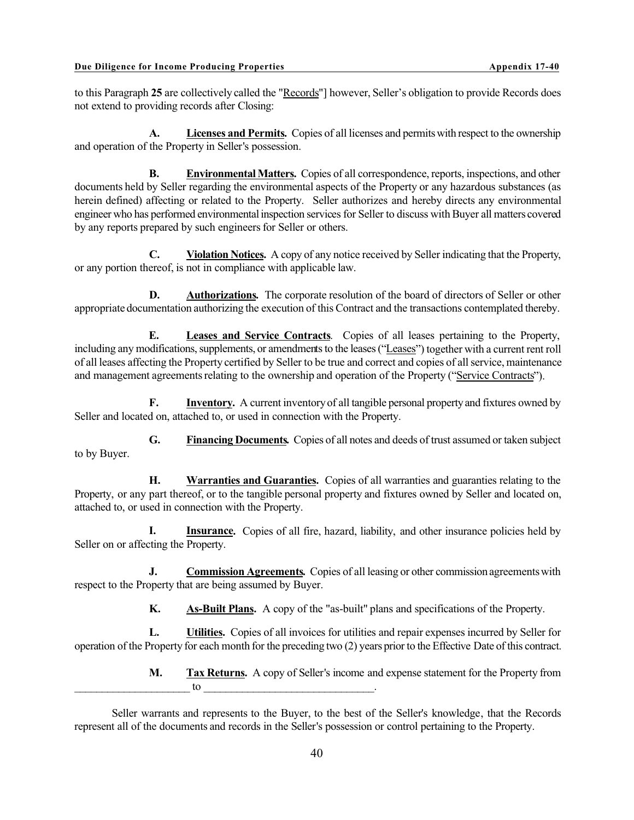to this Paragraph **25** are collectively called the "Records"] however, Seller's obligation to provide Records does not extend to providing records after Closing:

**A. Licenses and Permits.** Copies of all licenses and permitswith respect to the ownership and operation of the Property in Seller's possession.

**B. Environmental Matters.** Copies of all correspondence, reports, inspections, and other documents held by Seller regarding the environmental aspects of the Property or any hazardous substances (as herein defined) affecting or related to the Property. Seller authorizes and hereby directs any environmental engineer who has performed environmental inspection services for Seller to discuss with Buyer all matters covered by any reports prepared by such engineers for Seller or others.

**C. Violation Notices.** A copy of any notice received by Seller indicating that the Property, or any portion thereof, is not in compliance with applicable law.

**D. Authorizations.** The corporate resolution of the board of directors of Seller or other appropriate documentation authorizing the execution of this Contract and the transactions contemplated thereby.

**E. Leases and Service Contracts**. Copies of all leases pertaining to the Property, including any modifications, supplements, or amendments to the leases ("Leases") together with a current rent roll of all leases affecting the Property certified by Seller to be true and correct and copies of allservice, maintenance and management agreements relating to the ownership and operation of the Property ("Service Contracts").

**F. Inventory.** A current inventory of all tangible personal property and fixtures owned by Seller and located on, attached to, or used in connection with the Property.

**G. Financing Documents.** Copies of all notes and deeds of trust assumed or taken subject to by Buyer.

**H. Warranties and Guaranties.** Copies of all warranties and guaranties relating to the Property, or any part thereof, or to the tangible personal property and fixtures owned by Seller and located on, attached to, or used in connection with the Property.

**I. Insurance.** Copies of all fire, hazard, liability, and other insurance policies held by Seller on or affecting the Property.

**J. Commission Agreements.** Copies of all leasing or other commission agreementswith respect to the Property that are being assumed by Buyer.

**K. As-Built Plans.** A copy of the "as-built" plans and specifications of the Property.

**L. Utilities.** Copies of all invoices for utilities and repair expenses incurred by Seller for operation of the Property for each month for the preceding two (2) years prior to the Effective Date of this contract.

**M. Tax Returns.** A copy of Seller's income and expense statement for the Property from \_\_\_\_\_\_\_\_\_\_\_\_\_\_\_\_\_\_\_\_\_ to \_\_\_\_\_\_\_\_\_\_\_\_\_\_\_\_\_\_\_\_\_\_\_\_\_\_\_\_\_\_\_.

Seller warrants and represents to the Buyer, to the best of the Seller's knowledge, that the Records represent all of the documents and records in the Seller's possession or control pertaining to the Property.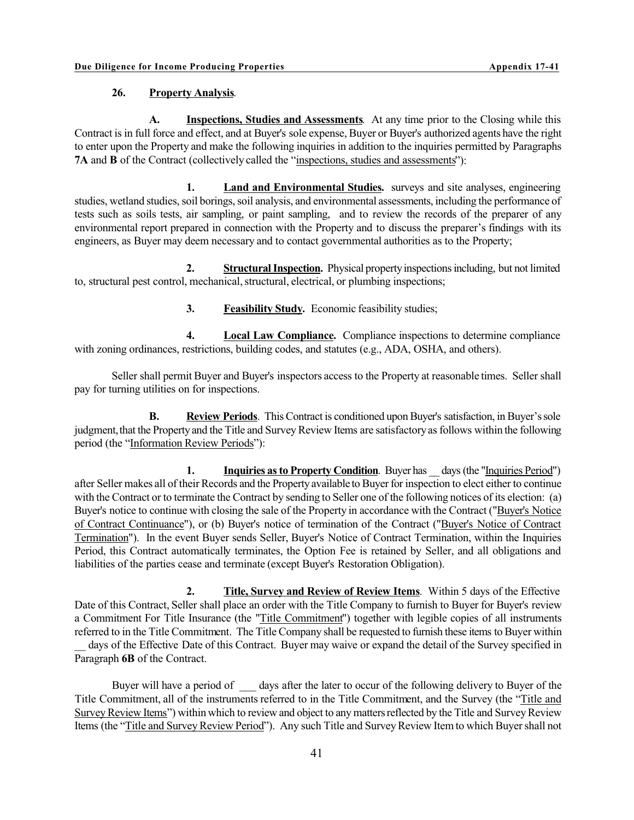## **26. Property Analysis**.

**A. Inspections, Studies and Assessments**. At any time prior to the Closing while this Contract is in full force and effect, and at Buyer's sole expense, Buyer or Buyer's authorized agents have the right to enter upon the Property and make the following inquiries in addition to the inquiries permitted by Paragraphs **7A** and **B** of the Contract (collectively called the "inspections, studies and assessments"):

**1. Land and Environmental Studies.** surveys and site analyses, engineering studies, wetland studies, soil borings, soil analysis, and environmental assessments, including the performance of tests such as soils tests, air sampling, or paint sampling, and to review the records of the preparer of any environmental report prepared in connection with the Property and to discuss the preparer's findings with its engineers, as Buyer may deem necessary and to contact governmental authorities as to the Property;

**2. Structural Inspection.** Physical property inspections including, but not limited to, structural pest control, mechanical, structural, electrical, or plumbing inspections;

**3. Feasibility Study.** Economic feasibility studies;

**4. Local Law Compliance.** Compliance inspections to determine compliance with zoning ordinances, restrictions, building codes, and statutes (e.g., ADA, OSHA, and others).

Seller shall permit Buyer and Buyer's inspectors access to the Property at reasonable times. Seller shall pay for turning utilities on for inspections.

**B. Review Periods**. This Contract is conditioned upon Buyer's satisfaction, in Buyer'ssole judgment, that the Property and the Title and Survey Review Items are satisfactory as follows within the following period (the "Information Review Periods"):

**1. Inquiries as to Property Condition**. Buyer has days (the "Inquiries Period") after Seller makes all of their Records and the Propertyavailable to Buyerfor inspection to elect either to continue with the Contract or to terminate the Contract by sending to Seller one of the following notices of its election: (a) Buyer's notice to continue with closing the sale of the Property in accordance with the Contract ("Buyer's Notice of Contract Continuance"), or (b) Buyer's notice of termination of the Contract ("Buyer's Notice of Contract Termination"). In the event Buyer sends Seller, Buyer's Notice of Contract Termination, within the Inquiries Period, this Contract automatically terminates, the Option Fee is retained by Seller, and all obligations and liabilities of the parties cease and terminate (except Buyer's Restoration Obligation).

**2. Title, Survey and Review of Review Items**. Within 5 days of the Effective Date of this Contract, Seller shall place an order with the Title Company to furnish to Buyer for Buyer's review a Commitment For Title Insurance (the "Title Commitment") together with legible copies of all instruments referred to in the Title Commitment. The Title Company shall be requested to furnish these items to Buyer within

days of the Effective Date of this Contract. Buyer may waive or expand the detail of the Survey specified in Paragraph **6B** of the Contract.

Buyer will have a period of days after the later to occur of the following delivery to Buyer of the Title Commitment, all of the instruments referred to in the Title Commitment, and the Survey (the "Title and Survey Review Items") within which to review and object to any matters reflected by the Title and Survey Review Items (the "Title and Survey Review Period"). Any such Title and Survey Review Item to which Buyer shall not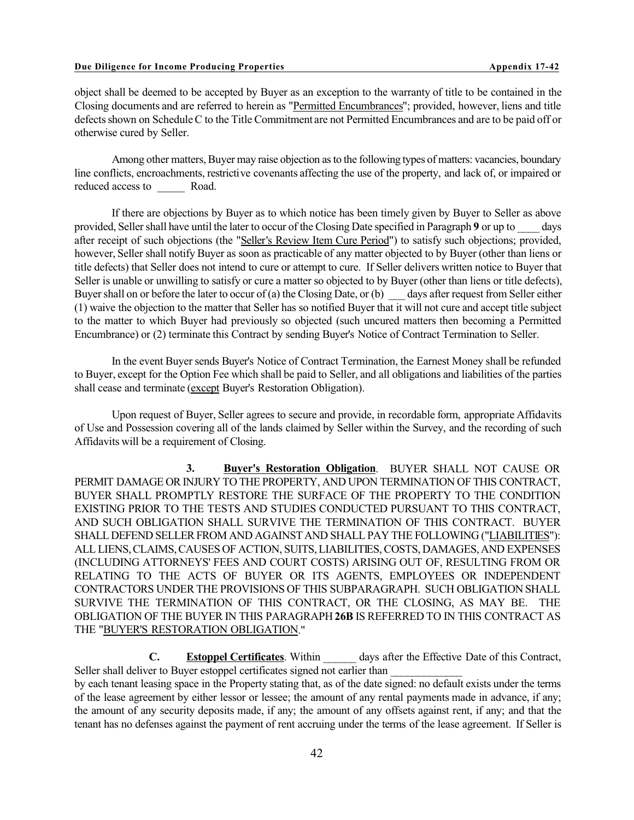object shall be deemed to be accepted by Buyer as an exception to the warranty of title to be contained in the Closing documents and are referred to herein as "Permitted Encumbrances"; provided, however, liens and title defects shown on Schedule C to the Title Commitment are not Permitted Encumbrances and are to be paid off or otherwise cured by Seller.

Among other matters, Buyer may raise objection as to the following types of matters: vacancies, boundary line conflicts, encroachments, restrictive covenants affecting the use of the property, and lack of, or impaired or reduced access to **Road.** 

If there are objections by Buyer as to which notice has been timely given by Buyer to Seller as above provided, Sellershall have until the later to occur of the Closing Date specified in Paragraph **9** or up to \_\_\_\_ days after receipt of such objections (the "Seller's Review Item Cure Period") to satisfy such objections; provided, however, Seller shall notify Buyer as soon as practicable of any matter objected to by Buyer (other than liens or title defects) that Seller does not intend to cure or attempt to cure. If Seller delivers written notice to Buyer that Seller is unable or unwilling to satisfy or cure a matter so objected to by Buyer (other than liens or title defects), Buyer shall on or before the later to occur of (a) the Closing Date, or (b) days after request from Seller either (1) waive the objection to the matter that Seller has so notified Buyer that it will not cure and accept title subject to the matter to which Buyer had previously so objected (such uncured matters then becoming a Permitted Encumbrance) or (2) terminate this Contract by sending Buyer's Notice of Contract Termination to Seller.

In the event Buyer sends Buyer's Notice of Contract Termination, the Earnest Money shall be refunded to Buyer, except for the Option Fee which shall be paid to Seller, and all obligations and liabilities of the parties shall cease and terminate (except Buyer's Restoration Obligation).

Upon request of Buyer, Seller agrees to secure and provide, in recordable form, appropriate Affidavits of Use and Possession covering all of the lands claimed by Seller within the Survey, and the recording of such Affidavits will be a requirement of Closing.

**3. Buyer's Restoration Obligation**. BUYER SHALL NOT CAUSE OR PERMIT DAMAGE OR INJURY TO THE PROPERTY, AND UPON TERMINATION OF THIS CONTRACT, BUYER SHALL PROMPTLY RESTORE THE SURFACE OF THE PROPERTY TO THE CONDITION EXISTING PRIOR TO THE TESTS AND STUDIES CONDUCTED PURSUANT TO THIS CONTRACT, AND SUCH OBLIGATION SHALL SURVIVE THE TERMINATION OF THIS CONTRACT. BUYER SHALL DEFEND SELLER FROM AND AGAINST AND SHALL PAY THE FOLLOWING ("LIABILITIES"): ALL LIENS,CLAIMS,CAUSES OF ACTION, SUITS,LIABILITIES, COSTS, DAMAGES, AND EXPENSES (INCLUDING ATTORNEYS' FEES AND COURT COSTS) ARISING OUT OF, RESULTING FROM OR RELATING TO THE ACTS OF BUYER OR ITS AGENTS, EMPLOYEES OR INDEPENDENT CONTRACTORS UNDER THE PROVISIONS OF THIS SUBPARAGRAPH. SUCH OBLIGATION SHALL SURVIVE THE TERMINATION OF THIS CONTRACT, OR THE CLOSING, AS MAY BE. THE OBLIGATION OF THE BUYER IN THIS PARAGRAPH **26B** IS REFERRED TO IN THIS CONTRACT AS THE "BUYER'S RESTORATION OBLIGATION."

**C. Estoppel Certificates**. Within \_\_\_\_\_\_ days after the Effective Date of this Contract, Seller shall deliver to Buyer estoppel certificates signed not earlier than by each tenant leasing space in the Property stating that, as of the date signed: no default exists under the terms of the lease agreement by either lessor or lessee; the amount of any rental payments made in advance, if any; the amount of any security deposits made, if any; the amount of any offsets against rent, if any; and that the tenant has no defenses against the payment of rent accruing under the terms of the lease agreement. If Seller is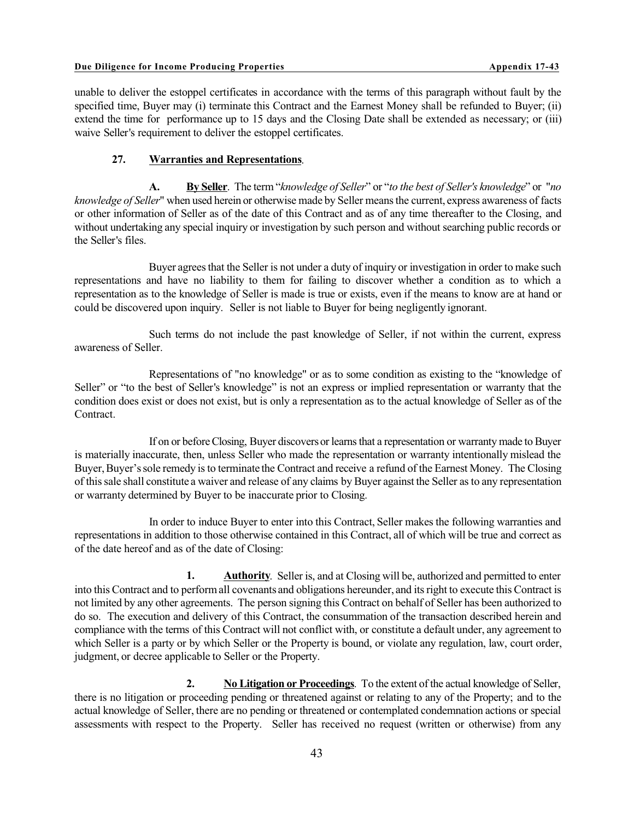unable to deliver the estoppel certificates in accordance with the terms of this paragraph without fault by the specified time, Buyer may (i) terminate this Contract and the Earnest Money shall be refunded to Buyer; (ii) extend the time for performance up to 15 days and the Closing Date shall be extended as necessary; or (iii) waive Seller's requirement to deliver the estoppel certificates.

## **27. Warranties and Representations**.

**A. By Seller**. The term "*knowledge of Seller*" or "*to the best of Seller's knowledge*" or "*no knowledge of Seller*" when used herein or otherwise made by Seller meansthe current, express awareness of facts or other information of Seller as of the date of this Contract and as of any time thereafter to the Closing, and without undertaking any special inquiry or investigation by such person and without searching public records or the Seller's files.

Buyer agreesthat the Seller is not under a duty of inquiry or investigation in order to make such representations and have no liability to them for failing to discover whether a condition as to which a representation as to the knowledge of Seller is made is true or exists, even if the means to know are at hand or could be discovered upon inquiry. Seller is not liable to Buyer for being negligently ignorant.

Such terms do not include the past knowledge of Seller, if not within the current, express awareness of Seller.

Representations of "no knowledge" or as to some condition as existing to the "knowledge of Seller" or "to the best of Seller's knowledge" is not an express or implied representation or warranty that the condition does exist or does not exist, but is only a representation as to the actual knowledge of Seller as of the Contract.

If on or before Closing, Buyer discovers or learns that a representation or warranty made to Buyer is materially inaccurate, then, unless Seller who made the representation or warranty intentionally mislead the Buyer, Buyer's sole remedy is to terminate the Contract and receive a refund of the Earnest Money. The Closing of thissale shall constitute a waiver and release of any claims by Buyer against the Seller asto any representation or warranty determined by Buyer to be inaccurate prior to Closing.

In order to induce Buyer to enter into this Contract, Seller makes the following warranties and representations in addition to those otherwise contained in this Contract, all of which will be true and correct as of the date hereof and as of the date of Closing:

**1. Authority**. Seller is, and at Closing will be, authorized and permitted to enter into this Contract and to performall covenants and obligations hereunder, and itsright to execute this Contract is not limited by any other agreements. The person signing this Contract on behalf of Seller has been authorized to do so. The execution and delivery of this Contract, the consummation of the transaction described herein and compliance with the terms of this Contract will not conflict with, or constitute a default under, any agreement to which Seller is a party or by which Seller or the Property is bound, or violate any regulation, law, court order, judgment, or decree applicable to Seller or the Property.

**2. No Litigation or Proceedings**. To the extent of the actual knowledge of Seller, there is no litigation or proceeding pending or threatened against or relating to any of the Property; and to the actual knowledge of Seller, there are no pending or threatened or contemplated condemnation actions or special assessments with respect to the Property. Seller has received no request (written or otherwise) from any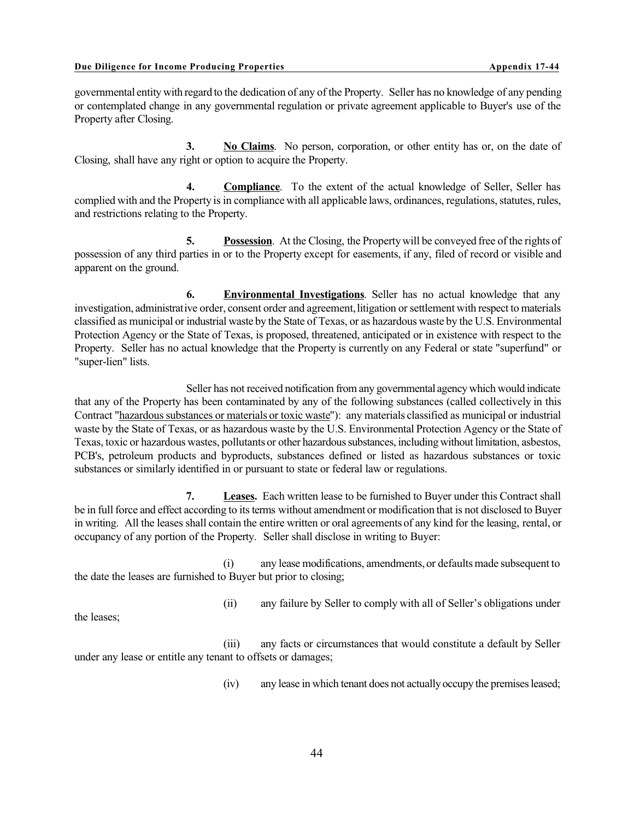governmental entity with regard to the dedication of any of the Property. Seller has no knowledge of any pending or contemplated change in any governmental regulation or private agreement applicable to Buyer's use of the Property after Closing.

**3. No Claims**. No person, corporation, or other entity has or, on the date of Closing, shall have any right or option to acquire the Property.

**4. Compliance**. To the extent of the actual knowledge of Seller, Seller has complied with and the Property is in compliance with all applicable laws, ordinances, regulations, statutes, rules, and restrictions relating to the Property.

**5. Possession**. At the Closing, the Propertywill be conveyed free of the rights of possession of any third parties in or to the Property except for easements, if any, filed of record or visible and apparent on the ground.

**6. Environmental Investigations**. Seller has no actual knowledge that any investigation, administrative order, consent order and agreement, litigation or settlement with respect to materials classified as municipal or industrial waste by the State of Texas, or as hazardous waste by the U.S. Environmental Protection Agency or the State of Texas, is proposed, threatened, anticipated or in existence with respect to the Property. Seller has no actual knowledge that the Property is currently on any Federal or state "superfund" or "super-lien" lists.

Seller has not received notification from any governmental agency which would indicate that any of the Property has been contaminated by any of the following substances (called collectively in this Contract "hazardoussubstances or materials or toxic waste"): any materials classified as municipal or industrial waste by the State of Texas, or as hazardous waste by the U.S. Environmental Protection Agency or the State of Texas, toxic or hazardous wastes, pollutants or other hazardoussubstances, including without limitation, asbestos, PCB's, petroleum products and byproducts, substances defined or listed as hazardous substances or toxic substances or similarly identified in or pursuant to state or federal law or regulations.

**7. Leases.** Each written lease to be furnished to Buyer under this Contract shall be in full force and effect according to its terms without amendment or modification that is not disclosed to Buyer in writing. All the leases shall contain the entire written or oral agreementsof any kind for the leasing, rental, or occupancy of any portion of the Property. Seller shall disclose in writing to Buyer:

(i) any lease modifications, amendments, or defaultsmade subsequent to the date the leases are furnished to Buyer but prior to closing;

(ii) any failure by Seller to comply with all of Seller's obligations under

(iii) any facts or circumstances that would constitute a default by Seller under any lease or entitle any tenant to offsets or damages;

(iv) any lease in which tenant does not actuallyoccupy the premisesleased;

the leases;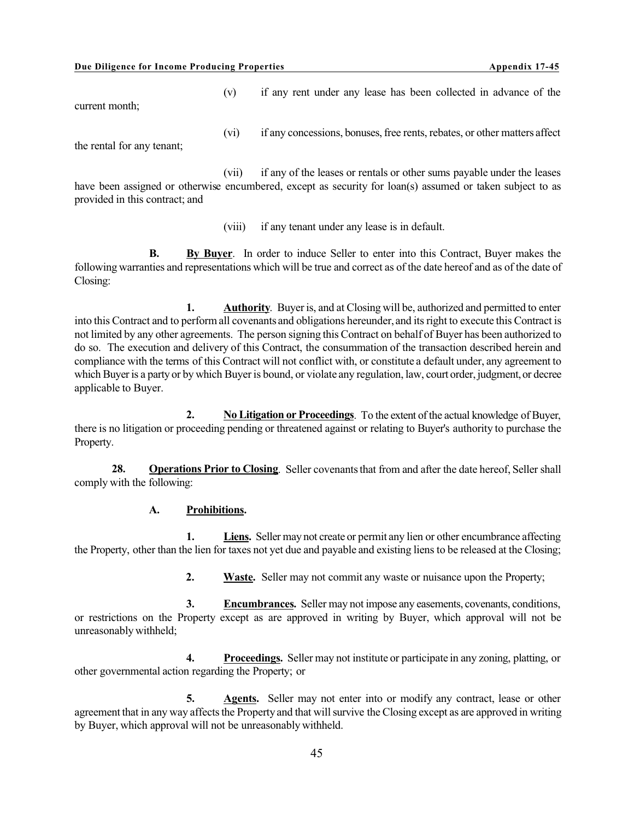current month;

(v) if any rent under any lease has been collected in advance of the

(vi) if any concessions, bonuses,free rents, rebates, or other matters affect

the rental for any tenant;

(vii) if any of the leases or rentals or other sums payable under the leases have been assigned or otherwise encumbered, except as security for loan(s) assumed or taken subject to as provided in this contract; and

(viii) if any tenant under any lease is in default.

**B. By Buyer**. In order to induce Seller to enter into this Contract, Buyer makes the following warranties and representations which will be true and correct as of the date hereof and as of the date of Closing:

**1. Authority**. Buyer is, and at Closing will be, authorized and permitted to enter into this Contract and to performall covenants and obligations hereunder, and itsright to execute this Contract is not limited by any other agreements. The person signing this Contract on behalf of Buyer has been authorized to do so. The execution and delivery of this Contract, the consummation of the transaction described herein and compliance with the terms of this Contract will not conflict with, or constitute a default under, any agreement to which Buyer is a party or by which Buyer is bound, or violate any regulation, law, court order, judgment, or decree applicable to Buyer.

**2. No Litigation or Proceedings**. To the extent of the actual knowledge of Buyer, there is no litigation or proceeding pending or threatened against or relating to Buyer's authority to purchase the Property.

**28. Operations Prior to Closing**. Seller covenants that from and after the date hereof, Seller shall comply with the following:

#### **A. Prohibitions.**

**1. Liens.** Seller may not create or permit any lien or other encumbrance affecting the Property, other than the lien for taxes not yet due and payable and existing liens to be released at the Closing;

**2. Waste.** Seller may not commit any waste or nuisance upon the Property;

**3. Encumbrances.** Seller may not impose any easements, covenants, conditions, or restrictions on the Property except as are approved in writing by Buyer, which approval will not be unreasonably withheld;

**4. Proceedings.** Seller may not institute or participate in any zoning, platting, or other governmental action regarding the Property; or

**5. Agents.** Seller may not enter into or modify any contract, lease or other agreement that in any way affects the Property and that will survive the Closing except as are approved in writing by Buyer, which approval will not be unreasonably withheld.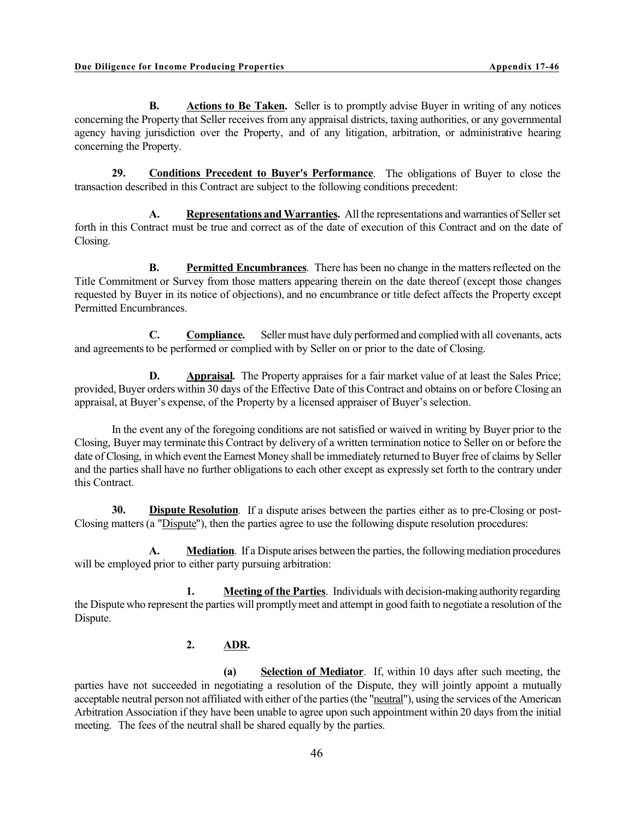**B. Actions to Be Taken.** Seller is to promptly advise Buyer in writing of any notices concerning the Property that Seller receives from any appraisal districts, taxing authorities, or any governmental agency having jurisdiction over the Property, and of any litigation, arbitration, or administrative hearing concerning the Property.

**29. Conditions Precedent to Buyer's Performance**. The obligations of Buyer to close the transaction described in this Contract are subject to the following conditions precedent:

**A. Representations and Warranties.** All the representations and warranties of Sellerset forth in this Contract must be true and correct as of the date of execution of this Contract and on the date of Closing.

**B. Permitted Encumbrances**. There has been no change in the matters reflected on the Title Commitment or Survey from those matters appearing therein on the date thereof (except those changes requested by Buyer in its notice of objections), and no encumbrance or title defect affects the Property except Permitted Encumbrances.

**C. Compliance.** Seller must have duly performed and complied with all covenants, acts and agreementsto be performed or complied with by Seller on or prior to the date of Closing.

**D. Appraisal.** The Property appraises for a fair market value of at least the Sales Price; provided, Buyer orders within 30 days of the Effective Date of this Contract and obtains on or before Closing an appraisal, at Buyer's expense, of the Property by a licensed appraiser of Buyer'sselection.

In the event any of the foregoing conditions are not satisfied or waived in writing by Buyer prior to the Closing, Buyer may terminate this Contract by delivery of a written termination notice to Seller on or before the date of Closing, in which event the Earnest Money shall be immediately returned to Buyer free of claims by Seller and the parties shall have no further obligations to each other except as expressly set forth to the contrary under this Contract.

**30. Dispute Resolution**. If a dispute arises between the parties either as to pre-Closing or post-Closing matters(a "Dispute"), then the parties agree to use the following dispute resolution procedures:

**A. Mediation**. If a Dispute arises between the parties, the following mediation procedures will be employed prior to either party pursuing arbitration:

**1. Meeting of the Parties**. Individuals with decision-making authorityregarding the Dispute who represent the parties will promptlymeet and attempt in good faith to negotiate a resolution of the Dispute.

## **2. ADR.**

**(a) Selection of Mediator**. If, within 10 days after such meeting, the parties have not succeeded in negotiating a resolution of the Dispute, they will jointly appoint a mutually acceptable neutral person not affiliated with either of the parties(the "neutral"), using the services of the American Arbitration Association if they have been unable to agree upon such appointment within 20 days from the initial meeting. The fees of the neutral shall be shared equally by the parties.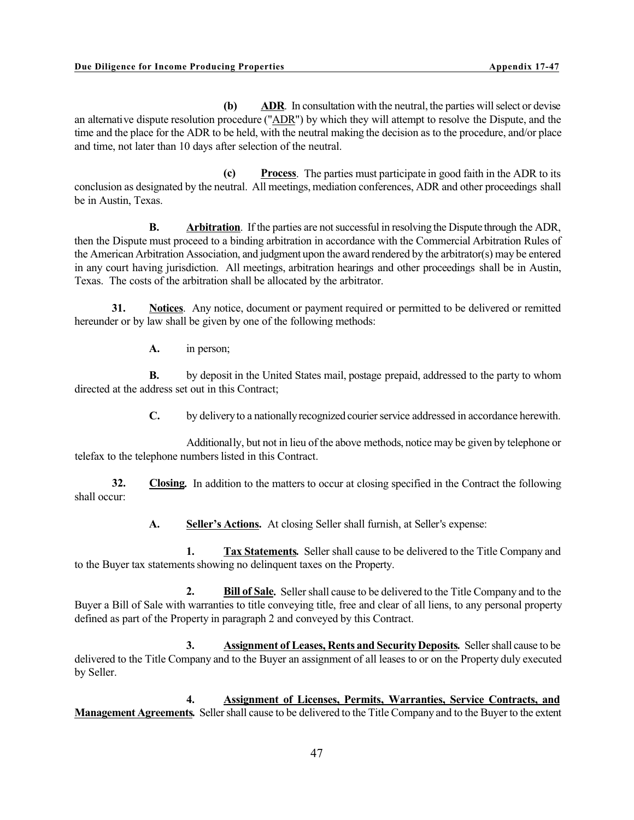**(b) ADR**. In consultation with the neutral, the parties willselect or devise an alternative dispute resolution procedure ("ADR") by which they will attempt to resolve the Dispute, and the time and the place for the ADR to be held, with the neutral making the decision as to the procedure, and/or place and time, not later than 10 days after selection of the neutral.

**(c) Process**. The parties must participate in good faith in the ADR to its conclusion as designated by the neutral. All meetings, mediation conferences, ADR and other proceedings shall be in Austin, Texas.

**B. Arbitration**. If the parties are not successful in resolving the Dispute through the ADR, then the Dispute must proceed to a binding arbitration in accordance with the Commercial Arbitration Rules of the American Arbitration Association, and judgment upon the award rendered by the arbitrator(s) may be entered in any court having jurisdiction. All meetings, arbitration hearings and other proceedings shall be in Austin, Texas. The costs of the arbitration shall be allocated by the arbitrator.

**31. Notices**. Any notice, document or payment required or permitted to be delivered or remitted hereunder or by law shall be given by one of the following methods:

**A.** in person;

**B.** by deposit in the United States mail, postage prepaid, addressed to the party to whom directed at the address set out in this Contract;

**C.** by deliveryto a nationallyrecognized courierservice addressed in accordance herewith.

Additionally, but not in lieu of the above methods, notice may be given by telephone or telefax to the telephone numbers listed in this Contract.

**32. Closing.** In addition to the matters to occur at closing specified in the Contract the following shall occur:

**A. Seller's Actions.** At closing Seller shall furnish, at Seller's expense:

**1. Tax Statements.** Seller shall cause to be delivered to the Title Company and to the Buyer tax statements showing no delinquent taxes on the Property.

**2. Bill of Sale.** Seller shall cause to be delivered to the Title Company and to the Buyer a Bill of Sale with warranties to title conveying title, free and clear of all liens, to any personal property defined as part of the Property in paragraph 2 and conveyed by this Contract.

**3. Assignment of Leases, Rents and SecurityDeposits.** Sellershall cause to be delivered to the Title Company and to the Buyer an assignment of all leases to or on the Property duly executed by Seller.

**4. Assignment of Licenses, Permits, Warranties, Service Contracts, and Management Agreements.** Seller shall cause to be delivered to the Title Company and to the Buyer to the extent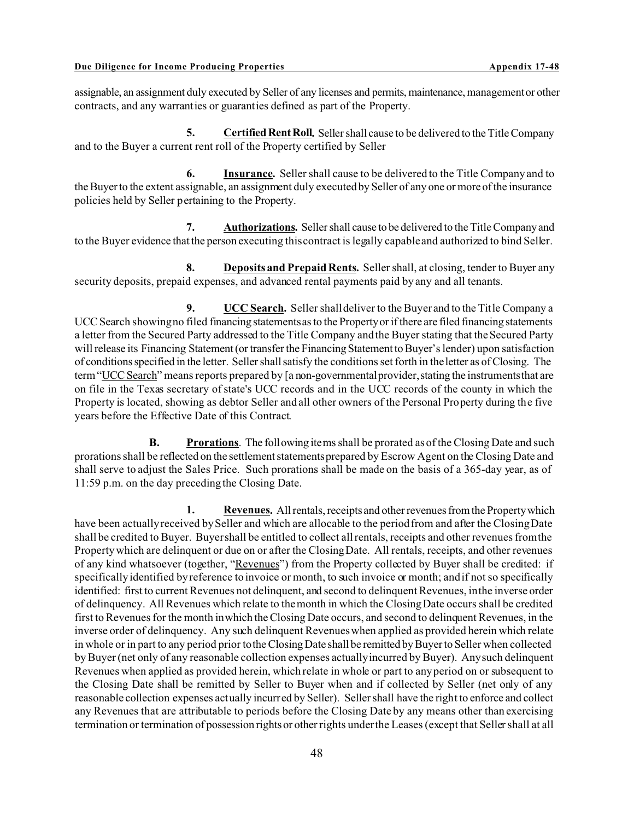assignable, an assignment duly executed by Seller of any licenses and permits, maintenance, management or other contracts, and any warranties or guaranties defined as part of the Property.

**5. Certified Rent Roll.** Seller shall cause to be delivered to the Title Company and to the Buyer a current rent roll of the Property certified by Seller

**6. Insurance.** Seller shall cause to be delivered to the Title Company and to the Buyer to the extent assignable, an assignment duly executed by Seller of any one or more of the insurance policies held by Seller pertaining to the Property.

**7. Authorizations.** Seller shall cause to be delivered to the Title Company and to the Buyer evidence that the person executing this contract is legally capable and authorized to bind Seller.

**8. Deposits and Prepaid Rents.** Seller shall, at closing, tender to Buyer any security deposits, prepaid expenses, and advanced rental payments paid by any and all tenants.

**9. UCC Search.** Seller shall deliver to the Buyer and to the Title Company a UCC Search showing no filed financing statements as to the Property or if there are filed financing statements a letter from the Secured Party addressed to the Title Company and the Buyer stating that the Secured Party will release its Financing Statement (or transfer the Financing Statement to Buyer's lender) upon satisfaction of conditionsspecified in the letter. Sellershallsatisfy the conditions set forth in the letter as ofClosing. The term "UCC Search" means reports prepared by [a non-governmental provider, stating the instruments that are on file in the Texas secretary of state's UCC records and in the UCC records of the county in which the Property is located, showing as debtor Seller and all other owners of the Personal Property during the five years before the Effective Date of this Contract.

**B. Prorations**. The following items shall be prorated as of the Closing Date and such prorations shall be reflected on the settlementstatementsprepared by Escrow Agent on the Closing Date and shall serve to adjust the Sales Price. Such prorations shall be made on the basis of a 365-day year, as of 11:59 p.m. on the day preceding the Closing Date.

**1. Revenues.** All rentals, receipts and other revenues from the Property which have been actually received by Seller and which are allocable to the period from and after the Closing Date shall be credited to Buyer. Buyer shall be entitled to collect all rentals, receipts and other revenues from the Property which are delinquent or due on or after the Closing Date. All rentals, receipts, and other revenues of any kind whatsoever (together, "Revenues") from the Property collected by Buyer shall be credited: if specifically identified by reference to invoice or month, to such invoice or month; and if not so specifically identified: first to current Revenues not delinquent, and second to delinquent Revenues, in the inverse order of delinquency. All Revenues which relate to the month in which the Closing Date occurs shall be credited first to Revenues for the month in which theClosing Date occurs, and second to delinquent Revenues, in the inverse order of delinquency. Any such delinquent Revenues when applied as provided herein which relate in whole or in part to any period prior to the Closing Date shall be remitted by Buyer to Seller when collected by Buyer (net only of any reasonable collection expenses actually incurred by Buyer). Any such delinquent Revenues when applied as provided herein, which relate in whole or part to any period on or subsequent to the Closing Date shall be remitted by Seller to Buyer when and if collected by Seller (net only of any reasonable collection expenses actually incurred by Seller). Seller shall have the right to enforce and collect any Revenues that are attributable to periods before the Closing Date by any means other than exercising termination or termination of possession rights or other rights under the Leases (except that Seller shall at all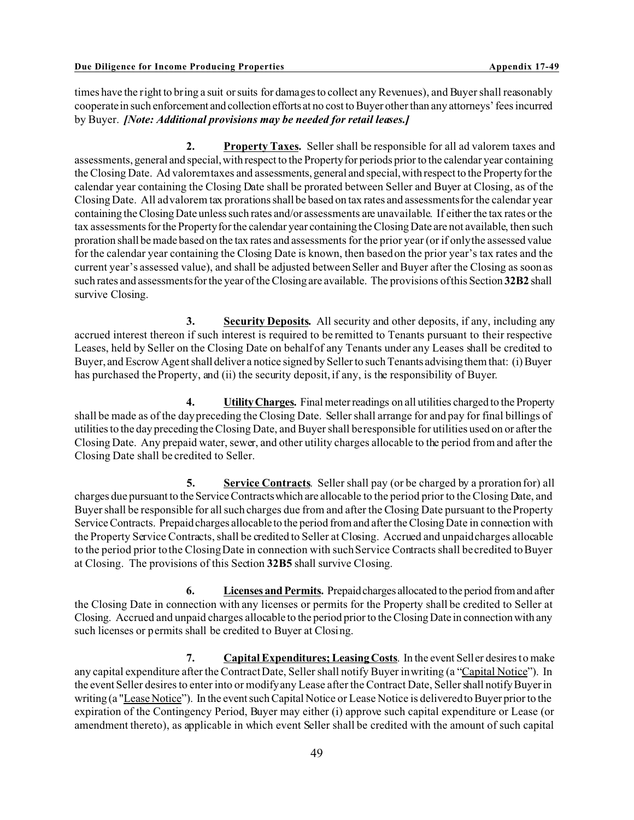times have the right to bring a suit or suits for damagesto collect any Revenues), and Buyer shall reasonably cooperate in such enforcement and collection efforts at no cost to Buyer other than any attorneys' fees incurred by Buyer. *[Note: Additional provisions may be needed for retail leases.]*

**2. Property Taxes.** Seller shall be responsible for all ad valorem taxes and assessments, general and special,with respect to the Propertyfor periods priorto the calendar year containing the Closing Date. Ad valorem taxes and assessments, general and special, with respect to the Property for the calendar year containing the Closing Date shall be prorated between Seller and Buyer at Closing, as of the Closing Date. All ad valorem tax prorationsshall be based on tax rates and assessmentsfor the calendar year containing the Closing Date unless such rates and/or assessments are unavailable. If either the tax rates or the tax assessments forthe Propertyforthe calendar year containing theClosingDate are not available, then such proration shall bemade based on the tax rates and assessments for the prior year (or if only the assessed value for the calendar year containing the Closing Date is known, then based on the prior year's tax rates and the current year's assessed value), and shall be adjusted between Seller and Buyer after the Closing as soon as such rates and assessmentsforthe year oftheClosing are available. The provisions of this Section **32B2** shall survive Closing.

**3. Security Deposits.** All security and other deposits, if any, including any accrued interest thereon if such interest is required to be remitted to Tenants pursuant to their respective Leases, held by Seller on the Closing Date on behalf of any Tenants under any Leases shall be credited to Buyer, and Escrow Agent shall deliver a notice signed by Seller to such Tenants advising them that: (i) Buyer has purchased the Property, and (ii) the security deposit, if any, is the responsibility of Buyer.

**4. UtilityCharges.** Finalmeterreadings on all utilities charged to the Property shall be made as of the day preceding the Closing Date. Seller shall arrange for and pay for final billings of utilities to the day preceding the Closing Date, and Buyer shall be responsible for utilities used on or after the Closing Date. Any prepaid water, sewer, and other utility charges allocable to the period from and after the Closing Date shall be credited to Seller.

**5. Service Contracts**. Seller shall pay (or be charged by a proration for) all charges due pursuant to the ServiceContractswhich are allocable to the period prior to the Closing Date, and Buyer shall be responsible for all such charges due from and after the Closing Date pursuant to the Property ServiceContracts. Prepaidcharges allocableto the period fromand aftertheClosing Date in connection with the Property Service Contracts, shall be credited to Seller at Closing. Accrued and unpaid charges allocable to the period prior to the Closing Date in connection with such Service Contracts shall be credited to Buyer at Closing. The provisions of this Section **32B5** shall survive Closing.

**6. Licenses and Permits.** Prepaid charges allocated to the period from and after the Closing Date in connection with any licenses or permits for the Property shall be credited to Seller at Closing. Accrued and unpaid charges allocable to the period priorto theClosingDate in connectionwith any such licenses or permits shall be credited to Buyer at Closing.

**7. Capital Expenditures;LeasingCosts**. In the event Seller desires to make any capital expenditure after the Contract Date, Seller shall notify Buyer in writing (a "Capital Notice"). In the event Seller desires to enter into or modify any Lease after the Contract Date, Seller shall notifyBuyerin writing (a "Lease Notice"). In the event such Capital Notice or Lease Notice is delivered to Buyer prior to the expiration of the Contingency Period, Buyer may either (i) approve such capital expenditure or Lease (or amendment thereto), as applicable in which event Seller shall be credited with the amount of such capital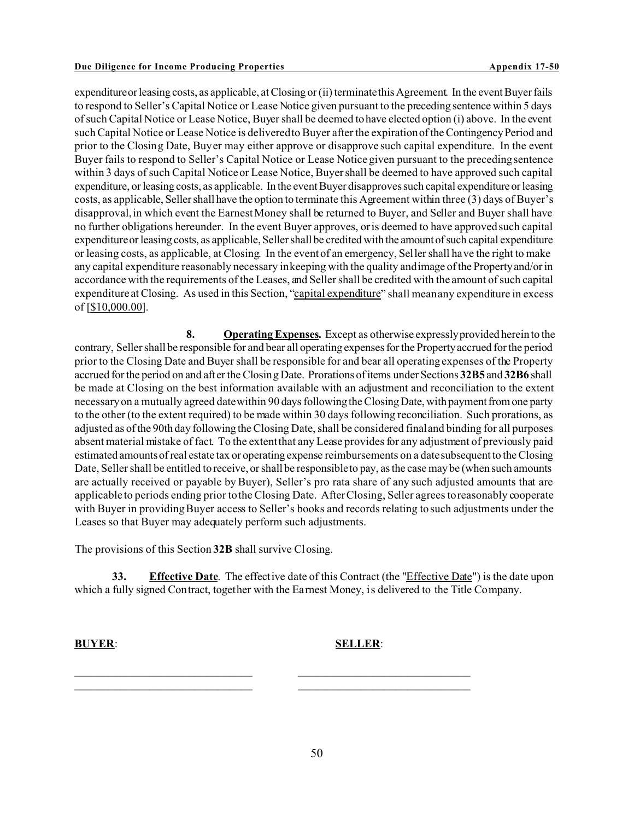expenditure or leasing costs, as applicable, at Closing or (ii) terminate this Agreement. In the event Buyer fails to respond to Seller's Capital Notice or Lease Notice given pursuant to the preceding sentence within 5 days of such Capital Notice or Lease Notice, Buyer shall be deemed to have elected option (i) above. In the event such Capital Notice or Lease Notice is delivered to Buyer after the expiration of the Contingency Period and prior to the Closing Date, Buyer may either approve or disapprove such capital expenditure. In the event Buyer fails to respond to Seller's Capital Notice or Lease Notice given pursuant to the preceding sentence within 3 days of such Capital Notice or Lease Notice, Buyer shall be deemed to have approved such capital expenditure, or leasing costs, as applicable. In the event Buyer disapproves such capital expenditure or leasing costs, as applicable, Seller shall have the option to terminate this Agreement within three (3) days of Buyer's disapproval, in which event the Earnest Money shall be returned to Buyer, and Seller and Buyer shall have no further obligations hereunder. In the event Buyer approves, or is deemed to have approved such capital expenditure or leasing costs, as applicable, Seller shall be credited with the amount of such capital expenditure or leasing costs, as applicable, at Closing. In the event of an emergency, Seller shall have the right to make any capital expenditure reasonably necessary in keeping with the quality and image ofthe Propertyand/orin accordance with the requirements of the Leases, and Seller shall be credited with the amount of such capital expenditure at Closing. As used in this Section, "capital expenditure" shall mean any expenditure in excess of [\$10,000.00].

**8. OperatingExpenses.** Except as otherwise expresslyprovided hereinto the contrary, Seller shall be responsible for and bear all operating expenses for the Property accrued for the period prior to the Closing Date and Buyer shall be responsible for and bear all operating expenses of the Property accrued forthe period on and after the Closing Date. Prorations ofitems under Sections **32B5** and **32B6** shall be made at Closing on the best information available with an adjustment and reconciliation to the extent necessary on a mutually agreed date within 90 days following the Closing Date, with payment from one party to the other (to the extent required) to be made within 30 days following reconciliation. Such prorations, as adjusted as ofthe 90th day following the Closing Date, shall be considered final and binding for all purposes absent material mistake of fact. To the extent that any Lease provides for any adjustment of previously paid estimated amountsofreal estate tax or operating expense reimbursements on a date subsequent to theClosing Date, Seller shall be entitled to receive, or shall be responsible to pay, as the case may be (when such amounts are actually received or payable by Buyer), Seller's pro rata share of any such adjusted amounts that are applicable to periods ending prior to the Closing Date. After Closing, Seller agrees to reasonably cooperate with Buyer in providing Buyer access to Seller's books and records relating to such adjustments under the Leases so that Buyer may adequately perform such adjustments.

The provisions of this Section **32B** shall survive Closing.

**33. Effective Date**. The effective date of this Contract (the "Effective Date") is the date upon which a fully signed Contract, together with the Earnest Money, is delivered to the Title Company.

 $\mathcal{L}_\text{max}$  , and the contribution of the contribution of the contribution of the contribution of the contribution of the contribution of the contribution of the contribution of the contribution of the contribution of t \_\_\_\_\_\_\_\_\_\_\_\_\_\_\_\_\_\_\_\_\_\_\_\_\_\_\_\_\_\_\_ \_\_\_\_\_\_\_\_\_\_\_\_\_\_\_\_\_\_\_\_\_\_\_\_\_\_\_\_\_\_

#### **BUYER**: **SELLER**: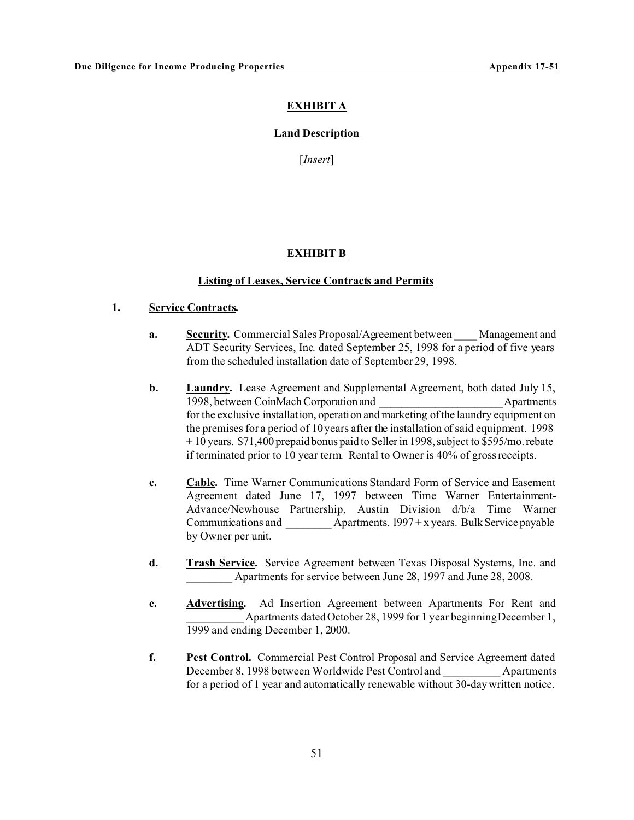#### **EXHIBIT A**

### **Land Description**

[*Insert*]

## **EXHIBIT B**

#### **Listing of Leases, Service Contracts and Permits**

## **1. Service Contracts.**

- **a. Security.** Commercial Sales Proposal/Agreement between Management and ADT Security Services, Inc. dated September 25, 1998 for a period of five years from the scheduled installation date of September 29, 1998.
- **b. Laundry.** Lease Agreement and Supplemental Agreement, both dated July 15, 1998, between CoinMachCorporation and \_\_\_\_\_\_\_\_\_\_\_\_\_\_\_\_\_\_\_\_\_\_Apartments for the exclusive installation, operation and marketing of the laundry equipment on the premises for a period of 10 years after the installation of said equipment. 1998 + 10 years. \$71,400 prepaidbonus paid to Sellerin 1998,subject to \$595/mo.rebate if terminated prior to 10 year term. Rental to Owner is 40% of gross receipts.
- **c. Cable.** Time Warner Communications Standard Form of Service and Easement Agreement dated June 17, 1997 between Time Warner Entertainment-Advance/Newhouse Partnership, Austin Division d/b/a Time Warner Communications and  $\Delta$  Apartments. 1997 + x years. Bulk Service payable by Owner per unit.
- **d. Trash Service.** Service Agreement between Texas Disposal Systems, Inc. and Apartments for service between June 28, 1997 and June 28, 2008.
- **e. Advertising.** Ad Insertion Agreement between Apartments For Rent and Apartments dated October 28, 1999 for 1 year beginning December 1, 1999 and ending December 1, 2000.
- **f. Pest Control.** Commercial Pest Control Proposal and Service Agreement dated December 8, 1998 between Worldwide Pest Control and \_\_\_\_\_\_\_\_\_\_ Apartments for a period of 1 year and automatically renewable without 30-day written notice.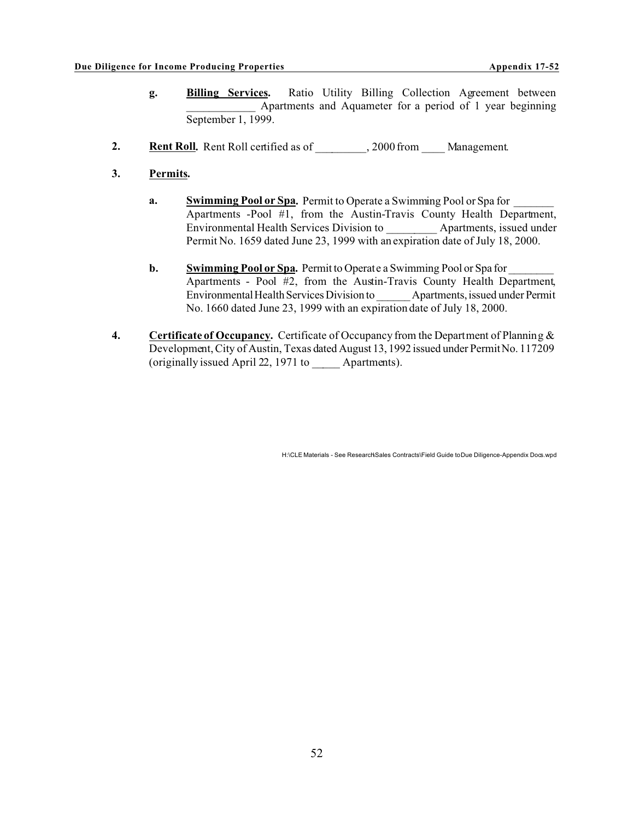- **g. Billing Services.** Ratio Utility Billing Collection Agreement between Apartments and Aquameter for a period of 1 year beginning September 1, 1999.
- 2. **Rent Roll.** Rent Roll certified as of \_\_\_\_\_\_\_\_, 2000 from \_\_\_\_ Management.
- **3. Permits.**
	- **a. Swimming Pool or Spa.** Permit to Operate a Swimming Pool or Spa for Apartments -Pool #1, from the Austin-Travis County Health Department, Environmental Health Services Division to \_\_\_\_\_\_\_\_\_ Apartments, issued under Permit No. 1659 dated June 23, 1999 with an expiration date of July 18, 2000.
	- **b. Swimming Pool or Spa.** Permit to Operate a Swimming Pool or Spa for Apartments - Pool #2, from the Austin-Travis County Health Department, Environmental Health Services Division to Apartments, issued under Permit No. 1660 dated June 23, 1999 with an expiration date of July 18, 2000.
- **4. Certificate of Occupancy.** Certificate of Occupancy from the Department of Planning & Development, City of Austin, Texas dated August 13, 1992 issued under Permit No. 117209 (originally issued April 22, 1971 to \_\_\_\_\_ Apartments).

H:\CLE Materials - See Research\Sales Contracts\Field Guide to Due Diligence-Appendix Docs.wpd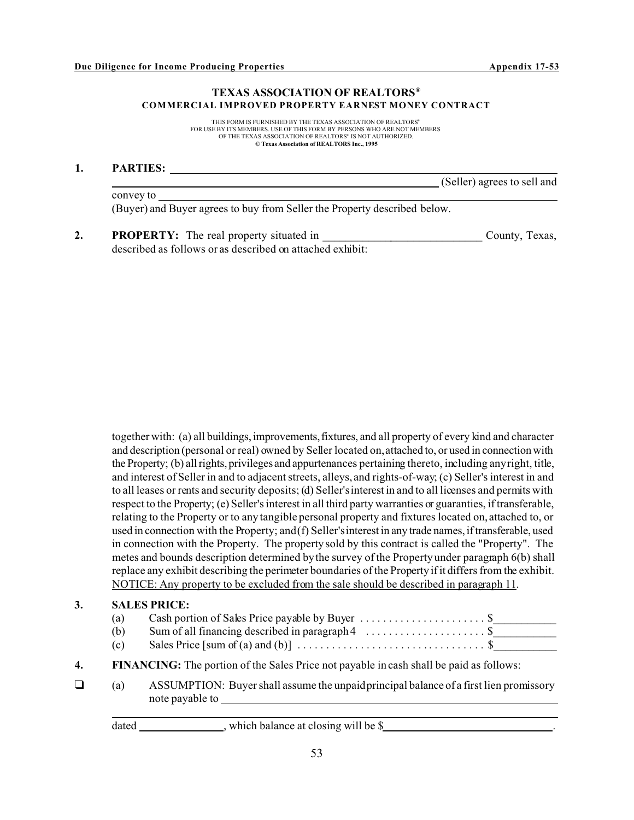#### **TEXAS ASSOCIATION OF REALTORS® COMMERCIAL IMPROVED PROPERTY EARNEST MONEY CONTRACT**

THIS FORM IS FURNISHED BY THE TEXAS ASSOCIATION OF REALTORS® FOR USE BY ITS MEMBERS. USE OF THIS FORM BY PERSONS WHO ARE NOT MEMBERS OF THE TEXAS ASSOCIATION OF REALTORS® IS NOT AUTHORIZED. **© Texas Association of REALTORS Inc., 1995**

#### **1. PARTIES:**

convey to

(Seller) agrees to sell and

(Buyer) and Buyer agrees to buy from Seller the Property described below.

**2. PROPERTY:** The real property situated in  $\blacksquare$  County, Texas, described as follows or as described on attached exhibit:

together with: (a) all buildings, improvements, fixtures, and all property of every kind and character and description (personal or real) owned by Seller located on, attached to, or used in connection with the Property; (b) allrights, privileges and appurtenances pertaining thereto, including any right, title, and interest of Seller in and to adjacent streets, alleys, and rights-of-way; (c) Seller's interest in and to all leases or rents and security deposits; (d) Seller's interest in and to all licenses and permits with respect to the Property; (e) Seller's interest in all third party warranties or guaranties, if transferable, relating to the Property or to any tangible personal property and fixtures located on, attached to, or used in connection with the Property; and (f) Seller's interest in any trade names, if transferable, used in connection with the Property. The property sold by this contract is called the "Property". The metes and bounds description determined by the survey of the Property under paragraph 6(b) shall replace any exhibit describing the perimeter boundaries of the Property if it differs from the exhibit. NOTICE: Any property to be excluded from the sale should be described in paragraph 11.

#### **3. SALES PRICE:**

|     | (a) Cash portion of Sales Price payable by Buyer $\dots \dots \dots \dots \dots \dots$               |
|-----|------------------------------------------------------------------------------------------------------|
|     | (b) Sum of all financing described in paragraph $4 \ldots \ldots \ldots \ldots \ldots$               |
| (c) | Sales Price [sum of (a) and (b)] $\dots \dots \dots \dots \dots \dots \dots \dots \dots \dots \dots$ |

- **4. FINANCING:** The portion of the Sales Price not payable in cash shall be paid as follows:
- $\Box$  (a) ASSUMPTION: Buyer shall assume the unpaid principal balance of a first lien promissory note payable to

dated \_\_\_\_\_\_\_\_\_\_\_\_\_\_, which balance at closing will be \$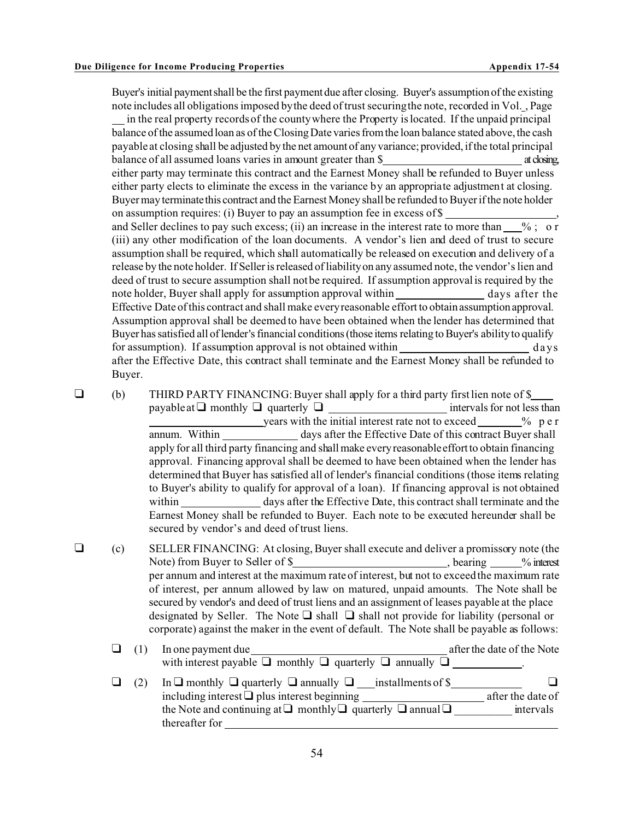Buyer's initial payment shall be the first payment due after closing. Buyer's assumption of the existing note includes all obligations imposed by the deed of trust securing the note, recorded in Vol. , Page in the real property records of the county where the Property is located. If the unpaid principal balance of the assumed loan as of the Closing Date varies from the loan balance stated above, the cash payable at closing shall be adjusted by the net amount of any variance; provided,ifthe total principal balance of all assumed loans varies in amount greater than \$ at closing, either party may terminate this contract and the Earnest Money shall be refunded to Buyer unless either party elects to eliminate the excess in the variance by an appropriate adjustment at closing. Buyer may terminate this contract and the Earnest Money shall be refunded to Buyer if the note holder on assumption requires: (i) Buyer to pay an assumption fee in excess of \$ and Seller declines to pay such excess; (ii) an increase in the interest rate to more than  $\frac{9}{6}$ ; or (iii) any other modification of the loan documents. A vendor's lien and deed of trust to secure assumption shall be required, which shall automatically be released on execution and delivery of a release by the note holder. If Seller is released of liability on any assumed note, the vendor's lien and deed of trust to secure assumption shall not be required. If assumption approval is required by the note holder, Buyer shall apply for assumption approval within days after the Effective Date of this contract and shall make every reasonable effort to obtain assumption approval. Assumption approval shall be deemed to have been obtained when the lender has determined that Buyer has satisfied all of lender's financial conditions (those items relating to Buyer's ability to qualify for assumption). If assumption approval is not obtained within days after the Effective Date, this contract shall terminate and the Earnest Money shall be refunded to Buyer.

 $\Box$  (b) THIRD PARTY FINANCING: Buyer shall apply for a third party first lien note of \$ payable at  $\Box$  monthly  $\Box$  quarterly  $\Box$ years with the initial interest rate not to exceed  $\frac{\%}{\%}$  p e r annum. Within days after the Effective Date of this contract Buyer shall apply for all third party financing and shallmake everyreasonableeffortto obtain financing approval. Financing approval shall be deemed to have been obtained when the lender has determined that Buyer has satisfied all of lender's financial conditions (those items relating to Buyer's ability to qualify for approval of a loan). If financing approval is not obtained within days after the Effective Date, this contract shall terminate and the Earnest Money shall be refunded to Buyer. Each note to be executed hereunder shall be secured by vendor's and deed of trust liens.

- $\Box$  (c) SELLER FINANCING: At closing, Buyer shall execute and deliver a promissory note (the Note) from Buyer to Seller of \$ , bearing % interest per annum and interest at the maximum rate of interest, but not to exceed the maximum rate of interest, per annum allowed by law on matured, unpaid amounts. The Note shall be secured by vendor's and deed of trust liens and an assignment of leases payable at the place designated by Seller. The Note  $\Box$  shall  $\Box$  shall not provide for liability (personal or corporate) against the maker in the event of default. The Note shall be payable as follows:
	- $\Box$  (1) In one payment due after the date of the Note with interest payable  $\Box$  monthly  $\Box$  quarterly  $\Box$  annually  $\Box$
	- $\Box$  (2) In  $\Box$  monthly  $\Box$  quarterly  $\Box$  annually  $\Box$  installments of \$ including interest  $\Box$  plus interest beginning after the date of the Note and continuing at  $\Box$  monthly  $\Box$  quarterly  $\Box$  annual  $\Box$  intervals thereafter for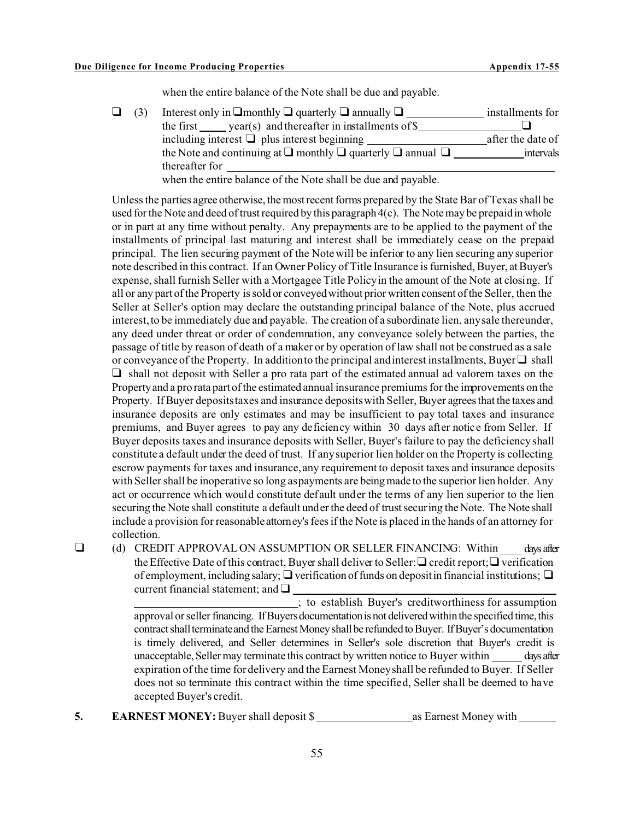when the entire balance of the Note shall be due and payable.

|  | Interest only in $\Box$ monthly $\Box$ quarterly $\Box$ annually $\Box$                     | installments for  |
|--|---------------------------------------------------------------------------------------------|-------------------|
|  | the first vear(s) and thereafter in installments of $\$                                     |                   |
|  | including interest $\Box$ plus interest beginning $\Box$                                    | after the date of |
|  | the Note and continuing at $\square$ monthly $\square$ quarterly $\square$ annual $\square$ | intervals         |
|  | thereafter for                                                                              |                   |
|  | when the entire balance of the Note shall be due and payable.                               |                   |

Unless the parties agree otherwise, themostrecentforms prepared by the State Bar of Texas shall be used for the Note and deed of trust required by this paragraph  $4(c)$ . The Note may be prepaid in whole or in part at any time without penalty. Any prepayments are to be applied to the payment of the installments of principal last maturing and interest shall be immediately cease on the prepaid principal. The lien securing payment of the Note will be inferior to any lien securing any superior note described in this contract. If an Owner Policy of Title Insurance is furnished, Buyer, at Buyer's expense, shall furnish Seller with a Mortgagee Title Policy in the amount of the Note at closing. If all or any part ofthe Property issold or conveyedwithout prior written consent ofthe Seller, then the Seller at Seller's option may declare the outstanding principal balance of the Note, plus accrued interest, to be immediately due and payable. The creation of a subordinate lien, any sale thereunder, any deed under threat or order of condemnation, any conveyance solely between the parties, the passage of title by reason of death of a maker or by operation of law shall not be construed as a sale or conveyance of the Property. In addition to the principal and interest installments, Buyer  $\Box$  shall  $\Box$  shall not deposit with Seller a pro rata part of the estimated annual ad valorem taxes on the Property and a pro rata part of the estimated annual insurance premiums for the improvements on the Property. IfBuyer deposits taxes and insurance deposits with Seller, Buyer agreesthat the taxes and insurance deposits are only estimates and may be insufficient to pay total taxes and insurance premiums, and Buyer agrees to pay any deficiency within 30 days after notice from Seller. If Buyer deposits taxes and insurance deposits with Seller, Buyer's failure to pay the deficiency shall constitute a default under the deed of trust. If any superior lien holder on the Property is collecting escrow payments for taxes and insurance, any requirement to deposit taxes and insurance deposits with Seller shall be inoperative so long as payments are being made to the superior lien holder. Any act or occurrence which would constitute default under the terms of any lien superior to the lien securing the Note shall constitute a default under the deed of trust securing the Note. The Note shall include a provision for reasonable attorney's fees if the Note is placed in the hands of an attorney for collection.

 (d) CREDIT APPROVAL ON ASSUMPTION OR SELLER FINANCING: Within days after the Effective Date of this contract, Buyer shall deliver to Seller:  $\Box$  credit report;  $\Box$  verification of employment, including salary;  $\Box$  verification of funds on deposit in financial institutions;  $\Box$ current financial statement; and  $\square$ 

> ; to establish Buyer's creditworthiness for assumption approval or seller financing. If Buyers documentation is not delivered within the specified time, this contract shall terminate and the Earnest Money shall be refunded to Buyer. If Buyer's documentation is timely delivered, and Seller determines in Seller's sole discretion that Buyer's credit is unacceptable, Seller may terminate this contract by written notice to Buyer within days after expiration of the time for delivery and the Earnest Money shall be refunded to Buyer. If Seller does not so terminate this contract within the time specified, Seller shall be deemed to have accepted Buyer's credit.

**5. EARNEST MONEY:** Buyer shall deposit \$ as Earnest Money with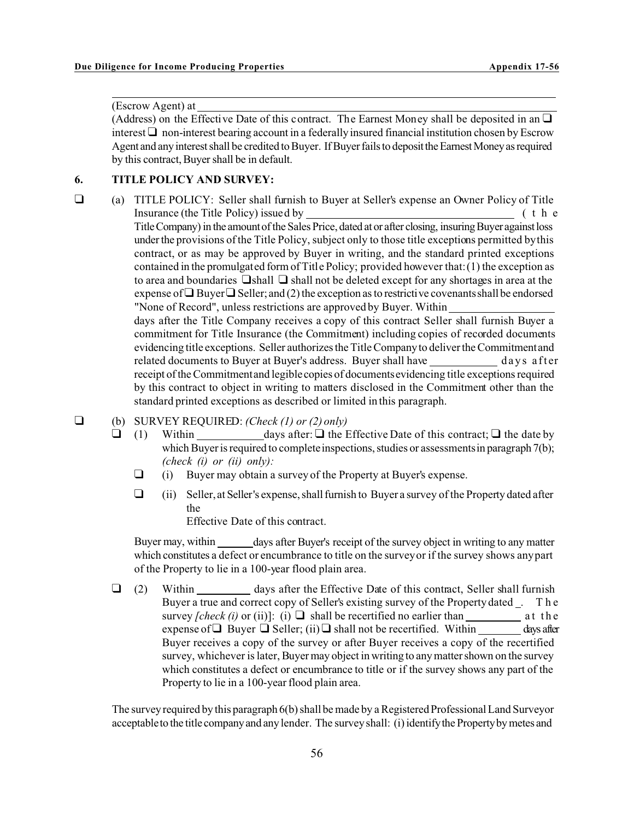#### (Escrow Agent) at

(Address) on the Effective Date of this contract. The Earnest Money shall be deposited in an  $\Box$ interest  $\Box$  non-interest bearing account in a federally insured financial institution chosen by Escrow Agent and any interest shall be credited to Buyer. If Buyer fails to deposit the Earnest Money as required by this contract, Buyer shall be in default.

## **6. TITLE POLICY AND SURVEY:**

 (a) TITLE POLICY: Seller shall furnish to Buyer at Seller's expense an Owner Policy of Title Insurance (the Title Policy) issued by (the extent of the extent of the extent of the extent of the extent of the extent of the extent of the extent of the extent of the extent of the extent of the extent of the extent of Title Company) in the amount of the Sales Price, dated at or after closing, insuring Buyer against loss under the provisions of the Title Policy, subject only to those title exceptions permitted by this contract, or as may be approved by Buyer in writing, and the standard printed exceptions contained in the promulgated form of Title Policy; provided however that: (1) the exception as to area and boundaries  $\Box$ shall  $\Box$ shall not be deleted except for any shortages in area at the expense of  $\Box$  Buyer  $\Box$  Seller; and (2) the exception as to restrictive covenants shall be endorsed "None of Record", unless restrictions are approved by Buyer. Within

> days after the Title Company receives a copy of this contract Seller shall furnish Buyer a commitment for Title Insurance (the Commitment) including copies of recorded documents evidencing title exceptions. Seller authorizes the Title Company to deliver the Commitment and related documents to Buyer at Buyer's address. Buyer shall have days after receipt of the Commitmentand legible copies of documents evidencing title exceptions required by this contract to object in writing to matters disclosed in the Commitment other than the standard printed exceptions as described or limited in this paragraph.

## (b) SURVEY REQUIRED: *(Check (1) or (2) only)*

- $\Box$  (1) Within days after:  $\Box$  the Effective Date of this contract:  $\Box$  the date by which Buyer is required to complete inspections, studies or assessments in paragraph  $7(b)$ ; *(check (i) or (ii) only):*
	- $\Box$  (i) Buyer may obtain a survey of the Property at Buyer's expense.
	- $\Box$  (ii) Seller, at Seller's expense, shall furnish to Buyer a survey of the Property dated after the

Effective Date of this contract.

Buyer may, within days after Buyer's receipt of the survey object in writing to any matter which constitutes a defect or encumbrance to title on the survey or if the survey shows any part of the Property to lie in a 100-year flood plain area.

 $\Box$  (2) Within days after the Effective Date of this contract, Seller shall furnish Buyer a true and correct copy of Seller's existing survey of the Property dated . Th e survey *[check (i)* or (ii)]: (i)  $\Box$  shall be recertified no earlier than at the expense of  $\Box$  Buyer  $\Box$  Seller; (ii)  $\Box$  shall not be recertified. Within days after Buyer receives a copy of the survey or after Buyer receives a copy of the recertified survey, whichever is later, Buyer may object in writing to any matter shown on the survey which constitutes a defect or encumbrance to title or if the survey shows any part of the Property to lie in a 100-year flood plain area.

The survey required by this paragraph 6(b) shall be made by a Registered Professional Land Surveyor acceptable to the title company and any lender. The survey shall: (i) identify the Property by metes and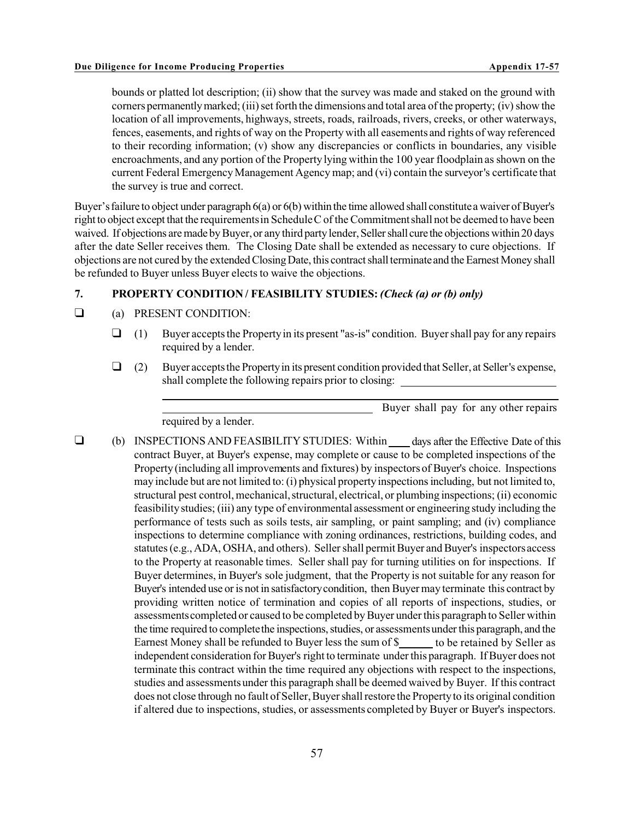bounds or platted lot description; (ii) show that the survey was made and staked on the ground with corners permanently marked; (iii) set forth the dimensions and total area of the property; (iv) show the location of all improvements, highways, streets, roads, railroads, rivers, creeks, or other waterways, fences, easements, and rights of way on the Propertywith all easements and rights of way referenced to their recording information; (v) show any discrepancies or conflicts in boundaries, any visible encroachments, and any portion of the Property lying within the 100 year floodplain as shown on the current Federal EmergencyManagement Agency map; and (vi) contain the surveyor's certificate that the survey is true and correct.

Buyer's failure to object under paragraph  $6(a)$  or  $6(b)$  within the time allowed shall constitute a waiver of Buyer's right to object except that the requirements in Schedule C of the Commitment shall not be deemed to have been waived. If objections are made by Buyer, or any third party lender, Seller shall cure the objections within 20 days after the date Seller receives them. The Closing Date shall be extended as necessary to cure objections. If objections are not cured by the extendedClosingDate, this contractshallterminateand the Earnest Money shall be refunded to Buyer unless Buyer elects to waive the objections.

## **7. PROPERTY CONDITION / FEASIBILITY STUDIES:** *(Check (a) or (b) only)*

(a) PRESENT CONDITION:

 $\overline{a}$ 

- $\Box$  (1) Buyer accepts the Property in its present "as-is" condition. Buyer shall pay for any repairs required by a lender.
- $\Box$  (2) Buyer accepts the Property in its present condition provided that Seller, at Seller's expense, shall complete the following repairs prior to closing:

Buyer shall pay for any other repairs

required by a lender.

 (b) INSPECTIONS AND FEASIBILITY STUDIES: Within days after the Effective Date of this contract Buyer, at Buyer's expense, may complete or cause to be completed inspections of the Property (including all improvements and fixtures) by inspectors of Buyer's choice. Inspections may include but are not limited to: (i) physical propertyinspectionsincluding, but not limited to, structural pest control, mechanical, structural, electrical, or plumbing inspections; (ii) economic feasibilitystudies; (iii) any type of environmental assessment or engineering study including the performance of tests such as soils tests, air sampling, or paint sampling; and (iv) compliance inspections to determine compliance with zoning ordinances, restrictions, building codes, and statutes  $(e.g., ADA, OSHA, and others)$ . Seller shall permit Buyer and Buyer's inspectors access to the Property at reasonable times. Seller shall pay for turning utilities on for inspections. If Buyer determines, in Buyer's sole judgment, that the Property is not suitable for any reason for Buyer's intended use or is not in satisfactory condition, then Buyer may terminate this contract by providing written notice of termination and copies of all reports of inspections, studies, or assessments completed or caused to be completed by Buyer under this paragraph to Seller within the time required to complete the inspections, studies, or assessments under this paragraph, and the Earnest Money shall be refunded to Buyer less the sum of \$ to be retained by Seller as independent consideration for Buyer's right to terminate underthis paragraph. IfBuyer does not terminate this contract within the time required any objections with respect to the inspections, studies and assessmentsunder this paragraph shall be deemed waived by Buyer. If this contract does not close through no fault of Seller, Buyer shall restore the Property to its original condition if altered due to inspections, studies, or assessments completed by Buyer or Buyer's inspectors.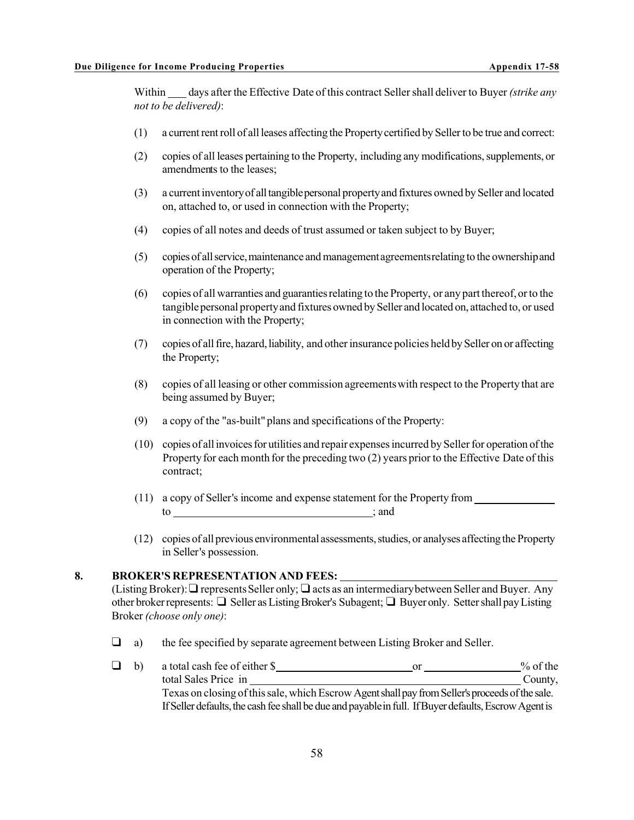Within days after the Effective Date of this contract Seller shall deliver to Buyer *(strike any not to be delivered)*:

- (1) a currentrentroll of all leases affecting the Propertycertified by Sellerto be true and correct:
- (2) copies of all leases pertaining to the Property, including any modifications,supplements, or amendments to the leases;
- (3) a current inventory of all tangible personal property and fixtures owned by Seller and located on, attached to, or used in connection with the Property;
- (4) copies of all notes and deeds of trust assumed or taken subject to by Buyer;
- (5) copies of allservice,maintenance andmanagementagreementsrelating to the ownershipand operation of the Property;
- (6) copies of all warranties and guarantiesrelating to the Property, or any partthereof,orto the tangible personal property and fixtures owned by Seller and located on, attached to, or used in connection with the Property;
- (7) copies of all fire, hazard, liability, and other insurance policies held by Seller on or affecting the Property;
- (8) copies of all leasing or other commission agreementswith respect to the Property that are being assumed by Buyer;
- (9) a copy of the "as-built" plans and specifications of the Property:
- (10) copies of all invoices for utilities and repair expenses incurred by Seller for operation of the Property for each month for the preceding two (2) years prior to the Effective Date of this contract;
- (11) a copy of Seller's income and expense statement for the Property from to : and : and : and : and : and : and : and : and : and : and : and : and : and : and : and : and : and : and : and : and : and : and : and : and : and : and : and : and : and : and : and : and : and : and : and : and : a
- $(12)$  copies of all previous environmental assessments, studies, or analyses affecting the Property in Seller's possession.

### **8. BROKER'S REPRESENTATION AND FEES:**

(Listing Broker):  $\Box$  represents Seller only;  $\Box$  acts as an intermediary between Seller and Buyer. Any other broker represents:  $\Box$  Seller as Listing Broker's Subagent;  $\Box$  Buyer only. Setter shall pay Listing Broker *(choose only one)*:

- $\Box$  a) the fee specified by separate agreement between Listing Broker and Seller.
- $\Box$  b) a total cash fee of either \$ or % of the total Sales Price in County, Texas on closing of this sale, which Escrow Agent shall pay from Seller's proceeds of the sale. If Seller defaults, the cash fee shall be due and payable in full. If Buyer defaults, Escrow Agent is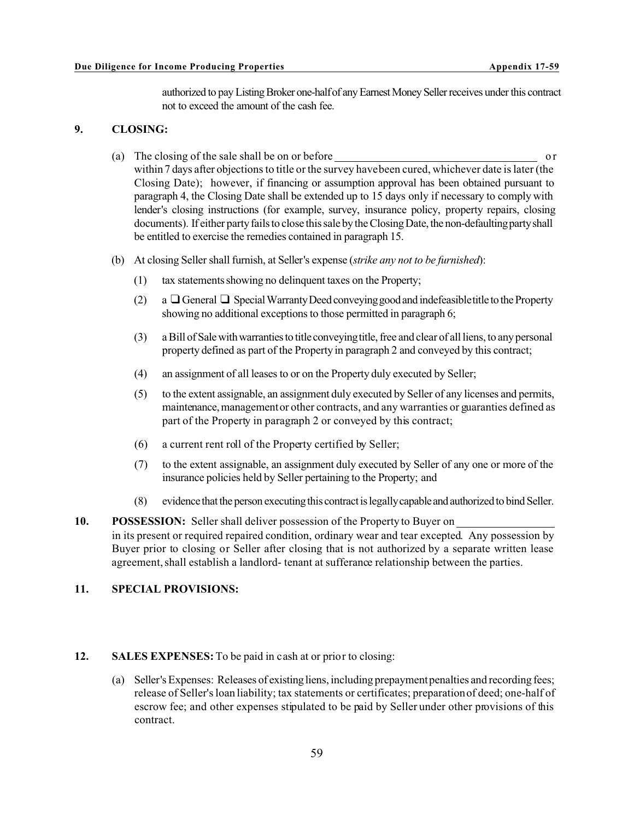authorized to pay Listing Broker one-half of any Earnest Money Seller receives under this contract not to exceed the amount of the cash fee.

#### **9. CLOSING:**

- (a) The closing of the sale shall be on or before o r within7 days after objections to title or the survey have been cured, whichever date is later (the Closing Date); however, if financing or assumption approval has been obtained pursuant to paragraph 4, the Closing Date shall be extended up to 15 days only if necessary to comply with lender's closing instructions (for example, survey, insurance policy, property repairs, closing documents). If either party fails to close this sale by the Closing Date, the non-defaulting party shall be entitled to exercise the remedies contained in paragraph 15.
- (b) At closing Seller shall furnish, at Seller's expense (*strike any not to be furnished*):
	- (1) tax statementsshowing no delinquent taxes on the Property;
	- (2) a  $\Box$  General  $\Box$  Special Warranty Deed conveying good and indefeasibletitle to the Property showing no additional exceptions to those permitted in paragraph 6;
	- (3) aBill of Salewithwarrantiesto title conveyingtitle,free and clear of allliens, to any personal property defined as part of the Property in paragraph 2 and conveyed by this contract;
	- (4) an assignment of all leases to or on the Property duly executed by Seller;
	- (5) to the extent assignable, an assignment duly executed by Seller of any licenses and permits, maintenance,managementor other contracts, and any warranties or guaranties defined as part of the Property in paragraph 2 or conveyed by this contract;
	- (6) a current rent roll of the Property certified by Seller;
	- (7) to the extent assignable, an assignment duly executed by Seller of any one or more of the insurance policies held by Seller pertaining to the Property; and
	- (8) evidence thatthe person executingthis contractislegallycapableandauthorizedto bindSeller.
- **10. POSSESSION:** Seller shall deliver possession of the Property to Buyer on in its present or required repaired condition, ordinary wear and tear excepted. Any possession by Buyer prior to closing or Seller after closing that is not authorized by a separate written lease agreement, shall establish a landlord- tenant at sufferance relationship between the parties.

## **11. SPECIAL PROVISIONS:**

#### **12. SALES EXPENSES:** To be paid in cash at or prior to closing:

(a) Seller'sExpenses: Releases of existing liens, including prepaymentpenalties and recording fees; release of Seller's loan liability; tax statements or certificates; preparation of deed; one-half of escrow fee; and other expenses stipulated to be paid by Seller under other provisions of this contract.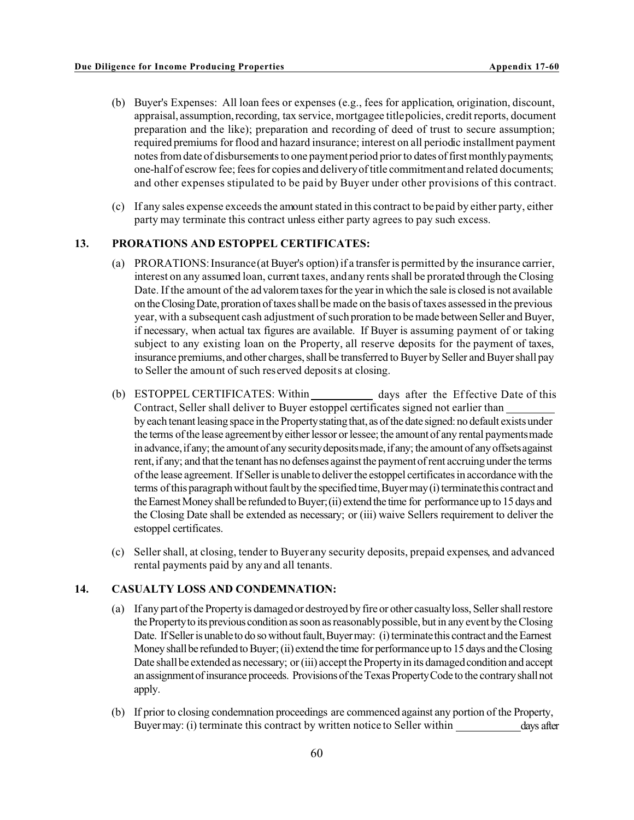- (b) Buyer's Expenses: All loan fees or expenses (e.g., fees for application, origination, discount, appraisal, assumption, recording, tax service, mortgagee title policies, credit reports, document preparation and the like); preparation and recording of deed of trust to secure assumption; required premiums forflood and hazard insurance; interest on all periodic installment payment notes from date of disbursements to one payment period prior to dates of first monthly payments; one-half of escrow fee;feesfor copies and deliveryoftitle commitmentand related documents; and other expenses stipulated to be paid by Buyer under other provisions of this contract.
- (c) If any sales expense exceeds the amount stated in this contract to be paid by either party, either party may terminate this contract unless either party agrees to pay such excess.

#### **13. PRORATIONS AND ESTOPPEL CERTIFICATES:**

- (a) PRORATIONS: Insurance (at Buyer's option)if a transferis permitted by the insurance carrier, interest on any assumed loan, current taxes, and any rents shall be prorated through theClosing Date. If the amount of the ad valorem taxes for the year in which the sale is closed is not available on the Closing Date, proration of taxes shall be made on the basis of taxes assessed in the previous year, with a subsequent cash adjustment of such proration to be made between Seller and Buyer, if necessary, when actual tax figures are available. If Buyer is assuming payment of or taking subject to any existing loan on the Property, all reserve deposits for the payment of taxes, insurance premiums, and other charges, shall be transferred to Buyer by Seller and Buyer shall pay to Seller the amount of such reserved deposits at closing.
- (b) ESTOPPEL CERTIFICATES: Within days after the Effective Date of this Contract, Seller shall deliver to Buyer estoppel certificates signed not earlier than by each tenant leasing space in the Property stating that, as of the date signed: no default exists under the terms of the lease agreement by either lessor or lessee; the amount of any rental payments made in advance, if any; the amount of any security deposits made, if any; the amount of any offsets against rent, if any; and that the tenant has no defenses against the payment of rent accruing under the terms ofthe lease agreement. If Selleris unableto deliverthe estoppel certificatesin accordancewith the terms of this paragraph without fault by the specified time, Buyer may (i) terminate this contract and the Earnest Money shall be refunded to Buyer; (ii) extend the time for performance up to 15 days and the Closing Date shall be extended as necessary; or (iii) waive Sellers requirement to deliver the estoppel certificates.
- (c) Seller shall, at closing, tender to Buyer any security deposits, prepaid expenses, and advanced rental payments paid by any and all tenants.

## **14. CASUALTY LOSS AND CONDEMNATION:**

- (a) If any part ofthe Propertyis damagedor destroyedby fire or other casualtyloss, Sellershallrestore the Property to its previous condition as soon as reasonably possible, but in any event by the Closing Date. If Seller is unable to do so without fault, Buyer may: (i) terminate this contract and the Earnest Money shall be refunded to Buyer; (ii) extend the time for performance up to 15 days and the Closing Date shall be extended as necessary; or (iii) accept the Property in its damaged condition and accept an assignment of insurance proceeds. Provisions of the Texas Property Code to the contrary shall not apply.
- (b) If prior to closing condemnation proceedings are commenced against any portion of the Property, Buyer may: (i) terminate this contract by written notice to Seller within days after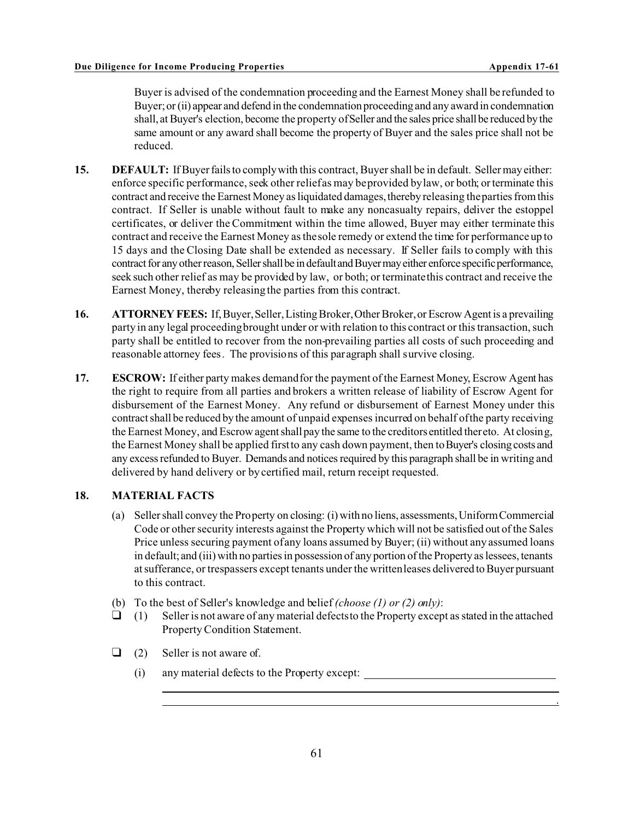.

Buyer is advised of the condemnation proceeding and the Earnest Money shall be refunded to Buyer; or (ii) appear and defend in the condemnation proceeding and any award in condemnation shall, at Buyer's election, become the property of Seller and the sales price shall be reduced by the same amount or any award shall become the property of Buyer and the sales price shall not be reduced.

- **15. DEFAULT:** If Buyer fails to comply with this contract, Buyer shall be in default. Seller may either: enforce specific performance, seek other relief as may be provided by law, or both; or terminate this contract and receive the Earnest Money as liquidated damages, thereby releasing the parties from this contract. If Seller is unable without fault to make any noncasualty repairs, deliver the estoppel certificates, or deliver the Commitment within the time allowed, Buyer may either terminate this contract and receive the Earnest Money as the sole remedy or extend the time for performance up to 15 days and the Closing Date shall be extended as necessary. If Seller fails to comply with this contract for any other reason, Seller shall be in default and Buyer may either enforce specific performance, seek such other relief as may be provided by law, or both; or terminate this contract and receive the Earnest Money, thereby releasing the parties from this contract.
- **16. ATTORNEY FEES:** If, Buyer, Seller, Listing Broker, Other Broker, or Escrow Agent is a prevailing party in any legal proceeding brought under or with relation to this contract or this transaction, such party shall be entitled to recover from the non-prevailing parties all costs of such proceeding and reasonable attorney fees. The provisions of this paragraph shall survive closing.
- **17. ESCROW:** If either party makes demand for the payment of the Earnest Money, Escrow Agent has the right to require from all parties and brokers a written release of liability of Escrow Agent for disbursement of the Earnest Money. Any refund or disbursement of Earnest Money under this contract shall be reduced by the amount of unpaid expenses incurred on behalf of the party receiving the Earnest Money, and Escrowagentshall pay the same to the creditorsentitled thereto. At closing, the Earnest Money shall be applied first to any cash down payment, then to Buyer's closing costs and any excess refunded to Buyer. Demands and notices required by this paragraph shall be in writing and delivered by hand delivery or by certified mail, return receipt requested.

## **18. MATERIAL FACTS**

- (a) Sellershall convey the Property on closing: (i) with no liens, assessments,UniformCommercial Code or other security interests against the Property which will not be satisfied out of the Sales Price unless securing payment of any loans assumed by Buyer; (ii) without any assumed loans in default; and (iii) with no parties in possession of any portion of the Property as lessees, tenants at sufferance, or trespassers except tenants under the written leases delivered to Buyer pursuant to this contract.
- (b) To the best of Seller's knowledge and belief *(choose (1) or (2) only)*:
- $\Box$  (1) Seller is not aware of any material defects to the Property except as stated in the attached Property Condition Statement.
- $\Box$  (2) Seller is not aware of.
	- (i) any material defects to the Property except: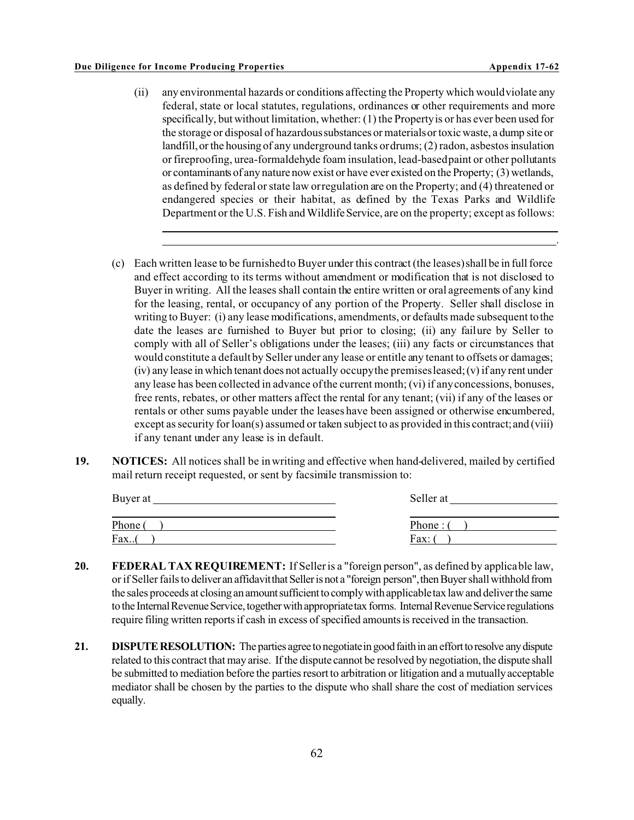.

- (ii) any environmental hazards or conditions affecting the Property which would violate any federal, state or local statutes, regulations, ordinances or other requirements and more specifically, but without limitation, whether: (1) the Property is or has ever been used for the storage or disposal of hazardous substances or materialsortoxicwaste, a dump site or landfill, or the housing of any underground tanks or drums; (2) radon, asbestos insulation or fireproofing, urea-formaldehyde foam insulation, lead-based paint or other pollutants or contaminants of any naturenow exist or have ever existed on the Property; (3) wetlands, as defined by federal or state law or regulation are on the Property; and (4) threatened or endangered species or their habitat, as defined by the Texas Parks and Wildlife Department or the U.S. Fish and Wildlife Service, are on the property; except as follows:
- (c) Each written lease to be furnished to Buyer under this contract (the leases) shall be in full force and effect according to its terms without amendment or modification that is not disclosed to Buyer in writing. All the leases shall contain the entire written or oral agreements of any kind for the leasing, rental, or occupancy of any portion of the Property. Seller shall disclose in writing to Buyer: (i) any lease modifications, amendments, or defaults made subsequent to the date the leases are furnished to Buyer but prior to closing; (ii) any failure by Seller to comply with all of Seller's obligations under the leases; (iii) any facts or circumstances that would constitute a default by Seller under any lease or entitle any tenant to offsets or damages; (iv) any lease in which tenant does not actually occupy the premises leased; (v) if any rent under any lease has been collected in advance of the current month; (vi) if any concessions, bonuses, free rents, rebates, or other matters affect the rental for any tenant; (vii) if any of the leases or rentals or other sums payable under the leases have been assigned or otherwise encumbered, except as security for loan(s) assumed or taken subject to as provided in this contract;and (viii) if any tenant under any lease is in default.
- **19. NOTICES:** All notices shall be in writing and effective when hand-delivered, mailed by certified mail return receipt requested, or sent by facsimile transmission to:

| Buyer at | Seller at |
|----------|-----------|
|          |           |
| Phone (  | Phone:    |
| Fax      | Fax:      |

- **20. FEDERAL TAX REQUIREMENT:** If Seller is a "foreign person", as defined by applicable law, or if Seller fails to deliver an affidavit that Seller is not a "foreign person", then Buyer shall withhold from the sales proceeds at closing an amount sufficient to comply with applicable tax law and deliver the same to the Internal Revenue Service, together with appropriate tax forms. Internal Revenue Service regulations require filing written reports if cash in excess of specified amounts is received in the transaction.
- **21. DISPUTE RESOLUTION:** The parties agree to negotiate in good faith in an effort to resolve any dispute related to this contract that may arise. If the dispute cannot be resolved by negotiation, the dispute shall be submitted to mediation before the parties resort to arbitration or litigation and a mutually acceptable mediator shall be chosen by the parties to the dispute who shall share the cost of mediation services equally.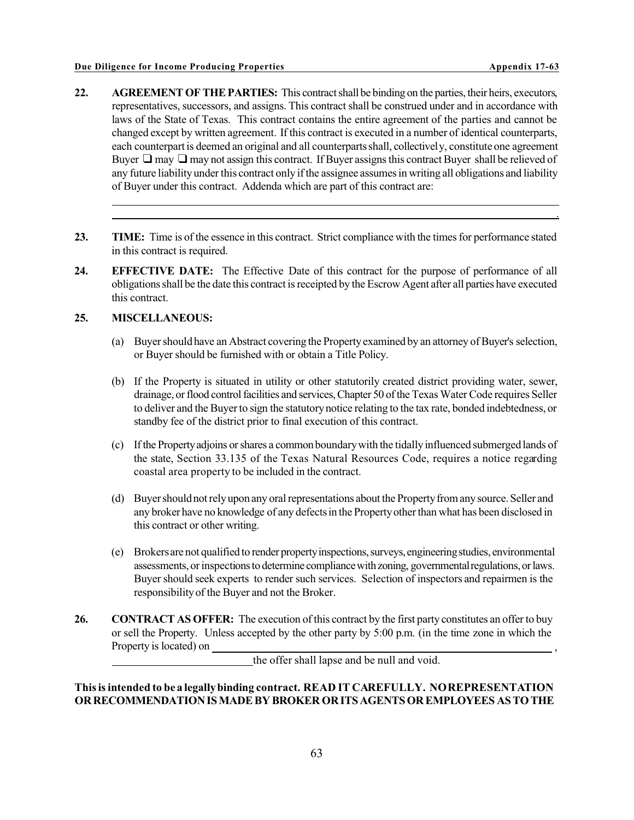.

- 22. **AGREEMENT OF THE PARTIES:** This contract shall be binding on the parties, their heirs, executors, representatives, successors, and assigns. This contract shall be construed under and in accordance with laws of the State of Texas. This contract contains the entire agreement of the parties and cannot be changed except by written agreement. If this contract is executed in a number of identical counterparts, each counterpartis deemed an original and all counterpartsshall, collectively, constitute one agreement Buyer  $\Box$  may  $\Box$  may not assign this contract. If Buyer assigns this contract Buyer shall be relieved of any future liability under this contract only if the assignee assumes in writing all obligations and liability of Buyer under this contract. Addenda which are part of this contract are:
- **23. TIME:** Time is of the essence in this contract. Strict compliance with the times for performance stated in this contract is required.
- **24. EFFECTIVE DATE:** The Effective Date of this contract for the purpose of performance of all obligations shall be the date this contract is receipted by the Escrow Agent after all parties have executed this contract.

#### **25. MISCELLANEOUS:**

- (a) Buyershould have an Abstract covering the Propertyexamined by an attorney of Buyer's selection, or Buyer should be furnished with or obtain a Title Policy.
- (b) If the Property is situated in utility or other statutorily created district providing water, sewer, drainage, or flood control facilities and services, Chapter 50 of the Texas Water Code requires Seller to deliver and the Buyer to sign the statutory notice relating to the tax rate, bonded indebtedness, or standby fee of the district prior to final execution of this contract.
- (c) Ifthe Propertyadjoins orshares a commonboundarywith the tidallyinfluenced submerged lands of the state, Section 33.135 of the Texas Natural Resources Code, requires a notice regarding coastal area property to be included in the contract.
- (d) Buyer should not rely upon any oral representations about the Property from any source. Seller and any broker have no knowledge of any defects in the Property other than what has been disclosed in this contract or other writing.
- (e) Brokersare not qualified to render propertyinspections,surveys,engineeringstudies, environmental assessments, or inspections to determine compliance with zoning, governmental regulations, or laws. Buyer should seek experts to render such services. Selection of inspectors and repairmen is the responsibilityof the Buyer and not the Broker.
- **26. CONTRACT AS OFFER:** The execution of this contract by the first party constitutes an offer to buy or sell the Property. Unless accepted by the other party by 5:00 p.m. (in the time zone in which the Property is located) on ,

the offer shall lapse and be null and void.

## **This is intended to be a legallybinding contract. READ IT CAREFULLY. NO REPRESENTATION ORRECOMMENDATIONISMADEBY BROKER ORITS AGENTSOREMPLOYEES ASTOTHE**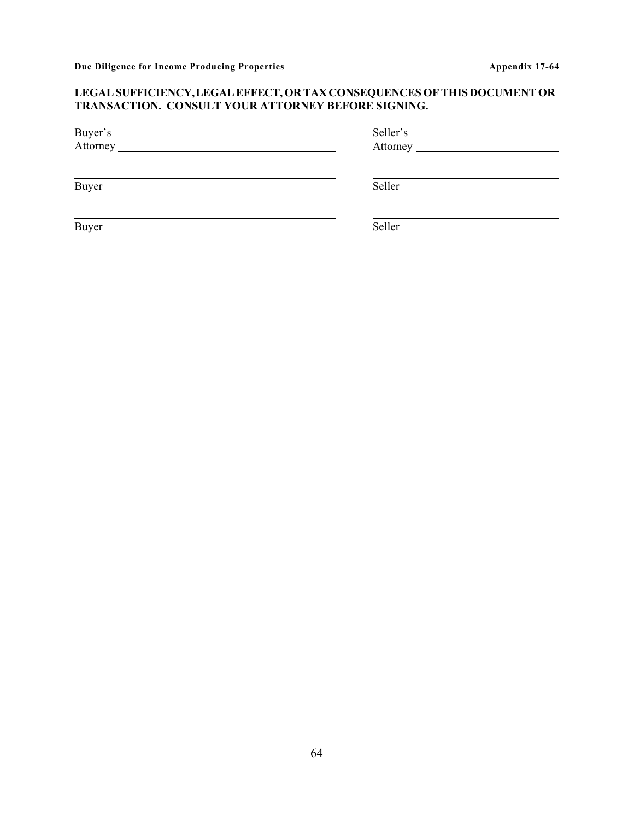## **LEGALSUFFICIENCY,LEGALEFFECT,OR TAX CONSEQUENCES OFTHIS DOCUMENT OR TRANSACTION. CONSULT YOUR ATTORNEY BEFORE SIGNING.**

|                     | Seller's |  |
|---------------------|----------|--|
| Buyer's<br>Attorney | Attorney |  |
| Buyer               | Seller   |  |
|                     |          |  |

Buyer Seller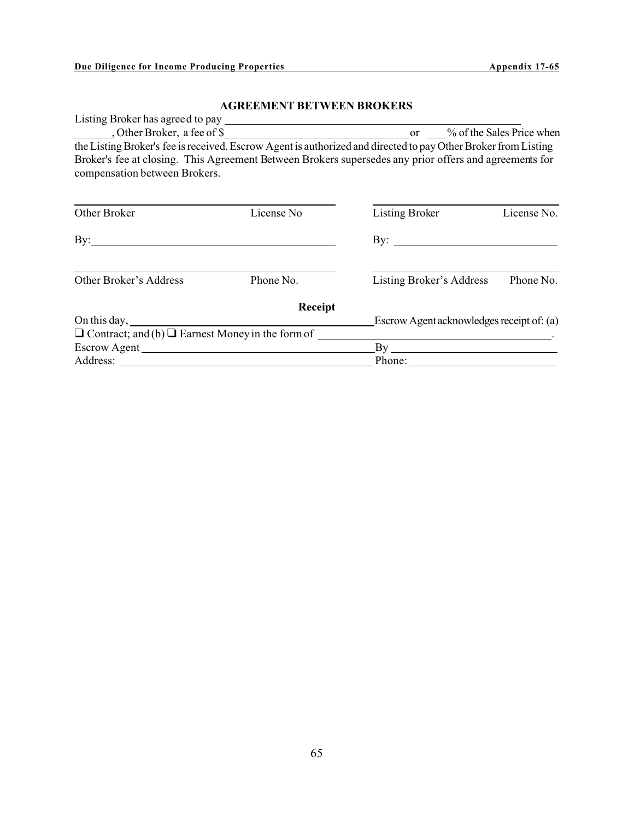## **AGREEMENT BETWEEN BROKERS**

| the Listing Broker's fee is received. Escrow Agent is authorized and directed to pay Other Broker from Listing                          |            |                                           |             |
|-----------------------------------------------------------------------------------------------------------------------------------------|------------|-------------------------------------------|-------------|
| Broker's fee at closing. This Agreement Between Brokers supersedes any prior offers and agreements for<br>compensation between Brokers. |            |                                           |             |
| Other Broker                                                                                                                            | License No | Listing Broker                            | License No. |
| $\mathbf{By:}\square$                                                                                                                   |            |                                           |             |
| Other Broker's Address                                                                                                                  | Phone No.  | Listing Broker's Address                  | Phone No.   |
|                                                                                                                                         | Receipt    |                                           |             |
|                                                                                                                                         |            | Escrow Agent acknowledges receipt of: (a) |             |
| $\Box$ Contract; and (b) $\Box$ Earnest Money in the form of $\Box$                                                                     |            |                                           |             |
| Escrow Agent                                                                                                                            |            | By                                        |             |
|                                                                                                                                         |            |                                           |             |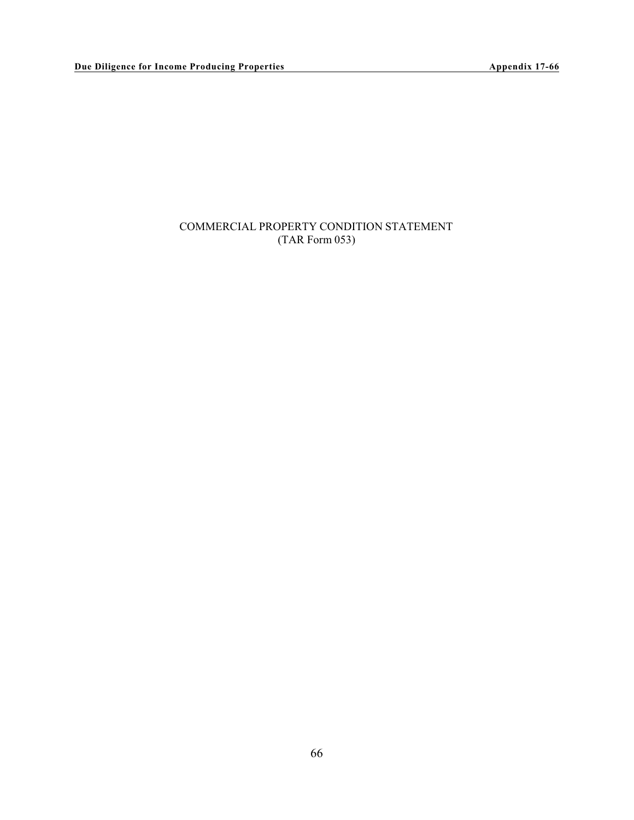# COMMERCIAL PROPERTY CONDITION STATEMENT (TAR Form 053)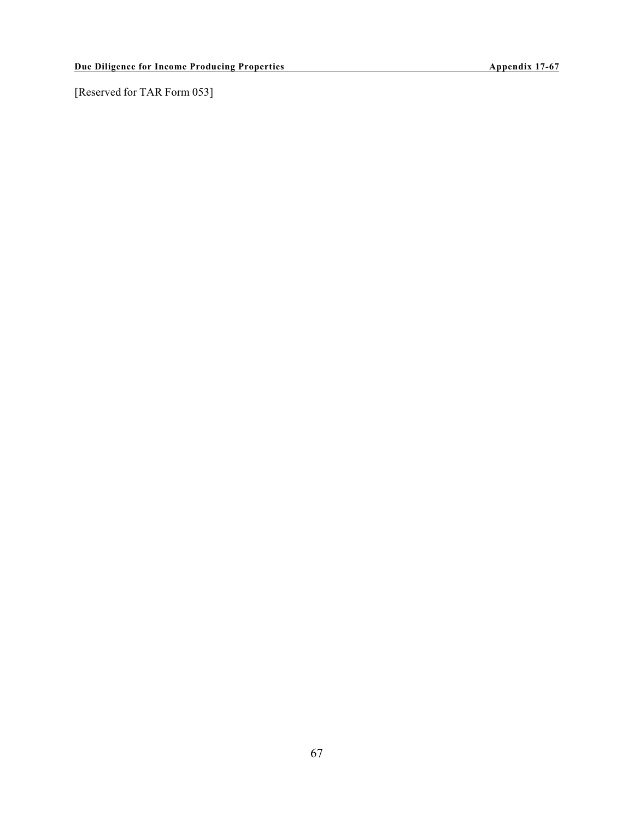[Reserved for TAR Form 053]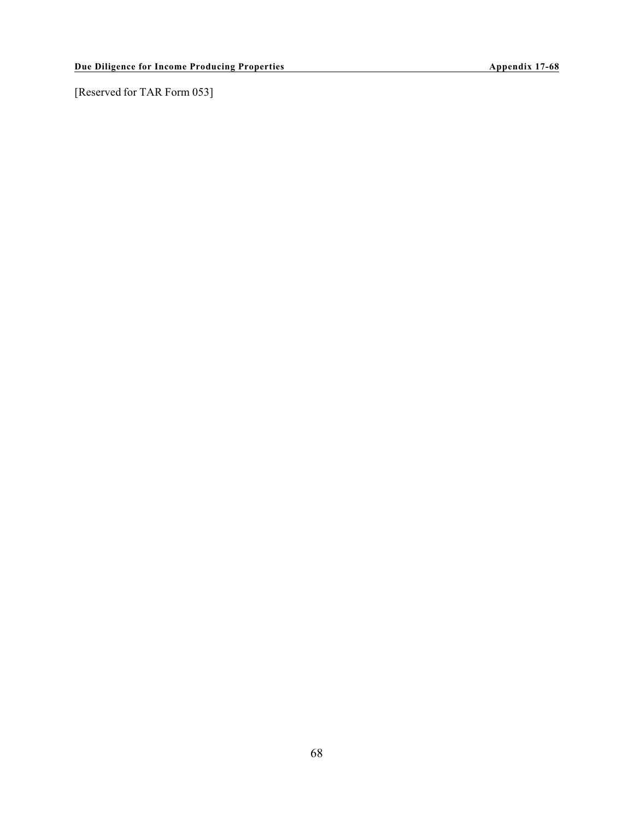[Reserved for TAR Form 053]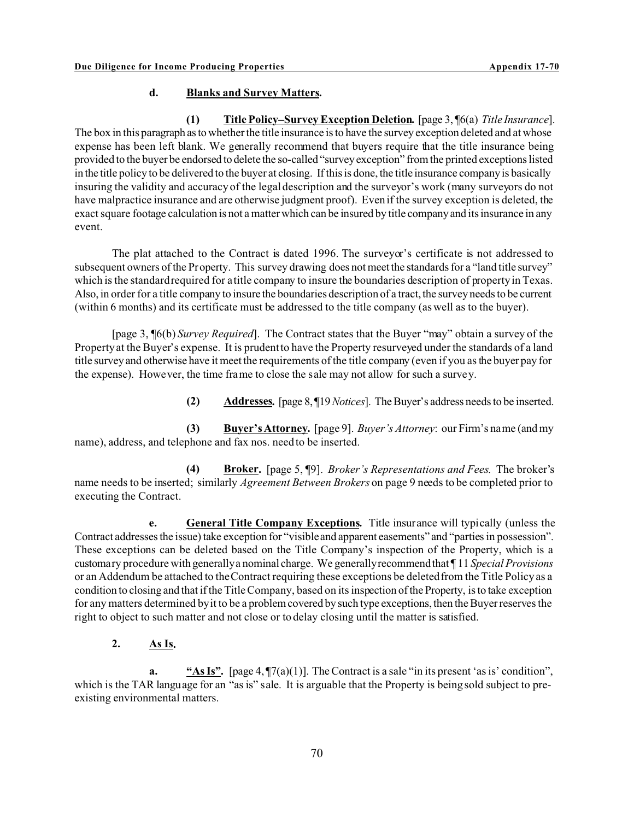#### **d. Blanks and Survey Matters.**

**(1) Title Policy–Survey Exception Deletion.** [page 3, ¶6(a) *Title Insurance*]. The box in this paragraph as to whether the title insurance is to have the survey exception deleted and at whose expense has been left blank. We generally recommend that buyers require that the title insurance being provided to the buyer be endorsed to delete the so-called "survey exception" from the printed exceptions listed in the title policy to be delivered to the buyer at closing. Ifthisis done, the title insurance companyis basically insuring the validity and accuracy of the legal description and the surveyor's work (many surveyors do not have malpractice insurance and are otherwise judgment proof). Even if the survey exception is deleted, the exact square footage calculation is not a matterwhich can be insured by title companyand itsinsurance in any event.

The plat attached to the Contract is dated 1996. The surveyor's certificate is not addressed to subsequent owners of the Property. This survey drawing does not meet the standards for a "land title survey" which is the standard required for a title company to insure the boundaries description of property in Texas. Also, in order for a title company to insure the boundaries description of a tract, the survey needs to be current (within 6 months) and its certificate must be addressed to the title company (as well as to the buyer).

[page 3, ¶6(b) *Survey Required*]. The Contract states that the Buyer "may" obtain a survey of the Property at the Buyer's expense. It is prudent to have the Property resurveyed under the standards of a land title survey and otherwise have itmeet the requirements of the title company (even if you as the buyer pay for the expense). However, the time frame to close the sale may not allow for such a survey.

**(2) Addresses.** [page 8, ¶19*Notices*]. TheBuyer's address needsto be inserted.

**(3) Buyer's Attorney.** [page 9]. *Buyer's Attorney*: our Firm's name (and my name), address, and telephone and fax nos. need to be inserted.

**(4) Broker.** [page 5, ¶9]. *Broker's Representations and Fees*. The broker's name needs to be inserted; similarly *Agreement Between Brokers* on page 9 needs to be completed prior to executing the Contract.

**e. General Title Company Exceptions.** Title insurance will typically (unless the Contract addresses the issue) take exception for "visible and apparent easements" and "parties in possession". These exceptions can be deleted based on the Title Company's inspection of the Property, which is a customary procedure with generallya nominal charge. We generallyrecommendthat ¶ 11 *SpecialProvisions* or an Addendum be attached to the Contract requiring these exceptions be deleted from the Title Policy as a condition to closing and that ifthe Title Company, based on its inspection ofthe Property, isto take exception for any matters determined by it to be a problem covered by such type exceptions, then the Buyer reserves the right to object to such matter and not close or to delay closing until the matter is satisfied.

**2. As Is.**

**a. "As Is".** [page 4,  $\mathbb{I}7(a)(1)$ ]. The Contract is a sale "in its present 'as is' condition", which is the TAR language for an "as is" sale. It is arguable that the Property is being sold subject to preexisting environmental matters.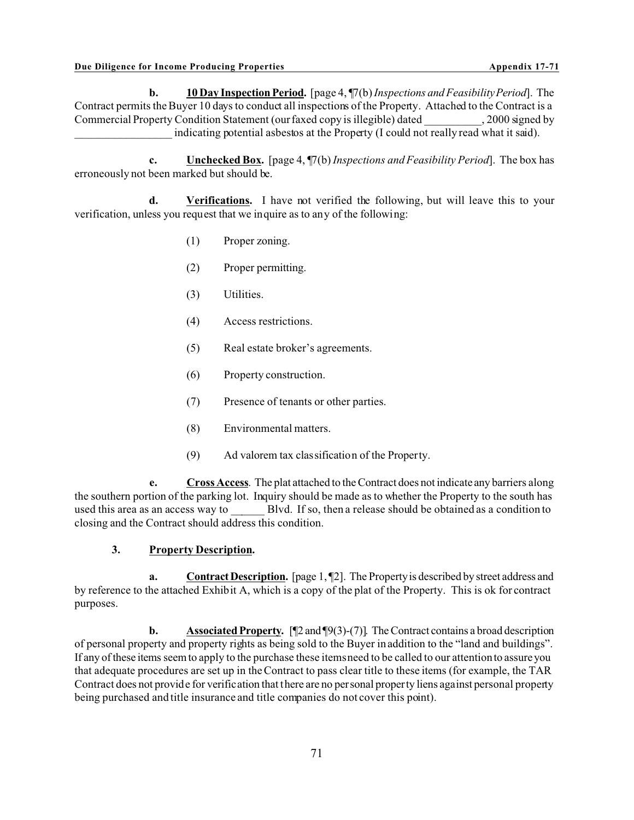**b. 10 Day Inspection Period.** [page 4,  $\Pi$ (b) *Inspections and Feasibility Period*]. The Contract permits the Buyer 10 days to conduct all inspections of the Property. Attached to the Contract is a Commercial Property Condition Statement (our faxed copy is illegible) dated \_\_\_\_\_\_\_\_\_\_, 2000 signed by indicating potential asbestos at the Property (I could not really read what it said).

**c. Unchecked Box.** [page 4, ¶7(b) *Inspections and Feasibility Period*]. The box has erroneously not been marked but should be.

**d. Verifications.** I have not verified the following, but will leave this to your verification, unless you request that we inquire as to any of the following:

- (1) Proper zoning.
- (2) Proper permitting.
- (3) Utilities.
- (4) Access restrictions.
- (5) Real estate broker's agreements.
- (6) Property construction.
- (7) Presence of tenants or other parties.
- (8) Environmental matters.
- (9) Ad valorem tax classification of the Property.

**e. Cross Access**. The plat attached to the Contract does not indicate any barriers along the southern portion of the parking lot. Inquiry should be made as to whether the Property to the south has used this area as an access way to Blvd. If so, then a release should be obtained as a condition to closing and the Contract should address this condition.

#### **3. Property Description.**

**a. Contract Description.** [page 1,  $\mathbb{I}$ 2]. The Property is described by street address and by reference to the attached Exhibit A, which is a copy of the plat of the Property. This is ok for contract purposes.

**b. Associated Property.**  $[$  $]$ 2 and  $[$  $]$  $(3)$  $(7)$ ]. The Contract contains a broad description of personal property and property rights as being sold to the Buyer in addition to the "land and buildings". If any ofthese items seemto apply to the purchase these items need to be called to our attention to assureyou that adequate procedures are set up in the Contract to pass clear title to these items (for example, the TAR Contract does not provide for verification that there are no personal property liens against personal property being purchased and title insurance and title companies do not cover this point).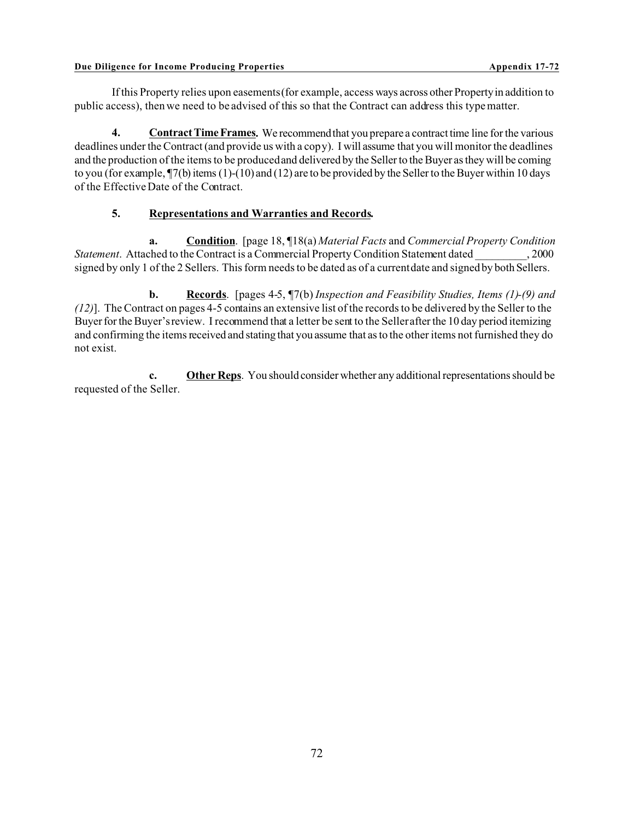If this Property relies upon easements (for example, access ways across other Propertyin addition to public access), then we need to be advised of this so that the Contract can address this type matter.

**4. Contract Time Frames.** We recommend that you prepare a contract time line for the various deadlines under the Contract (and provide us with a copy). I will assume that you will monitor the deadlines and the production of the items to be produced and delivered by the Seller to the Buyer as they will be coming to you (for example,  $\P$ 7(b) items (1)-(10) and (12) are to be provided by the Seller to the Buyer within 10 days of the Effective Date of the Contract.

#### **5. Representations and Warranties and Records.**

**a. Condition**.[page 18, ¶18(a) *Material Facts* and *Commercial Property Condition Statement*. Attached to the Contract is a Commercial Property Condition Statement dated \_\_\_\_\_\_\_\_\_, 2000 signed by only 1 of the 2 Sellers. This form needs to be dated as of a current date and signed by both Sellers.

**b. Records**. [pages 4-5, ¶7(b) *Inspection and Feasibility Studies, Items (1)-(9) and (12)*]. The Contract on pages 4-5 contains an extensive list of the records to be delivered by the Seller to the Buyer for the Buyer's review. I recommend that a letter be sent to the Seller after the 10 day period itemizing and confirming the items received and stating that you assume that asto the other items not furnished they do not exist.

**c. Other Reps**. You should consider whether any additional representations should be requested of the Seller.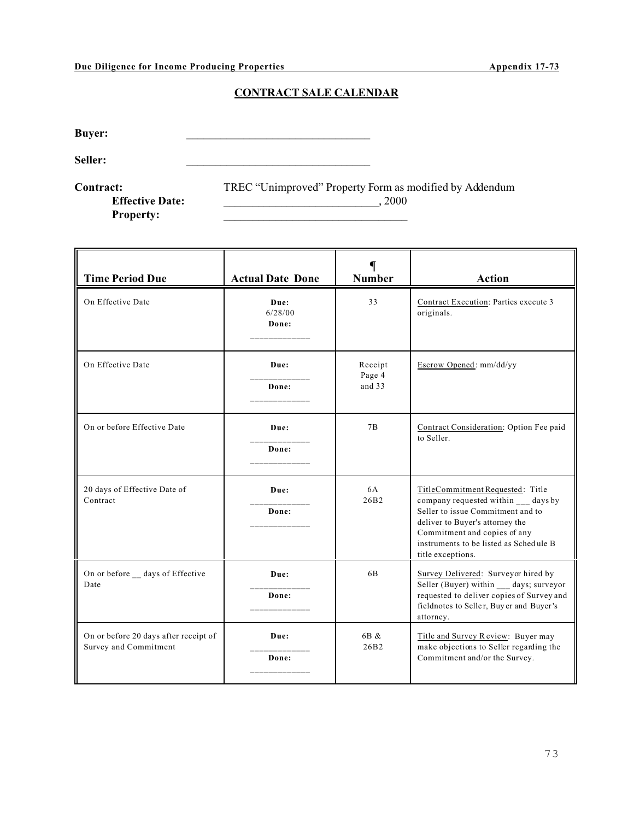# **CONTRACT SALE CALENDAR**

**Buyer:** \_\_\_\_\_\_\_\_\_\_\_\_\_\_\_\_\_\_\_\_\_\_\_\_\_\_\_\_\_\_\_\_

Seller:

Property:

**Contract:** TREC "Unimproved" Property Form as modified by Addendum<br>**Effective Date:**  $2000$ **Effective Date:** \_\_\_\_\_\_\_\_\_\_\_\_\_\_\_\_\_\_\_\_\_\_\_\_\_\_\_, 2000

| <b>Time Period Due</b>                                         | <b>Actual Date Done</b>  | <b>Number</b>               | <b>Action</b>                                                                                                                                                                                                                                  |  |
|----------------------------------------------------------------|--------------------------|-----------------------------|------------------------------------------------------------------------------------------------------------------------------------------------------------------------------------------------------------------------------------------------|--|
| On Effective Date                                              | Due:<br>6/28/00<br>Done: | 33                          | Contract Execution: Parties execute 3<br>originals.                                                                                                                                                                                            |  |
| On Effective Date                                              | Due:<br>Done:            | Receipt<br>Page 4<br>and 33 | Escrow Opened: mm/dd/yy                                                                                                                                                                                                                        |  |
| On or before Effective Date                                    | Due:<br>Done:            | 7B                          | Contract Consideration: Option Fee paid<br>to Seller.                                                                                                                                                                                          |  |
| 20 days of Effective Date of<br>Contract                       | Due:<br>Done:            | 6A<br>26B2                  | TitleCommitmentRequested: Title<br>company requested within __ days by<br>Seller to issue Commitment and to<br>deliver to Buyer's attorney the<br>Commitment and copies of any<br>instruments to be listed as Sched ule B<br>title exceptions. |  |
| On or before _ days of Effective<br>Date                       | Due:<br>Done:            | 6 <sub>B</sub>              | Survey Delivered: Surveyor hired by<br>Seller (Buyer) within __ days; surveyor<br>requested to deliver copies of Survey and<br>fieldnotes to Seller, Buyer and Buyer's<br>attorney.                                                            |  |
| On or before 20 days after receipt of<br>Survey and Commitment | Due:<br>Done:            | 6B &<br>26B2                | Title and Survey Review: Buyer may<br>make objections to Seller regarding the<br>Commitment and/or the Survey.                                                                                                                                 |  |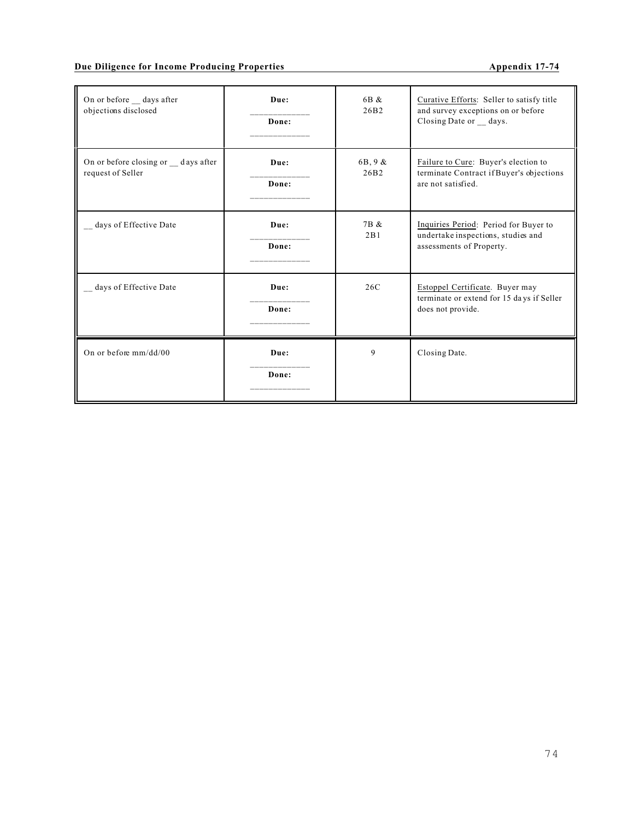# **Due Diligence for Income Producing Properties Appendix 17-74**

| On or before days after<br>objections disclosed           | Due:<br>Done: | 6B &<br>26B2    | Curative Efforts: Seller to satisfy title<br>and survey exceptions on or before<br>Closing Date or __ days. |
|-----------------------------------------------------------|---------------|-----------------|-------------------------------------------------------------------------------------------------------------|
| On or before closing or _ days after<br>request of Seller | Due:<br>Done: | 6B, 9 &<br>26B2 | Failure to Cure: Buyer's election to<br>terminate Contract if Buyer's objections<br>are not satisfied.      |
| days of Effective Date                                    | Due:<br>Done: | 7B &<br>2B1     | Inquiries Period: Period for Buyer to<br>undertake inspections, studies and<br>assessments of Property.     |
| days of Effective Date                                    | Due:<br>Done: | 26C             | Estoppel Certificate. Buyer may<br>terminate or extend for 15 days if Seller<br>does not provide.           |
| On or before $mm/dd/00$                                   | Due:<br>Done: | 9               | Closing Date.                                                                                               |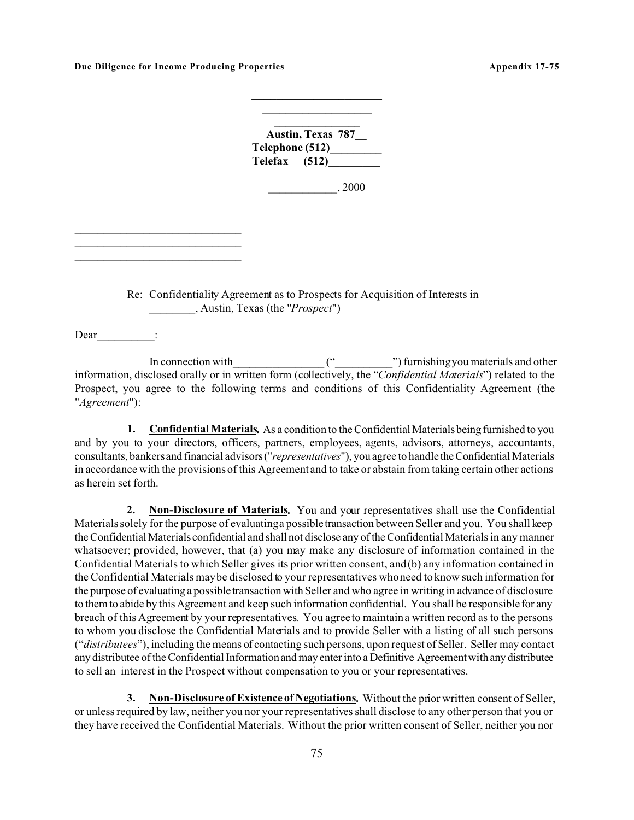$\mathcal{L}_\text{max}$  , where  $\mathcal{L}_\text{max}$  , we have the set of the set of the set of the set of the set of the set of the set of the set of the set of the set of the set of the set of the set of the set of the set of the set of  $\mathcal{L}_\text{max}$  , where  $\mathcal{L}_\text{max}$  , we have the set of the set of the set of the set of the set of the set of the set of the set of the set of the set of the set of the set of the set of the set of the set of the set of \_\_\_\_\_\_\_\_\_\_\_\_\_\_\_\_\_\_\_\_\_\_\_\_\_\_\_\_\_

| <b>Austin, Texas 787</b> |  |
|--------------------------|--|
| Telephone (512)          |  |
| Telefax (512)            |  |

**\_\_\_\_\_\_\_\_\_\_\_\_\_\_\_\_\_\_\_\_\_ \_\_\_\_\_\_\_\_\_\_\_\_\_\_\_\_\_\_\_**

\_\_\_\_\_\_\_\_\_\_\_\_, 2000

Re: Confidentiality Agreement as to Prospects for Acquisition of Interests in \_\_\_\_\_\_\_\_, Austin, Texas (the "*Prospect*")

Dear\_\_\_\_\_\_\_\_\_\_:

In connection with\_\_\_\_\_\_\_\_\_\_\_\_\_\_\_\_ ("\_\_\_\_\_\_\_\_\_\_") furnishing you materials and other information, disclosed orally or in written form (collectively, the "*Confidential Materials*") related to the Prospect, you agree to the following terms and conditions of this Confidentiality Agreement (the "*Agreement*"):

**1. Confidential Materials.** As a condition to the Confidential Materials being furnished to you and by you to your directors, officers, partners, employees, agents, advisors, attorneys, accountants, consultants, bankersand financial advisors("*representatives*"), you agree to handle theConfidential Materials in accordance with the provisions of this Agreement and to take or abstain from taking certain other actions as herein set forth.

**2. Non-Disclosure of Materials.** You and your representatives shall use the Confidential Materials solely for the purpose of evaluating a possibletransaction between Seller and you. You shall keep the Confidential Materials confidential and shall not disclose any of the Confidential Materials in any manner whatsoever; provided, however, that (a) you may make any disclosure of information contained in the Confidential Materials to which Seller gives its prior written consent, and (b) any information contained in the Confidential Materials may be disclosed to your representatives who need to know such information for the purpose of evaluating a possible transaction with Seller and who agree in writing in advance of disclosure to them to abide by this Agreement and keep such information confidential. You shall be responsible for any breach of this Agreement by your representatives. You agree to maintain a written record as to the persons to whom you disclose the Confidential Materials and to provide Seller with a listing of all such persons ("*distributees*"), including the means of contacting such persons, upon request of Seller. Seller may contact any distributee of the Confidential Information and may enter into a Definitive Agreement with any distributee to sell an interest in the Prospect without compensation to you or your representatives.

**3. Non-Disclosure of Existence of Negotiations.** Without the prior written consent of Seller, or unless required by law, neither you nor your representatives shall disclose to any other person that you or they have received the Confidential Materials. Without the prior written consent of Seller, neither you nor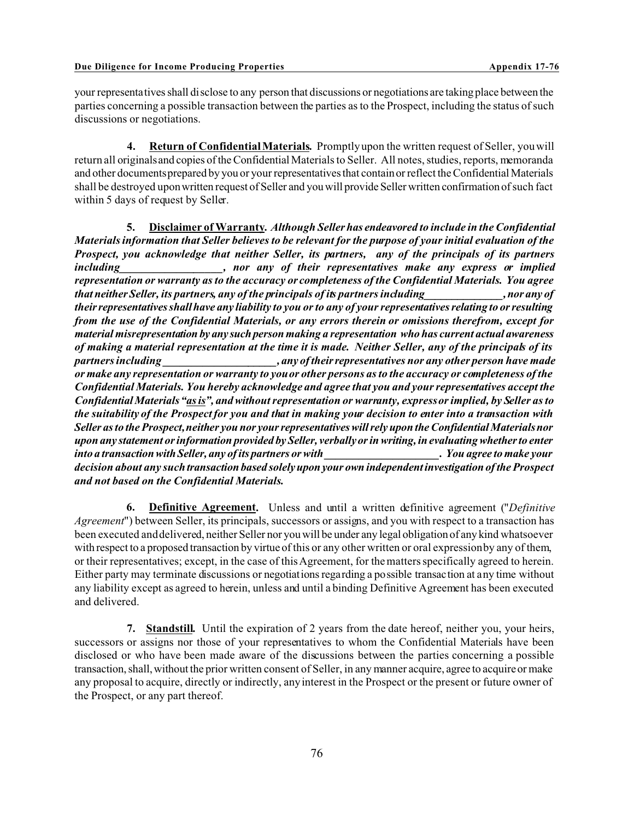your representatives shall disclose to any person that discussions or negotiations are taking place between the parties concerning a possible transaction between the parties as to the Prospect, including the status of such discussions or negotiations.

**4. Return of Confidential Materials.** Promptly upon the written request of Seller, you will return all originals and copies of the Confidential Materials to Seller. All notes, studies, reports, memoranda and other documents prepared by you or your representatives that contain or reflect the Confidential Materials shall be destroyed upon written request of Seller and you will provide Seller written confirmation of such fact within 5 days of request by Seller.

**5. Disclaimer of Warranty.** *Although Seller has endeavored to include in the Confidential Materials information that Seller believes to be relevant for the purpose of your initial evaluation of the Prospect, you acknowledge that neither Seller, its partners, any of the principals of its partners including\_\_\_\_\_\_\_\_\_\_\_\_\_\_\_\_\_\_, nor any of their representatives make any express or implied representation or warranty as to the accuracy or completeness of the Confidential Materials. You agree that neither Seller, its partners, any of the principals of its partners including\_\_\_\_\_\_\_\_\_\_\_\_\_\_,nor any of theirrepresentativesshallhave any liability to you or to any of your representativesrelating to orresulting from the use of the Confidential Materials, or any errors therein or omissions therefrom, except for material misrepresentation by any suchpersonmaking a representation who has current actual awareness of making a material representation at the time it is made. Neither Seller, any of the principals of its partners including \_\_\_\_\_\_\_\_\_\_\_\_\_\_\_\_\_\_\_\_, any oftheirrepresentatives nor any other person have made or make any representation or warranty to you or other persons as to the accuracy or completeness of the Confidential Materials. You hereby acknowledge and agree that you and your representatives accept the Confidential Materials"asis", andwithout representation or warranty, express or implied, by Seller as to the suitability of the Prospect for you and that in making your decision to enter into a transaction with Seller asto the Prospect,neither you nor yourrepresentativeswillrelyupon theConfidentialMaterialsnor upon any statement orinformation provided by Seller, verballyorinwriting, in evaluatingwhetherto enter into a transactionwithSeller, any ofits partners orwith \_\_\_\_\_\_\_\_\_\_\_\_\_\_\_\_\_\_\_\_. You agree tomake your decision about any such transaction based solelyupon your own independentinvestigation ofthe Prospect and not based on the Confidential Materials.*

**6. Definitive Agreement.** Unless and until a written definitive agreement ("*Definitive Agreement*") between Seller, its principals, successors or assigns, and you with respect to a transaction has been executed and delivered, neither Seller nor youwill be under any legal obligation of any kind whatsoever with respect to a proposed transaction by virtue of this or any other written or oral expression by any of them, or their representatives; except, in the case of this Agreement, for the matters specifically agreed to herein. Either party may terminate discussions or negotiations regarding a possible transaction at any time without any liability except as agreed to herein, unless and until a binding Definitive Agreement has been executed and delivered.

**7. Standstill.** Until the expiration of 2 years from the date hereof, neither you, your heirs, successors or assigns nor those of your representatives to whom the Confidential Materials have been disclosed or who have been made aware of the discussions between the parties concerning a possible transaction, shall, without the prior written consent of Seller, in any manner acquire, agree to acquire or make any proposal to acquire, directly or indirectly, any interest in the Prospect or the present or future owner of the Prospect, or any part thereof.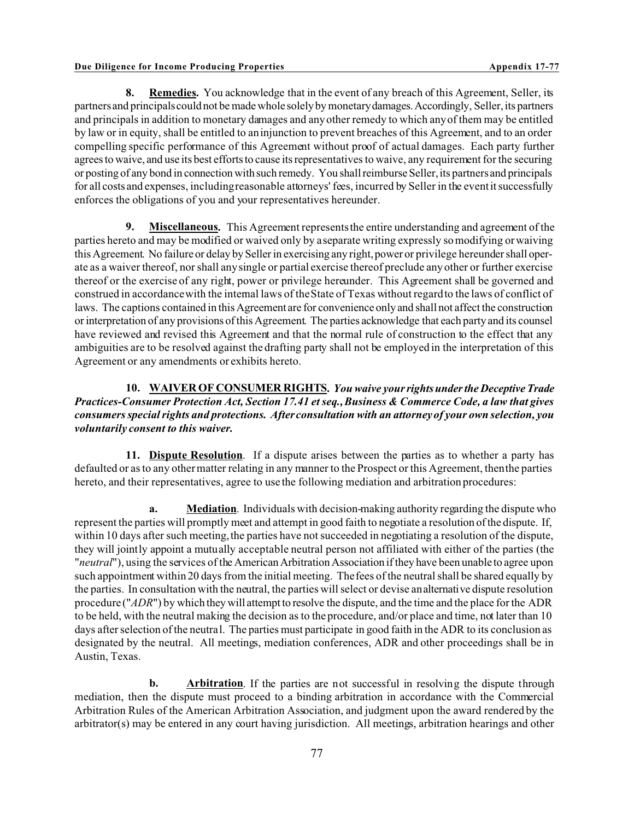**8. Remedies.** You acknowledge that in the event of any breach of this Agreement, Seller, its partners and principals could not be made whole solely by monetary damages. Accordingly, Seller, its partners and principals in addition to monetary damages and any other remedy to which any of them may be entitled by law or in equity, shall be entitled to an injunction to prevent breaches of this Agreement, and to an order compelling specific performance of this Agreement without proof of actual damages. Each party further agrees to waive, and use its best efforts to cause its representatives to waive, any requirement for the securing or posting of any bond in connection with such remedy. You shall reimburse Seller, its partners and principals for all costs and expenses, including reasonable attorneys' fees, incurred by Seller in the event it successfully enforces the obligations of you and your representatives hereunder.

**9. Miscellaneous.** This Agreement represents the entire understanding and agreement of the parties hereto and may be modified or waived only by a separate writing expressly so modifying or waiving this Agreement. No failure or delay by Seller in exercising any right, power or privilege hereunder shall operate as a waiver thereof, nor shall any single or partial exercise thereof preclude any other or further exercise thereof or the exercise of any right, power or privilege hereunder. This Agreement shall be governed and construed in accordance with the internal laws of the State of Texas without regard to the laws of conflict of laws. The captions contained in this Agreement are for convenience only and shall not affect the construction or interpretation of any provisions of this Agreement. The parties acknowledge that each party and its counsel have reviewed and revised this Agreement and that the normal rule of construction to the effect that any ambiguities are to be resolved against the drafting party shall not be employed in the interpretation of this Agreement or any amendments or exhibits hereto.

**10. WAIVER OF CONSUMER RIGHTS.** *You waive your rightsunderthe DeceptiveTrade Practices-Consumer Protection Act, Section 17.41 et seq., Business & Commerce Code, a law that gives consumers special rights and protections. After consultation with an attorney of your own selection, you voluntarily consent to this waiver.*

**11. Dispute Resolution**. If a dispute arises between the parties as to whether a party has defaulted or as to any other matter relating in any manner to the Prospect or this Agreement, then the parties hereto, and their representatives, agree to use the following mediation and arbitration procedures:

**a. Mediation**. Individuals with decision-making authority regarding the dispute who represent the parties will promptly meet and attempt in good faith to negotiate a resolution ofthe dispute. If, within 10 days after such meeting, the parties have not succeeded in negotiating a resolution of the dispute, they will jointly appoint a mutually acceptable neutral person not affiliated with either of the parties (the "*neutral*"), using the services of the American Arbitration Association if they have been unable to agree upon such appointment within 20 days from the initial meeting. The fees of the neutral shall be shared equally by the parties. In consultation with the neutral, the parties will select or devise an alternative dispute resolution procedure ("*ADR*") by which they will attempt to resolve the dispute, and the time and the place for the ADR to be held, with the neutral making the decision as to the procedure, and/or place and time, not later than 10 days after selection of the neutral. The parties must participate in good faith in the ADR to its conclusion as designated by the neutral. All meetings, mediation conferences, ADR and other proceedings shall be in Austin, Texas.

**b. Arbitration**. If the parties are not successful in resolving the dispute through mediation, then the dispute must proceed to a binding arbitration in accordance with the Commercial Arbitration Rules of the American Arbitration Association, and judgment upon the award rendered by the arbitrator(s) may be entered in any court having jurisdiction. All meetings, arbitration hearings and other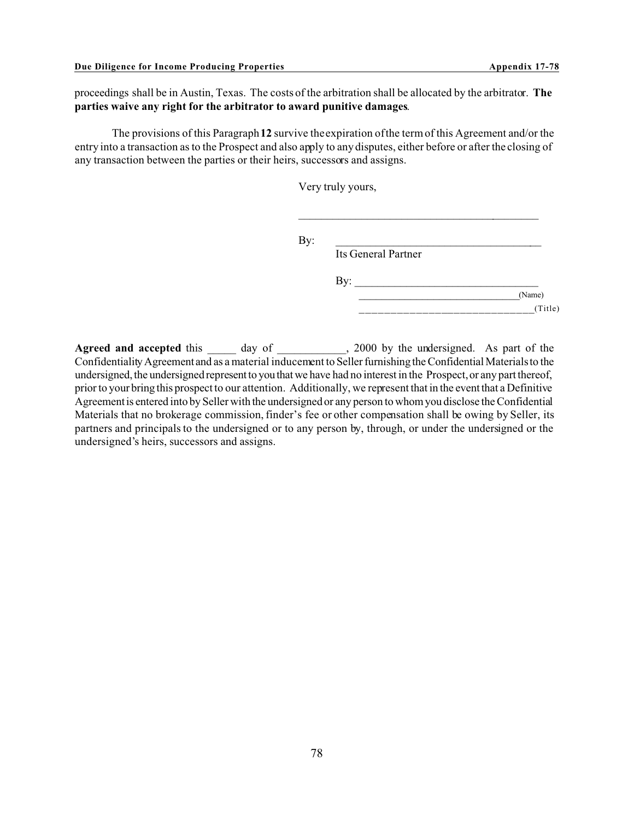proceedings shall be in Austin, Texas. The costs of the arbitration shall be allocated by the arbitrator. **The parties waive any right for the arbitrator to award punitive damages**.

The provisions of this Paragraph**12** survive the expiration of the term of this Agreement and/or the entry into a transaction as to the Prospect and also apply to any disputes, either before or after the closing of any transaction between the parties or their heirs, successors and assigns.

Very truly yours,

| By: |                     |         |
|-----|---------------------|---------|
|     | Its General Partner |         |
|     | By:                 |         |
|     |                     | (Name)  |
|     |                     | (Title) |

Agreed and accepted this day of , 2000 by the undersigned. As part of the Confidentiality Agreement and as a material inducement to Seller furnishing the Confidential Materials to the undersigned, the undersigned represent to you that we have had no interest in the Prospect, or any part thereof, priorto your bring this prospect to our attention. Additionally, we represent that in the event that a Definitive Agreement is entered into by Seller with the undersigned or any person to whom you disclose the Confidential Materials that no brokerage commission, finder's fee or other compensation shall be owing by Seller, its partners and principals to the undersigned or to any person by, through, or under the undersigned or the undersigned's heirs, successors and assigns.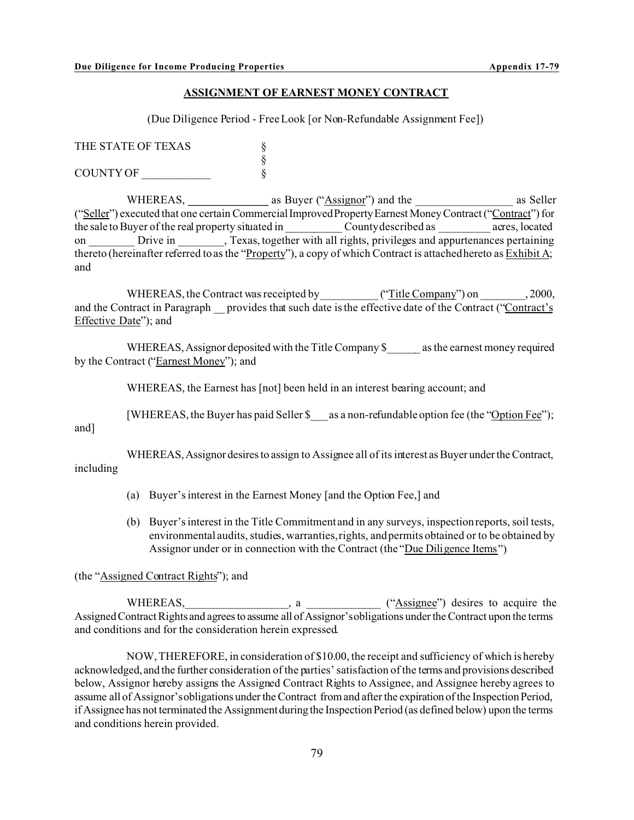#### **ASSIGNMENT OF EARNEST MONEY CONTRACT**

(Due Diligence Period - Free Look [or Non-Refundable Assignment Fee])

§<br>§<br>§

THE STATE OF TEXAS

COUNTY OF \_\_\_\_\_\_\_\_\_\_\_\_ §

WHEREAS, **\_\_\_\_\_\_\_\_\_\_\_\_\_\_** as Buyer ("Assignor") and the \_\_\_\_\_\_\_\_\_\_\_\_\_\_\_\_\_ as Seller ("Seller") executed that one certain Commercial Improved Property Earnest Money Contract ("Contract") for the sale to Buyer of the real property situated in \_\_\_\_\_\_\_\_\_\_\_\_ County described as \_\_\_\_\_\_\_\_\_\_ acres, located on \_\_\_\_\_\_\_ Drive in \_\_\_\_\_\_, Texas, together with all rights, privileges and appurtenances pertaining thereto (hereinafter referred to as the "Property"), a copy of which Contract is attached hereto as Exhibit A; and

WHEREAS, the Contract was receipted by  $($ "Title Company") on  $\qquad \qquad$  . 2000, and the Contract in Paragraph provides that such date is the effective date of the Contract ("Contract's Effective Date"); and

WHEREAS, Assignor deposited with the Title Company \$ \_\_\_\_\_\_ as the earnest money required by the Contract ("Earnest Money"); and

WHEREAS, the Earnest has [not] been held in an interest bearing account; and

[WHEREAS, the Buyer has paid Seller \$ \_\_\_ as a non-refundable option fee (the "Option Fee");

and]

WHEREAS, Assignor desires to assign to Assignee all of its interest as Buyer under the Contract, including

- (a) Buyer's interest in the Earnest Money [and the Option Fee,] and
- (b) Buyer's interest in the Title Commitment and in any surveys, inspection reports, soil tests, environmental audits, studies, warranties, rights, and permits obtained or to be obtained by Assignor under or in connection with the Contract (the "Due Diligence Items")

(the "Assigned Contract Rights"); and

WHEREAS, a \_\_\_\_\_\_\_\_\_\_\_, a \_\_\_\_\_\_\_\_\_\_\_\_\_\_ ("Assignee") desires to acquire the Assigned Contract Rights and agrees to assume all of Assignor's obligations under the Contract upon the terms and conditions and for the consideration herein expressed.

NOW, THEREFORE, in consideration of \$10.00, the receipt and sufficiency of which is hereby acknowledged,and the further consideration of the parties' satisfaction of the terms and provisions described below, Assignor hereby assigns the Assigned Contract Rights to Assignee, and Assignee hereby agrees to assume all of Assignor's obligations under the Contract from and after the expiration of the Inspection Period, if Assignee has not terminated the Assignment during the Inspection Period (as defined below) upon the terms and conditions herein provided.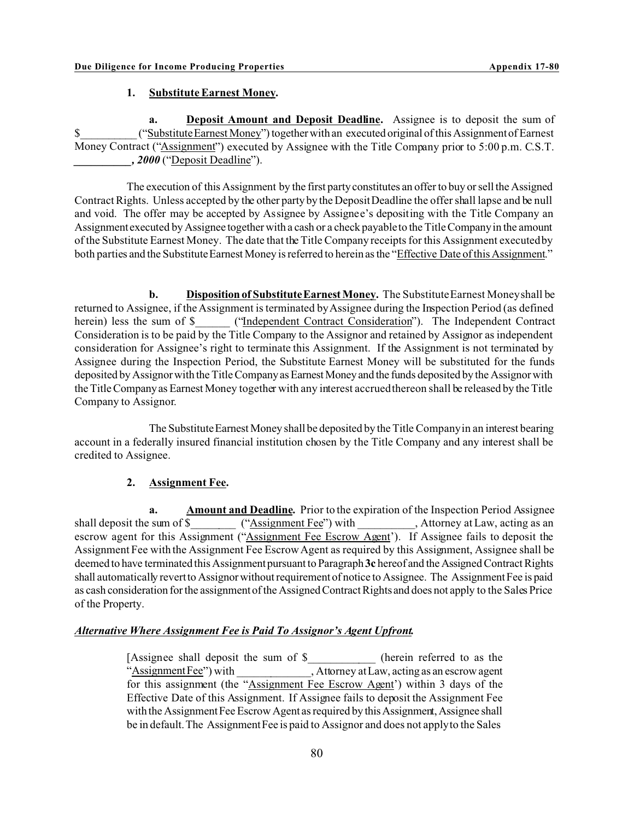#### **1. Substitute Earnest Money.**

**a. Deposit Amount and Deposit Deadline.** Assignee is to deposit the sum of \$\_\_\_\_\_\_\_\_\_\_ ("SubstituteEarnest Money")togetherwith an executed original ofthisAssignmentof Earnest Money Contract ("Assignment") executed by Assignee with the Title Company prior to 5:00 p.m. C.S.T. *, 2000* ("<u>Deposit Deadline</u>").

The execution of this Assignment by the first partyconstitutes an offerto buy orsell the Assigned Contract Rights. Unless accepted by the other partyby the DepositDeadline the offer shall lapse and be null and void. The offer may be accepted by Assignee by Assignee's depositing with the Title Company an Assignment executed by Assignee together with a cash or a check payable to the Title Company in the amount of the Substitute Earnest Money. The date that the Title Company receipts for this Assignment executed by both parties and the Substitute Earnest Money is referred to herein as the "Effective Date of this Assignment."

**b. Disposition of Substitute Earnest Money.** The Substitute Earnest Money shall be returned to Assignee, if the Assignment is terminated by Assignee during the Inspection Period (as defined herein) less the sum of \$  $($  "Independent Contract Consideration"). The Independent Contract Consideration is to be paid by the Title Company to the Assignor and retained by Assignor as independent consideration for Assignee's right to terminate this Assignment. If the Assignment is not terminated by Assignee during the Inspection Period, the Substitute Earnest Money will be substituted for the funds deposited by Assignor with the Title Company as Earnest Money and the funds deposited by the Assignor with the TitleCompanyas Earnest Money together with any interest accrued thereon shall be released by the Title Company to Assignor.

The Substitute Earnest Money shall be deposited by the Title Company in an interest bearing account in a federally insured financial institution chosen by the Title Company and any interest shall be credited to Assignee.

#### **2. Assignment Fee.**

**a. Amount and Deadline.** Prior to the expiration of the Inspection Period Assignee shall deposit the sum of \$ ("Assignment Fee") with , Attorney at Law, acting as an escrow agent for this Assignment ("Assignment Fee Escrow Agent"). If Assignee fails to deposit the Assignment Fee with the Assignment Fee Escrow Agent as required by this Assignment, Assignee shall be deemed to have terminated this Assignment pursuant to Paragraph 3c hereof and the Assigned Contract Rights shall automatically revert to Assignor without requirement of notice to Assignee. The Assignment Fee is paid as cash consideration for the assignment of the Assigned Contract Rights and does not apply to the Sales Price of the Property.

#### *Alternative Where Assignment Fee is Paid To Assignor's Agent Upfront.*

[Assignee shall deposit the sum of \$ (herein referred to as the "Assignment Fee") with Attorney at Law, acting as an escrow agent for this assignment (the "Assignment Fee Escrow Agent') within 3 days of the Effective Date of this Assignment. If Assignee fails to deposit the Assignment Fee with the Assignment Fee Escrow Agent as required by this Assignment, Assignee shall be in default. The Assignment Fee is paid to Assignor and does not apply to the Sales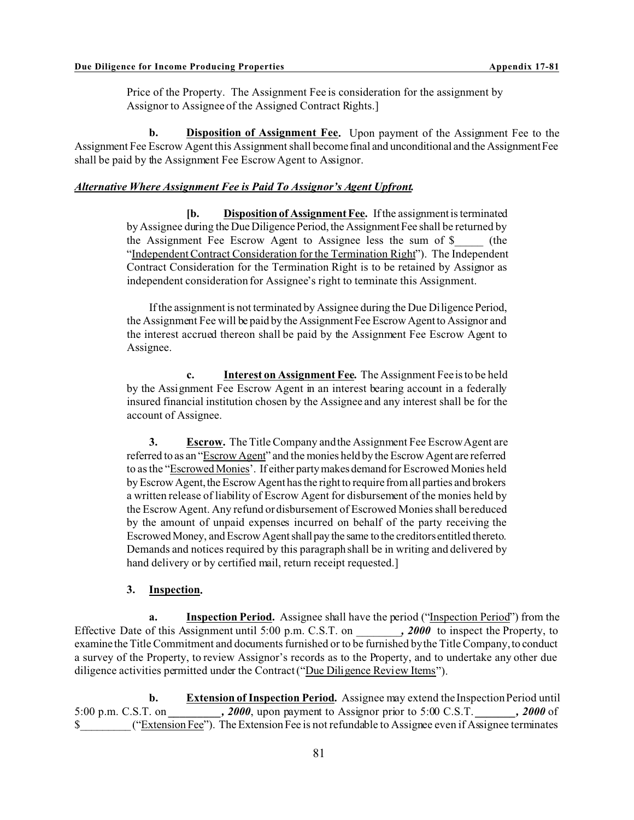Price of the Property. The Assignment Fee is consideration for the assignment by Assignor to Assignee of the Assigned Contract Rights.]

**b. Disposition of Assignment Fee.** Upon payment of the Assignment Fee to the Assignment Fee Escrow Agent this Assignment shall become final and unconditional and the Assignment Fee shall be paid by the Assignment Fee Escrow Agent to Assignor.

#### *Alternative Where Assignment Fee is Paid To Assignor's Agent Upfront.*

**[b. Disposition of Assignment Fee.** If the assignment is terminated by Assignee during the Due Diligence Period, the Assignment Fee shall be returned by the Assignment Fee Escrow Agent to Assignee less the sum of \$\_\_\_\_\_ (the "Independent Contract Consideration for the Termination Right"). The Independent Contract Consideration for the Termination Right is to be retained by Assignor as independent consideration for Assignee's right to terminate this Assignment.

If the assignment is not terminated by Assignee during the Due Diligence Period, the Assignment Fee will be paid by the Assignment Fee Escrow Agent to Assignor and the interest accrued thereon shall be paid by the Assignment Fee Escrow Agent to Assignee.

**c. Interest on Assignment Fee.** The Assignment Fee isto be held by the Assignment Fee Escrow Agent in an interest bearing account in a federally insured financial institution chosen by the Assignee and any interest shall be for the account of Assignee.

**3. Escrow.** The Title Company and the Assignment Fee Escrow Agent are referred to as an "Escrow Agent" and the monies held by the Escrow Agent are referred to as the "Escrowed Monies'. If either party makes demand for Escrowed Monies held by Escrow Agent, the Escrow Agent has the right to require from all parties and brokers a written release of liability of Escrow Agent for disbursement of the monies held by the Escrow Agent. Any refund or disbursement of Escrowed Monies shall be reduced by the amount of unpaid expenses incurred on behalf of the party receiving the Escrowed Money, and Escrow Agent shall pay the same to the creditors entitled thereto. Demands and notices required by this paragraph shall be in writing and delivered by hand delivery or by certified mail, return receipt requested.]

## **3. Inspection.**

**a. Inspection Period.** Assignee shall have the period ("Inspection Period") from the Effective Date of this Assignment until 5:00 p.m. C.S.T. on \_\_\_\_\_\_\_\_*, 2000* to inspect the Property, to examine the Title Commitment and documents furnished or to be furnished by the Title Company, to conduct a survey of the Property, to review Assignor's records as to the Property, and to undertake any other due diligence activities permitted under the Contract ("Due Diligence Review Items").

**b. Extension of Inspection Period.** Assignee may extend the Inspection Period until 5:00 p.m. C.S.T. on  $\qquad \qquad$ , 2000, upon payment to Assignor prior to 5:00 C.S.T.  $\qquad \qquad$ , 2000 of \$\_\_\_\_\_\_\_\_\_ ("Extension Fee"). The Extension Fee is not refundable to Assignee even if Assignee terminates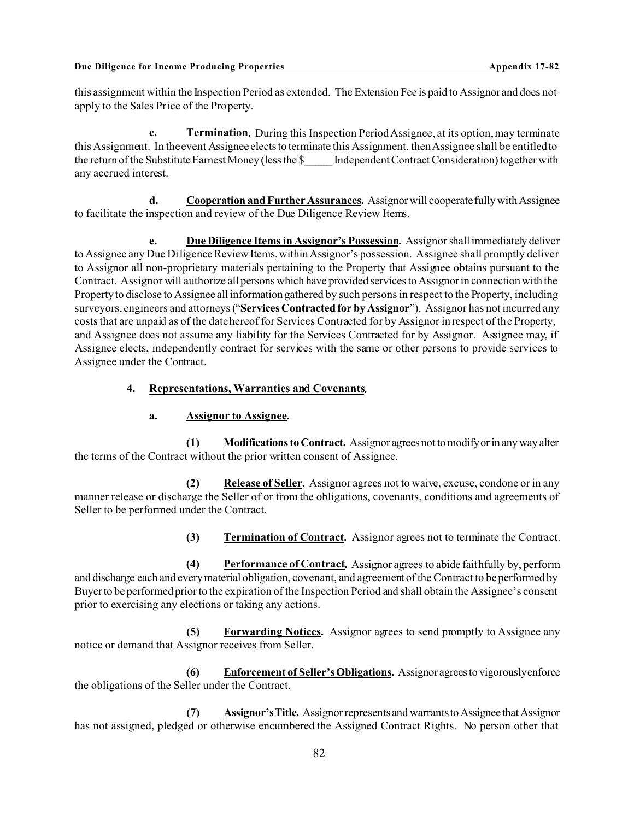this assignment within the Inspection Period as extended. The Extension Fee is paid to Assignor and does not apply to the Sales Price of the Property.

**c. Termination.** During this Inspection Period Assignee, at its option, may terminate this Assignment. In the event Assignee elects to terminate this Assignment, then Assignee shall be entitled to the return of the Substitute Earnest Money (less the \$ \_\_\_\_ Independent Contract Consideration) together with any accrued interest.

**d. Cooperation and Further Assurances.** Assignor will cooperate fully with Assignee to facilitate the inspection and review of the Due Diligence Review Items.

**e. Due Diligence Items in Assignor's Possession.** Assignor shall immediately deliver to Assignee any Due Diligence Review Items, within Assignor's possession. Assignee shall promptly deliver to Assignor all non-proprietary materials pertaining to the Property that Assignee obtains pursuant to the Contract. Assignor will authorize all persons which have provided servicesto Assignorin connectionwith the Property to disclose to Assignee all information gathered by such persons in respect to the Property, including surveyors, engineers and attorneys ("Services Contracted for by Assignor"). Assignor has not incurred any costs that are unpaid as of the date hereof for Services Contracted for by Assignor in respect of the Property, and Assignee does not assume any liability for the Services Contracted for by Assignor. Assignee may, if Assignee elects, independently contract for services with the same or other persons to provide services to Assignee under the Contract.

### **4. Representations, Warranties and Covenants.**

## **a. Assignor to Assignee.**

**(1) Modifications to Contract.** Assignor agrees not to modify or in any way alter the terms of the Contract without the prior written consent of Assignee.

**(2) Release of Seller.** Assignor agrees not to waive, excuse, condone or in any manner release or discharge the Seller of or from the obligations, covenants, conditions and agreements of Seller to be performed under the Contract.

**(3) Termination of Contract.** Assignor agrees not to terminate the Contract.

**(4) Performance of Contract.** Assignor agrees to abide faithfully by, perform and discharge each and everymaterial obligation, covenant, and agreement of the Contract to be performed by Buyer to be performed prior to the expiration of the Inspection Period and shall obtain the Assignee's consent prior to exercising any elections or taking any actions.

**(5) Forwarding Notices.** Assignor agrees to send promptly to Assignee any notice or demand that Assignor receives from Seller.

**(6) Enforcement of Seller'sObligations.** Assignor agreesto vigorouslyenforce the obligations of the Seller under the Contract.

(7) **Assignor's Title.** Assignor represents and warrants to Assignee that Assignor has not assigned, pledged or otherwise encumbered the Assigned Contract Rights. No person other that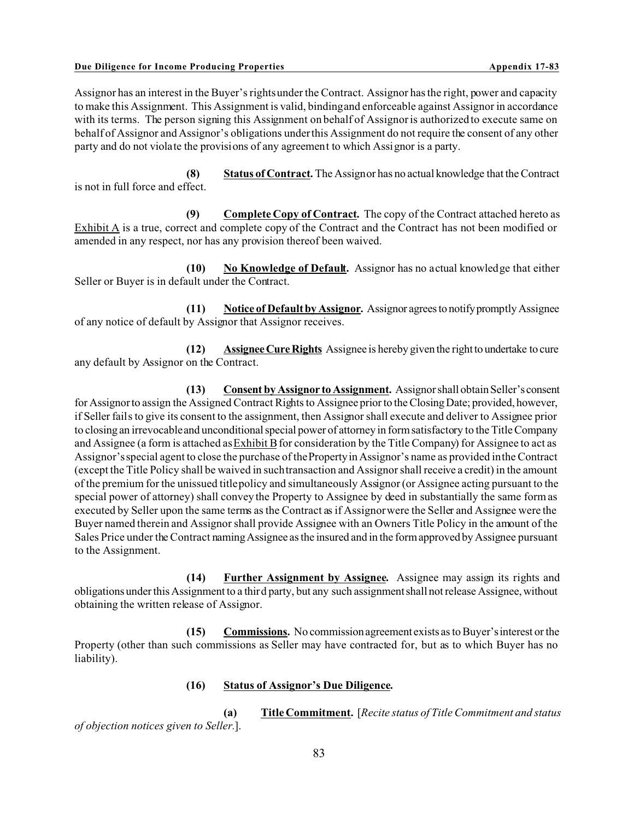#### **Due Diligence for Income Producing Properties and Appendix 17-83**

Assignor has an interest in the Buyer's rights under the Contract.Assignor has the right, power and capacity to make this Assignment.This Assignment is valid, binding and enforceable against Assignor in accordance with its terms. The person signing this Assignment on behalf of Assignor is authorized to execute same on behalf of Assignor and Assignor's obligations under this Assignment do not require the consent of any other party and do not violate the provisions of any agreement to which Assignor is a party.

**(8) Status of Contract.** The Assignor has no actual knowledge that theContract is not in full force and effect.

**(9) Complete Copy of Contract.** The copy of the Contract attached hereto as Exhibit  $\overline{A}$  is a true, correct and complete copy of the Contract and the Contract has not been modified or amended in any respect, nor has any provision thereof been waived.

**(10) No Knowledge of Default.** Assignor has no actual knowledge that either Seller or Buyer is in default under the Contract.

**(11) Notice of Defaultby Assignor.** Assignor agreesto notifypromptlyAssignee of any notice of default by Assignor that Assignor receives.

**(12) Assignee Cure Rights** Assignee is hereby given the right to undertake to cure any default by Assignor on the Contract.

**(13) Consent by Assignor to Assignment.** Assignor shall obtain Seller's consent for Assignorto assign the Assigned Contract Rights to Assignee priorto theClosingDate; provided, however, if Seller fails to give its consent to the assignment, then Assignor shall execute and deliver to Assignee prior to closing an irrevocableand unconditionalspecial power of attorney in formsatisfactory to the TitleCompany and Assignee (a form is attached as Exhibit B for consideration by the Title Company) for Assignee to act as Assignor's special agent to close the purchase of the Propertyin Assignor's name as provided in the Contract (except the Title Policy shall be waived in such transaction and Assignor shall receive a credit) in the amount of the premium for the unissued title policy and simultaneously Assignor (or Assignee acting pursuant to the special power of attorney) shall convey the Property to Assignee by deed in substantially the same form as executed by Seller upon the same terms as the Contract as if Assignor were the Seller and Assignee were the Buyer named therein and Assignor shall provide Assignee with an Owners Title Policy in the amount of the Sales Price under the Contract naming Assignee as the insured and in the form approved by Assignee pursuant to the Assignment.

**(14) Further Assignment by Assignee.** Assignee may assign its rights and obligations under this Assignment to a third party, but any such assignment shall not release Assignee, without obtaining the written release of Assignor.

**(15) Commissions.** No commission agreement exists as to Buyer's interest or the Property (other than such commissions as Seller may have contracted for, but as to which Buyer has no liability).

#### **(16) Status of Assignor's Due Diligence.**

**(a) Title Commitment.** [*Recite status of Title Commitment and status of objection notices given to Seller.*].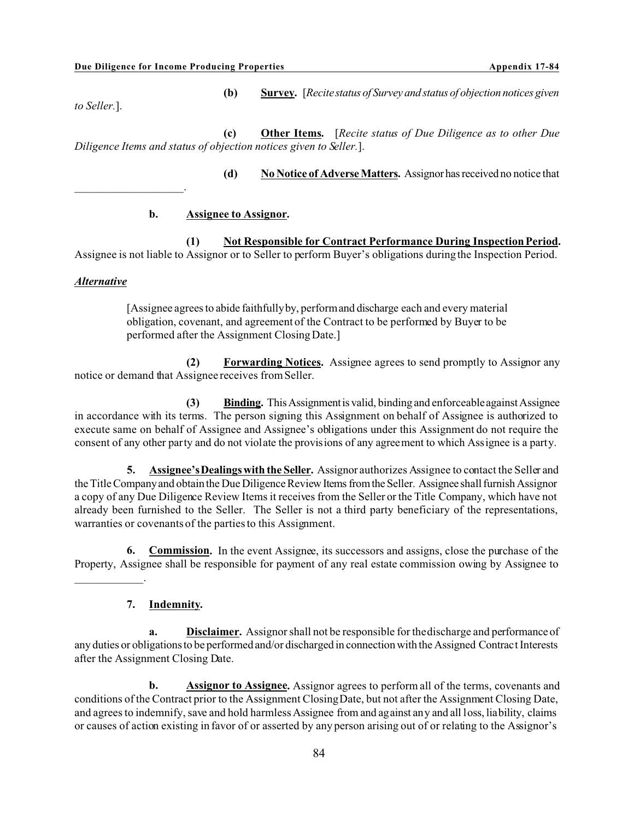*to Seller.*].

**(b) Survey.** [*Recite status of Survey and status of objection notices given*

**(c) Other Items.** [*Recite status of Due Diligence as to other Due Diligence Items and status of objection notices given to Seller.*].

**(d) No Notice of AdverseMatters.** Assignorhasreceived no notice that

## **b. Assignee to Assignor.**

**(1) Not Responsible for Contract Performance During Inspection Period.** Assignee is not liable to Assignor or to Seller to perform Buyer's obligations during the Inspection Period.

#### *Alternative*

\_\_\_\_\_\_\_\_\_\_\_\_\_\_\_\_\_\_\_.

[Assignee agreesto abide faithfullyby, performand discharge each and every material obligation, covenant, and agreement of the Contract to be performed by Buyer to be performed after the Assignment Closing Date.]

**(2) Forwarding Notices.** Assignee agrees to send promptly to Assignor any notice or demand that Assignee receives from Seller.

**(3) Binding.** This Assignment is valid, binding and enforceable against Assignee in accordance with its terms. The person signing this Assignment on behalf of Assignee is authorized to execute same on behalf of Assignee and Assignee's obligations under this Assignment do not require the consent of any other party and do not violate the provisions of any agreement to which Assignee is a party.

**5. Assignee'sDealingswith the Seller.** Assignor authorizes Assignee to contact the Seller and the Title Company and obtain the Due Diligence Review Items from the Seller. Assignee shall furnish Assignor a copy of any Due Diligence Review Items it receives from the Seller or the Title Company, which have not already been furnished to the Seller. The Seller is not a third party beneficiary of the representations, warranties or covenants of the parties to this Assignment.

**6. Commission.** In the event Assignee, its successors and assigns, close the purchase of the Property, Assignee shall be responsible for payment of any real estate commission owing by Assignee to

## **7. Indemnity.**

 $\overline{\phantom{a}}$  . The set of  $\overline{\phantom{a}}$  .

**Disclaimer.** Assignor shall not be responsible for the discharge and performance of any duties or obligationsto be performed and/or discharged in connectionwith the Assigned Contract Interests after the Assignment Closing Date.

**b. Assignor to Assignee.** Assignor agrees to perform all of the terms, covenants and conditions of the Contract prior to the Assignment Closing Date, but not after the Assignment Closing Date, and agrees to indemnify, save and hold harmless Assignee from and against any and all loss, liability, claims or causes of action existing in favor of or asserted by any person arising out of or relating to the Assignor's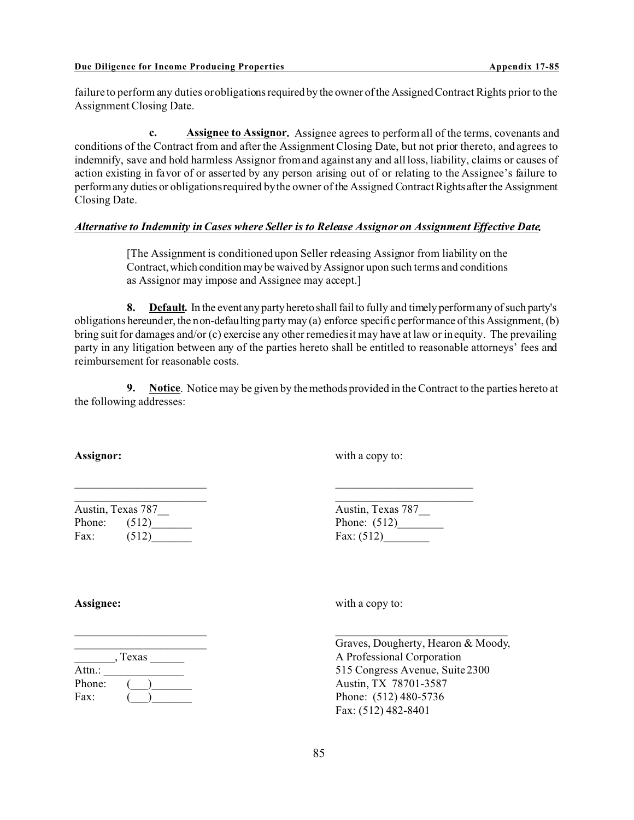failure to perform any duties or obligations required by the owner of the Assigned Contract Rights prior to the Assignment Closing Date.

**c. Assignee to Assignor.** Assignee agrees to perform all of the terms, covenants and conditions of the Contract from and after the Assignment Closing Date, but not prior thereto, and agrees to indemnify, save and hold harmless Assignor from and against any and all loss, liability, claims or causes of action existing in favor of or asserted by any person arising out of or relating to the Assignee's failure to performany duties or obligations required by the owner of the Assigned Contract Rights after the Assignment Closing Date.

### *Alternative to Indemnity in Cases where Seller is to Release Assignor on Assignment Effective Date.*

[The Assignment is conditioned upon Seller releasing Assignor from liability on the Contract, which condition may be waived by Assignor upon such terms and conditions as Assignor may impose and Assignee may accept.]

8. **Default.** In the event any party hereto shall fail to fully and timely performany of such party's obligations hereunder, the non-defaulting party may (a) enforce specific performance of this Assignment, (b) bring suit for damages and/or (c) exercise any other remedies it may have at law or in equity. The prevailing party in any litigation between any of the parties hereto shall be entitled to reasonable attorneys' fees and reimbursement for reasonable costs.

**9. Notice**. Notice may be given by the methods provided in the Contract to the parties hereto at the following addresses:

 $\overline{\phantom{a}}$  ,  $\overline{\phantom{a}}$  ,  $\overline{\phantom{a}}$  ,  $\overline{\phantom{a}}$  ,  $\overline{\phantom{a}}$  ,  $\overline{\phantom{a}}$  ,  $\overline{\phantom{a}}$  ,  $\overline{\phantom{a}}$  ,  $\overline{\phantom{a}}$  ,  $\overline{\phantom{a}}$  ,  $\overline{\phantom{a}}$  ,  $\overline{\phantom{a}}$  ,  $\overline{\phantom{a}}$  ,  $\overline{\phantom{a}}$  ,  $\overline{\phantom{a}}$  ,  $\overline{\phantom{a}}$ \_\_\_\_\_\_\_\_\_\_\_\_\_\_\_\_\_\_\_\_\_\_\_ \_\_\_\_\_\_\_\_\_\_\_\_\_\_\_\_\_\_\_\_\_\_\_\_

\_\_\_\_\_\_\_\_\_\_\_\_\_\_\_\_\_\_\_\_\_\_\_ \_\_\_\_\_\_\_\_\_\_\_\_\_\_\_\_\_\_\_\_\_\_\_\_\_\_\_\_\_\_

**Assignor:** with a copy to:

| Austin, Texas 787 |       | Austin, Texas 787 |
|-------------------|-------|-------------------|
| Phone: $(512)$    |       | Phone: $(512)$    |
| Fax:              | (512) | Fax: $(512)$      |

| Austin, Texas 787 |
|-------------------|
| Phone: $(512)$    |
| Fax: (512)        |

### **Assignee:** with a copy to:

|  |  | with a copy to. |  |  |
|--|--|-----------------|--|--|
|  |  |                 |  |  |

| . Texas |  |  |  |  |
|---------|--|--|--|--|
| Attn.:  |  |  |  |  |
| Phone:  |  |  |  |  |
| Fax:    |  |  |  |  |

Graves, Dougherty, Hearon & Moody, A Professional Corporation 515 Congress Avenue, Suite 2300 Austin, TX 78701-3587 Phone: (512) 480-5736 Fax: (512) 482-8401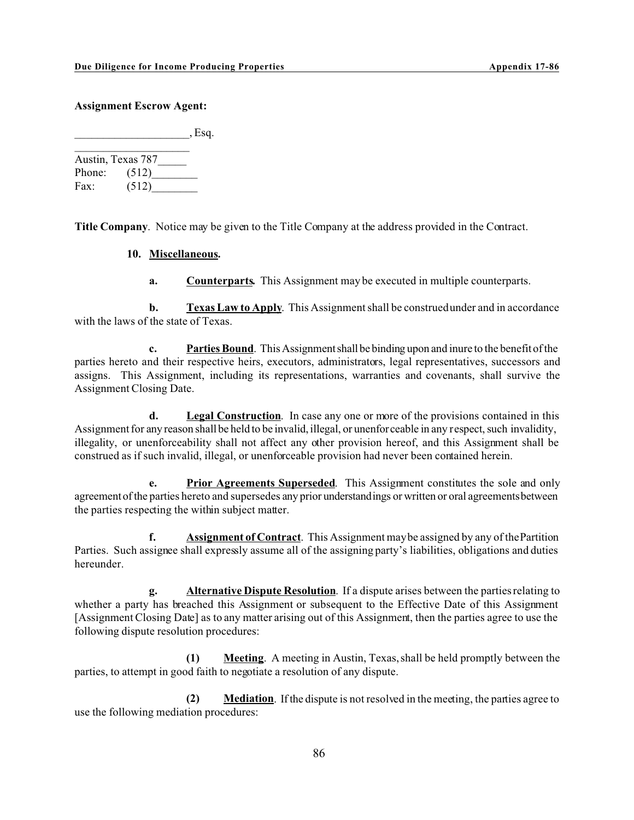#### **Assignment Escrow Agent:**

|        |                   | $,$ Esq. |
|--------|-------------------|----------|
|        | Austin, Texas 787 |          |
| Phone: | (512)             |          |
| Fax:   | (512)             |          |

**Title Company**. Notice may be given to the Title Company at the address provided in the Contract.

#### **10. Miscellaneous.**

**a. Counterparts.** This Assignment may be executed in multiple counterparts.

**b. Texas Law to Apply**. This Assignment shall be construed under and in accordance with the laws of the state of Texas.

**c. Parties Bound**. This Assignment shall be binding upon and inure to the benefit of the parties hereto and their respective heirs, executors, administrators, legal representatives, successors and assigns. This Assignment, including its representations, warranties and covenants, shall survive the Assignment Closing Date.

**d. Legal Construction**. In case any one or more of the provisions contained in this Assignment for any reason shall be held to be invalid,illegal, or unenforceable in any respect, such invalidity, illegality, or unenforceability shall not affect any other provision hereof, and this Assignment shall be construed as if such invalid, illegal, or unenforceable provision had never been contained herein.

**e. Prior Agreements Superseded.** This Assignment constitutes the sole and only agreementofthe parties hereto and supersedes any prior understandings or written or oral agreementsbetween the parties respecting the within subject matter.

**f. Assignment of Contract**. This Assignment may be assigned by any of the Partition Parties. Such assignee shall expressly assume all of the assigning party's liabilities, obligations and duties hereunder.

**g. Alternative Dispute Resolution**. If a dispute arises between the parties relating to whether a party has breached this Assignment or subsequent to the Effective Date of this Assignment [Assignment Closing Date] as to any matter arising out of this Assignment, then the parties agree to use the following dispute resolution procedures:

**(1) Meeting**. A meeting in Austin, Texas, shall be held promptly between the parties, to attempt in good faith to negotiate a resolution of any dispute.

**(2) Mediation**. Ifthe dispute is not resolved in the meeting, the parties agree to use the following mediation procedures: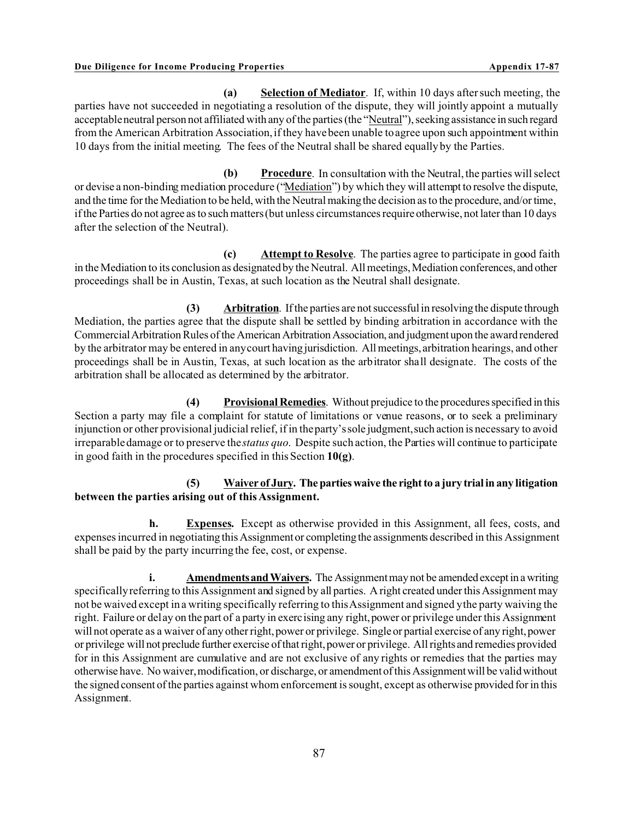**(a) Selection of Mediator**. If, within 10 days after such meeting, the parties have not succeeded in negotiating a resolution of the dispute, they will jointly appoint a mutually acceptable neutral person not affiliated with any of the parties (the "Neutral"), seeking assistance in such regard from the American Arbitration Association, if they have been unable to agree upon such appointment within 10 days from the initial meeting. The fees of the Neutral shall be shared equally by the Parties.

**(b) Procedure**. In consultation with the Neutral, the parties will select or devise a non-binding mediation procedure ("Mediation") by which they will attempt to resolve the dispute, and the time forthe Mediation to be held, with the Neutralmakingthe decision asto the procedure, and/ortime, ifthe Parties do not agree asto suchmatters (but unless circumstancesrequireotherwise, not laterthan 10 days after the selection of the Neutral).

**(c) Attempt to Resolve**. The parties agree to participate in good faith in the Mediation to its conclusion as designated by the Neutral. All meetings, Mediation conferences, and other proceedings shall be in Austin, Texas, at such location as the Neutral shall designate.

**(3) Arbitration**. Ifthe parties are notsuccessful in resolvingthe dispute through Mediation, the parties agree that the dispute shall be settled by binding arbitration in accordance with the Commercial Arbitration Rules of the American Arbitration Association, and judgment upon the award rendered by the arbitrator may be entered in any court having jurisdiction. All meetings, arbitration hearings, and other proceedings shall be in Austin, Texas, at such location as the arbitrator shall designate. The costs of the arbitration shall be allocated as determined by the arbitrator.

**(4) Provisional Remedies**. Without prejudice to the proceduresspecified in this Section a party may file a complaint for statute of limitations or venue reasons, or to seek a preliminary injunction or other provisional judicial relief, if in the party'ssole judgment,such action is necessary to avoid irreparable damage or to preserve the*status quo*. Despite such action, the Parties will continue to participate in good faith in the procedures specified in this Section **10(g)**.

## **(5) Waiver of Jury. Thepartieswaive the rightto a jury trial inany litigation between the parties arising out of this Assignment.**

**h. Expenses.** Except as otherwise provided in this Assignment, all fees, costs, and expenses incurred in negotiating this Assignment or completing the assignments described in this Assignment shall be paid by the party incurring the fee, cost, or expense.

**i. Amendments and Waivers.** The Assignment may not be amended except in a writing specifically referring to this Assignment and signed by all parties. A right created under this Assignment may not be waived except in a writing specifically referring to this Assignment and signed y the party waiving the right. Failure or delay on the part of a party in exercising any right, power or privilege under this Assignment will not operate as a waiver of any other right, power or privilege. Single or partial exercise of any right, power or privilege will not preclude further exercise of that right, power or privilege. All rights and remedies provided for in this Assignment are cumulative and are not exclusive of any rights or remedies that the parties may otherwise have. No waiver, modification, or discharge, or amendment of this Assignment will be valid without the signed consent of the parties against whom enforcement is sought, except as otherwise provided for in this Assignment.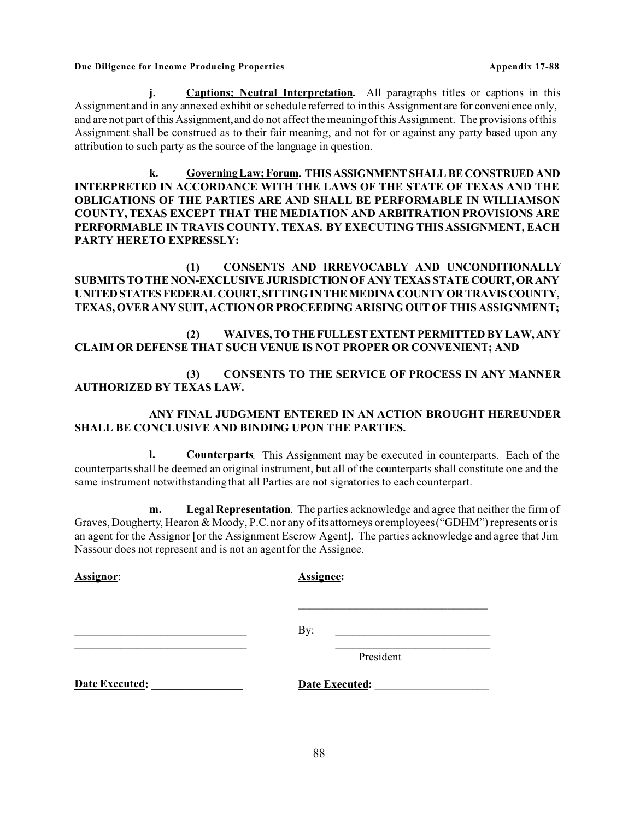**j. Captions; Neutral Interpretation.** All paragraphs titles or captions in this Assignment and in any annexed exhibit or schedule referred to in this Assignment are for convenience only, and are not part of this Assignment, and do not affect the meaning of this Assignment. The provisions of this Assignment shall be construed as to their fair meaning, and not for or against any party based upon any attribution to such party as the source of the language in question.

**k. GoverningLaw;Forum. THISASSIGNMENTSHALLBECONSTRUED AND INTERPRETED IN ACCORDANCE WITH THE LAWS OF THE STATE OF TEXAS AND THE OBLIGATIONS OF THE PARTIES ARE AND SHALL BE PERFORMABLE IN WILLIAMSON COUNTY, TEXAS EXCEPT THAT THE MEDIATION AND ARBITRATION PROVISIONS ARE PERFORMABLE IN TRAVIS COUNTY, TEXAS. BY EXECUTING THIS ASSIGNMENT, EACH PARTY HERETO EXPRESSLY:**

**(1) CONSENTS AND IRREVOCABLY AND UNCONDITIONALLY SUBMITSTO THENON-EXCLUSIVE JURISDICTIONOF ANY TEXAS STATE COURT, OR ANY UNITEDSTATESFEDERAL COURT, SITTINGINTHEMEDINA COUNTY ORTRAVISCOUNTY, TEXAS, OVER ANY SUIT, ACTION OR PROCEEDING ARISING OUT OF THIS ASSIGNMENT;**

**(2) WAIVES,TOTHEFULLESTEXTENTPERMITTED BY LAW,ANY CLAIM OR DEFENSE THAT SUCH VENUE IS NOT PROPER OR CONVENIENT; AND**

**(3) CONSENTS TO THE SERVICE OF PROCESS IN ANY MANNER AUTHORIZED BY TEXAS LAW.**

**ANY FINAL JUDGMENT ENTERED IN AN ACTION BROUGHT HEREUNDER SHALL BE CONCLUSIVE AND BINDING UPON THE PARTIES.**

**l. Counterparts**. This Assignment may be executed in counterparts. Each of the counterparts shall be deemed an original instrument, but all of the counterparts shall constitute one and the same instrument notwithstanding that all Parties are not signatories to each counterpart.

**m. Legal Representation**. The parties acknowledge and agree that neither the firm of Graves, Dougherty, Hearon & Moody, P.C. nor any of its attorneys or employees ("GDHM") represents or is an agent for the Assignor [or the Assignment Escrow Agent]. The parties acknowledge and agree that Jim Nassour does not represent and is not an agent for the Assignee.

| Assignor:      | <b>Assignee:</b>      |
|----------------|-----------------------|
|                |                       |
|                | By:<br>President      |
| Date Executed: | <b>Date Executed:</b> |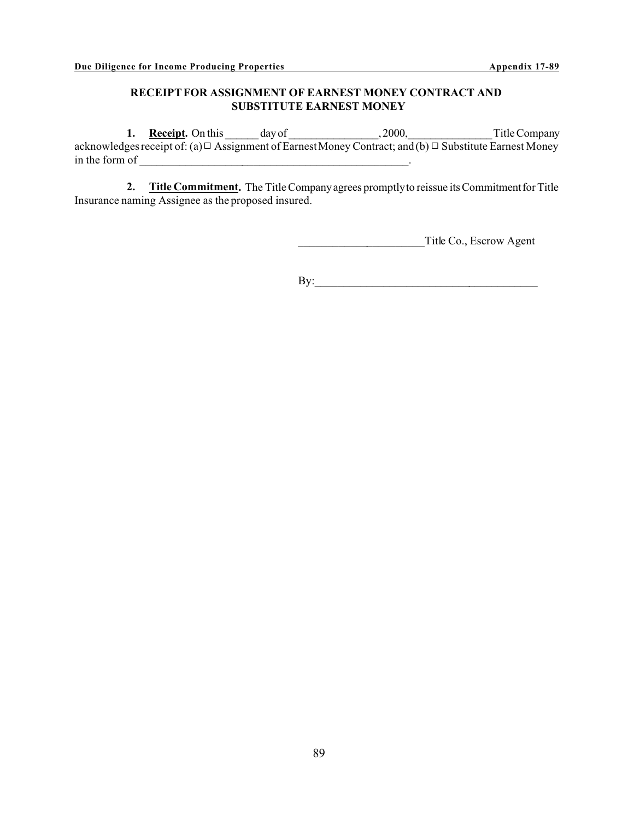# **RECEIPTFOR ASSIGNMENT OF EARNEST MONEY CONTRACT AND SUBSTITUTE EARNEST MONEY**

1. **Receipt.** On this \_\_\_\_\_ day of \_\_\_\_\_\_\_\_\_\_\_\_\_, 2000, \_\_\_\_\_\_\_\_\_\_\_\_\_\_Title Company acknowledges receipt of: (a)  $\Box$  Assignment of Earnest Money Contract; and (b)  $\Box$  Substitute Earnest Money in the form of \_\_\_\_\_\_\_\_\_\_\_\_\_\_\_\_\_\_\_\_\_\_\_\_\_\_\_\_\_\_\_\_\_\_\_\_\_\_\_\_\_\_\_\_\_\_\_.

2. Title Commitment. The Title Company agrees promptly to reissue its Commitment for Title Insurance naming Assignee as the proposed insured.

\_\_\_\_\_\_\_\_\_\_\_\_\_\_\_\_\_\_\_\_\_\_Title Co., Escrow Agent

By:\_\_\_\_\_\_\_\_\_\_\_\_\_\_\_\_\_\_\_\_\_\_\_\_\_\_\_\_\_\_\_\_\_\_\_\_\_\_\_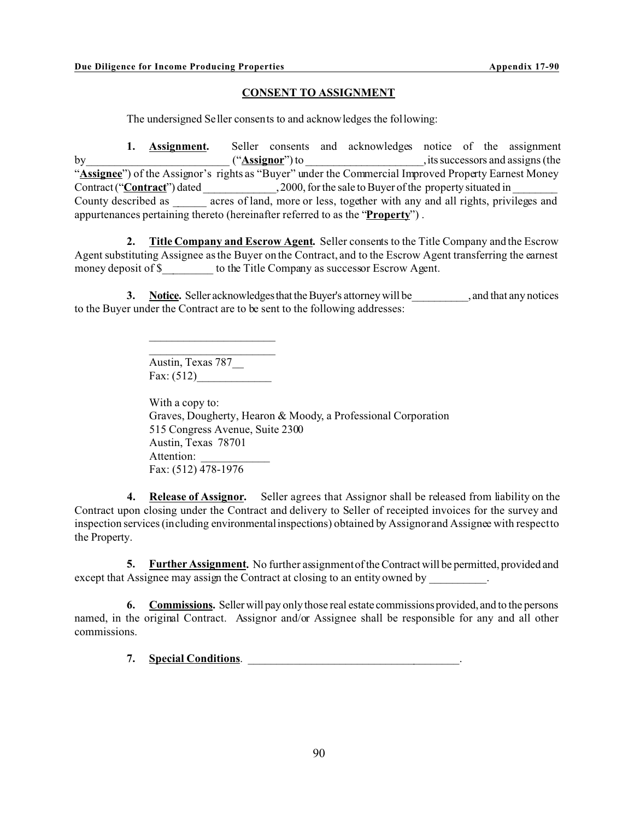### **CONSENT TO ASSIGNMENT**

The undersigned Seller consents to and acknowledges the following:

**1. Assignment.** Seller consents and acknowledges notice of the assignment by\_\_\_\_\_\_\_\_\_\_\_\_\_\_\_\_\_\_\_\_\_\_\_\_\_ ("**Assignor**")to \_\_\_\_\_\_\_\_\_\_\_\_\_\_\_\_\_\_\_\_\_,itssuccessors and assigns (the "**Assignee**") of the Assignor's rights as "Buyer" under the Commercial Improved Property Earnest Money Contract<sup>\*</sup> ("**Contract**") dated \_\_\_\_\_\_\_\_\_\_\_\_\_\_,2000, for the sale to Buyer of the property situated in \_ County described as **acres of land**, more or less, together with any and all rights, privileges and appurtenances pertaining thereto (hereinafter referred to as the "**Property**") .

**2. Title Company and Escrow Agent.** Seller consents to the Title Company and the Escrow Agent substituting Assignee as the Buyer on the Contract, and to the Escrow Agent transferring the earnest money deposit of \$ to the Title Company as successor Escrow Agent.

**3. Notice.** Seller acknowledges that the Buyer's attorney will be  $\qquad$ , and that any notices to the Buyer under the Contract are to be sent to the following addresses:

> $\mathcal{L}_\text{max}$  , where  $\mathcal{L}_\text{max}$  , we have the set of  $\mathcal{L}_\text{max}$ Austin, Texas 787\_\_ Fax: (512)

 $\overline{\phantom{a}}$  , where  $\overline{\phantom{a}}$  , where  $\overline{\phantom{a}}$  , where  $\overline{\phantom{a}}$ 

With a copy to: Graves, Dougherty, Hearon & Moody, a Professional Corporation 515 Congress Avenue, Suite 2300 Austin, Texas 78701 Attention: Fax: (512) 478-1976

**4. Release of Assignor.** Seller agrees that Assignor shall be released from liability on the Contract upon closing under the Contract and delivery to Seller of receipted invoices for the survey and inspection services (including environmental inspections) obtained by Assignor and Assignee with respect to the Property.

**5. Further Assignment.** No further assignment of the Contract will be permitted, provided and except that Assignee may assign the Contract at closing to an entity owned by

**6. Commissions.** Sellerwill pay onlythose real estate commissionsprovided, and to the persons named, in the original Contract. Assignor and/or Assignee shall be responsible for any and all other commissions.

**7.** Special Conditions.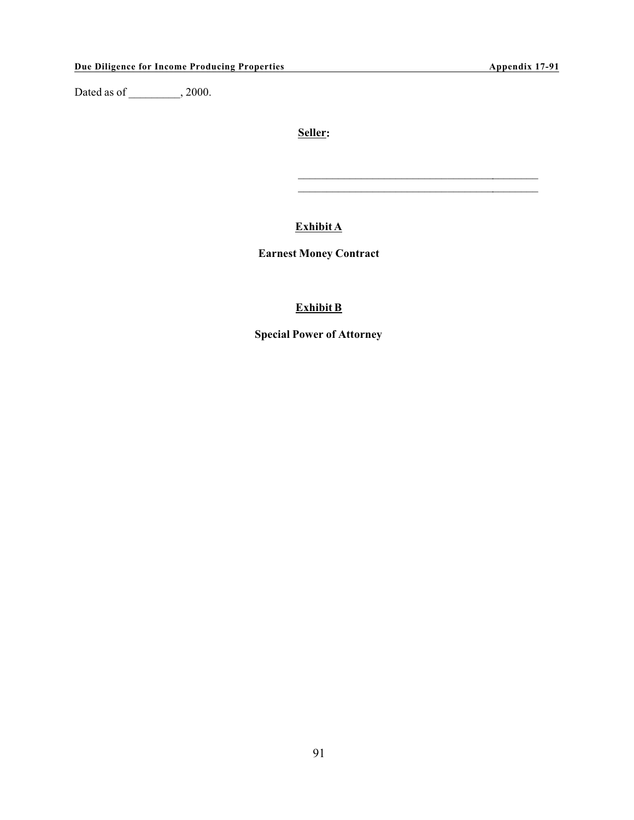Dated as of \_\_\_\_\_\_\_\_\_, 2000.

**Seller:**

# **Exhibit A**

 $\mathcal{L}_\text{max}$  , where  $\mathcal{L}_\text{max}$  , we have the set of  $\mathcal{L}_\text{max}$ \_\_\_\_\_\_\_\_\_\_\_\_\_\_\_\_\_\_\_\_\_\_\_\_\_\_\_\_\_\_\_\_\_\_\_\_\_\_\_\_\_\_

**Earnest Money Contract**

# **Exhibit B**

**Special Power of Attorney**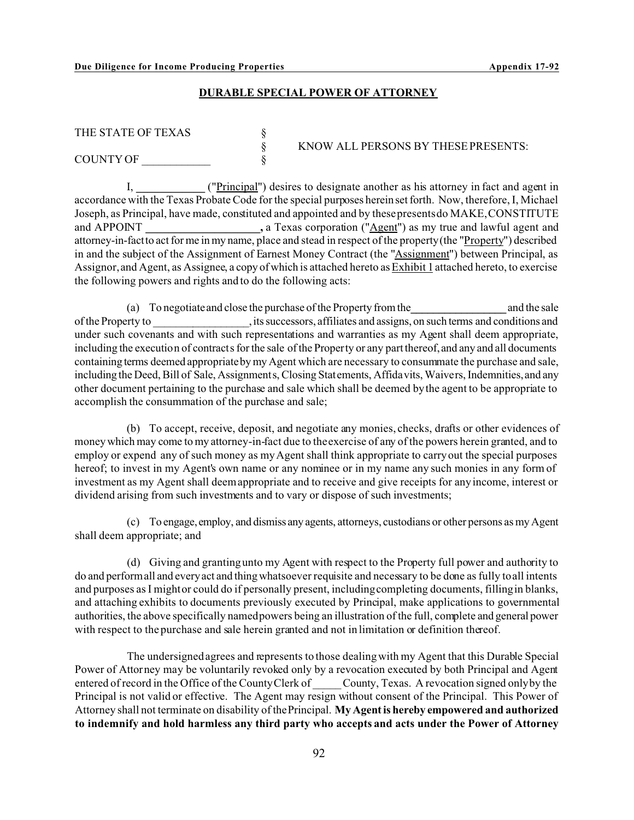#### **DURABLE SPECIAL POWER OF ATTORNEY**

COUNTY OF \_\_\_\_\_\_\_\_\_\_\_\_ §

§<br>§ KNOW ALL PERSONS BY THESE PRESENTS:<br>§

I, **\_\_\_\_\_\_\_\_\_\_\_\_** ("Principal") desires to designate another as his attorney in fact and agent in accordance with the Texas Probate Code for the special purposes herein set forth. Now, therefore, I, Michael Joseph, as Principal, have made, constituted and appointed and by these presents do MAKE, CONSTITUTE and APPOINT **\_\_\_\_\_\_\_\_\_\_\_\_\_\_\_\_\_\_\_\_,** a Texas corporation ("Agent") as my true and lawful agent and attorney-in-fact to act for me in my name, place and stead in respect of the property (the "Property") described in and the subject of the Assignment of Earnest Money Contract (the "Assignment") between Principal, as Assignor, and Agent, as Assignee, a copy of which is attached hereto as Exhibit 1 attached hereto, to exercise the following powers and rights and to do the following acts:

(a) To negotiate and close the purchase of the Property from the and the sale ofthe Property to \_\_\_\_\_\_\_\_\_\_\_\_\_\_\_\_\_,itssuccessors, affiliates and assigns, on such terms and conditions and under such covenants and with such representations and warranties as my Agent shall deem appropriate, including the execution of contracts for the sale of the Property or any partthereof,and any and all documents containing terms deemed appropriate by my Agent which are necessary to consummate the purchase and sale, including the Deed, Bill of Sale, Assignments, Closing Statements, Affidavits, Waivers, Indemnities, and any other document pertaining to the purchase and sale which shall be deemed by the agent to be appropriate to accomplish the consummation of the purchase and sale;

(b) To accept, receive, deposit, and negotiate any monies, checks, drafts or other evidences of money which may come tomy attorney-in-fact due to the exercise of any of the powers herein granted, and to employ or expend any of such money as my Agent shall think appropriate to carry out the special purposes hereof; to invest in my Agent's own name or any nominee or in my name any such monies in any form of investment as my Agent shall deem appropriate and to receive and give receipts for any income, interest or dividend arising from such investments and to vary or dispose of such investments;

(c) To engage,employ, and dismiss any agents, attorneys, custodians or other persons as myAgent shall deem appropriate; and

(d) Giving and granting unto my Agent with respect to the Property full power and authority to do and performall and everyact and thingwhatsoever requisite and necessary to be done as fully to all intents and purposes as I might or could do if personally present, including completing documents, filling in blanks, and attaching exhibits to documents previously executed by Principal, make applications to governmental authorities, the above specifically named powers being an illustration of the full, complete and general power with respect to the purchase and sale herein granted and not in limitation or definition thereof.

The undersigned agrees and represents to those dealing with my Agent that this Durable Special Power of Attorney may be voluntarily revoked only by a revocation executed by both Principal and Agent entered of record in the Office of the County Clerk of \_\_\_\_\_ County, Texas. A revocation signed only by the Principal is not valid or effective. The Agent may resign without consent of the Principal. This Power of Attorney shall not terminate on disability of the Principal. **My Agentis hereby empowered and authorized to indemnify and hold harmless any third party who accepts and acts under the Power of Attorney**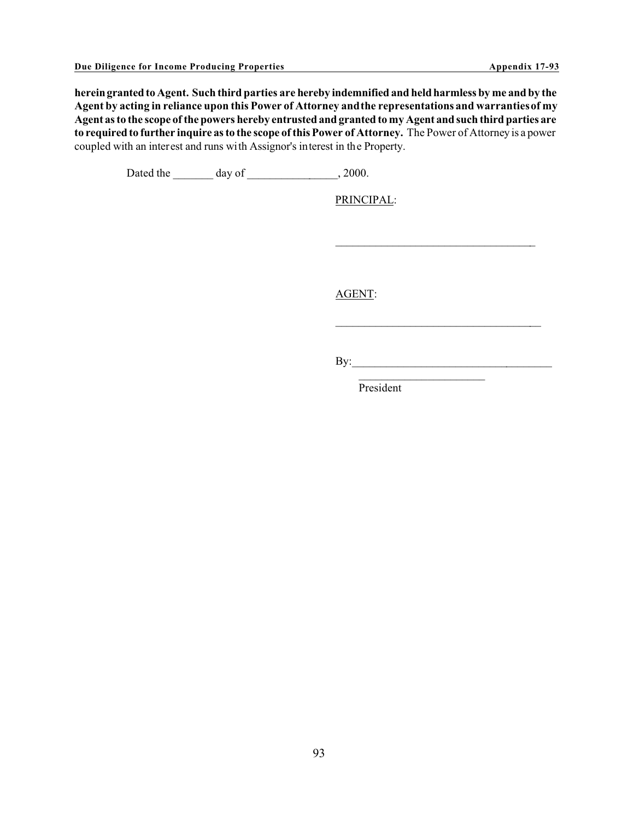**hereingranted to Agent. Such third parties are hereby indemnified and heldharmless by me and by the Agent by acting in reliance upon this Power of Attorney and the representations and warranties of my** Agent as to the scope of the powers hereby entrusted and granted to my Agent and such third parties are **to required to further inquire asto the scope of thisPower of Attorney.** The Power of Attorney is a power coupled with an interest and runs with Assignor's interest in the Property.

Dated the \_\_\_\_\_\_\_\_ day of \_\_\_\_\_\_\_\_\_\_\_\_\_\_, 2000.

PRINCIPAL:

\_\_\_\_\_\_\_\_\_\_\_\_\_\_\_\_\_\_\_\_\_\_\_\_\_\_\_\_\_\_\_\_\_\_\_

 $\mathcal{L}_\text{max}$  , where  $\mathcal{L}_\text{max}$  , we are the set of the set of the set of the set of the set of the set of the set of the set of the set of the set of the set of the set of the set of the set of the set of the set of

 $\overline{\phantom{a}}$  , where  $\overline{\phantom{a}}$  , where  $\overline{\phantom{a}}$  , where  $\overline{\phantom{a}}$ 

AGENT:

 $\mathbf{By:}$ 

President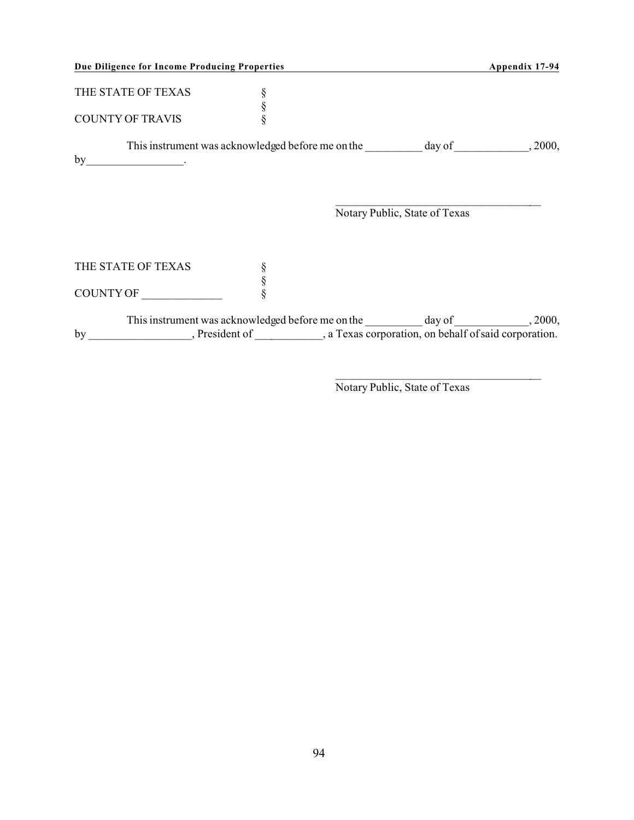| Due Diligence for Income Producing Properties |                                                                                                   |                               | Appendix 17-94 |
|-----------------------------------------------|---------------------------------------------------------------------------------------------------|-------------------------------|----------------|
| THE STATE OF TEXAS                            |                                                                                                   |                               |                |
| <b>COUNTY OF TRAVIS</b>                       | $\frac{8}{8}$                                                                                     |                               |                |
|                                               |                                                                                                   |                               |                |
|                                               |                                                                                                   |                               |                |
|                                               |                                                                                                   |                               |                |
|                                               |                                                                                                   | Notary Public, State of Texas |                |
|                                               |                                                                                                   |                               |                |
| THE STATE OF TEXAS                            | ş<br>Ş                                                                                            |                               |                |
| COUNTY OF                                     |                                                                                                   |                               |                |
|                                               | by ________________, President of __________, a Texas corporation, on behalf of said corporation. |                               |                |
|                                               |                                                                                                   |                               |                |

Notary Public, State of Texas

\_\_\_\_\_\_\_\_\_\_\_\_\_\_\_\_\_\_\_\_\_\_\_\_\_\_\_\_\_\_\_\_\_\_\_\_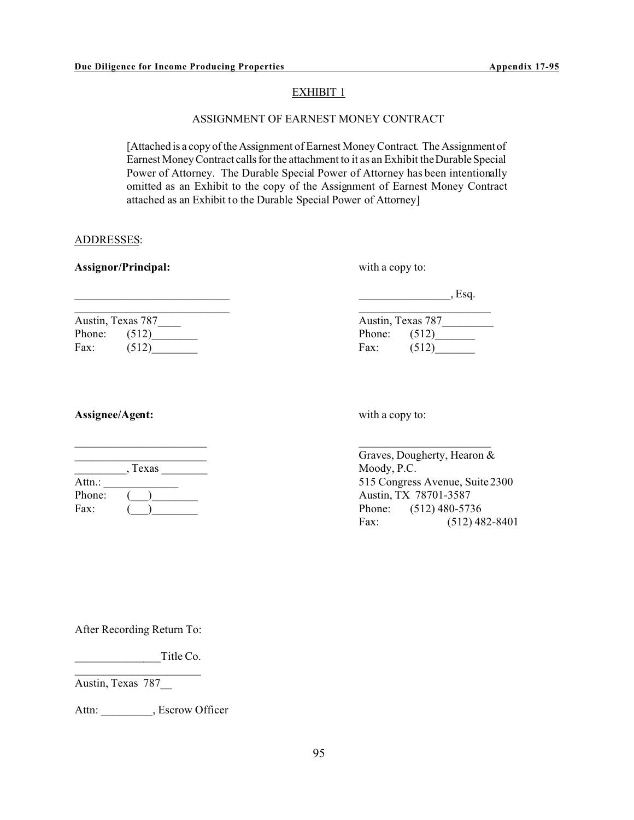#### EXHIBIT 1

## ASSIGNMENT OF EARNEST MONEY CONTRACT

[Attached is a copy of the Assignment of Earnest Money Contract. The Assignment of Earnest Money Contract calls for the attachment to it as an Exhibit the Durable Special Power of Attorney. The Durable Special Power of Attorney has been intentionally omitted as an Exhibit to the copy of the Assignment of Earnest Money Contract attached as an Exhibit to the Durable Special Power of Attorney]

#### ADDRESSES:

## **Assignor/Principal:** with a copy to:

 $\overline{\phantom{a}}$ , Esq.

 $\frac{1}{2}$  , the contribution of the contribution of the contribution of the contribution of the contribution of the contribution of the contribution of the contribution of the contribution of the contribution of the contr Austin, Texas 787\_\_\_\_ Austin, Texas 787\_\_\_\_\_\_\_\_\_ Phone: (512)\_\_\_\_\_\_\_\_\_ Phone: (512)\_\_\_\_\_\_\_ Fax: (512) Fax: (512)

 $\overline{\phantom{a}}$  ,  $\overline{\phantom{a}}$  ,  $\overline{\phantom{a}}$  ,  $\overline{\phantom{a}}$  ,  $\overline{\phantom{a}}$  ,  $\overline{\phantom{a}}$  ,  $\overline{\phantom{a}}$  ,  $\overline{\phantom{a}}$  ,  $\overline{\phantom{a}}$  ,  $\overline{\phantom{a}}$  ,  $\overline{\phantom{a}}$  ,  $\overline{\phantom{a}}$  ,  $\overline{\phantom{a}}$  ,  $\overline{\phantom{a}}$  ,  $\overline{\phantom{a}}$  ,  $\overline{\phantom{a}}$ 

#### **Assignee/Agent:** with a copy to:

|        | . Texas |  |
|--------|---------|--|
| Attn.: |         |  |
| Phone: |         |  |
| Fax:   |         |  |

Graves, Dougherty, Hearon & Moody, P.C. 515 Congress Avenue, Suite 2300 Austin, TX 78701-3587 Phone: (512) 480-5736 Fax: (512) 482-8401

After Recording Return To:

Title Co. \_\_\_\_\_\_\_\_\_\_\_\_\_\_\_\_\_\_\_\_\_\_

Austin, Texas 787\_\_

Attn: , Escrow Officer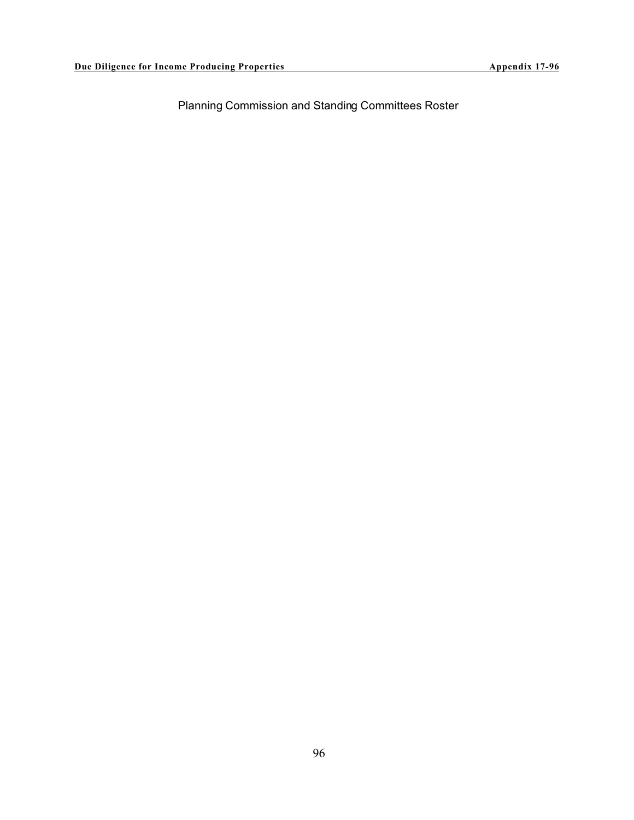Planning Commission and Standing Committees Roster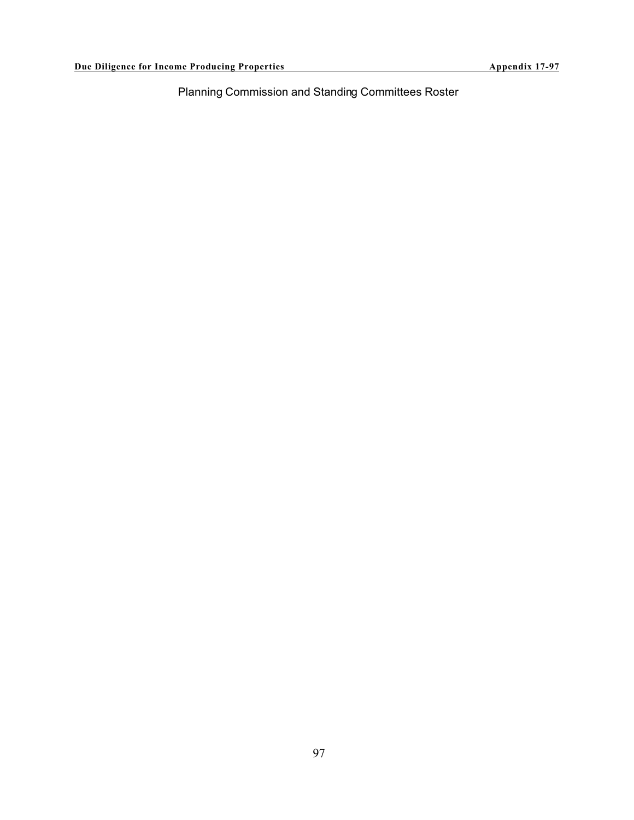Planning Commission and Standing Committees Roster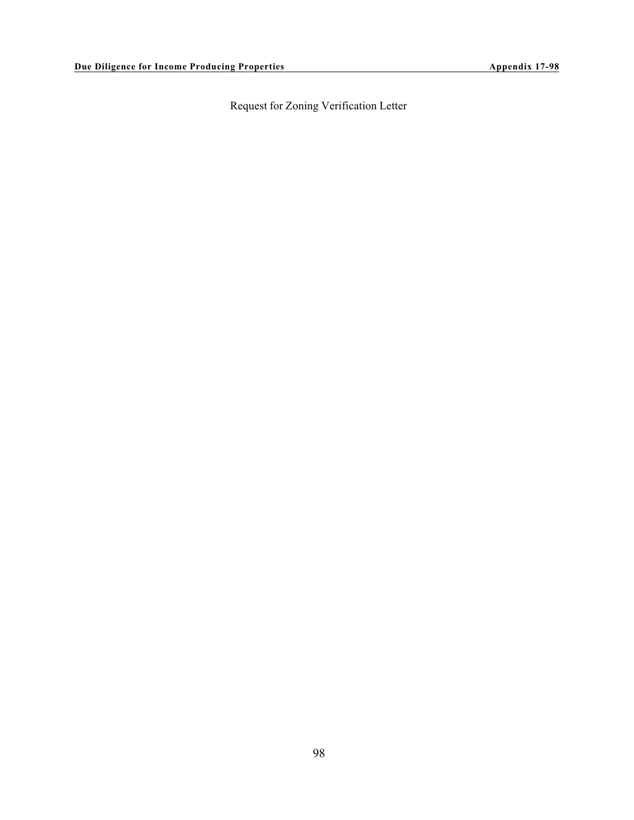Request for Zoning Verification Letter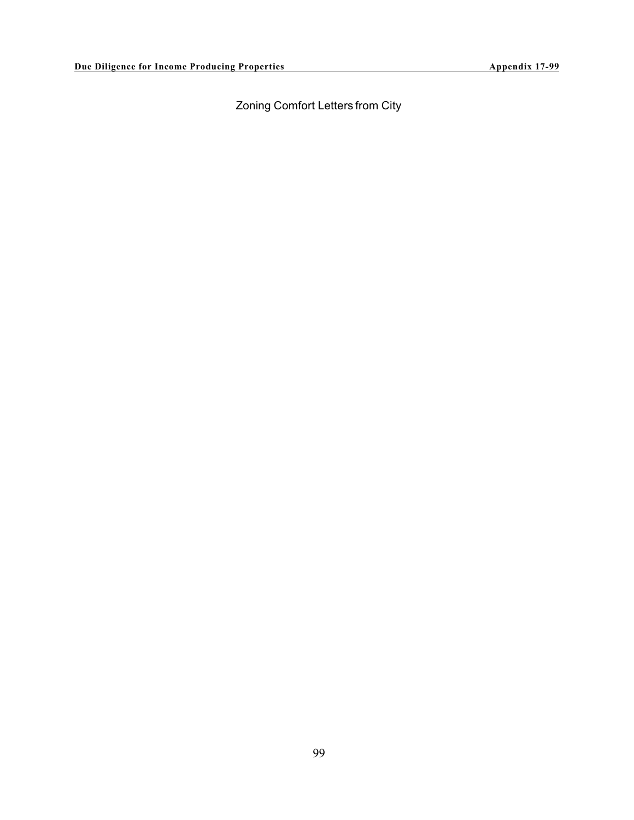Zoning Comfort Letters from City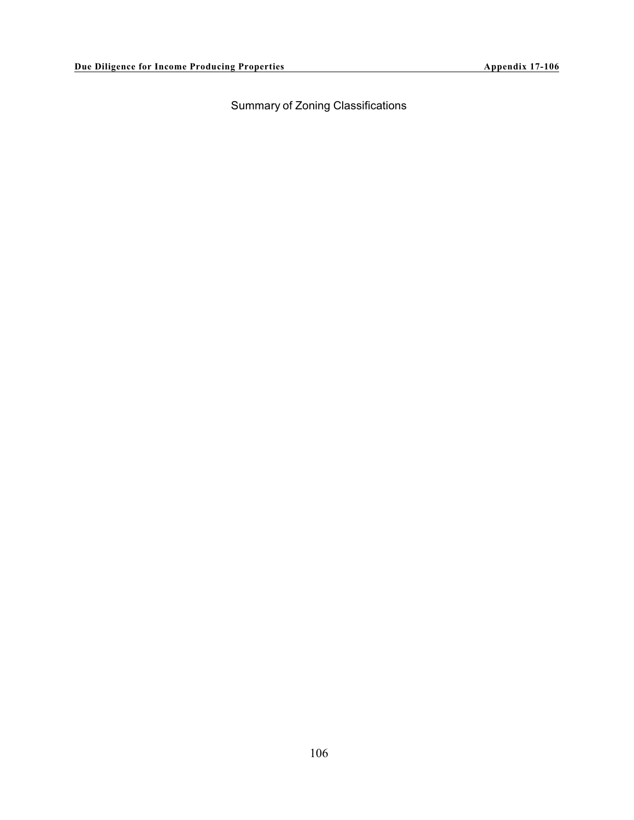Summary of Zoning Classifications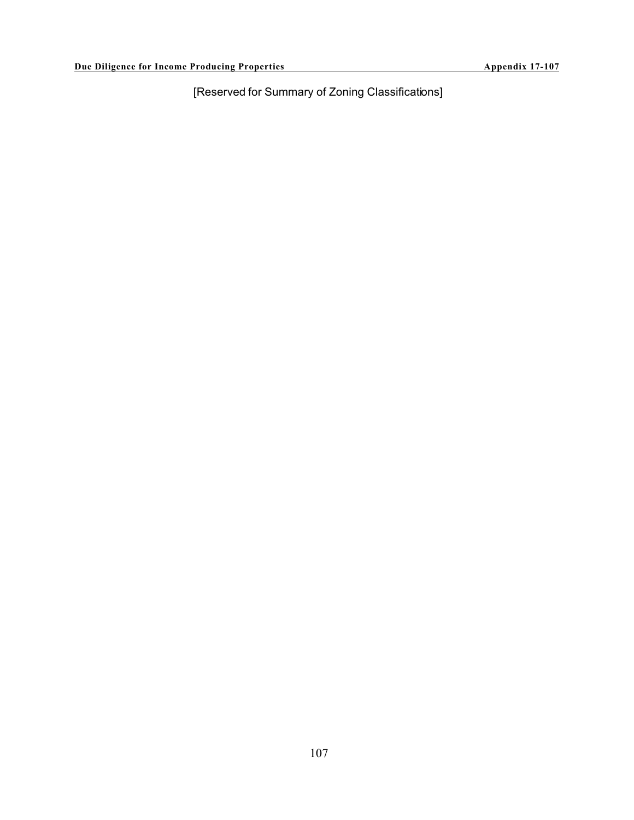[Reserved for Summary of Zoning Classifications]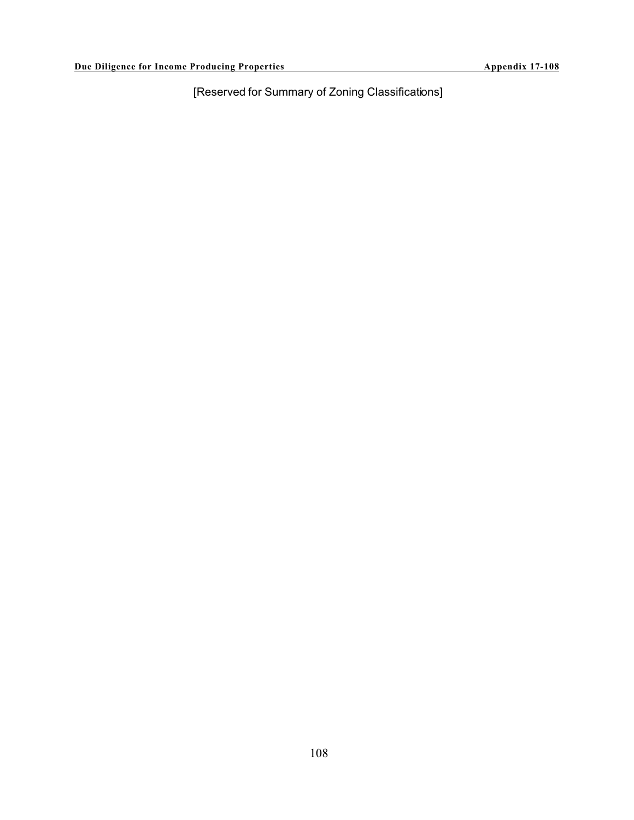[Reserved for Summary of Zoning Classifications]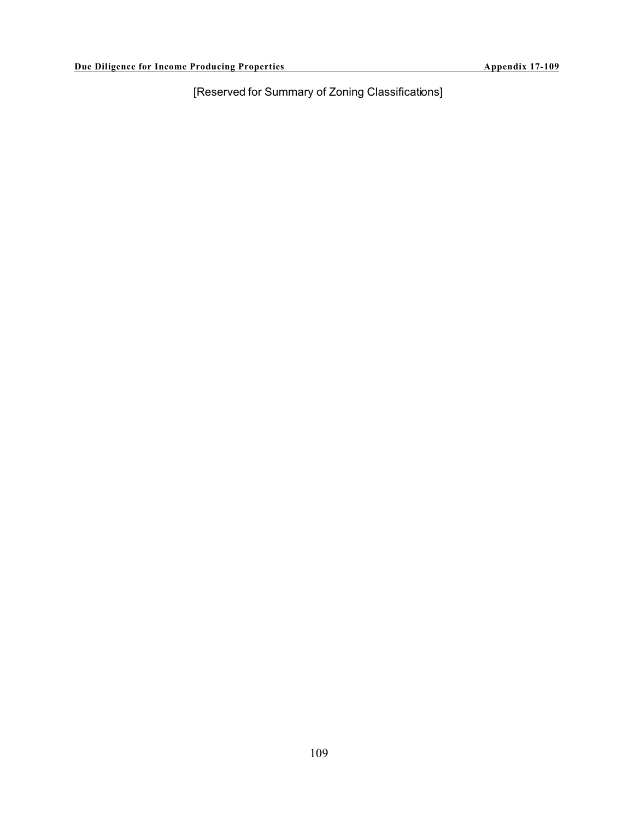[Reserved for Summary of Zoning Classifications]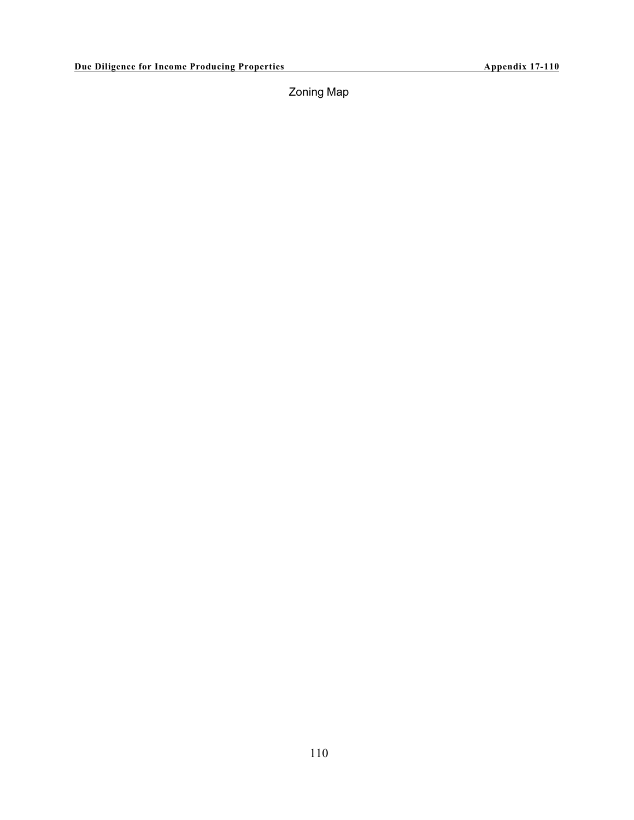Zoning Map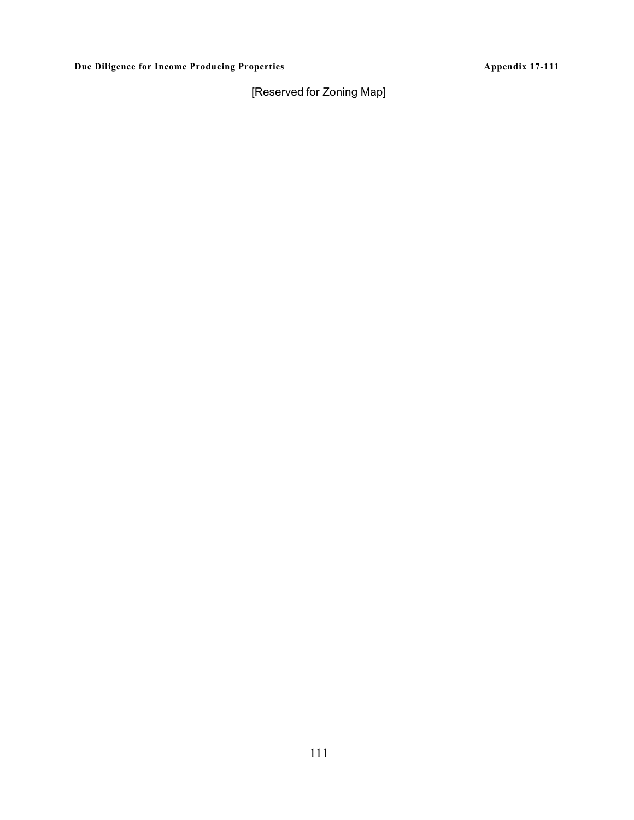[Reserved for Zoning Map]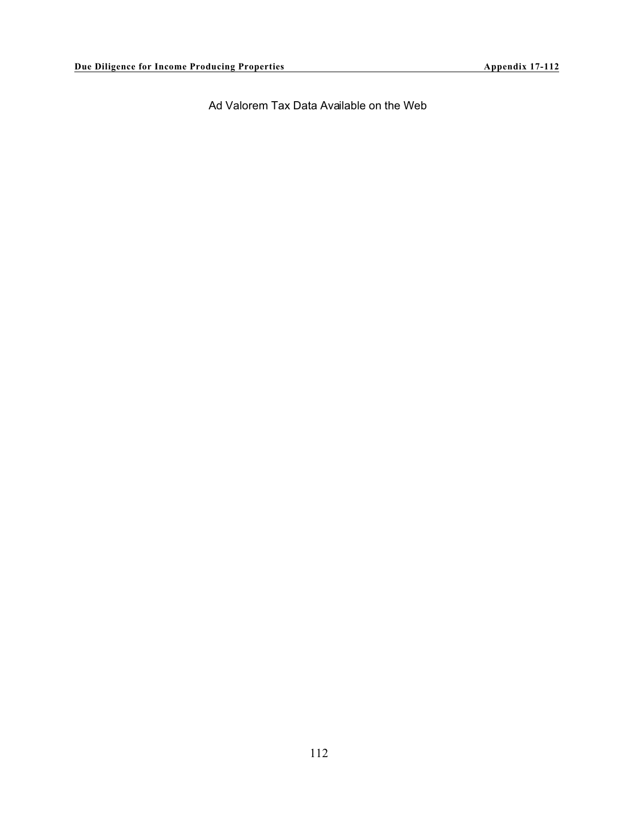Ad Valorem Tax Data Available on the Web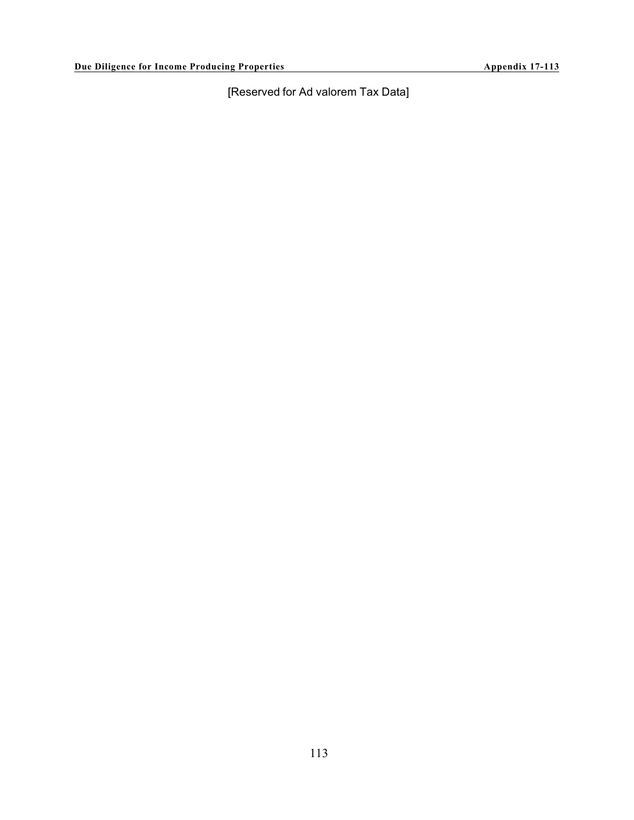[Reserved for Ad valorem Tax Data]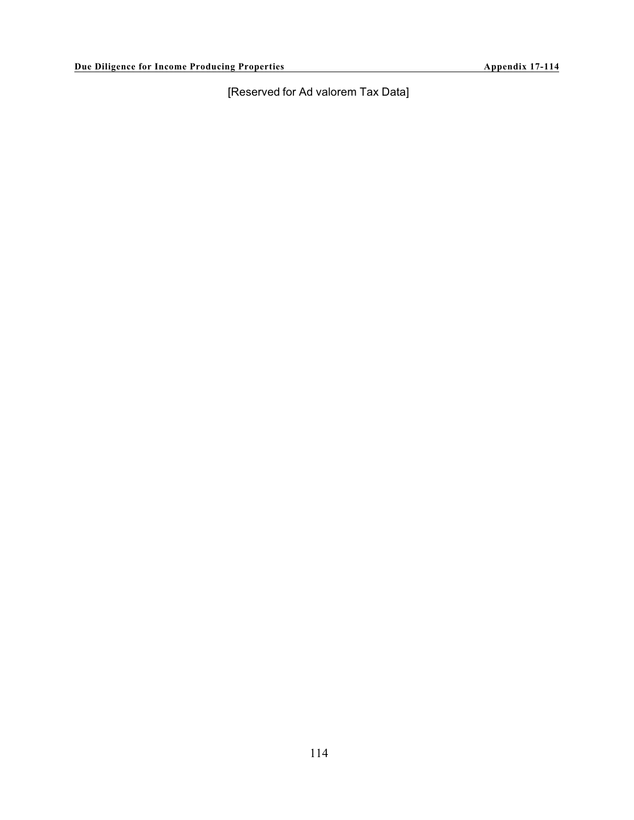[Reserved for Ad valorem Tax Data]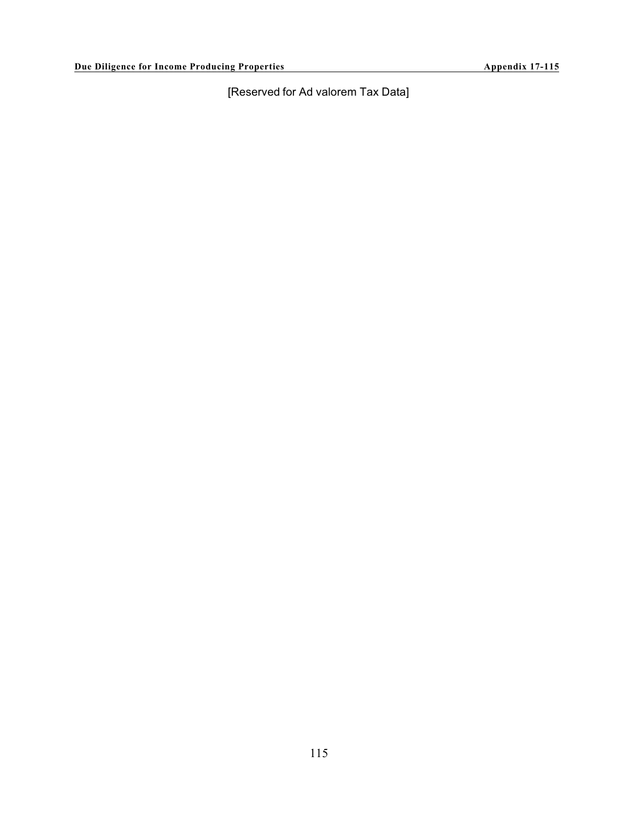[Reserved for Ad valorem Tax Data]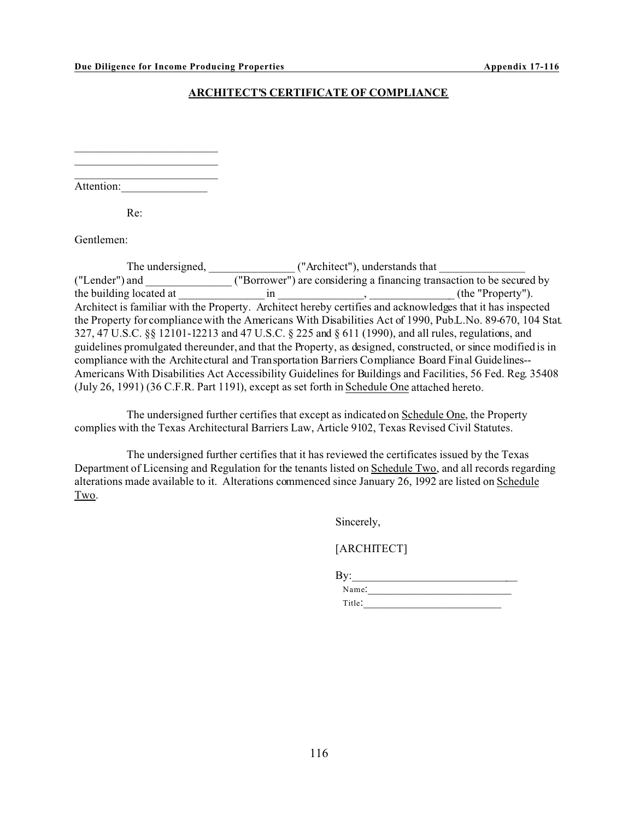#### **ARCHITECT'S CERTIFICATE OF COMPLIANCE**

Attention:

 $\mathcal{L}=\{1,2,3,4,5\}$  $\overline{\phantom{a}}$  , where  $\overline{\phantom{a}}$  , where  $\overline{\phantom{a}}$  , where  $\overline{\phantom{a}}$  , where  $\overline{\phantom{a}}$  $\mathcal{L}=\{1,2,3,4,5\}$ 

Re:

Gentlemen:

The undersigned, \_\_\_\_\_\_\_\_\_\_\_\_\_\_\_\_ ("Architect"), understands that \_\_\_\_\_\_\_\_\_\_\_\_\_\_ ("Lender") and \_\_\_\_\_\_\_\_\_\_\_\_\_\_\_ ("Borrower") are considering a financing transaction to be secured by the building located at \_\_\_\_\_\_\_\_\_\_\_\_\_\_\_ in \_\_\_\_\_\_\_\_\_\_\_\_\_\_\_, \_\_\_\_\_\_\_\_\_\_\_\_\_\_\_ (the "Property"). Architect is familiar with the Property. Architect hereby certifies and acknowledges that it has inspected the Property for compliance with the Americans With Disabilities Act of 1990, Pub.L.No. 89-670, 104 Stat. 327, 47 U.S.C. §§ 12101-12213 and 47 U.S.C. § 225 and § 611 (1990), and all rules, regulations, and guidelines promulgated thereunder, and that the Property, as designed, constructed, or since modified is in compliance with the Architectural and Transportation Barriers Compliance Board Final Guidelines-- Americans With Disabilities Act Accessibility Guidelines for Buildings and Facilities, 56 Fed. Reg. 35408 (July 26, 1991) (36 C.F.R. Part 1191), except as set forth in Schedule One attached hereto.

The undersigned further certifies that except as indicated on Schedule One, the Property complies with the Texas Architectural Barriers Law, Article 9102, Texas Revised Civil Statutes.

The undersigned further certifies that it has reviewed the certificates issued by the Texas Department of Licensing and Regulation for the tenants listed on Schedule Two, and all records regarding alterations made available to it. Alterations commenced since January 26, 1992 are listed on Schedule Two.

Sincerely,

[ARCHITECT]

By:\_\_\_\_\_\_\_\_\_\_\_\_\_\_\_\_\_\_\_\_\_\_\_\_\_\_\_\_\_ Name:\_\_\_\_\_\_\_\_\_\_\_\_\_\_\_\_\_\_\_\_\_\_\_\_\_ Title: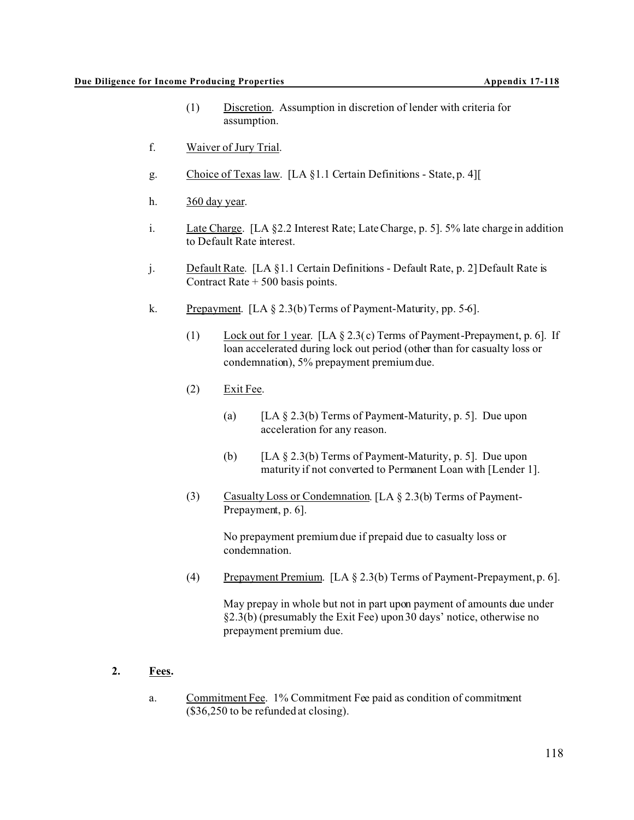- (1) Discretion. Assumption in discretion of lender with criteria for assumption.
- f. Waiver of Jury Trial.
- g. Choice of Texas law. [LA §1.1 Certain Definitions State, p. 4][
- h. 360 day year.
- i. Late Charge. [LA §2.2 Interest Rate; Late Charge, p. 5]. 5% late charge in addition to Default Rate interest.
- j. Default Rate. [LA §1.1 Certain Definitions Default Rate, p. 2] Default Rate is Contract Rate + 500 basis points.
- k. Prepayment. [LA § 2.3(b) Terms of Payment-Maturity, pp. 5-6].
	- (1) Lock out for 1 year. [LA § 2.3(c) Terms of Payment-Prepayment, p. 6]. If loan accelerated during lock out period (other than for casualty loss or condemnation), 5% prepayment premium due.
	- (2) Exit Fee.
		- (a) [LA  $\S 2.3(b)$  Terms of Payment-Maturity, p. 5]. Due upon acceleration for any reason.
		- (b)  $[LA § 2.3(b) Terms of Payment-Maturity, p. 5]. Due upon$ maturity if not converted to Permanent Loan with [Lender 1].
	- (3) Casualty Loss or Condemnation. [LA § 2.3(b) Terms of Payment-Prepayment, p. 6].

No prepayment premium due if prepaid due to casualty loss or condemnation.

(4) Prepayment Premium. [LA § 2.3(b) Terms of Payment-Prepayment, p. 6].

May prepay in whole but not in part upon payment of amounts due under §2.3(b) (presumably the Exit Fee) upon 30 days' notice, otherwise no prepayment premium due.

### **2. Fees.**

a. Commitment Fee. 1% Commitment Fee paid as condition of commitment (\$36,250 to be refunded at closing).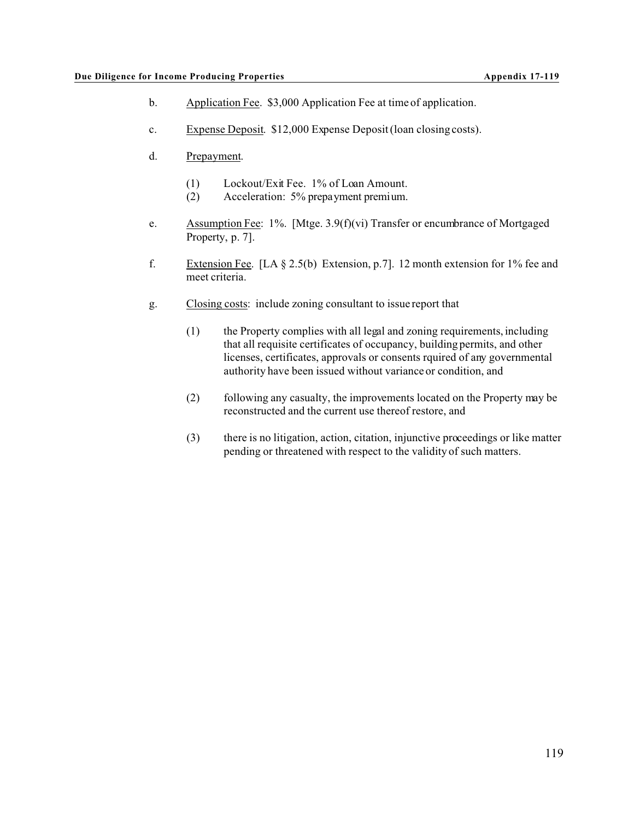- b. Application Fee. \$3,000 Application Fee at time of application.
- c. Expense Deposit. \$12,000 Expense Deposit (loan closing costs).
- d. Prepayment.
	- (1) Lockout/Exit Fee. 1% of Loan Amount.
	- (2) Acceleration: 5% prepayment premium.
- e. Assumption Fee: 1%. [Mtge. 3.9(f)(vi) Transfer or encumbrance of Mortgaged Property, p. 7].
- f. Extension Fee. [LA  $\S 2.5(b)$  Extension, p.7]. 12 month extension for 1% fee and meet criteria.
- g. Closing costs: include zoning consultant to issue report that
	- (1) the Property complies with all legal and zoning requirements, including that all requisite certificates of occupancy, building permits, and other licenses, certificates, approvals or consents rquired of any governmental authority have been issued without variance or condition, and
	- (2) following any casualty, the improvements located on the Property may be reconstructed and the current use thereof restore, and
	- (3) there is no litigation, action, citation, injunctive proceedings or like matter pending or threatened with respect to the validity of such matters.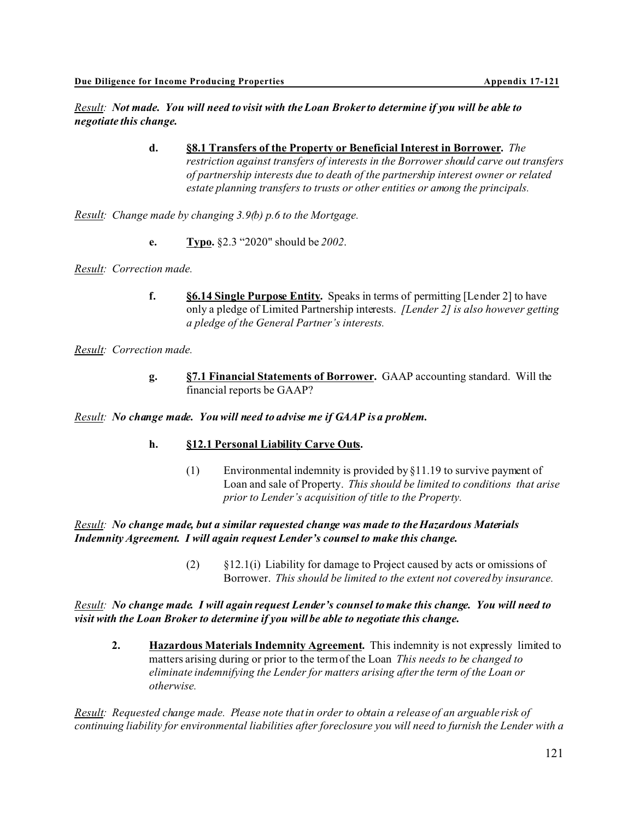*Result: Not made. You will need to visit with the Loan Broker to determine if you will be able to negotiate this change.*

> **d. §8.1 Transfers of the Property or Beneficial Interest in Borrower.** *The restriction against transfers of interests in the Borrower should carve out transfers of partnership interests due to death of the partnership interest owner or related estate planning transfers to trusts or other entities or among the principals.*

*Result: Change made by changing 3.9(b) p.6 to the Mortgage.*

**e. Typo.** §2.3 "2020" should be *2002*.

*Result: Correction made.*

**f. §6.14 Single Purpose Entity.** Speaks in terms of permitting [Lender 2] to have only a pledge of Limited Partnership interests. *[Lender 2] is also however getting a pledge of the General Partner's interests.*

*Result: Correction made.*

**g. §7.1 Financial Statements of Borrower.** GAAP accounting standard. Will the financial reports be GAAP?

#### *Result: No change made. You will need to advise me if GAAP is a problem.*

### **h. §12.1 Personal Liability Carve Outs.**

(1) Environmental indemnity is provided by §11.19 to survive payment of Loan and sale of Property. *This should be limited to conditions that arise prior to Lender's acquisition of title to the Property.*

# *Result: No change made, but a similar requested change was made to the Hazardous Materials Indemnity Agreement. I will again request Lender's counsel to make this change.*

(2) §12.1(i) Liability for damage to Project caused by acts or omissions of Borrower. *This should be limited to the extent not covered by insurance.*

### *Result: No change made. I will again request Lender's counsel to make this change. You will need to visit with the Loan Broker to determine if you will be able to negotiate this change.*

**2. Hazardous Materials Indemnity Agreement.** This indemnity is not expressly limited to matters arising during or prior to the term of the Loan *This needs to be changed to eliminate indemnifying the Lender for matters arising after the term of the Loan or otherwise.*

*Result: Requested change made. Please note that in order to obtain a release of an arguable risk of continuing liability for environmental liabilities after foreclosure you will need to furnish the Lender with a*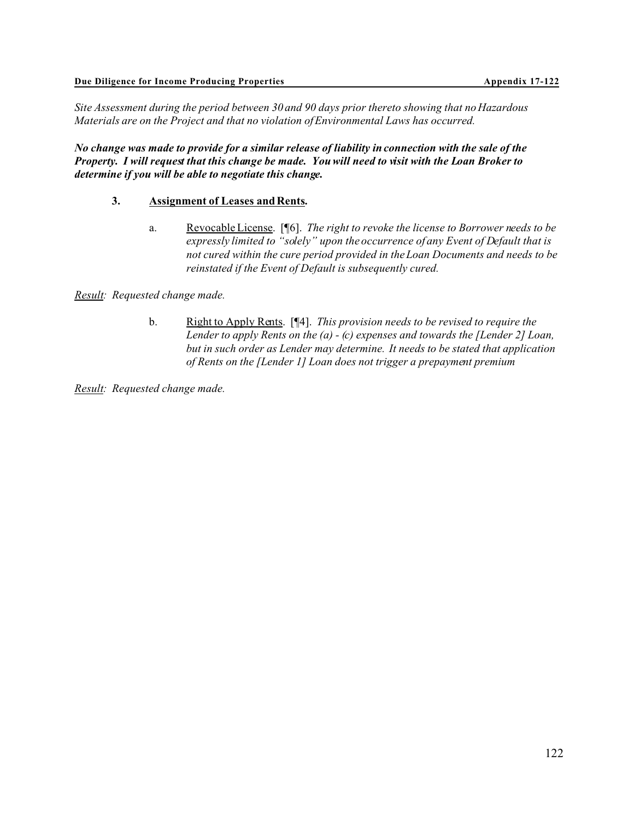*Site Assessment during the period between 30 and 90 days prior thereto showing that no Hazardous Materials are on the Project and that no violation of Environmental Laws has occurred.*

*No change was made to provide for a similar release of liability in connection with the sale of the Property. I will request that this change be made. You will need to visit with the Loan Broker to determine if you will be able to negotiate this change.*

### **3. Assignment of Leases and Rents.**

a. Revocable License. [¶6]. *The right to revoke the license to Borrower needs to be expressly limited to "solely" upon the occurrence of any Event of Default that is not cured within the cure period provided in the Loan Documents and needs to be reinstated if the Event of Default is subsequently cured.*

*Result: Requested change made.*

b. Right to Apply Rents. [¶4]. *This provision needs to be revised to require the Lender to apply Rents on the (a) - (c) expenses and towards the [Lender 2] Loan, but in such order as Lender may determine. It needs to be stated that application of Rents on the [Lender 1] Loan does not trigger a prepayment premium*

*Result: Requested change made.*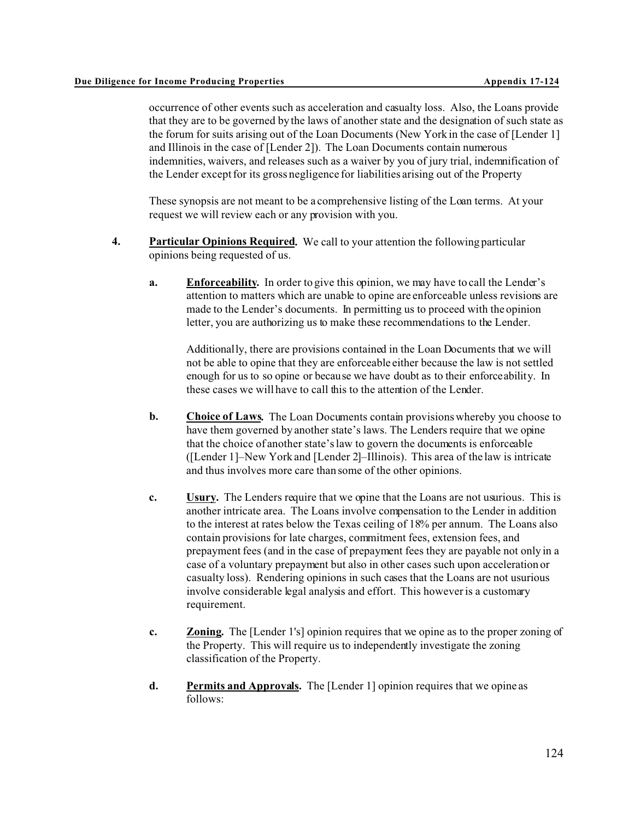occurrence of other events such as acceleration and casualty loss. Also, the Loans provide that they are to be governed by the laws of another state and the designation of such state as the forum for suits arising out of the Loan Documents (New York in the case of [Lender 1] and Illinois in the case of [Lender 2]). The Loan Documents contain numerous indemnities, waivers, and releases such as a waiver by you of jury trial, indemnification of the Lender except for its gross negligence for liabilities arising out of the Property

These synopsis are not meant to be a comprehensive listing of the Loan terms. At your request we will review each or any provision with you.

- **4. Particular Opinions Required.** We call to your attention the following particular opinions being requested of us.
	- **a. Enforceability.** In order to give this opinion, we may have to call the Lender's attention to matters which are unable to opine are enforceable unless revisions are made to the Lender's documents. In permitting us to proceed with the opinion letter, you are authorizing us to make these recommendations to the Lender.

Additionally, there are provisions contained in the Loan Documents that we will not be able to opine that they are enforceable either because the law is not settled enough for us to so opine or because we have doubt as to their enforceability. In these cases we will have to call this to the attention of the Lender.

- **b. Choice of Laws.** The Loan Documents contain provisions whereby you choose to have them governed by another state's laws. The Lenders require that we opine that the choice of another state's law to govern the documents is enforceable ([Lender 1]–New York and [Lender 2]–Illinois). This area of the law is intricate and thus involves more care than some of the other opinions.
- **c. Usury.** The Lenders require that we opine that the Loans are not usurious. This is another intricate area. The Loans involve compensation to the Lender in addition to the interest at rates below the Texas ceiling of 18% per annum. The Loans also contain provisions for late charges, commitment fees, extension fees, and prepayment fees (and in the case of prepayment fees they are payable not only in a case of a voluntary prepayment but also in other cases such upon acceleration or casualty loss). Rendering opinions in such cases that the Loans are not usurious involve considerable legal analysis and effort. This however is a customary requirement.
- **c. Zoning.** The [Lender 1's] opinion requires that we opine as to the proper zoning of the Property. This will require us to independently investigate the zoning classification of the Property.
- **d. Permits and Approvals.** The [Lender 1] opinion requires that we opine as follows: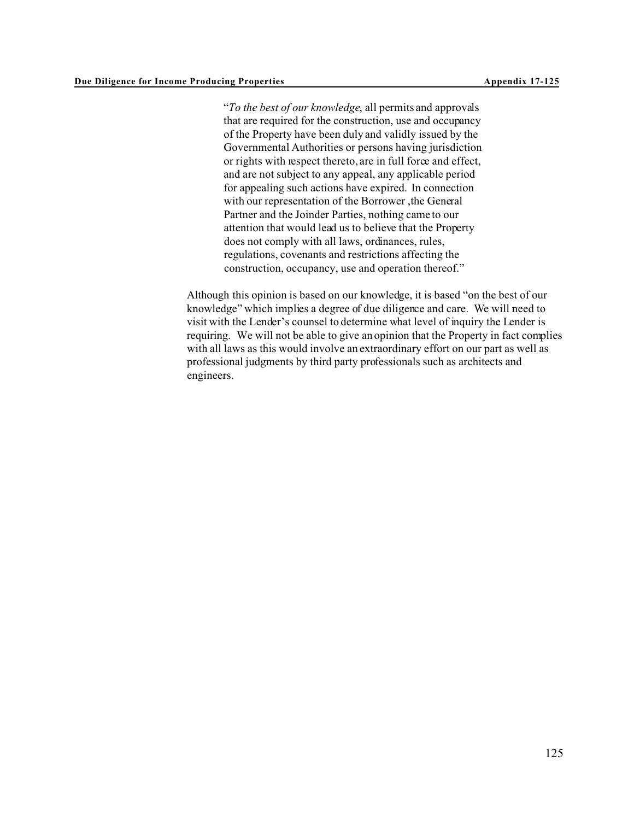"*To the best of our knowledge*, all permits and approvals that are required for the construction, use and occupancy of the Property have been duly and validly issued by the Governmental Authorities or persons having jurisdiction or rights with respect thereto, are in full force and effect, and are not subject to any appeal, any applicable period for appealing such actions have expired. In connection with our representation of the Borrower ,the General Partner and the Joinder Parties, nothing came to our attention that would lead us to believe that the Property does not comply with all laws, ordinances, rules, regulations, covenants and restrictions affecting the construction, occupancy, use and operation thereof."

Although this opinion is based on our knowledge, it is based "on the best of our knowledge" which implies a degree of due diligence and care. We will need to visit with the Lender's counsel to determine what level of inquiry the Lender is requiring. We will not be able to give an opinion that the Property in fact complies with all laws as this would involve an extraordinary effort on our part as well as professional judgments by third party professionals such as architects and engineers.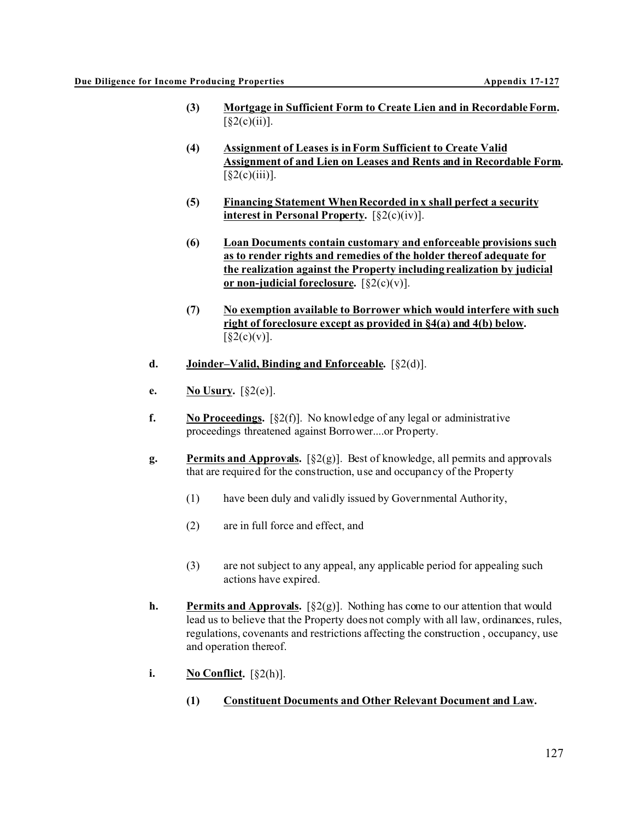- **(3) Mortgage in Sufficient Form to Create Lien and in Recordable Form.**  $\lceil$ §2(c)(ii)].
- **(4) Assignment of Leases is in Form Sufficient to Create Valid Assignment of and Lien on Leases and Rents and in Recordable Form.**  $\lceil$ §2(c)(iii)].
- **(5) Financing Statement When Recorded in x shall perfect a security interest in Personal Property.** [§2(c)(iv)].
- **(6) Loan Documents contain customary and enforceable provisions such as to render rights and remedies of the holder thereof adequate for the realization against the Property including realization by judicial or non-judicial foreclosure.** [§2(c)(v)].
- **(7) No exemption available to Borrower which would interfere with such right of foreclosure except as provided in §4(a) and 4(b) below.**  $\lceil \frac{8}{2}(c)(v) \rceil$ .
- **d. Joinder–Valid, Binding and Enforceable.** [§2(d)].
- **e. No Usury.**  $[\$2(e)]$ .
- **f. No Proceedings.**  $[\frac{82(f)}{f}]$ . No knowledge of any legal or administrative proceedings threatened against Borrower....or Property.
- **g. Permits and Approvals.** [§2(g)]. Best of knowledge, all permits and approvals that are required for the construction, use and occupancy of the Property
	- (1) have been duly and validly issued by Governmental Authority,
	- (2) are in full force and effect, and
	- (3) are not subject to any appeal, any applicable period for appealing such actions have expired.
- **h. Permits and Approvals.**  $[\S2(g)]$ . Nothing has come to our attention that would lead us to believe that the Property does not comply with all law, ordinances, rules, regulations, covenants and restrictions affecting the construction , occupancy, use and operation thereof.
- **i. No Conflict.**  $[\S2(h)]$ .
	- **(1) Constituent Documents and Other Relevant Document and Law.**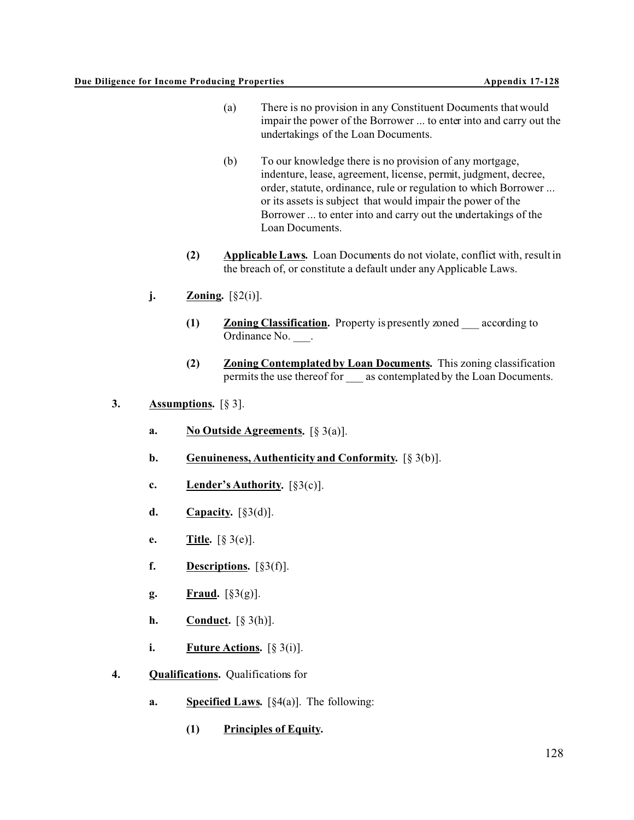- (a) There is no provision in any Constituent Documents that would impair the power of the Borrower ... to enter into and carry out the undertakings of the Loan Documents.
- (b) To our knowledge there is no provision of any mortgage, indenture, lease, agreement, license, permit, judgment, decree, order, statute, ordinance, rule or regulation to which Borrower ... or its assets is subject that would impair the power of the Borrower ... to enter into and carry out the undertakings of the Loan Documents.
- **(2) Applicable Laws.** Loan Documents do not violate, conflict with, result in the breach of, or constitute a default under any Applicable Laws.
- **j. Zoning.** [§2(i)].
	- **(1) Zoning Classification.** Property is presently zoned \_\_\_ according to Ordinance No.  $\qquad$ .
	- **(2) Zoning Contemplated by Loan Documents.** This zoning classification permits the use thereof for as contemplated by the Loan Documents.
- **3. Assumptions.** [§ 3].
	- **a. No Outside Agreements.** [§ 3(a)].
	- **b. Genuineness, Authenticity and Conformity.** [§ 3(b)].
	- **c. Lender's Authority.** [§3(c)].
	- **d. Capacity.**  $[\S 3(d)]$ .
	- **e. Title.** [§ 3(e)].
	- **f. Descriptions.** [§3(f)].
	- **g. Fraud.** [§3(g)].
	- **h. Conduct.** [§ 3(h)].
	- **i. Future Actions.** [§ 3(i)].
- **4. Qualifications.** Qualifications for
	- **a. Specified Laws.** [§4(a)]. The following:
		- **(1) Principles of Equity.**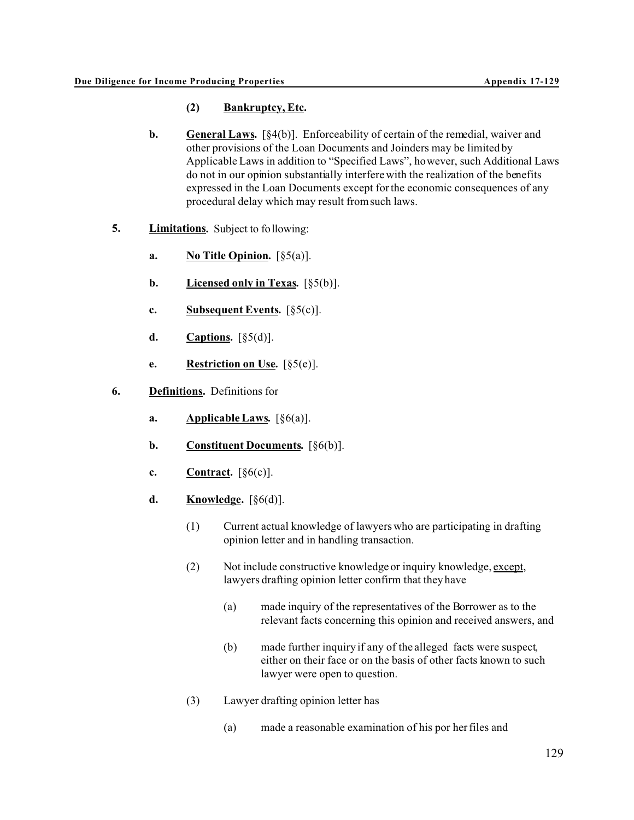#### **(2) Bankruptcy, Etc.**

- **b. General Laws.** [§4(b)]. Enforceability of certain of the remedial, waiver and other provisions of the Loan Documents and Joinders may be limited by Applicable Laws in addition to "Specified Laws", however, such Additional Laws do not in our opinion substantially interfere with the realization of the benefits expressed in the Loan Documents except for the economic consequences of any procedural delay which may result from such laws.
- **5. Limitations.** Subject to following:
	- **a. No Title Opinion.** [§5(a)].
	- **b. Licensed only in Texas.** [§5(b)].
	- **c. Subsequent Events.** [§5(c)].
	- **d. Captions.** [§5(d)].
	- **e. Restriction on Use.** [§5(e)].
- **6. Definitions.** Definitions for
	- **a. Applicable Laws.** [§6(a)].
	- **b. Constituent Documents.** [§6(b)].
	- **c. Contract.**  $[\S6(c)]$ .
	- **d. Knowledge.** [§6(d)].
		- (1) Current actual knowledge of lawyers who are participating in drafting opinion letter and in handling transaction.
		- (2) Not include constructive knowledge or inquiry knowledge, except, lawyers drafting opinion letter confirm that they have
			- (a) made inquiry of the representatives of the Borrower as to the relevant facts concerning this opinion and received answers, and
			- (b) made further inquiry if any of the alleged facts were suspect, either on their face or on the basis of other facts known to such lawyer were open to question.
		- (3) Lawyer drafting opinion letter has
			- (a) made a reasonable examination of his por her files and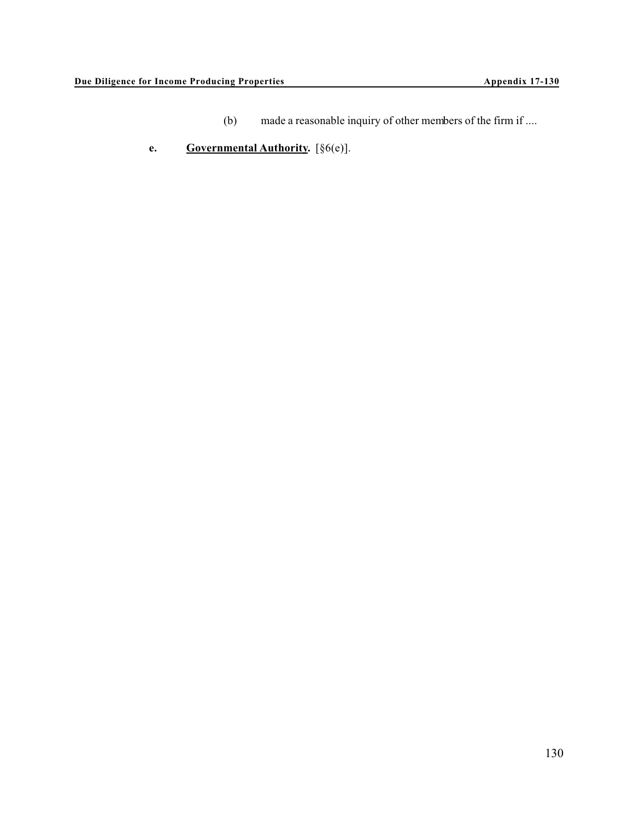- (b) made a reasonable inquiry of other members of the firm if ....
- **e. Governmental Authority.** [§6(e)].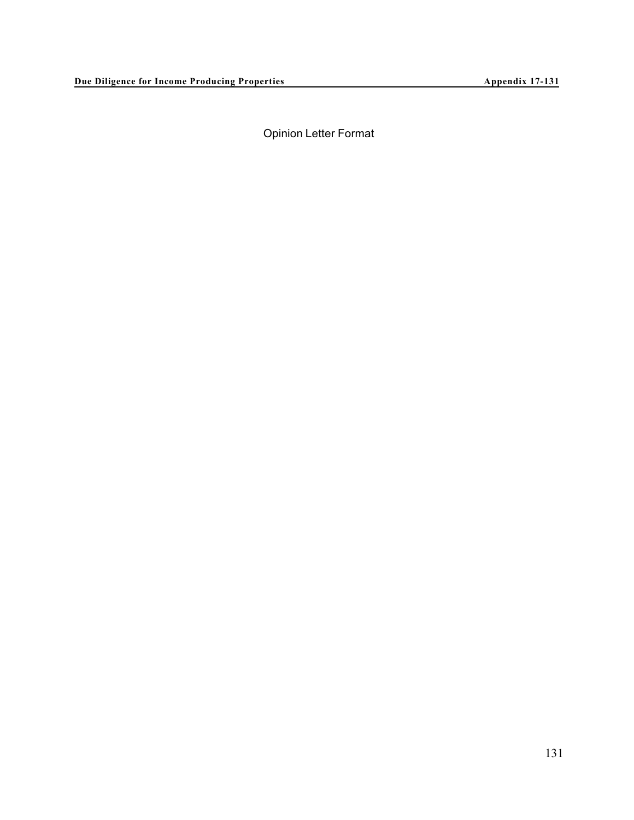Opinion Letter Format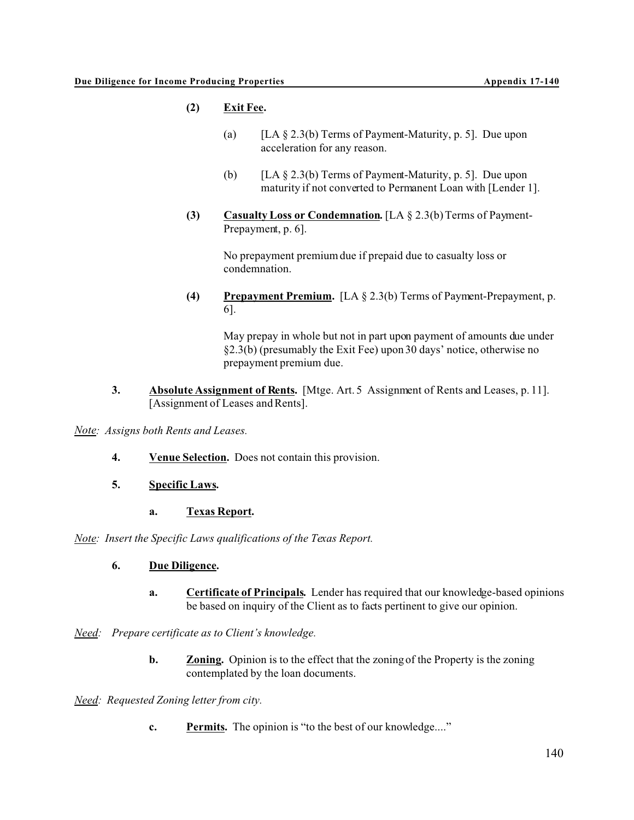# **(2) Exit Fee.**

- (a)  $[LA § 2.3(b) Terms of Payment-Maturity, p. 5]. Due upon$ acceleration for any reason.
- (b)  $[LA § 2.3(b) Terms of Payment-Maturity, p. 5]. Due upon$ maturity if not converted to Permanent Loan with [Lender 1].
- **(3) Casualty Loss or Condemnation.** [LA § 2.3(b) Terms of Payment-Prepayment, p. 6].

No prepayment premium due if prepaid due to casualty loss or condemnation.

**(4) Prepayment Premium.** [LA § 2.3(b) Terms of Payment-Prepayment, p. 6].

May prepay in whole but not in part upon payment of amounts due under §2.3(b) (presumably the Exit Fee) upon 30 days' notice, otherwise no prepayment premium due.

**3. Absolute Assignment of Rents.** [Mtge. Art. 5 Assignment of Rents and Leases, p. 11]. [Assignment of Leases and Rents].

*Note: Assigns both Rents and Leases.*

**4. Venue Selection.** Does not contain this provision.

# **5. Specific Laws.**

### **a. Texas Report.**

*Note: Insert the Specific Laws qualifications of the Texas Report.* 

# **6. Due Diligence.**

**a. Certificate of Principals.** Lender has required that our knowledge-based opinions be based on inquiry of the Client as to facts pertinent to give our opinion.

### *Need: Prepare certificate as to Client's knowledge.*

**b. Zoning.** Opinion is to the effect that the zoning of the Property is the zoning contemplated by the loan documents.

# *Need: Requested Zoning letter from city.*

**c. Permits.** The opinion is "to the best of our knowledge...."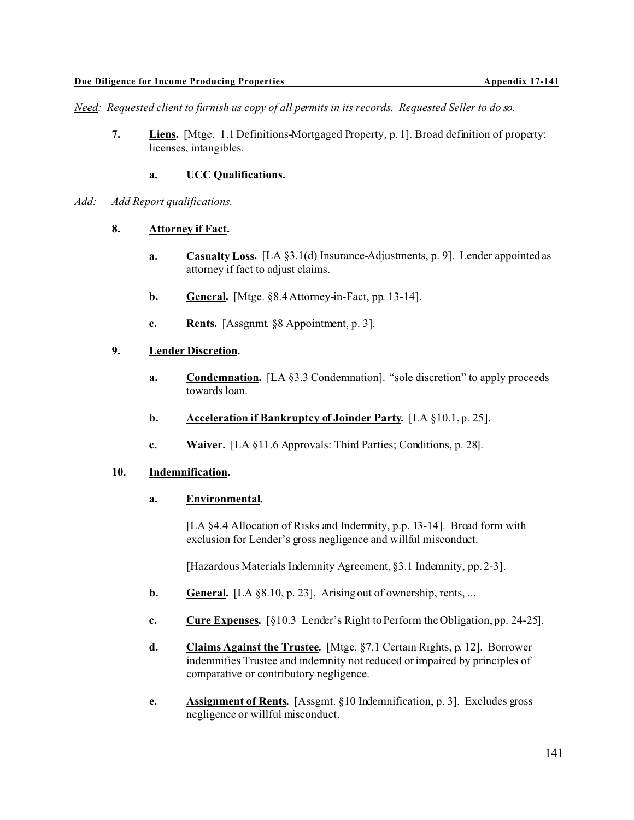*Need: Requested client to furnish us copy of all permits in its records. Requested Seller to do so.*

**7. Liens.** [Mtge. 1.1 Definitions-Mortgaged Property, p. 1]. Broad definition of property: licenses, intangibles.

#### **a. UCC Qualifications.**

#### *Add: Add Report qualifications.*

### **8. Attorney if Fact.**

- **a. Casualty Loss.** [LA §3.1(d) Insurance-Adjustments, p. 9]. Lender appointed as attorney if fact to adjust claims.
- **b. General.** [Mtge. §8.4 Attorney-in-Fact, pp. 13-14].
- **c. Rents.** [Assgnmt. §8 Appointment, p. 3].

### **9. Lender Discretion.**

- **a. Condemnation.** [LA §3.3 Condemnation]. "sole discretion" to apply proceeds towards loan.
- **b. Acceleration if Bankruptcy of Joinder Party.** [LA §10.1, p. 25].
- **c. Waiver.** [LA §11.6 Approvals: Third Parties; Conditions, p. 28].

# **10. Indemnification.**

### **a. Environmental.**

[LA  $§4.4$  Allocation of Risks and Indemnity, p.p. 13-14]. Broad form with exclusion for Lender's gross negligence and willful misconduct.

[Hazardous Materials Indemnity Agreement, §3.1 Indemnity, pp. 2-3].

- **b. General.** [LA §8.10, p. 23]. Arising out of ownership, rents, ...
- **c. Cure Expenses.** [§10.3 Lender's Right to Perform the Obligation, pp. 24-25].
- **d. Claims Against the Trustee.** [Mtge. §7.1 Certain Rights, p. 12]. Borrower indemnifies Trustee and indemnity not reduced or impaired by principles of comparative or contributory negligence.
- **e. Assignment of Rents.** [Assgmt. §10 Indemnification, p. 3]. Excludes gross negligence or willful misconduct.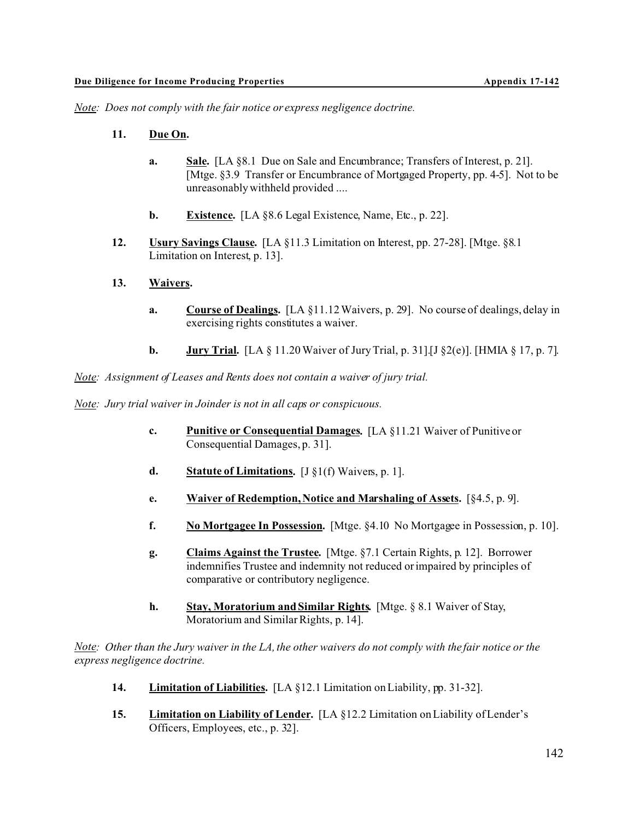*Note: Does not comply with the fair notice or express negligence doctrine.*

#### **11. Due On.**

- **a. Sale.** [LA §8.1 Due on Sale and Encumbrance; Transfers of Interest, p. 21]. [Mtge. §3.9 Transfer or Encumbrance of Mortgaged Property, pp. 4-5]. Not to be unreasonably withheld provided ....
- **b. Existence.** [LA §8.6 Legal Existence, Name, Etc., p. 22].
- **12. Usury Savings Clause.** [LA §11.3 Limitation on Interest, pp. 27-28]. [Mtge. §8.1 Limitation on Interest, p. 13].

#### **13. Waivers.**

- **a. Course of Dealings.** [LA §11.12 Waivers, p. 29]. No course of dealings, delay in exercising rights constitutes a waiver.
- **b. Jury Trial.** [LA  $\S$  11.20 Waiver of Jury Trial, p. 31]. [J  $\S$ 2(e)]. [HMIA  $\S$  17, p. 7].

*Note: Assignment of Leases and Rents does not contain a waiver of jury trial.*

*Note: Jury trial waiver in Joinder is not in all caps or conspicuous.*

- **c. Punitive or Consequential Damages.** [LA §11.21 Waiver of Punitive or Consequential Damages, p. 31].
- **d. Statute of Limitations.** [J §1(f) Waivers, p. 1].
- **e. Waiver of Redemption, Notice and Marshaling of Assets.** [§4.5, p. 9].
- **f. No Mortgagee In Possession.** [Mtge. §4.10 No Mortgagee in Possession, p. 10].
- **g. Claims Against the Trustee.** [Mtge. §7.1 Certain Rights, p. 12]. Borrower indemnifies Trustee and indemnity not reduced or impaired by principles of comparative or contributory negligence.
- **h. Stay, Moratorium and Similar Rights.** [Mtge. § 8.1 Waiver of Stay, Moratorium and Similar Rights, p. 14].

*Note: Other than the Jury waiver in the LA, the other waivers do not comply with the fair notice or the express negligence doctrine.*

- **14. Limitation of Liabilities.** [LA §12.1 Limitation on Liability, pp. 31-32].
- **15. Limitation on Liability of Lender.** [LA §12.2 Limitation on Liability of Lender's Officers, Employees, etc., p. 32].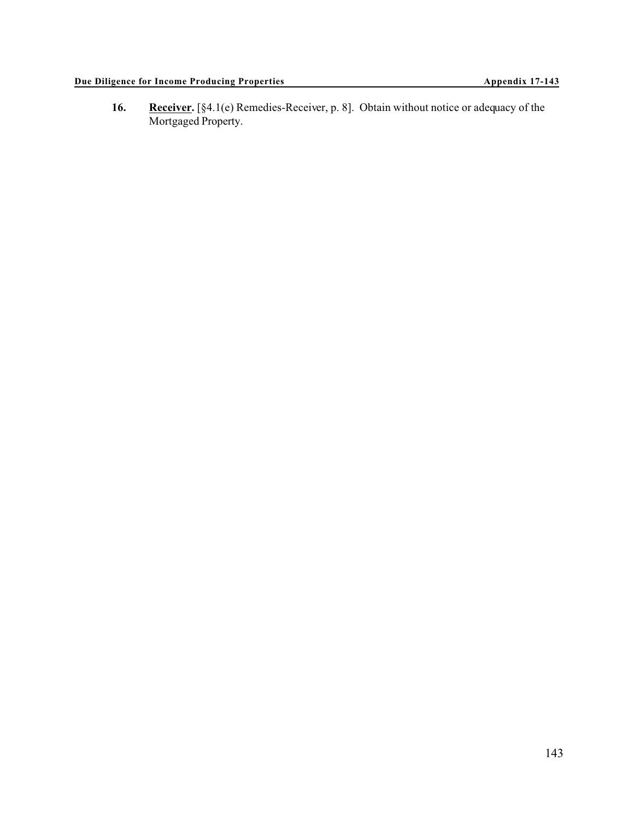**16. Receiver.** [§4.1(e) Remedies-Receiver, p. 8]. Obtain without notice or adequacy of the Mortgaged Property.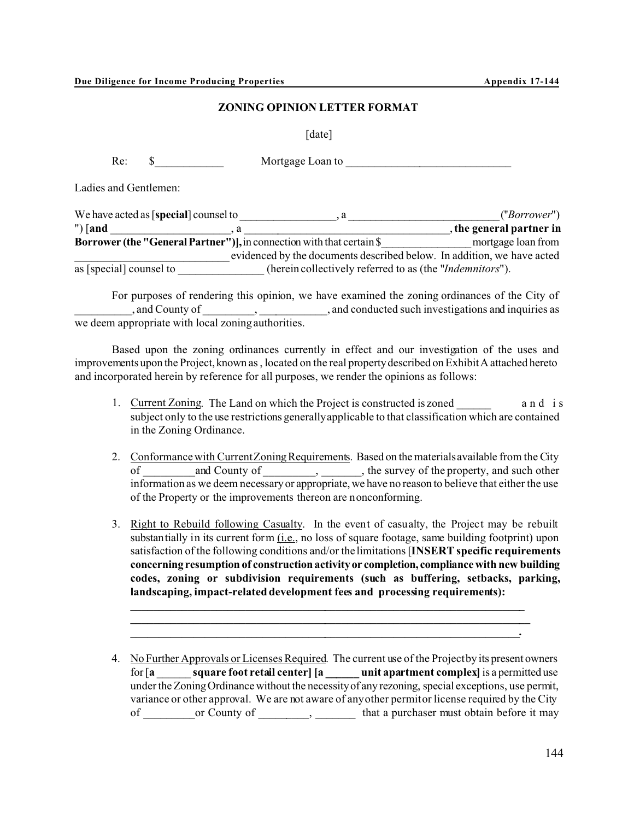#### **ZONING OPINION LETTER FORMAT**

[date]

| Re:                                   | Mortgage Loan to                                                            |                          |
|---------------------------------------|-----------------------------------------------------------------------------|--------------------------|
| Ladies and Gentlemen:                 |                                                                             |                          |
| We have acted as [special] counsel to | $\mathbf{a}$                                                                | ("Borrower")             |
| ") [and                               |                                                                             | , the general partner in |
|                                       | <b>Borrower (the "General Partner"), in connection with that certain \$</b> | mortgage loan from       |
|                                       | evidenced by the documents described below. In addition, we have acted      |                          |
| as [special] counsel to               | (herein collectively referred to as (the "Indemnitors").                    |                          |

For purposes of rendering this opinion, we have examined the zoning ordinances of the City of and County of \_\_\_\_\_\_\_\_, \_\_\_\_\_\_\_\_\_\_\_, and conducted such investigations and inquiries as we deem appropriate with local zoning authorities.

Based upon the zoning ordinances currently in effect and our investigation of the uses and improvements upon the Project, known as, located on the real property described on Exhibit A attached hereto and incorporated herein by reference for all purposes, we render the opinions as follows:

- 1. Current Zoning. The Land on which the Project is constructed is zoned and is subject only to the use restrictions generallyapplicable to that classification which are contained in the Zoning Ordinance.
- 2. Conformance with Current Zoning Requirements. Based on the materials available from the City of \_\_\_\_\_\_\_\_\_and County of \_\_\_\_\_\_\_\_\_, \_\_\_\_\_\_\_, the survey of the property, and such other information as we deem necessary or appropriate, we have no reason to believe that either the use of the Property or the improvements thereon are nonconforming.
- 3. Right to Rebuild following Casualty. In the event of casualty, the Project may be rebuilt substantially in its current form (i.e., no loss of square footage, same building footprint) upon satisfaction of the following conditions and/or the limitations [**INSERT specific requirements concerning resumption of constructionactivityor completion, compliance with new building codes, zoning or subdivision requirements (such as buffering, setbacks, parking, landscaping, impact-related development fees and processing requirements):**

**\_\_\_\_\_\_\_\_\_\_\_\_\_\_\_\_\_\_\_\_\_\_\_\_\_\_\_\_\_\_\_\_\_\_\_\_\_\_\_\_\_\_\_\_\_\_\_\_\_\_\_\_\_\_\_\_\_\_\_\_\_\_\_\_\_\_\_\_\_ \_\_\_\_\_\_\_\_\_\_\_\_\_\_\_\_\_\_\_\_\_\_\_\_\_\_\_\_\_\_\_\_\_\_\_\_\_\_\_\_\_\_\_\_\_\_\_\_\_\_\_\_\_\_\_\_\_\_\_\_\_\_\_\_\_\_\_\_\_\_ \_\_\_\_\_\_\_\_\_\_\_\_\_\_\_\_\_\_\_\_\_\_\_\_\_\_\_\_\_\_\_\_\_\_\_\_\_\_\_\_\_\_\_\_\_\_\_\_\_\_\_\_\_\_\_\_\_\_\_\_\_\_\_\_\_\_\_\_.**

<sup>4.</sup> No Further Approvals or Licenses Required. The current use of the Project by its present owners for [**a** \_\_\_\_\_\_ **square foot retail center] [a \_\_\_\_\_\_ unit apartment complex]** is a permitted use under the Zoning Ordinance without the necessity of any rezoning, special exceptions, use permit, variance or other approval. We are not aware of any other permit or license required by the City of \_\_\_\_\_\_\_\_\_or County of \_\_\_\_\_\_\_\_, \_\_\_\_\_\_\_\_\_ that a purchaser must obtain before it may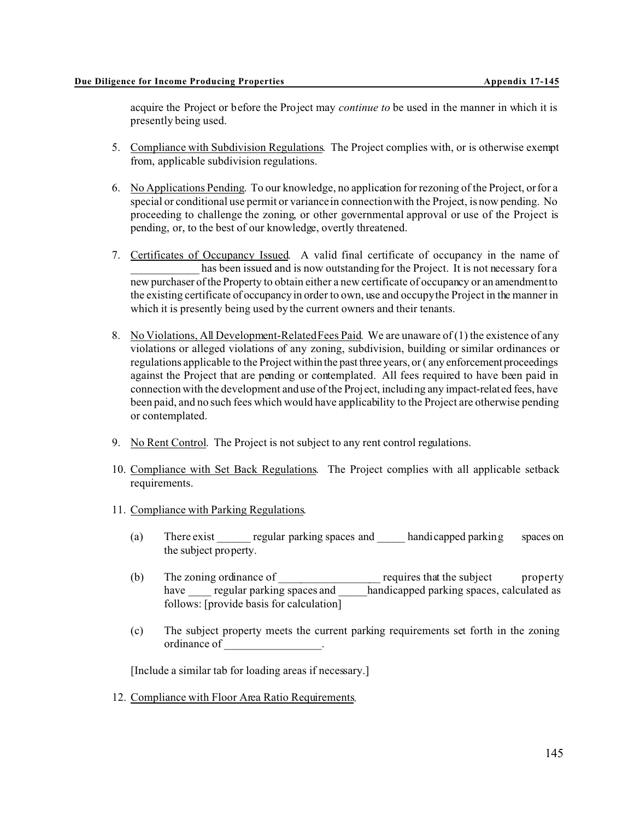acquire the Project or before the Project may *continue to* be used in the manner in which it is presently being used.

- 5. Compliance with Subdivision Regulations. The Project complies with, or is otherwise exempt from, applicable subdivision regulations.
- 6. No Applications Pending. To our knowledge, no application for rezoning of the Project, or for a special or conditional use permit or variance in connection with the Project, is now pending. No proceeding to challenge the zoning, or other governmental approval or use of the Project is pending, or, to the best of our knowledge, overtly threatened.
- 7. Certificates of Occupancy Issued. A valid final certificate of occupancy in the name of has been issued and is now outstanding for the Project. It is not necessary for a new purchaser ofthe Property to obtain either a new certificate of occupancy or an amendmentto the existing certificate of occupancy in order to own, use and occupy the Project in the manner in which it is presently being used by the current owners and their tenants.
- 8. No Violations, All Development-Related Fees Paid. We are unaware of (1) the existence of any violations or alleged violations of any zoning, subdivision, building or similar ordinances or regulations applicable to the Project within the past three years, or (any enforcement proceedings against the Project that are pending or contemplated. All fees required to have been paid in connection with the development and use of the Project, including any impact-related fees, have been paid, and no such fees which would have applicability to the Project are otherwise pending or contemplated.
- 9. No Rent Control. The Project is not subject to any rent control regulations.
- 10. Compliance with Set Back Regulations. The Project complies with all applicable setback requirements.
- 11. Compliance with Parking Regulations.
	- (a) There exist regular parking spaces and handicapped parking spaces on the subject property.
	- (b) The zoning ordinance of the subject property have regular parking spaces and handicapped parking spaces, calculated as follows: [provide basis for calculation]
	- (c) The subject property meets the current parking requirements set forth in the zoning ordinance of \_\_\_\_\_\_\_\_\_\_\_\_\_\_\_\_\_.

[Include a similar tab for loading areas if necessary.]

12. Compliance with Floor Area Ratio Requirements.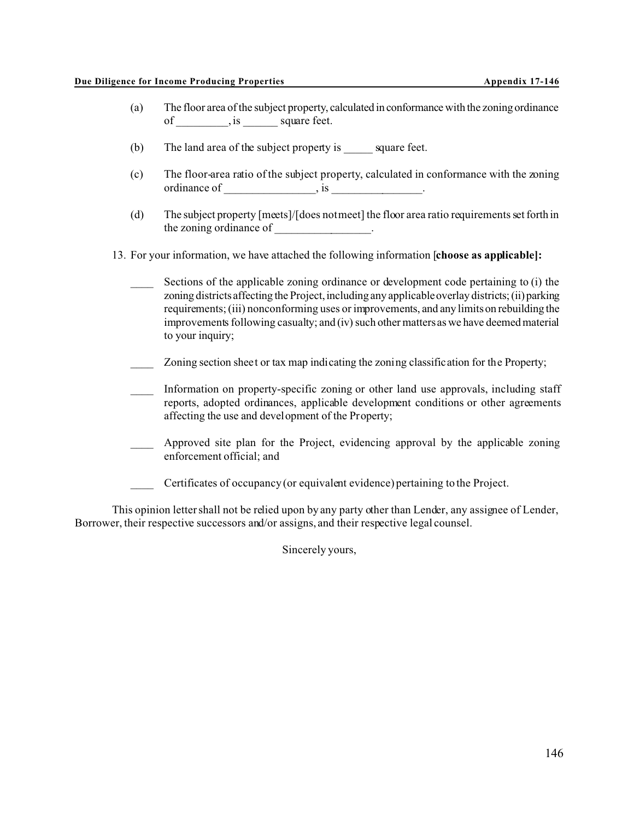- (a) The floor area ofthe subject property, calculated in conformance with the zoningordinance of , is square feet.
- (b) The land area of the subject property is square feet.
- (c) The floor-area ratio of the subject property, calculated in conformance with the zoning ordinance of \_\_\_\_\_\_\_\_\_\_\_\_\_\_, is \_\_\_\_\_\_\_\_\_\_\_\_\_.
- (d) The subject property [meets]/[does not meet] the floor area ratio requirements set forth in the zoning ordinance of  $\blacksquare$

13. For your information, we have attached the following information [**choose as applicable]:**

Sections of the applicable zoning ordinance or development code pertaining to (i) the zoning districts affecting the Project, including any applicable overlay districts; (ii) parking requirements; (iii) nonconforming uses or improvements, and any limitson rebuilding the  $improvements following causality; and (iv) such other matters as we have deemed material$ to your inquiry;

- Zoning section sheet or tax map indicating the zoning classification for the Property;
- Information on property-specific zoning or other land use approvals, including staff reports, adopted ordinances, applicable development conditions or other agreements affecting the use and development of the Property;
- \_\_\_\_ Approved site plan for the Project, evidencing approval by the applicable zoning enforcement official; and
- Certificates of occupancy (or equivalent evidence) pertaining to the Project.

This opinion letter shall not be relied upon by any party other than Lender, any assignee of Lender, Borrower, their respective successors and/or assigns, and their respective legal counsel.

Sincerely yours,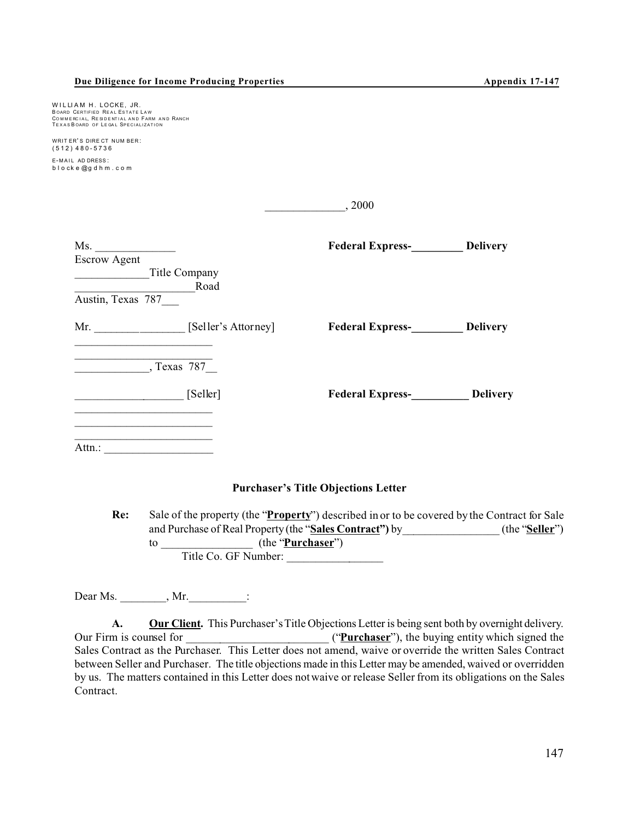| WILLIAM H. LOCKE, JR.<br>BOARD CERTIFIED REAL ESTATE LAW<br>COMMERCIAL, RESIDENTIAL AND FARM AND RANCH<br>TEXAS BOARD OF LEGAL SPECIALIZATION |                       |                                                                                                 |  |
|-----------------------------------------------------------------------------------------------------------------------------------------------|-----------------------|-------------------------------------------------------------------------------------------------|--|
| WRITER'S DIRECT NUM BER:<br>$(512)$ 480-5736                                                                                                  |                       |                                                                                                 |  |
| E-MAIL AD DRESS:<br>blocke@gdhm.com                                                                                                           |                       |                                                                                                 |  |
|                                                                                                                                               |                       | $\begin{array}{c} \begin{array}{c} \text{\color{red}{\large \bf 2000}} \end{array} \end{array}$ |  |
| Ms.                                                                                                                                           |                       | Federal Express- Non-Contract Delivery                                                          |  |
| <b>Escrow Agent</b><br>Title Company                                                                                                          |                       |                                                                                                 |  |
| Road Road                                                                                                                                     |                       |                                                                                                 |  |
| Austin, Texas 787                                                                                                                             |                       |                                                                                                 |  |
|                                                                                                                                               | Mr. Seller's Attorney |                                                                                                 |  |
| $Texas$ 787                                                                                                                                   |                       |                                                                                                 |  |
| $\sqrt{Seller}$                                                                                                                               |                       |                                                                                                 |  |
| <u> 1989 - Johann Barn, amerikansk politiker (d. 1989)</u><br>the control of the control of the control of the control of the control of      |                       |                                                                                                 |  |
|                                                                                                                                               |                       |                                                                                                 |  |
|                                                                                                                                               |                       |                                                                                                 |  |

#### **Purchaser's Title Objections Letter**

| Re: |    | Sale of the property (the " <b>Property</b> ") described in or to be covered by the Contract for Sale |                |
|-----|----|-------------------------------------------------------------------------------------------------------|----------------|
|     |    | and Purchase of Real Property (the "Sales Contract") by                                               | (the "Seller") |
|     | to | (the " <b>Purchaser</b> ")                                                                            |                |
|     |    | Title Co. GF Number:                                                                                  |                |

Dear Ms. \_\_\_\_\_\_\_\_, Mr. \_\_\_\_\_\_\_\_\_:

A. **Our Client.** This Purchaser's Title Objections Letter is being sent both by overnight delivery. Our Firm is counsel for \_\_\_\_\_\_\_\_\_\_\_\_\_\_\_\_\_\_\_\_\_\_\_\_\_ ("**Purchaser**"), the buying entity which signed the Sales Contract as the Purchaser. This Letter does not amend, waive or override the written Sales Contract between Seller and Purchaser. The title objections made in this Letter may be amended, waived or overridden by us. The matters contained in this Letter does not waive or release Seller from its obligations on the Sales Contract.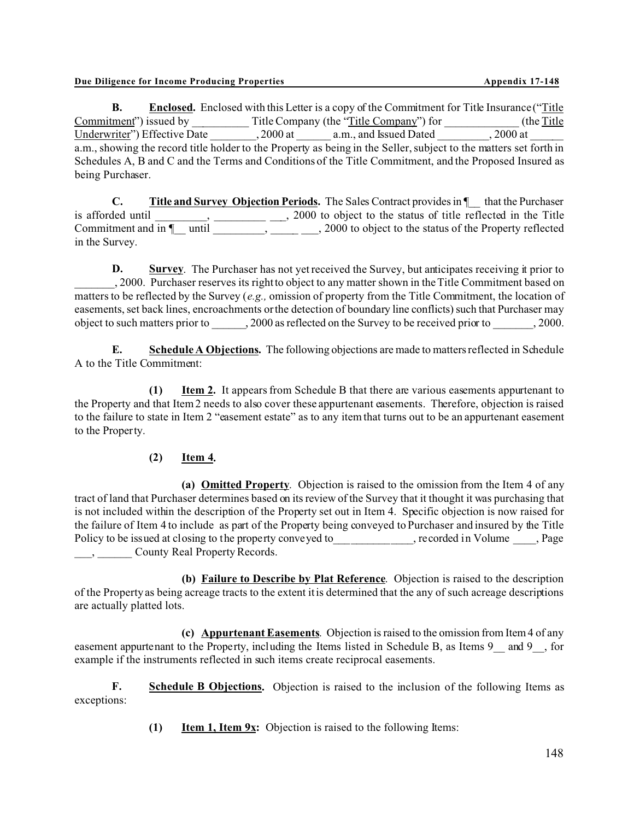**B. Enclosed.** Enclosed with this Letter is a copy of the Commitment for Title Insurance ("Title") Commitment") issued by \_\_\_\_\_\_\_\_\_\_ Title Company (the "Title Company") for \_\_\_\_\_\_\_\_\_\_\_\_\_ (the Title Underwriter") Effective Date \_\_\_\_\_\_\_, 2000 at \_\_\_\_\_\_\_ a.m., and Issued Dated \_\_\_\_\_\_\_\_, 2000 at \_\_\_\_\_\_\_\_\_\_\_\_\_\_, a.m., showing the record title holder to the Property as being in the Seller, subject to the matters set forth in Schedules A, B and C and the Terms and Conditions of the Title Commitment, and the Proposed Insured as being Purchaser.

**C. Title and Survey Objection Periods.** The Sales Contract providesin ¶\_\_ that the Purchaser is afforded until \_\_\_\_\_\_\_, \_\_\_\_\_\_\_\_\_\_\_\_, 2000 to object to the status of title reflected in the Title Commitment and in  $\llbracket$  until \_\_\_\_\_\_\_\_\_, \_\_\_\_\_\_\_\_, 2000 to object to the status of the Property reflected in the Survey.

**D. Survey**. The Purchaser has not yet received the Survey, but anticipates receiving it prior to \_\_\_\_\_\_\_, 2000. Purchaser reserves its right to object to any matter shown in the Title Commitment based on matters to be reflected by the Survey (*e.g.,* omission of property from the Title Commitment, the location of easements, set back lines, encroachments or the detection of boundary line conflicts) such that Purchaser may object to such matters prior to  $\qquad \qquad$ , 2000 as reflected on the Survey to be received prior to  $\qquad \qquad$ , 2000.

**E. Schedule A Objections.** The following objections are made to matters reflected in Schedule A to the Title Commitment:

**(1) Item 2.** It appears from Schedule B that there are various easements appurtenant to the Property and that Item 2 needs to also cover these appurtenant easements. Therefore, objection is raised to the failure to state in Item 2 "easement estate" as to any item that turns out to be an appurtenant easement to the Property.

# **(2) Item 4.**

**(a) Omitted Property**. Objection is raised to the omission from the Item 4 of any tract of land that Purchaser determines based on itsreview of the Survey that it thought it was purchasing that is not included within the description of the Property set out in Item 4. Specific objection is now raised for the failure of Item 4 to include as part of the Property being conveyed to Purchaser and insured by the Title Policy to be issued at closing to the property conveyed to \_\_\_\_\_\_\_\_\_, recorded in Volume \_\_\_, Page \_\_\_, \_\_\_\_\_\_ County Real Property Records.

**(b) Failure to Describe by Plat Reference**. Objection is raised to the description of the Property as being acreage tracts to the extent it is determined that the any of such acreage descriptions are actually platted lots.

**(c) Appurtenant Easements**. Objection israised to the omission from Item4 of any easement appurtenant to the Property, including the Items listed in Schedule B, as Items 9 and 9  $\alpha$ , for example if the instruments reflected in such items create reciprocal easements.

**F. Schedule B Objections.** Objection is raised to the inclusion of the following Items as exceptions:

**(1) Item 1, Item 9x:** Objection is raised to the following Items: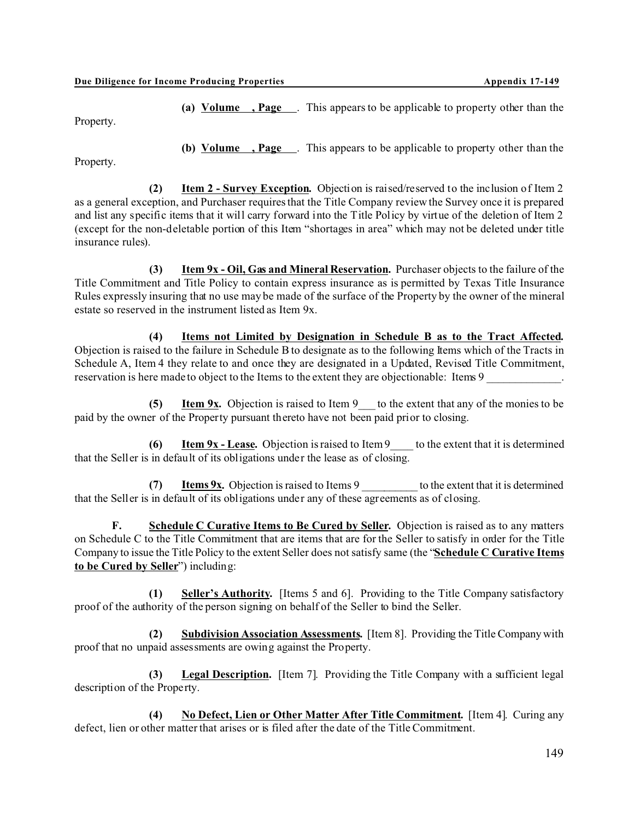**(a) Volume , Page** . This appears to be applicable to property other than the

Property.

**(b) Volume , Page** . This appears to be applicable to property other than the

Property.

**(2) Item 2 - Survey Exception.** Objection is raised/reserved to the inclusion of Item 2 as a general exception, and Purchaser requires that the Title Company review the Survey once it is prepared and list any specific items that it will carry forward into the Title Policy by virtue of the deletion of Item 2 (except for the non-deletable portion of this Item "shortages in area" which may not be deleted under title insurance rules).

**(3) Item 9x - Oil, Gas and Mineral Reservation.** Purchaser objects to the failure of the Title Commitment and Title Policy to contain express insurance as is permitted by Texas Title Insurance Rules expressly insuring that no use may be made of the surface of the Property by the owner of the mineral estate so reserved in the instrument listed as Item 9x.

**(4) Items not Limited by Designation in Schedule B as to the Tract Affected.** Objection is raised to the failure in Schedule B to designate as to the following Items which of the Tracts in Schedule A, Item 4 they relate to and once they are designated in a Updated, Revised Title Commitment, reservation is here made to object to the Items to the extent they are objectionable: Items 9

**(5) Item 9x.** Objection is raised to Item 9\_\_\_ to the extent that any of the monies to be paid by the owner of the Property pursuant thereto have not been paid prior to closing.

**(6) Item 9x - Lease.** Objection is raised to Item 9\_\_\_\_ to the extent that it is determined that the Seller is in default of its obligations under the lease as of closing.

**(7) Items 9x.** Objection israised to Items 9 \_\_\_\_\_\_\_\_\_\_ to the extent that it is determined that the Seller is in default of its obligations under any of these agreements as of closing.

**F. Schedule C Curative Items to Be Cured by Seller.** Objection is raised as to any matters on Schedule C to the Title Commitment that are items that are for the Seller to satisfy in order for the Title Company to issue the Title Policy to the extent Seller does not satisfy same (the "**Schedule C Curative Items to be Cured by Seller**") including:

**(1) Seller's Authority.** [Items 5 and 6]. Providing to the Title Company satisfactory proof of the authority of the person signing on behalf of the Seller to bind the Seller.

**(2) Subdivision Association Assessments.** [Item 8]. Providing the Title Company with proof that no unpaid assessments are owing against the Property.

**(3) Legal Description.** [Item 7]. Providing the Title Company with a sufficient legal description of the Property.

**(4) No Defect, Lien or Other Matter After Title Commitment.** [Item 4]. Curing any defect, lien or other matter that arises or is filed after the date of the Title Commitment.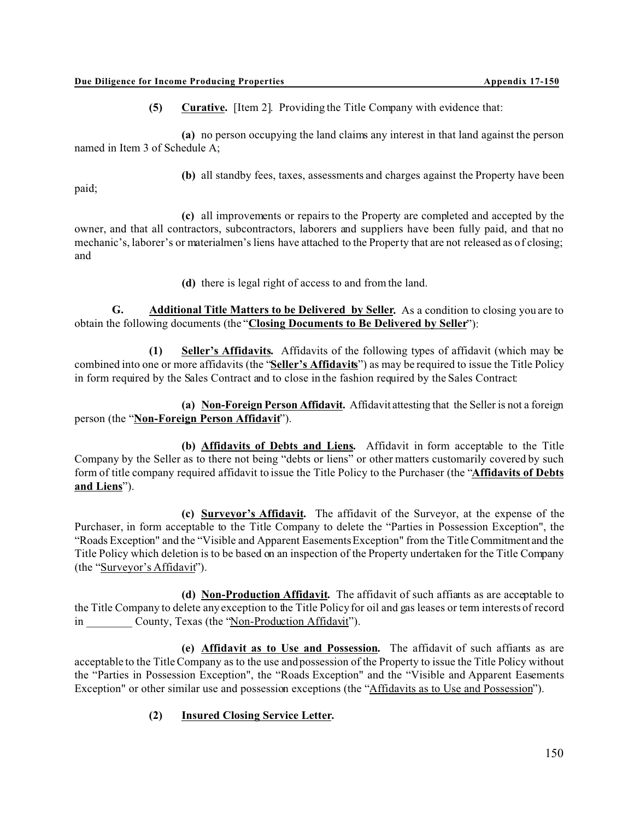**(5) Curative.** [Item 2]. Providing the Title Company with evidence that:

**(a)** no person occupying the land claims any interest in that land against the person named in Item 3 of Schedule A;

paid;

**(b)** all standby fees, taxes, assessments and charges against the Property have been

**(c)** all improvements or repairs to the Property are completed and accepted by the owner, and that all contractors, subcontractors, laborers and suppliers have been fully paid, and that no mechanic's, laborer's or materialmen's liens have attached to the Property that are not released as of closing; and

**(d)** there is legal right of access to and from the land.

**G. Additional Title Matters to be Delivered by Seller.** As a condition to closing you are to obtain the following documents (the "**Closing Documents to Be Delivered by Seller**"):

**(1) Seller's Affidavits.** Affidavits of the following types of affidavit (which may be combined into one or more affidavits (the "**Seller's Affidavits**") as may be required to issue the Title Policy in form required by the Sales Contract and to close in the fashion required by the Sales Contract:

**(a) Non-Foreign Person Affidavit.** Affidavit attesting that the Seller is not a foreign person (the "**Non-Foreign Person Affidavit**").

**(b) Affidavits of Debts and Liens.** Affidavit in form acceptable to the Title Company by the Seller as to there not being "debts or liens" or other matters customarily covered by such form of title company required affidavit to issue the Title Policy to the Purchaser (the "**Affidavits of Debts and Liens**").

**(c) Surveyor's Affidavit.** The affidavit of the Surveyor, at the expense of the Purchaser, in form acceptable to the Title Company to delete the "Parties in Possession Exception", the "Roads Exception" and the "Visible and Apparent Easements Exception" from the Title Commitment and the Title Policy which deletion is to be based on an inspection of the Property undertaken for the Title Company (the "Surveyor's Affidavit").

**(d) Non-Production Affidavit.** The affidavit of such affiants as are acceptable to the Title Company to delete any exception to the Title Policy for oil and gas leases or term interests of record in County, Texas (the "<u>Non-Production Affidavit</u>").

**(e) Affidavit as to Use and Possession.** The affidavit of such affiants as are acceptable to the Title Company as to the use and possession of the Property to issue the Title Policy without the "Parties in Possession Exception", the "Roads Exception" and the "Visible and Apparent Easements Exception" or other similar use and possession exceptions (the "Affidavits as to Use and Possession").

# **(2) Insured Closing Service Letter.**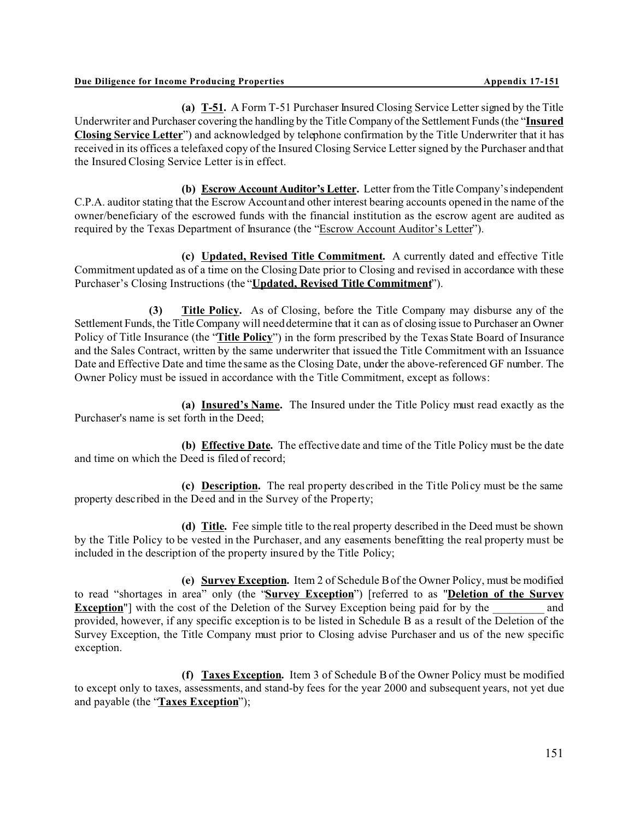**(a) T-51.** A Form T-51 Purchaser Insured Closing Service Letter signed by the Title Underwriter and Purchaser covering the handling by the Title Company of the Settlement Funds(the "**Insured Closing Service Letter**") and acknowledged by telephone confirmation by the Title Underwriter that it has received in its offices a telefaxed copy of the Insured Closing Service Letter signed by the Purchaser and that the Insured Closing Service Letter is in effect.

**(b) Escrow Account Auditor's Letter.** Letter from the Title Company'sindependent C.P.A. auditor stating that the Escrow Account and other interest bearing accounts opened in the name of the owner/beneficiary of the escrowed funds with the financial institution as the escrow agent are audited as required by the Texas Department of Insurance (the "Escrow Account Auditor's Letter").

**(c) Updated, Revised Title Commitment.** A currently dated and effective Title Commitment updated as of a time on the Closing Date prior to Closing and revised in accordance with these Purchaser's Closing Instructions (the "**Updated, Revised Title Commitment**").

**(3) Title Policy.** As of Closing, before the Title Company may disburse any of the Settlement Funds, the Title Company will need determine that it can as of closing issue to Purchaser an Owner Policy of Title Insurance (the "**Title Policy**") in the form prescribed by the Texas State Board of Insurance and the Sales Contract, written by the same underwriter that issued the Title Commitment with an Issuance Date and Effective Date and time the same as the Closing Date, under the above-referenced GF number. The Owner Policy must be issued in accordance with the Title Commitment, except as follows:

**(a) Insured's Name.** The Insured under the Title Policy must read exactly as the Purchaser's name is set forth in the Deed;

**(b) Effective Date.** The effective date and time of the Title Policy must be the date and time on which the Deed is filed of record;

**(c) Description.** The real property described in the Title Policy must be the same property described in the Deed and in the Survey of the Property;

**(d) Title.** Fee simple title to the real property described in the Deed must be shown by the Title Policy to be vested in the Purchaser, and any easements benefitting the real property must be included in the description of the property insured by the Title Policy;

**(e) Survey Exception.** Item 2 of Schedule B of the Owner Policy, must be modified to read "shortages in area" only (the "**Survey Exception**") [referred to as "**Deletion of the Survey Exception**"] with the cost of the Deletion of the Survey Exception being paid for by the and provided, however, if any specific exception is to be listed in Schedule B as a result of the Deletion of the Survey Exception, the Title Company must prior to Closing advise Purchaser and us of the new specific exception.

**(f) Taxes Exception.** Item 3 of Schedule B of the Owner Policy must be modified to except only to taxes, assessments, and stand-by fees for the year 2000 and subsequent years, not yet due and payable (the "**Taxes Exception**");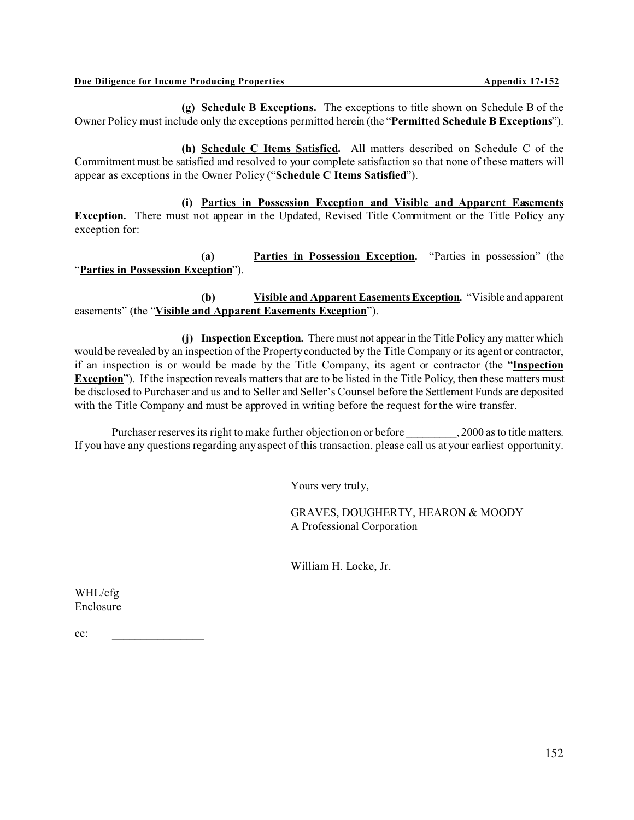**(g) Schedule B Exceptions.** The exceptions to title shown on Schedule B of the Owner Policy must include only the exceptions permitted herein (the "**Permitted Schedule B Exceptions**").

**(h) Schedule C Items Satisfied.** All matters described on Schedule C of the Commitment must be satisfied and resolved to your complete satisfaction so that none of these matters will appear as exceptions in the Owner Policy ("**Schedule C Items Satisfied**").

**(i) Parties in Possession Exception and Visible and Apparent Easements Exception.** There must not appear in the Updated, Revised Title Commitment or the Title Policy any exception for:

**(a) Parties in Possession Exception.** "Parties in possession" (the "**Parties in Possession Exception**").

**(b) Visible and Apparent EasementsException.** "Visible and apparent easements" (the "**Visible and Apparent Easements Exception**").

**(j) Inspection Exception.** There must not appear in the Title Policy any matter which would be revealed by an inspection of the Property conducted by the Title Company or its agent or contractor, if an inspection is or would be made by the Title Company, its agent or contractor (the "**Inspection Exception**"). If the inspection reveals matters that are to be listed in the Title Policy, then these matters must be disclosed to Purchaser and us and to Seller and Seller's Counsel before the Settlement Funds are deposited with the Title Company and must be approved in writing before the request for the wire transfer.

Purchaser reserves its right to make further objection on or before . 2000 as to title matters. If you have any questions regarding any aspect of this transaction, please call us at your earliest opportunity.

Yours very truly,

GRAVES, DOUGHERTY, HEARON & MOODY A Professional Corporation

William H. Locke, Jr.

WHL/cfg Enclosure

cc:  $\qquad \qquad$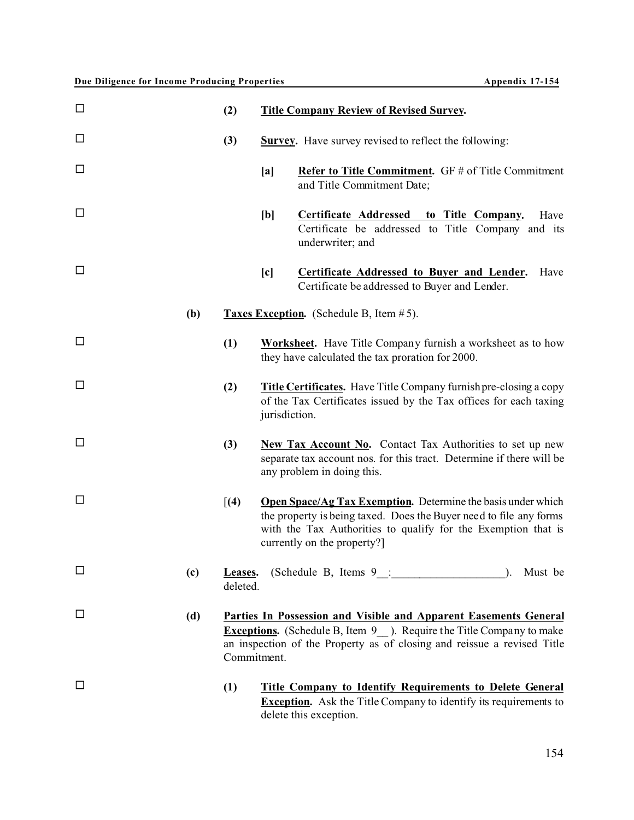| $\Box$ |                            | (2)                 | <b>Title Company Review of Revised Survey.</b>                                                                                                                                                                                            |
|--------|----------------------------|---------------------|-------------------------------------------------------------------------------------------------------------------------------------------------------------------------------------------------------------------------------------------|
| $\Box$ |                            | (3)                 | <b>Survey.</b> Have survey revised to reflect the following:                                                                                                                                                                              |
| $\Box$ |                            |                     | Refer to Title Commitment. GF # of Title Commitment<br>[a]<br>and Title Commitment Date;                                                                                                                                                  |
| $\Box$ |                            |                     | <b>Certificate Addressed</b><br>[b]<br>to Title Company.<br>Have<br>Certificate be addressed to Title Company and its<br>underwriter; and                                                                                                 |
| $\Box$ |                            |                     | [c]<br>Certificate Addressed to Buyer and Lender.<br>Have<br>Certificate be addressed to Buyer and Lender.                                                                                                                                |
|        | (b)                        |                     | Taxes Exception. (Schedule B, Item $# 5$ ).                                                                                                                                                                                               |
| □      |                            | (1)                 | <b>Worksheet.</b> Have Title Company furnish a worksheet as to how<br>they have calculated the tax proration for 2000.                                                                                                                    |
| $\Box$ |                            | (2)                 | <b>Title Certificates.</b> Have Title Company furnish pre-closing a copy<br>of the Tax Certificates issued by the Tax offices for each taxing<br>jurisdiction.                                                                            |
| $\Box$ |                            | (3)                 | <b>New Tax Account No.</b> Contact Tax Authorities to set up new<br>separate tax account nos. for this tract. Determine if there will be<br>any problem in doing this.                                                                    |
| □      |                            | $[$ (4)             | <b>Open Space/Ag Tax Exemption.</b> Determine the basis under which<br>the property is being taxed. Does the Buyer need to file any forms<br>with the Tax Authorities to qualify for the Exemption that is<br>currently on the property?] |
| □      | $\left( \mathbf{c}\right)$ | Leases.<br>deleted. | (Schedule B, Items 9 :<br>Must be                                                                                                                                                                                                         |
| □      | (d)                        | Commitment.         | Parties In Possession and Visible and Apparent Easements General<br><b>Exceptions.</b> (Schedule B, Item $9$ ). Require the Title Company to make<br>an inspection of the Property as of closing and reissue a revised Title              |
| □      |                            | (1)                 | <b>Title Company to Identify Requirements to Delete General</b><br><b>Exception.</b> Ask the Title Company to identify its requirements to<br>delete this exception.                                                                      |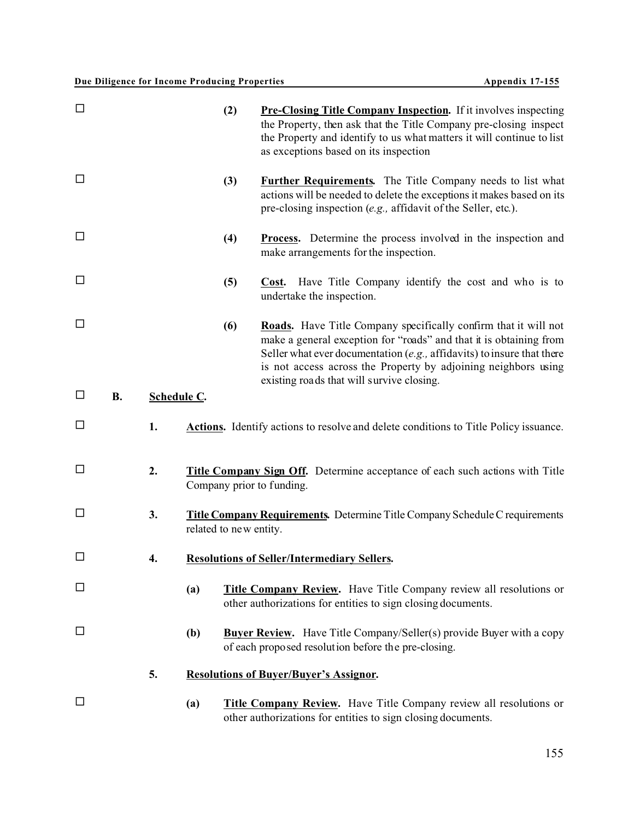| $\Box$ |           |             |     | (2)                    | <b>Pre-Closing Title Company Inspection.</b> If it involves inspecting<br>the Property, then ask that the Title Company pre-closing inspect<br>the Property and identify to us what matters it will continue to list<br>as exceptions based on its inspection                                                                  |
|--------|-----------|-------------|-----|------------------------|--------------------------------------------------------------------------------------------------------------------------------------------------------------------------------------------------------------------------------------------------------------------------------------------------------------------------------|
| $\Box$ |           |             |     | (3)                    | <b>Further Requirements.</b> The Title Company needs to list what<br>actions will be needed to delete the exceptions it makes based on its<br>pre-closing inspection (e.g., affidavit of the Seller, etc.).                                                                                                                    |
| $\Box$ |           |             |     | (4)                    | <b>Process.</b> Determine the process involved in the inspection and<br>make arrangements for the inspection.                                                                                                                                                                                                                  |
| $\Box$ |           |             |     | (5)                    | <b>Cost.</b> Have Title Company identify the cost and who is to<br>undertake the inspection.                                                                                                                                                                                                                                   |
| $\Box$ |           |             |     | (6)                    | Roads. Have Title Company specifically confirm that it will not<br>make a general exception for "roads" and that it is obtaining from<br>Seller what ever documentation (e.g., affidavits) to insure that there<br>is not access across the Property by adjoining neighbors using<br>existing roads that will survive closing. |
| $\Box$ | <b>B.</b> | Schedule C. |     |                        |                                                                                                                                                                                                                                                                                                                                |
| □      |           | 1.          |     |                        | Actions. Identify actions to resolve and delete conditions to Title Policy issuance.                                                                                                                                                                                                                                           |
| □      |           | 2.          |     |                        | <b>Title Company Sign Off.</b> Determine acceptance of each such actions with Title<br>Company prior to funding.                                                                                                                                                                                                               |
| □      |           | 3.          |     | related to new entity. | Title Company Requirements. Determine Title Company Schedule C requirements                                                                                                                                                                                                                                                    |
| □      |           | 4.          |     |                        | <b>Resolutions of Seller/Intermediary Sellers.</b>                                                                                                                                                                                                                                                                             |
| □      |           |             | (a) |                        | Title Company Review. Have Title Company review all resolutions or<br>other authorizations for entities to sign closing documents.                                                                                                                                                                                             |
| □      |           |             | (b) |                        | <b>Buyer Review.</b> Have Title Company/Seller(s) provide Buyer with a copy<br>of each proposed resolution before the pre-closing.                                                                                                                                                                                             |
|        |           | 5.          |     |                        | <b>Resolutions of Buyer/Buyer's Assignor.</b>                                                                                                                                                                                                                                                                                  |
| □      |           |             | (a) |                        | <b>Title Company Review.</b> Have Title Company review all resolutions or<br>other authorizations for entities to sign closing documents.                                                                                                                                                                                      |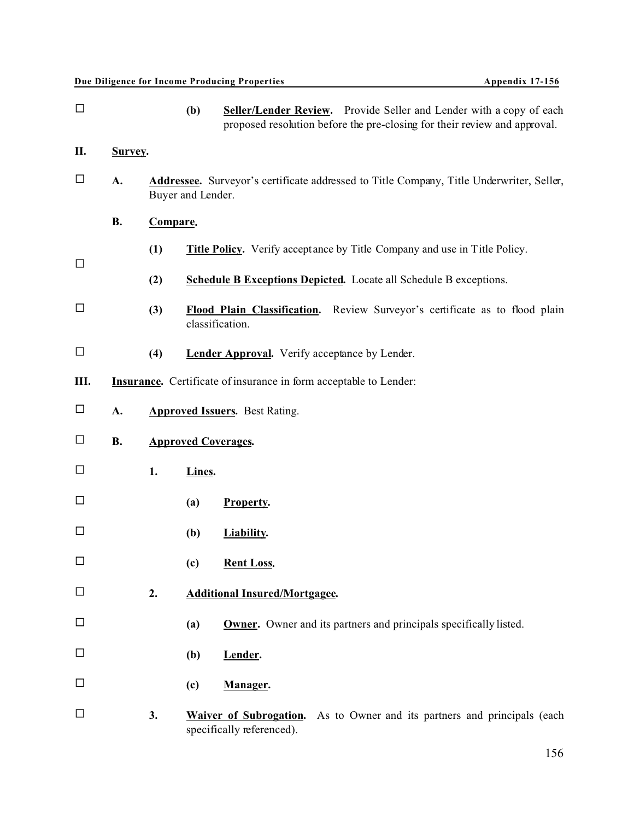| $\Box$ |           |          | (b)                        | Seller/Lender Review. Provide Seller and Lender with a copy of each<br>proposed resolution before the pre-closing for their review and approval. |
|--------|-----------|----------|----------------------------|--------------------------------------------------------------------------------------------------------------------------------------------------|
| II.    | Survey.   |          |                            |                                                                                                                                                  |
| □      | A.        |          | Buyer and Lender.          | Addressee. Surveyor's certificate addressed to Title Company, Title Underwriter, Seller,                                                         |
|        | <b>B.</b> | Compare. |                            |                                                                                                                                                  |
|        |           | (1)      |                            | <b>Title Policy.</b> Verify acceptance by Title Company and use in Title Policy.                                                                 |
| $\Box$ |           | (2)      |                            | <b>Schedule B Exceptions Depicted.</b> Locate all Schedule B exceptions.                                                                         |
| $\Box$ |           | (3)      | classification.            | Flood Plain Classification. Review Surveyor's certificate as to flood plain                                                                      |
| $\Box$ |           | (4)      |                            | <b>Lender Approval.</b> Verify acceptance by Lender.                                                                                             |
| Ш.     |           |          |                            | <b>Insurance.</b> Certificate of insurance in form acceptable to Lender:                                                                         |
| □      | A.        |          |                            | <b>Approved Issuers.</b> Best Rating.                                                                                                            |
| □      | <b>B.</b> |          | <b>Approved Coverages.</b> |                                                                                                                                                  |
| $\Box$ |           | 1.       | Lines.                     |                                                                                                                                                  |
| □      |           |          | (a)                        | Property.                                                                                                                                        |
| $\Box$ |           |          | (b)                        | Liability.                                                                                                                                       |
| $\Box$ |           |          | (c)                        | <b>Rent Loss.</b>                                                                                                                                |
| □      |           | 2.       |                            | <b>Additional Insured/Mortgagee.</b>                                                                                                             |
| □      |           |          | (a)                        | <b>Owner.</b> Owner and its partners and principals specifically listed.                                                                         |
| □      |           |          | (b)                        | Lender.                                                                                                                                          |
| □      |           |          | (c)                        | Manager.                                                                                                                                         |
| □      |           | 3.       |                            | <b>Waiver of Subrogation.</b> As to Owner and its partners and principals (each<br>specifically referenced).                                     |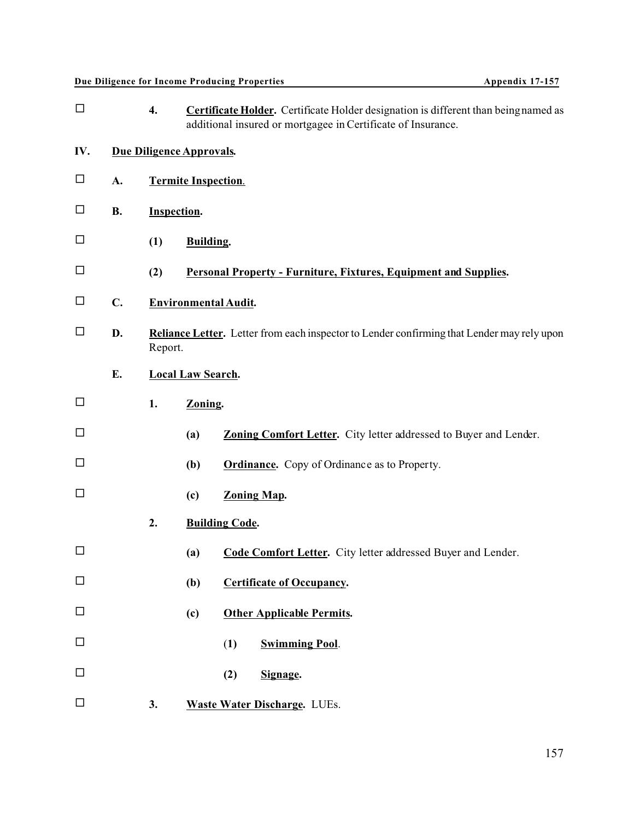| $\Box$ |           | 4.      | Certificate Holder. Certificate Holder designation is different than being named as<br>additional insured or mortgagee in Certificate of Insurance. |  |  |  |  |
|--------|-----------|---------|-----------------------------------------------------------------------------------------------------------------------------------------------------|--|--|--|--|
| IV.    |           |         | Due Diligence Approvals.                                                                                                                            |  |  |  |  |
| □      | A.        |         | <b>Termite Inspection.</b>                                                                                                                          |  |  |  |  |
| $\Box$ | <b>B.</b> |         | <b>Inspection.</b>                                                                                                                                  |  |  |  |  |
| $\Box$ |           | (1)     | <b>Building.</b>                                                                                                                                    |  |  |  |  |
| □      |           | (2)     | Personal Property - Furniture, Fixtures, Equipment and Supplies.                                                                                    |  |  |  |  |
| □      | C.        |         | <b>Environmental Audit.</b>                                                                                                                         |  |  |  |  |
| $\Box$ | D.        | Report. | Reliance Letter. Letter from each inspector to Lender confirming that Lender may rely upon                                                          |  |  |  |  |
|        | E.        |         | <b>Local Law Search.</b>                                                                                                                            |  |  |  |  |
| □      |           | 1.      | Zoning.                                                                                                                                             |  |  |  |  |
| $\Box$ |           |         | Zoning Comfort Letter. City letter addressed to Buyer and Lender.<br>(a)                                                                            |  |  |  |  |
| $\Box$ |           |         | <b>Ordinance.</b> Copy of Ordinance as to Property.<br>(b)                                                                                          |  |  |  |  |
| $\Box$ |           |         | <b>Zoning Map.</b><br>(c)                                                                                                                           |  |  |  |  |
|        |           | 2.      | <b>Building Code.</b>                                                                                                                               |  |  |  |  |
| □      |           |         | Code Comfort Letter. City letter addressed Buyer and Lender.<br>(a)                                                                                 |  |  |  |  |
| $\Box$ |           |         | (b)<br><b>Certificate of Occupancy.</b>                                                                                                             |  |  |  |  |
| $\Box$ |           |         | <b>Other Applicable Permits.</b><br>(c)                                                                                                             |  |  |  |  |
| $\Box$ |           |         | <b>Swimming Pool.</b><br>(1)                                                                                                                        |  |  |  |  |
| $\Box$ |           |         | (2)<br>Signage.                                                                                                                                     |  |  |  |  |
| $\Box$ |           | 3.      | Waste Water Discharge. LUEs.                                                                                                                        |  |  |  |  |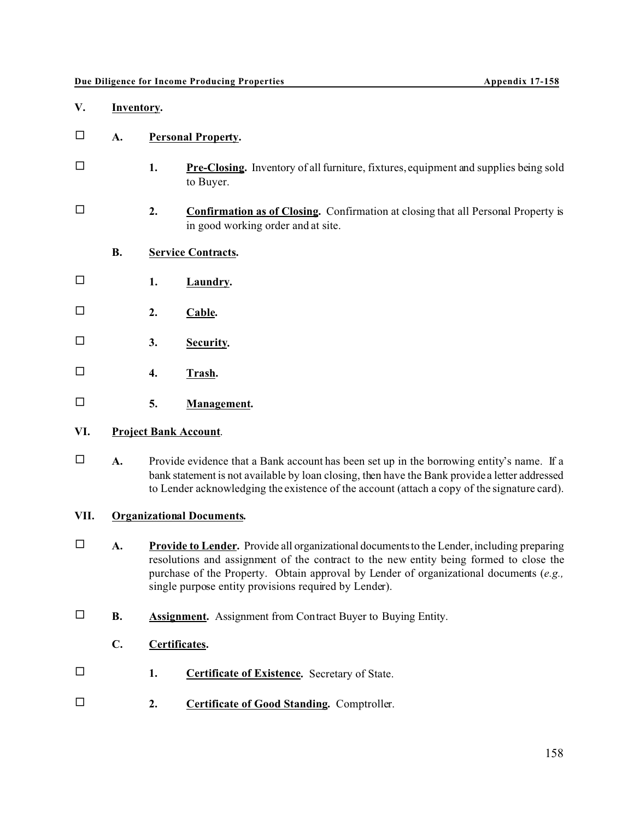| V.     | <b>Inventory.</b> |    |                                                                                                                                |
|--------|-------------------|----|--------------------------------------------------------------------------------------------------------------------------------|
| $\Box$ | A.                |    | <b>Personal Property.</b>                                                                                                      |
| $\Box$ |                   | 1. | Pre-Closing. Inventory of all furniture, fixtures, equipment and supplies being sold<br>to Buyer.                              |
| $\Box$ |                   | 2. | <b>Confirmation as of Closing.</b> Confirmation at closing that all Personal Property is<br>in good working order and at site. |
|        | <b>B.</b>         |    | <b>Service Contracts.</b>                                                                                                      |
| $\Box$ |                   | 1. | Laundry.                                                                                                                       |
| $\Box$ |                   | 2. | Cable.                                                                                                                         |
| $\Box$ |                   | 3. | Security.                                                                                                                      |
| $\Box$ |                   | 4. | Trash.                                                                                                                         |
| $\Box$ |                   | 5. | Management.                                                                                                                    |
| VI.    |                   |    | <b>Project Bank Account.</b>                                                                                                   |

9 **A.** Provide evidence that a Bank account has been set up in the borrowing entity's name. If a bank statement is not available by loan closing, then have the Bank provide a letter addressed to Lender acknowledging the existence of the account (attach a copy of the signature card).

# **VII. Organizational Documents.**

- 9 **A. Provide to Lender.** Provide all organizational documentsto the Lender, including preparing resolutions and assignment of the contract to the new entity being formed to close the purchase of the Property. Obtain approval by Lender of organizational documents (*e.g.,* single purpose entity provisions required by Lender).
- 9 **B. Assignment.** Assignment from Contract Buyer to Buying Entity.
	- **C. Certificates.**
- 9 **1. Certificate of Existence.** Secretary of State.
- 9 **2. Certificate of Good Standing.** Comptroller.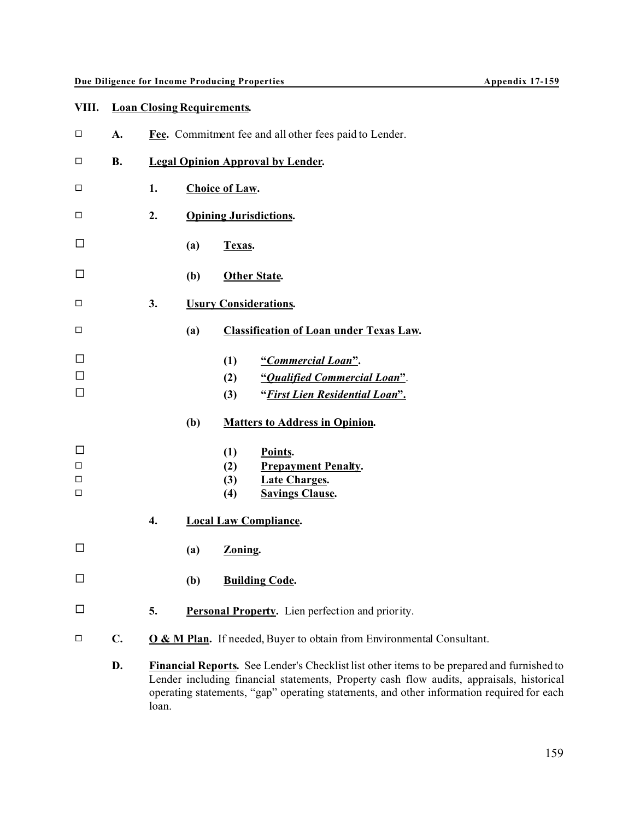| VIII.                      |                | <b>Loan Closing Requirements.</b> |     |                                                                                                                     |  |
|----------------------------|----------------|-----------------------------------|-----|---------------------------------------------------------------------------------------------------------------------|--|
| $\Box$                     | A.             |                                   |     | Fee. Commitment fee and all other fees paid to Lender.                                                              |  |
| □                          | <b>B.</b>      |                                   |     | <b>Legal Opinion Approval by Lender.</b>                                                                            |  |
| □                          |                | 1.                                |     | <b>Choice of Law.</b>                                                                                               |  |
| □                          |                | 2.                                |     | <b>Opining Jurisdictions.</b>                                                                                       |  |
| □                          |                |                                   | (a) | Texas.                                                                                                              |  |
| □                          |                |                                   | (b) | <b>Other State.</b>                                                                                                 |  |
| П                          |                | 3.                                |     | <b>Usury Considerations.</b>                                                                                        |  |
| □                          |                |                                   | (a) | <b>Classification of Loan under Texas Law.</b>                                                                      |  |
| $\Box$<br>$\Box$<br>□      |                |                                   |     | "Commercial Loan".<br>(1)<br>"Oualified Commercial Loan".<br>(2)<br>"First Lien Residential Loan".<br>(3)           |  |
|                            |                |                                   | (b) | <b>Matters to Address in Opinion.</b>                                                                               |  |
| □<br>$\Box$<br>□<br>$\Box$ |                |                                   |     | (1)<br>Points.<br><b>Prepayment Penalty.</b><br>(2)<br><b>Late Charges.</b><br>(3)<br><b>Savings Clause.</b><br>(4) |  |
|                            |                | 4.                                |     | <b>Local Law Compliance.</b>                                                                                        |  |
| □                          |                |                                   | (a) | Zoning.                                                                                                             |  |
| □                          |                |                                   | (b) | <b>Building Code.</b>                                                                                               |  |
| $\Box$                     |                | 5.                                |     | Personal Property. Lien perfection and priority.                                                                    |  |
| □                          | $\mathbf{C}$ . |                                   |     | O & M Plan. If needed, Buyer to obtain from Environmental Consultant.                                               |  |
|                            | D.             |                                   |     | <b>Financial Reports.</b> See Lender's Checklist list other items to be prepared and                                |  |

**D. Financial Reports.** See Lender's Checklist list other items to be prepared and furnished to Lender including financial statements, Property cash flow audits, appraisals, historical operating statements, "gap" operating statements, and other information required for each loan.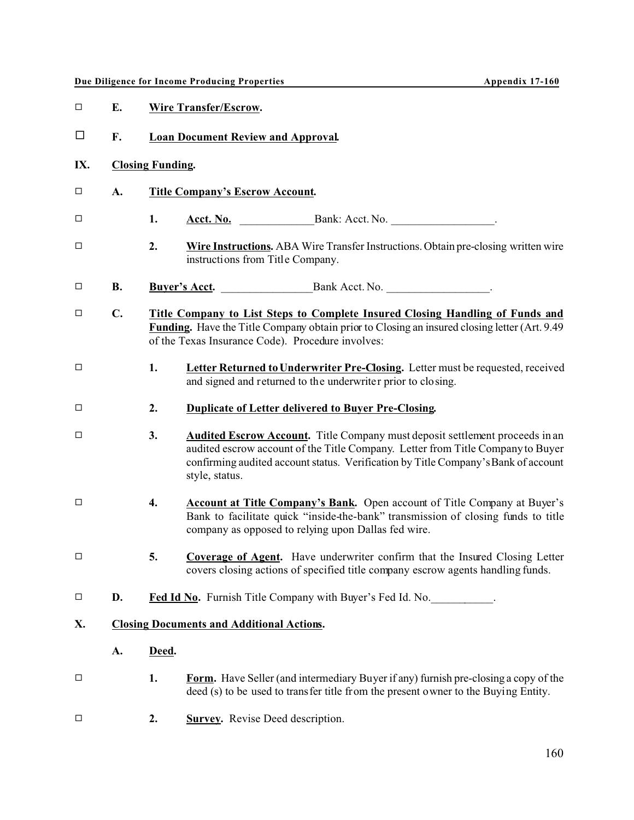| $\Box$ | E.             | <b>Wire Transfer/Escrow.</b>              |                                                                                                                                                                                                                                                                                |  |  |  |  |  |  |
|--------|----------------|-------------------------------------------|--------------------------------------------------------------------------------------------------------------------------------------------------------------------------------------------------------------------------------------------------------------------------------|--|--|--|--|--|--|
| $\Box$ | F.             | <b>Loan Document Review and Approval.</b> |                                                                                                                                                                                                                                                                                |  |  |  |  |  |  |
| IX.    |                | <b>Closing Funding.</b>                   |                                                                                                                                                                                                                                                                                |  |  |  |  |  |  |
| □      | A.             |                                           | <b>Title Company's Escrow Account.</b>                                                                                                                                                                                                                                         |  |  |  |  |  |  |
| □      |                | 1.                                        |                                                                                                                                                                                                                                                                                |  |  |  |  |  |  |
| □      |                | 2.                                        | <b>Wire Instructions.</b> ABA Wire Transfer Instructions. Obtain pre-closing written wire<br>instructions from Title Company.                                                                                                                                                  |  |  |  |  |  |  |
| □      | <b>B.</b>      |                                           |                                                                                                                                                                                                                                                                                |  |  |  |  |  |  |
| □      | $\mathbf{C}$ . |                                           | Title Company to List Steps to Complete Insured Closing Handling of Funds and<br>Funding. Have the Title Company obtain prior to Closing an insured closing letter (Art. 9.49)<br>of the Texas Insurance Code). Procedure involves:                                            |  |  |  |  |  |  |
| □      |                | 1.                                        | Letter Returned to Underwriter Pre-Closing. Letter must be requested, received<br>and signed and returned to the underwriter prior to closing.                                                                                                                                 |  |  |  |  |  |  |
| □      |                | 2.                                        | Duplicate of Letter delivered to Buyer Pre-Closing.                                                                                                                                                                                                                            |  |  |  |  |  |  |
| $\Box$ |                | 3.                                        | <b>Audited Escrow Account.</b> Title Company must deposit settlement proceeds in an<br>audited escrow account of the Title Company. Letter from Title Company to Buyer<br>confirming audited account status. Verification by Title Company's Bank of account<br>style, status. |  |  |  |  |  |  |
| □      |                | 4.                                        | Account at Title Company's Bank. Open account of Title Company at Buyer's<br>Bank to facilitate quick "inside-the-bank" transmission of closing funds to title<br>company as opposed to relying upon Dallas fed wire.                                                          |  |  |  |  |  |  |
| □      |                | 5.                                        | <b>Coverage of Agent.</b> Have underwriter confirm that the Insured Closing Letter<br>covers closing actions of specified title company escrow agents handling funds.                                                                                                          |  |  |  |  |  |  |
| $\Box$ | D.             |                                           | Fed Id No. Furnish Title Company with Buyer's Fed Id. No.                                                                                                                                                                                                                      |  |  |  |  |  |  |
| X.     |                |                                           | <b>Closing Documents and Additional Actions.</b>                                                                                                                                                                                                                               |  |  |  |  |  |  |
|        | A.             | Deed.                                     |                                                                                                                                                                                                                                                                                |  |  |  |  |  |  |
| □      |                | 1.                                        | Form. Have Seller (and intermediary Buyer if any) furnish pre-closing a copy of the<br>deed (s) to be used to transfer title from the present owner to the Buying Entity.                                                                                                      |  |  |  |  |  |  |
| □      |                | 2.                                        | <b>Survey.</b> Revise Deed description.                                                                                                                                                                                                                                        |  |  |  |  |  |  |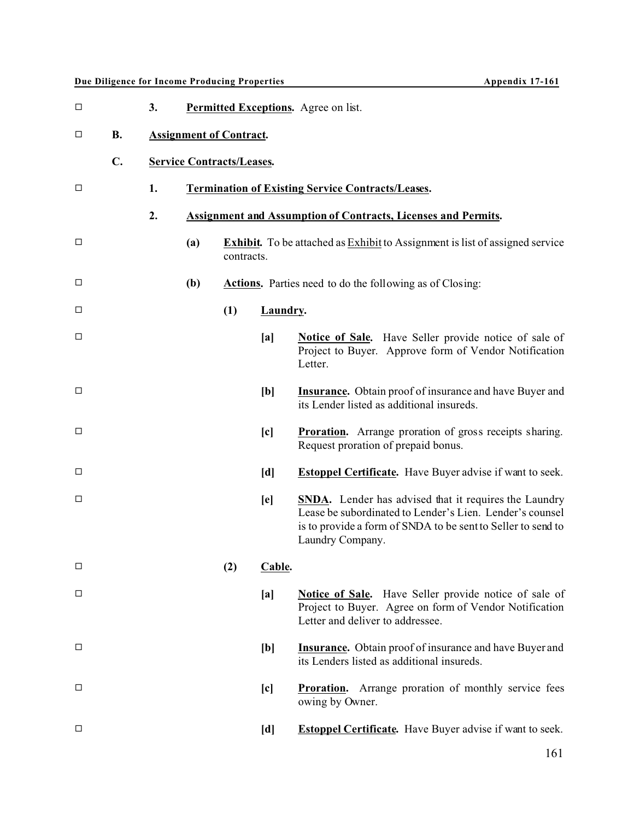| $\Box$ |                | 3. |                                  |            |          | Permitted Exceptions. Agree on list.                                                                                                                                                                         |
|--------|----------------|----|----------------------------------|------------|----------|--------------------------------------------------------------------------------------------------------------------------------------------------------------------------------------------------------------|
| □      | <b>B.</b>      |    | <b>Assignment of Contract.</b>   |            |          |                                                                                                                                                                                                              |
|        | $\mathbf{C}$ . |    | <b>Service Contracts/Leases.</b> |            |          |                                                                                                                                                                                                              |
| □      |                | 1. |                                  |            |          | <b>Termination of Existing Service Contracts/Leases.</b>                                                                                                                                                     |
|        |                | 2. |                                  |            |          | <b>Assignment and Assumption of Contracts, Licenses and Permits.</b>                                                                                                                                         |
| $\Box$ |                |    | (a)                              | contracts. |          | <b>Exhibit.</b> To be attached as <b>Exhibit</b> to Assignment is list of assigned service                                                                                                                   |
| □      |                |    | (b)                              |            |          | <b>Actions.</b> Parties need to do the following as of Closing:                                                                                                                                              |
| □      |                |    |                                  | (1)        | Laundry. |                                                                                                                                                                                                              |
| □      |                |    |                                  |            | [a]      | <b>Notice of Sale.</b> Have Seller provide notice of sale of<br>Project to Buyer. Approve form of Vendor Notification<br>Letter.                                                                             |
| □      |                |    |                                  |            | [b]      | <b>Insurance.</b> Obtain proof of insurance and have Buyer and<br>its Lender listed as additional insureds.                                                                                                  |
| $\Box$ |                |    |                                  |            | [c]      | <b>Proration.</b> Arrange proration of gross receipts sharing.<br>Request proration of prepaid bonus.                                                                                                        |
| □      |                |    |                                  |            | [d]      | <b>Estoppel Certificate.</b> Have Buyer advise if want to seek.                                                                                                                                              |
| □      |                |    |                                  |            | [e]      | <b>SNDA.</b> Lender has advised that it requires the Laundry<br>Lease be subordinated to Lender's Lien. Lender's counsel<br>is to provide a form of SNDA to be sent to Seller to send to<br>Laundry Company. |
| □      |                |    |                                  | (2)        | Cable.   |                                                                                                                                                                                                              |
| □      |                |    |                                  |            | [a]      | Notice of Sale. Have Seller provide notice of sale of<br>Project to Buyer. Agree on form of Vendor Notification<br>Letter and deliver to addressee.                                                          |
| □      |                |    |                                  |            | [b]      | <b>Insurance.</b> Obtain proof of insurance and have Buyer and<br>its Lenders listed as additional insureds.                                                                                                 |
| □      |                |    |                                  |            | [c]      | <b>Proration.</b> Arrange proration of monthly service fees<br>owing by Owner.                                                                                                                               |
| □      |                |    |                                  |            | [d]      | <b>Estoppel Certificate.</b> Have Buyer advise if want to seek.                                                                                                                                              |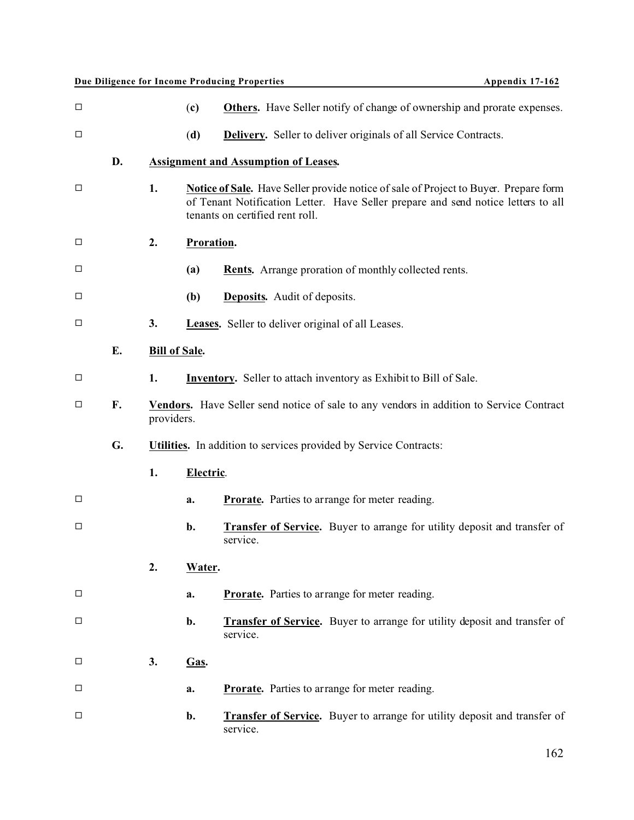|        |    |                      |                                                                                                | Due Diligence for Income Producing Properties<br>Appendix 17-162                                                                                                                                                    |  |  |
|--------|----|----------------------|------------------------------------------------------------------------------------------------|---------------------------------------------------------------------------------------------------------------------------------------------------------------------------------------------------------------------|--|--|
| $\Box$ |    |                      | (c)                                                                                            | <b>Others.</b> Have Seller notify of change of ownership and prorate expenses.                                                                                                                                      |  |  |
| $\Box$ |    |                      | (d)                                                                                            | Delivery. Seller to deliver originals of all Service Contracts.                                                                                                                                                     |  |  |
|        | D. |                      |                                                                                                | <b>Assignment and Assumption of Leases.</b>                                                                                                                                                                         |  |  |
| □      |    | 1.                   |                                                                                                | <b>Notice of Sale.</b> Have Seller provide notice of sale of Project to Buyer. Prepare form<br>of Tenant Notification Letter. Have Seller prepare and send notice letters to all<br>tenants on certified rent roll. |  |  |
| □      |    | 2.                   | Proration.                                                                                     |                                                                                                                                                                                                                     |  |  |
| □      |    |                      | (a)                                                                                            | <b>Rents.</b> Arrange proration of monthly collected rents.                                                                                                                                                         |  |  |
| □      |    |                      | (b)                                                                                            | <b>Deposits.</b> Audit of deposits.                                                                                                                                                                                 |  |  |
| $\Box$ |    | 3.                   |                                                                                                | Leases. Seller to deliver original of all Leases.                                                                                                                                                                   |  |  |
|        | E. | <b>Bill of Sale.</b> |                                                                                                |                                                                                                                                                                                                                     |  |  |
| □      |    | 1.                   |                                                                                                | Inventory. Seller to attach inventory as Exhibit to Bill of Sale.                                                                                                                                                   |  |  |
| $\Box$ | F. | providers.           | <b>Vendors.</b> Have Seller send notice of sale to any vendors in addition to Service Contract |                                                                                                                                                                                                                     |  |  |
|        | G. |                      |                                                                                                | <b>Utilities.</b> In addition to services provided by Service Contracts:                                                                                                                                            |  |  |
|        |    | 1.                   | Electric.                                                                                      |                                                                                                                                                                                                                     |  |  |
| □      |    |                      | a.                                                                                             | <b>Prorate.</b> Parties to arrange for meter reading.                                                                                                                                                               |  |  |
| □      |    |                      | b.                                                                                             | <b>Transfer of Service.</b> Buyer to arrange for utility deposit and transfer of<br>service.                                                                                                                        |  |  |
|        |    | 2.                   | Water.                                                                                         |                                                                                                                                                                                                                     |  |  |
| □      |    |                      | a.                                                                                             | <b>Prorate.</b> Parties to arrange for meter reading.                                                                                                                                                               |  |  |
| □      |    |                      | b.                                                                                             | <b>Transfer of Service.</b> Buyer to arrange for utility deposit and transfer of<br>service.                                                                                                                        |  |  |
| □      |    | 3.                   | Gas.                                                                                           |                                                                                                                                                                                                                     |  |  |
| □      |    |                      | a.                                                                                             | <b>Prorate.</b> Parties to arrange for meter reading.                                                                                                                                                               |  |  |
| □      |    |                      | b.                                                                                             | Transfer of Service. Buyer to arrange for utility deposit and transfer of<br>service.                                                                                                                               |  |  |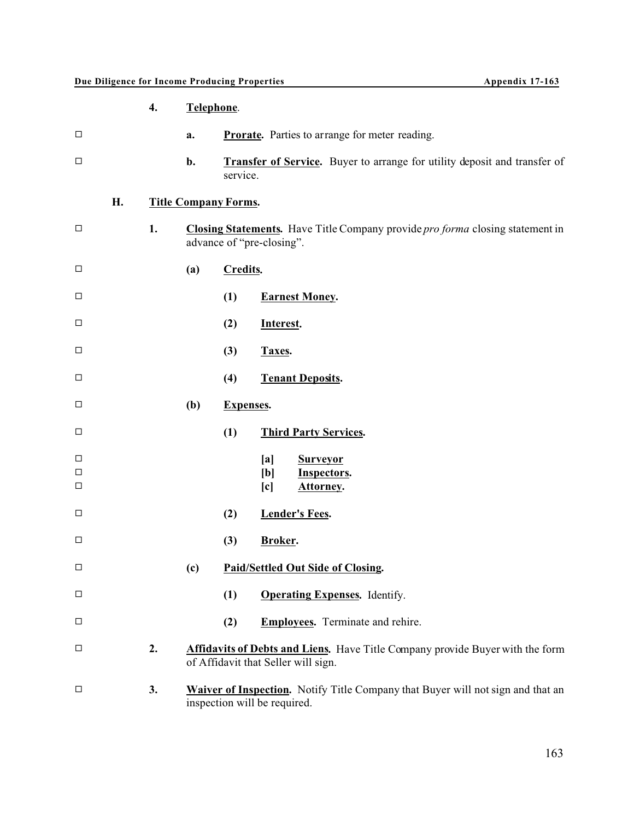|                  |    | 4. | Telephone.                  |                  |                                                                                                                             |
|------------------|----|----|-----------------------------|------------------|-----------------------------------------------------------------------------------------------------------------------------|
| $\Box$           |    |    | a.                          |                  | <b>Prorate.</b> Parties to arrange for meter reading.                                                                       |
| $\Box$           |    |    | b.                          | service.         | Transfer of Service. Buyer to arrange for utility deposit and transfer of                                                   |
|                  | H. |    | <b>Title Company Forms.</b> |                  |                                                                                                                             |
| $\Box$           |    | 1. |                             |                  | <b>Closing Statements.</b> Have Title Company provide pro forma closing statement in<br>advance of "pre-closing".           |
| $\Box$           |    |    | (a)                         | Credits.         |                                                                                                                             |
| $\Box$           |    |    |                             | (1)              | <b>Earnest Money.</b>                                                                                                       |
| $\Box$           |    |    |                             | (2)              | Interest.                                                                                                                   |
| □                |    |    |                             | (3)              | Taxes.                                                                                                                      |
| $\Box$           |    |    |                             | (4)              | <b>Tenant Deposits.</b>                                                                                                     |
| $\Box$           |    |    | (b)                         | <b>Expenses.</b> |                                                                                                                             |
| □                |    |    |                             | (1)              | <b>Third Party Services.</b>                                                                                                |
| □<br>$\Box$<br>□ |    |    |                             |                  | [a]<br><b>Surveyor</b><br>[b]<br><b>Inspectors.</b><br>[c]<br>Attorney.                                                     |
| $\Box$           |    |    |                             | (2)              | <b>Lender's Fees.</b>                                                                                                       |
| $\Box$           |    |    |                             | (3)              | Broker.                                                                                                                     |
| $\Box$           |    |    | (c)                         |                  | Paid/Settled Out Side of Closing.                                                                                           |
| $\Box$           |    |    |                             | (1)              | <b>Operating Expenses.</b> Identify.                                                                                        |
| □                |    |    |                             | (2)              | <b>Employees.</b> Terminate and rehire.                                                                                     |
| □                |    | 2. |                             |                  | <b>Affidavits of Debts and Liens.</b> Have Title Company provide Buyer with the form<br>of Affidavit that Seller will sign. |
| □                |    | 3. |                             |                  | <b>Waiver of Inspection.</b> Notify Title Company that Buyer will not sign and that an<br>inspection will be required.      |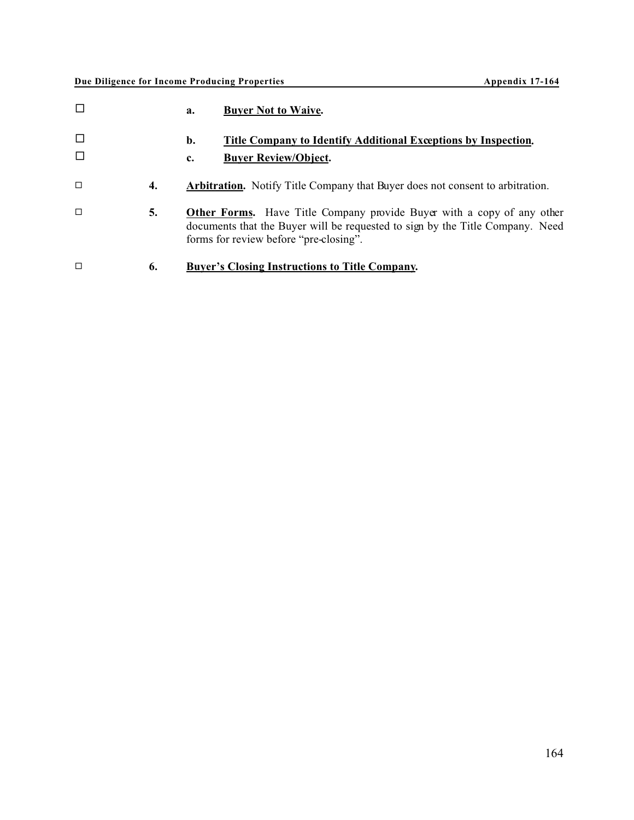| П           |    | <b>Buyer Not to Waive.</b><br>a.                                                                                                                                                                         |
|-------------|----|----------------------------------------------------------------------------------------------------------------------------------------------------------------------------------------------------------|
| □<br>$\Box$ |    | $\mathbf{b}$ .<br>Title Company to Identify Additional Exceptions by Inspection.<br><b>Buyer Review/Object.</b><br>c.                                                                                    |
| $\Box$      | 4. | <b>Arbitration.</b> Notify Title Company that Buyer does not consent to arbitration.                                                                                                                     |
| $\Box$      | 5. | <b>Other Forms.</b> Have Title Company provide Buyer with a copy of any other<br>documents that the Buyer will be requested to sign by the Title Company. Need<br>forms for review before "pre-closing". |
| $\Box$      | 6. | <b>Buyer's Closing Instructions to Title Company.</b>                                                                                                                                                    |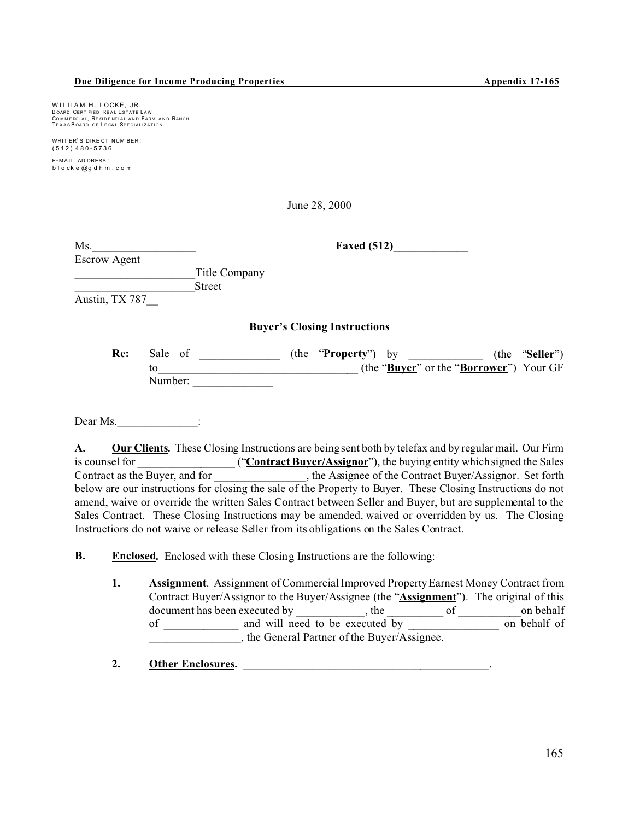WILLIAM H. LOCKE, JR. BOARD CERTIFIED REAL ESTATE LAW COMMERCIAL, RESIDENTIAL AND FARM AND RANCH TEXAS BOARD OF LEGAL SPECIALIZATION

WRIT ER'S DIRECT NUM BER (512) 480-5736 E- MAIL AD DRESS : bloc ke@gdhm.com

June 28, 2000

Escrow Agent

Ms. **Faxed (512)** 

\_\_\_\_\_\_\_\_\_\_\_\_\_\_\_\_\_\_\_\_\_Title Company Street

Austin, TX 787\_\_

#### **Buyer's Closing Instructions**

| Re: | Sale of | the | " <b>Property</b> ") by |  | (the-                                                     | "Seller") |
|-----|---------|-----|-------------------------|--|-----------------------------------------------------------|-----------|
|     | to      |     |                         |  | (the " <b>Buyer</b> " or the " <b>Borrower</b> ") Your GF |           |
|     | Number: |     |                         |  |                                                           |           |

Dear Ms.  $\qquad \qquad :$ 

**A. Our Clients.** These Closing Instructions are being sent both by telefax and by regular mail. Our Firm is counsel for **Contract Buyer/Assignor**"), the buying entity which signed the Sales<br>Contract as the Buyer, and for , the Assignee of the Contract Buyer/Assignor. Set forth The Buyer Assignee of the Contract Buyer/Assignor. Set forth below are our instructions for closing the sale of the Property to Buyer. These Closing Instructions do not amend, waive or override the written Sales Contract between Seller and Buyer, but are supplemental to the Sales Contract. These Closing Instructions may be amended, waived or overridden by us. The Closing Instructions do not waive or release Seller from its obligations on the Sales Contract.

**B. Enclosed.** Enclosed with these Closing Instructions are the following:

- **1. Assignment**. Assignment of Commercial Improved Property Earnest Money Contract from Contract Buyer/Assignor to the Buyer/Assignee (the "**Assignment**"). The original of this document has been executed by \_\_\_\_\_\_\_\_\_\_\_\_, the \_\_\_\_\_\_\_\_\_\_\_\_\_ of \_\_\_\_\_\_\_\_\_\_\_\_\_\_on behalf of \_\_\_\_\_\_\_\_\_\_\_\_\_ and will need to be executed by \_\_\_\_\_\_\_\_\_\_\_\_\_\_\_\_\_\_\_ on behalf of \_\_\_\_\_\_\_\_\_\_\_\_\_\_\_\_, the General Partner of the Buyer/Assignee.
- **2. Other Enclosures.** \_\_\_\_\_\_\_\_\_\_\_\_\_\_\_\_\_\_\_\_\_\_\_\_\_\_\_\_\_\_\_\_\_\_\_\_\_\_\_\_\_\_\_.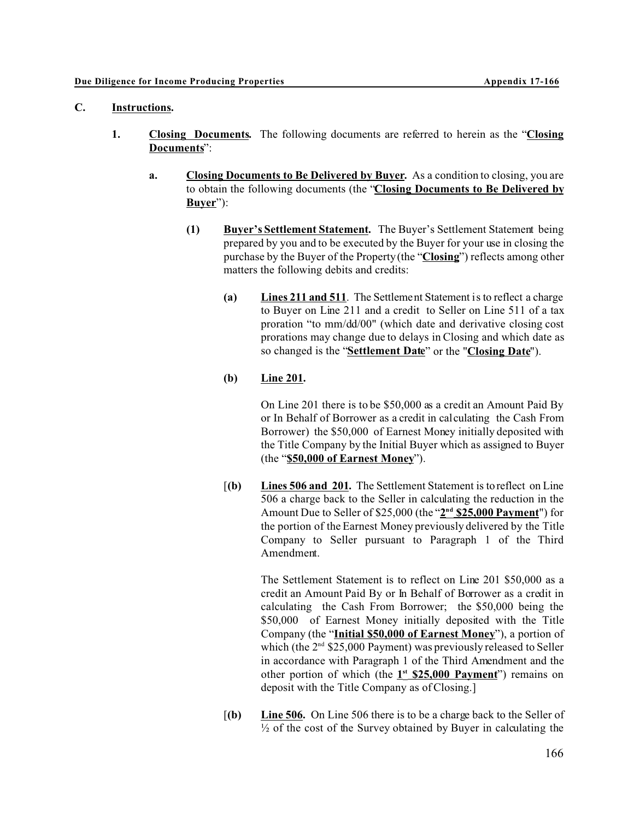#### **C. Instructions.**

- **1. Closing Documents.** The following documents are referred to herein as the "**Closing Documents**":
	- **a. Closing Documents to Be Delivered by Buyer.** As a condition to closing, you are to obtain the following documents (the "**Closing Documents to Be Delivered by Buyer**"):
		- **(1) Buyer's Settlement Statement.** The Buyer's Settlement Statement being prepared by you and to be executed by the Buyer for your use in closing the purchase by the Buyer of the Property (the "**Closing**") reflects among other matters the following debits and credits:
			- **(a) Lines 211 and 511**. The Settlement Statement is to reflect a charge to Buyer on Line 211 and a credit to Seller on Line 511 of a tax proration "to mm/dd/00" (which date and derivative closing cost prorations may change due to delays in Closing and which date as so changed is the "**Settlement Date**" or the "**Closing Date**").

## **(b) Line 201.**

On Line 201 there is to be \$50,000 as a credit an Amount Paid By or In Behalf of Borrower as a credit in calculating the Cash From Borrower) the \$50,000 of Earnest Money initially deposited with the Title Company by the Initial Buyer which as assigned to Buyer (the "**\$50,000 of Earnest Money**").

[**(b) Lines 506 and 201.** The Settlement Statement is to reflect on Line 506 a charge back to the Seller in calculating the reduction in the Amount Due to Seller of \$25,000 (the "2<sup>nd</sup> \$25,000 Payment") for the portion of the Earnest Money previously delivered by the Title Company to Seller pursuant to Paragraph 1 of the Third Amendment.

> The Settlement Statement is to reflect on Line 201 \$50,000 as a credit an Amount Paid By or In Behalf of Borrower as a credit in calculating the Cash From Borrower; the \$50,000 being the \$50,000 of Earnest Money initially deposited with the Title Company (the "**Initial \$50,000 of Earnest Money**"), a portion of which (the  $2<sup>nd</sup>$  \$25,000 Payment) was previously released to Seller in accordance with Paragraph 1 of the Third Amendment and the other portion of which (the  $1^{\text{st}}$  \$25,000 Payment<sup>"</sup>) remains on deposit with the Title Company as of Closing.]

[**(b) Line 506.** On Line 506 there is to be a charge back to the Seller of  $\frac{1}{2}$  of the cost of the Survey obtained by Buyer in calculating the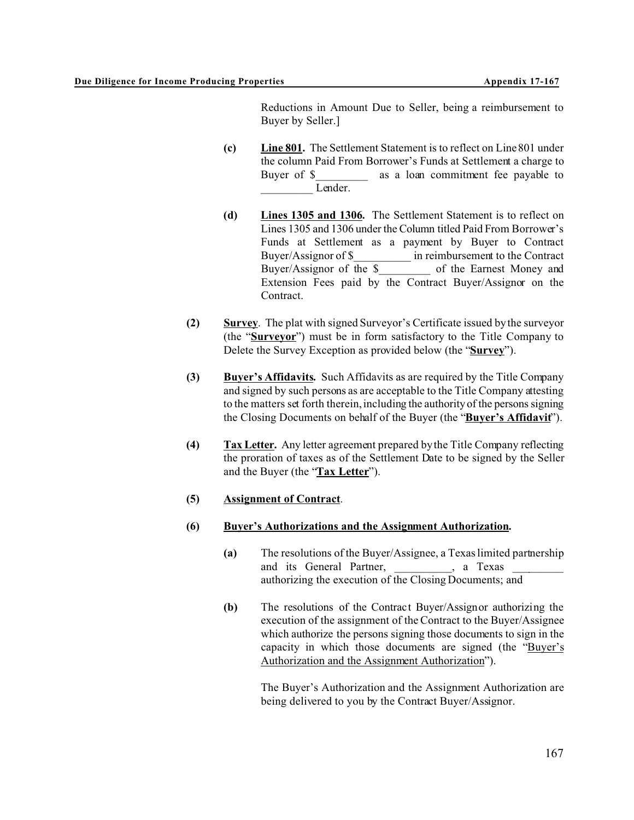Reductions in Amount Due to Seller, being a reimbursement to Buyer by Seller.]

- **(c) Line 801.** The Settlement Statement is to reflect on Line 801 under the column Paid From Borrower's Funds at Settlement a charge to Buyer of \$ as a loan commitment fee payable to Lender.
- **(d) Lines 1305 and 1306.** The Settlement Statement is to reflect on Lines 1305 and 1306 under the Column titled Paid From Borrower's Funds at Settlement as a payment by Buyer to Contract Buyer/Assignor of \$\_\_\_\_\_\_\_\_\_\_ in reimbursement to the Contract Buyer/Assignor of the \$ of the Earnest Money and Extension Fees paid by the Contract Buyer/Assignor on the Contract.
- **(2) Survey**. The plat with signed Surveyor's Certificate issued by the surveyor (the "**Surveyor**") must be in form satisfactory to the Title Company to Delete the Survey Exception as provided below (the "**Survey**").
- **(3) Buyer's Affidavits.** Such Affidavits as are required by the Title Company and signed by such persons as are acceptable to the Title Company attesting to the matters set forth therein, including the authority of the persons signing the Closing Documents on behalf of the Buyer (the "**Buyer's Affidavit**").
- **(4) Tax Letter.** Any letter agreement prepared by the Title Company reflecting the proration of taxes as of the Settlement Date to be signed by the Seller and the Buyer (the "**Tax Letter**").

#### **(5) Assignment of Contract**.

- **(6) Buyer's Authorizations and the Assignment Authorization.**
	- **(a)** The resolutions of the Buyer/Assignee, a Texas limited partnership and its General Partner, a Texas authorizing the execution of the Closing Documents; and
	- **(b)** The resolutions of the Contract Buyer/Assignor authorizing the execution of the assignment of the Contract to the Buyer/Assignee which authorize the persons signing those documents to sign in the capacity in which those documents are signed (the "Buyer's Authorization and the Assignment Authorization").

The Buyer's Authorization and the Assignment Authorization are being delivered to you by the Contract Buyer/Assignor.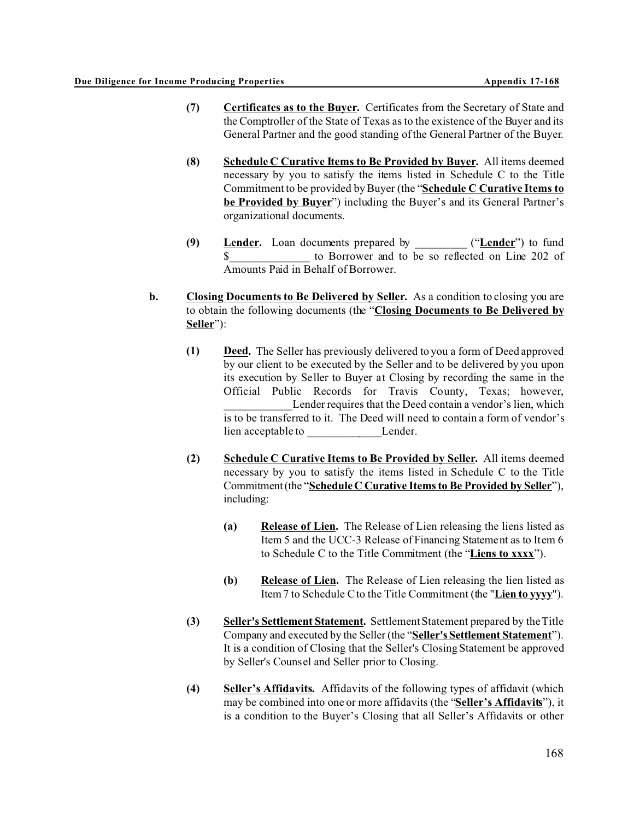- **(7) Certificates as to the Buyer.** Certificates from the Secretary of State and the Comptroller of the State of Texas as to the existence of the Buyer and its General Partner and the good standing of the General Partner of the Buyer.
- **(8) Schedule C Curative Items to Be Provided by Buyer.** All items deemed necessary by you to satisfy the items listed in Schedule C to the Title Commitment to be provided by Buyer (the "**Schedule C Curative Items to be Provided by Buyer**") including the Buyer's and its General Partner's organizational documents.
- **(9) Lender.** Loan documents prepared by \_\_\_\_\_\_\_\_\_ ("**Lender**") to fund \$\_\_\_\_\_\_\_\_\_\_\_\_\_\_ to Borrower and to be so reflected on Line 202 of Amounts Paid in Behalf of Borrower.
- **b. Closing Documents to Be Delivered by Seller.** As a condition to closing you are to obtain the following documents (the "**Closing Documents to Be Delivered by Seller**"):
	- **(1) Deed.** The Seller has previously delivered to you a form of Deed approved by our client to be executed by the Seller and to be delivered by you upon its execution by Seller to Buyer at Closing by recording the same in the Official Public Records for Travis County, Texas; however, Lender requires that the Deed contain a vendor's lien, which is to be transferred to it. The Deed will need to contain a form of vendor's lien acceptable to Lender.
	- **(2) Schedule C Curative Items to Be Provided by Seller.** All items deemed necessary by you to satisfy the items listed in Schedule C to the Title Commitment(the "**ScheduleC Curative Itemsto Be Provided by Seller**"), including:
		- **(a) Release of Lien.** The Release of Lien releasing the liens listed as Item 5 and the UCC-3 Release of Financing Statement as to Item 6 to Schedule C to the Title Commitment (the "**Liens to xxxx**").
		- **(b) Release of Lien.** The Release of Lien releasing the lien listed as Item7 to Schedule C to the Title Commitment (the "**Lien to yyyy**").
	- **(3) Seller's Settlement Statement.** Settlement Statement prepared by the Title Company and executed by the Seller (the "**Seller's Settlement Statement**"). It is a condition of Closing that the Seller's Closing Statement be approved by Seller's Counsel and Seller prior to Closing.
	- **(4) Seller's Affidavits.** Affidavits of the following types of affidavit (which may be combined into one or more affidavits (the "**Seller's Affidavits**"), it is a condition to the Buyer's Closing that all Seller's Affidavits or other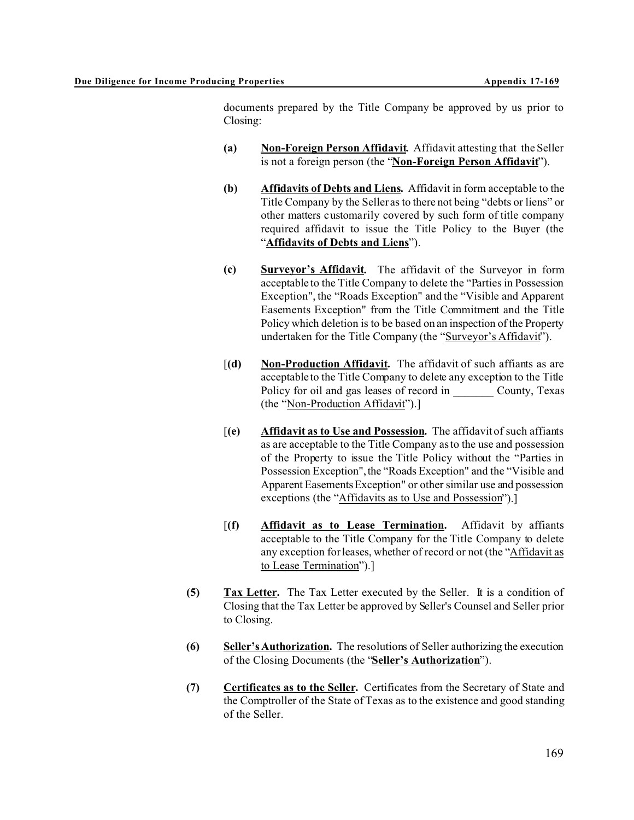documents prepared by the Title Company be approved by us prior to Closing:

- **(a) Non-Foreign Person Affidavit.** Affidavit attesting that the Seller is not a foreign person (the "**Non-Foreign Person Affidavit**").
- **(b) Affidavits of Debts and Liens.** Affidavit in form acceptable to the Title Company by the Seller as to there not being "debts or liens" or other matters customarily covered by such form of title company required affidavit to issue the Title Policy to the Buyer (the "**Affidavits of Debts and Liens**").
- **(c) Surveyor's Affidavit.** The affidavit of the Surveyor in form acceptable to the Title Company to delete the "Parties in Possession Exception", the "Roads Exception" and the "Visible and Apparent Easements Exception" from the Title Commitment and the Title Policy which deletion is to be based on an inspection of the Property undertaken for the Title Company (the "Surveyor's Affidavit").
- [**(d) Non-Production Affidavit.** The affidavit of such affiants as are acceptable to the Title Company to delete any exception to the Title Policy for oil and gas leases of record in County, Texas (the "Non-Production Affidavit").]
- [**(e) Affidavit as to Use and Possession.** The affidavit of such affiants as are acceptable to the Title Company as to the use and possession of the Property to issue the Title Policy without the "Parties in Possession Exception", the "Roads Exception" and the "Visible and Apparent EasementsException" or other similar use and possession exceptions (the "Affidavits as to Use and Possession").]
- [**(f) Affidavit as to Lease Termination.** Affidavit by affiants acceptable to the Title Company for the Title Company to delete any exception for leases, whether of record or not (the "Affidavit as to Lease Termination").]
- **(5) Tax Letter.** The Tax Letter executed by the Seller. It is a condition of Closing that the Tax Letter be approved by Seller's Counsel and Seller prior to Closing.
- **(6) Seller's Authorization.** The resolutions of Seller authorizing the execution of the Closing Documents (the "**Seller's Authorization**").
- **(7) Certificates as to the Seller.** Certificates from the Secretary of State and the Comptroller of the State of Texas as to the existence and good standing of the Seller.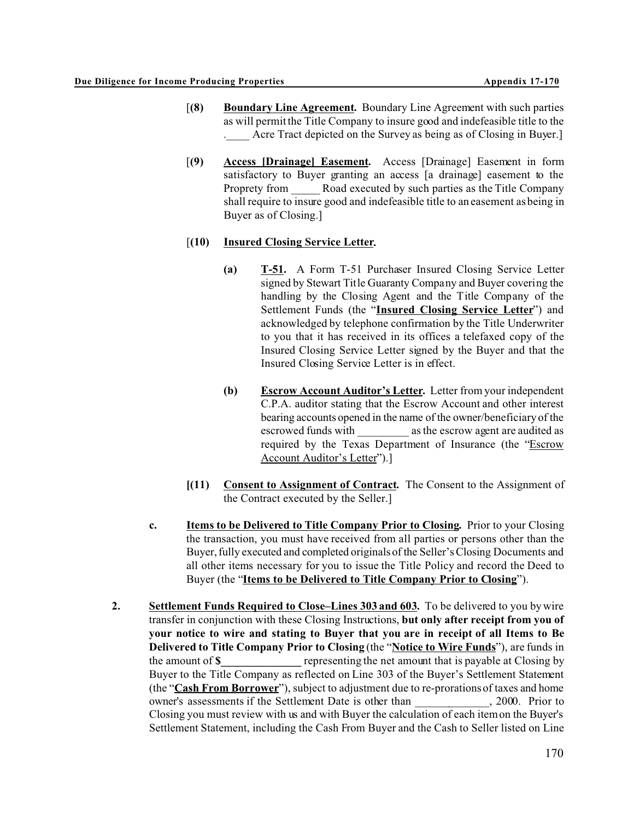- [**(8) Boundary Line Agreement.** Boundary Line Agreement with such parties as will permit the Title Company to insure good and indefeasible title to the . Acre Tract depicted on the Survey as being as of Closing in Buyer.]
- [**(9) Access [Drainage] Easement.** Access [Drainage] Easement in form satisfactory to Buyer granting an access [a drainage] easement to the Proprety from **Road executed by such parties as the Title Company** shall require to insure good and indefeasible title to an easement as being in Buyer as of Closing.]

#### [**(10) Insured Closing Service Letter.**

- **(a) T-51.** A Form T-51 Purchaser Insured Closing Service Letter signed by Stewart Title Guaranty Company and Buyer covering the handling by the Closing Agent and the Title Company of the Settlement Funds (the "**Insured Closing Service Letter**") and acknowledged by telephone confirmation by the Title Underwriter to you that it has received in its offices a telefaxed copy of the Insured Closing Service Letter signed by the Buyer and that the Insured Closing Service Letter is in effect.
- **(b) Escrow Account Auditor's Letter.** Letter from your independent C.P.A. auditor stating that the Escrow Account and other interest bearing accounts opened in the name of the owner/beneficiary of the escrowed funds with as the escrow agent are audited as required by the Texas Department of Insurance (the "Escrow Account Auditor's Letter").]
- **[(11) Consent to Assignment of Contract.** The Consent to the Assignment of the Contract executed by the Seller.]
- **c. Items to be Delivered to Title Company Prior to Closing.** Prior to your Closing the transaction, you must have received from all parties or persons other than the Buyer, fully executed and completed originals of the Seller's Closing Documents and all other items necessary for you to issue the Title Policy and record the Deed to Buyer (the "**Items to be Delivered to Title Company Prior to Closing**").
- **2. Settlement Funds Required to Close–Lines 303 and 603.** To be delivered to you by wire transfer in conjunction with these Closing Instructions, **but only after receipt from you of your notice to wire and stating to Buyer that you are in receipt of all Items to Be Delivered to Title Company Prior to Closing** (the "**Notice to Wire Funds**"), are funds in the amount of **\$** representing the net amount that is payable at Closing by Buyer to the Title Company as reflected on Line 303 of the Buyer's Settlement Statement (the "**Cash From Borrower**"), subject to adjustment due to re-prorations of taxes and home owner's assessments if the Settlement Date is other than \_\_\_\_\_\_\_\_\_\_\_\_\_, 2000. Prior to Closing you must review with us and with Buyer the calculation of each item on the Buyer's Settlement Statement, including the Cash From Buyer and the Cash to Seller listed on Line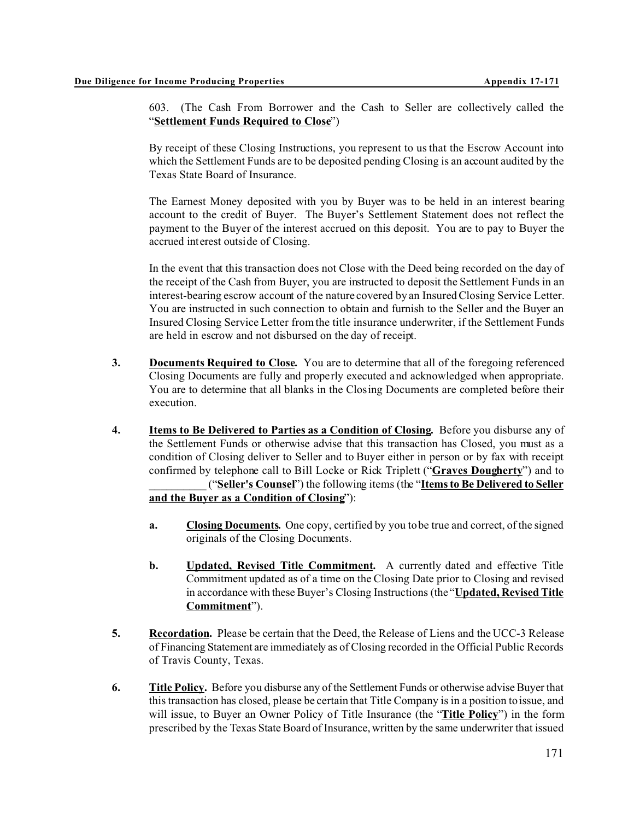603. (The Cash From Borrower and the Cash to Seller are collectively called the "**Settlement Funds Required to Close**")

By receipt of these Closing Instructions, you represent to us that the Escrow Account into which the Settlement Funds are to be deposited pending Closing is an account audited by the Texas State Board of Insurance.

The Earnest Money deposited with you by Buyer was to be held in an interest bearing account to the credit of Buyer. The Buyer's Settlement Statement does not reflect the payment to the Buyer of the interest accrued on this deposit. You are to pay to Buyer the accrued interest outside of Closing.

In the event that this transaction does not Close with the Deed being recorded on the day of the receipt of the Cash from Buyer, you are instructed to deposit the Settlement Funds in an interest-bearing escrow account of the nature covered by an Insured Closing Service Letter. You are instructed in such connection to obtain and furnish to the Seller and the Buyer an Insured Closing Service Letter from the title insurance underwriter, if the Settlement Funds are held in escrow and not disbursed on the day of receipt.

- **3. Documents Required to Close.** You are to determine that all of the foregoing referenced Closing Documents are fully and properly executed and acknowledged when appropriate. You are to determine that all blanks in the Closing Documents are completed before their execution.
- **4. Items to Be Delivered to Parties as a Condition of Closing.** Before you disburse any of the Settlement Funds or otherwise advise that this transaction has Closed, you must as a condition of Closing deliver to Seller and to Buyer either in person or by fax with receipt confirmed by telephone call to Bill Locke or Rick Triplett ("**Graves Dougherty**") and to \_\_\_\_\_\_\_\_\_\_ ("**Seller's Counsel**") the following items (the "**Itemsto Be Delivered to Seller and the Buyer as a Condition of Closing**"):
	- **a. Closing Documents.** One copy, certified by you to be true and correct, of the signed originals of the Closing Documents.
	- **b. Updated, Revised Title Commitment.** A currently dated and effective Title Commitment updated as of a time on the Closing Date prior to Closing and revised in accordance with these Buyer's Closing Instructions (the "**Updated, Revised Title Commitment**").
- **5. Recordation.** Please be certain that the Deed, the Release of Liens and the UCC-3 Release of Financing Statement are immediately as of Closing recorded in the Official Public Records of Travis County, Texas.
- **6. Title Policy.** Before you disburse any of the Settlement Funds or otherwise advise Buyer that this transaction has closed, please be certain that Title Company is in a position to issue, and will issue, to Buyer an Owner Policy of Title Insurance (the "**Title Policy**") in the form prescribed by the Texas State Board of Insurance, written by the same underwriter that issued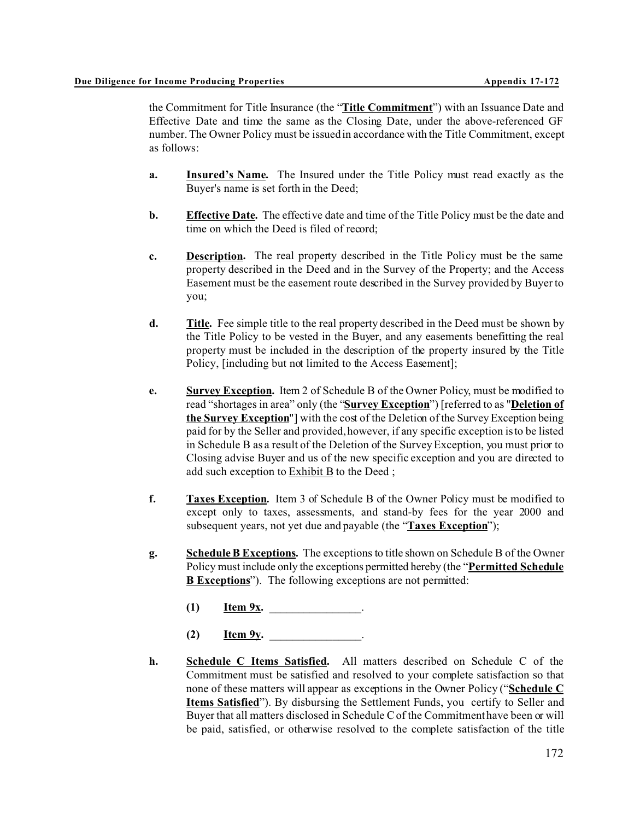the Commitment for Title Insurance (the "**Title Commitment**") with an Issuance Date and Effective Date and time the same as the Closing Date, under the above-referenced GF number. The Owner Policy must be issued in accordance with the Title Commitment, except as follows:

- **a. Insured's Name.** The Insured under the Title Policy must read exactly as the Buyer's name is set forth in the Deed;
- **b. Effective Date.** The effective date and time of the Title Policy must be the date and time on which the Deed is filed of record;
- **c. Description.** The real property described in the Title Policy must be the same property described in the Deed and in the Survey of the Property; and the Access Easement must be the easement route described in the Survey provided by Buyer to you;
- **d. Title.** Fee simple title to the real property described in the Deed must be shown by the Title Policy to be vested in the Buyer, and any easements benefitting the real property must be included in the description of the property insured by the Title Policy, [including but not limited to the Access Easement];
- **e. Survey Exception.** Item 2 of Schedule B of the Owner Policy, must be modified to read "shortages in area" only (the "**Survey Exception**") [referred to as "**Deletion of the Survey Exception**"] with the cost of the Deletion of the SurveyException being paid for by the Seller and provided, however, if any specific exception is to be listed in Schedule B as a result of the Deletion of the Survey Exception, you must prior to Closing advise Buyer and us of the new specific exception and you are directed to add such exception to **Exhibit B** to the Deed;
- **f. Taxes Exception.** Item 3 of Schedule B of the Owner Policy must be modified to except only to taxes, assessments, and stand-by fees for the year 2000 and subsequent years, not yet due and payable (the "**Taxes Exception**");
- **g. Schedule B Exceptions.** The exceptions to title shown on Schedule B of the Owner Policy must include only the exceptions permitted hereby (the "**Permitted Schedule B Exceptions**"). The following exceptions are not permitted:
	- (1) **Item 9x.**
	- **(2) Item 9y.** \_\_\_\_\_\_\_\_\_\_\_\_\_\_\_\_.
- **h. Schedule C Items Satisfied.** All matters described on Schedule C of the Commitment must be satisfied and resolved to your complete satisfaction so that none of these matters will appear as exceptions in the Owner Policy ("**Schedule C Items Satisfied**"). By disbursing the Settlement Funds, you certify to Seller and Buyer that all matters disclosed in Schedule C of the Commitment have been or will be paid, satisfied, or otherwise resolved to the complete satisfaction of the title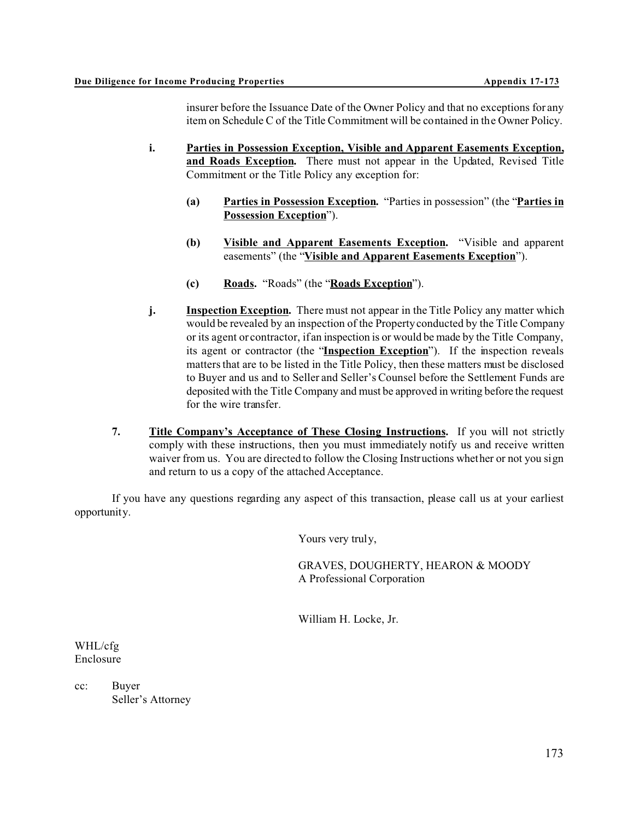insurer before the Issuance Date of the Owner Policy and that no exceptions for any item on Schedule C of the Title Commitment will be contained in the Owner Policy.

- **i. Parties in Possession Exception, Visible and Apparent Easements Exception, and Roads Exception.** There must not appear in the Updated, Revised Title Commitment or the Title Policy any exception for:
	- **(a) Parties in Possession Exception.** "Parties in possession" (the "**Parties in Possession Exception**").
	- **(b) Visible and Apparent Easements Exception.** "Visible and apparent easements" (the "**Visible and Apparent Easements Exception**").
	- **(c) Roads.** "Roads" (the "**Roads Exception**").
- **j. Inspection Exception.** There must not appear in the Title Policy any matter which would be revealed by an inspection of the Property conducted by the Title Company or its agent or contractor, if an inspection is or would be made by the Title Company, its agent or contractor (the "**Inspection Exception**"). If the inspection reveals matters that are to be listed in the Title Policy, then these matters must be disclosed to Buyer and us and to Seller and Seller's Counsel before the Settlement Funds are deposited with the Title Company and must be approved in writing before the request for the wire transfer.
- **7. Title Company's Acceptance of These Closing Instructions.** If you will not strictly comply with these instructions, then you must immediately notify us and receive written waiver from us. You are directed to follow the Closing Instructions whether or not you sign and return to us a copy of the attached Acceptance.

If you have any questions regarding any aspect of this transaction, please call us at your earliest opportunity.

Yours very truly,

GRAVES, DOUGHERTY, HEARON & MOODY A Professional Corporation

William H. Locke, Jr.

WHL/cfg Enclosure

cc: Buyer Seller's Attorney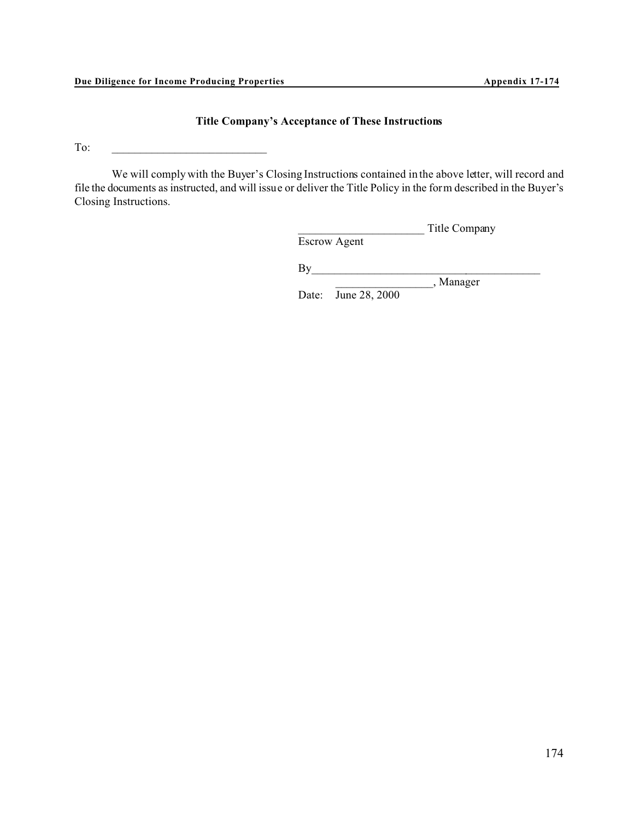#### **Title Company's Acceptance of These Instructions**

To:  $\qquad \qquad \overline{\qquad \qquad }$ 

We will comply with the Buyer's Closing Instructions contained in the above letter, will record and file the documents as instructed, and will issue or deliver the Title Policy in the form described in the Buyer's Closing Instructions.

Title Company

Escrow Agent

 $\mathbf{B} \mathbf{y}$ 

 $\overline{\phantom{a}}$ , Manager

Date: June 28, 2000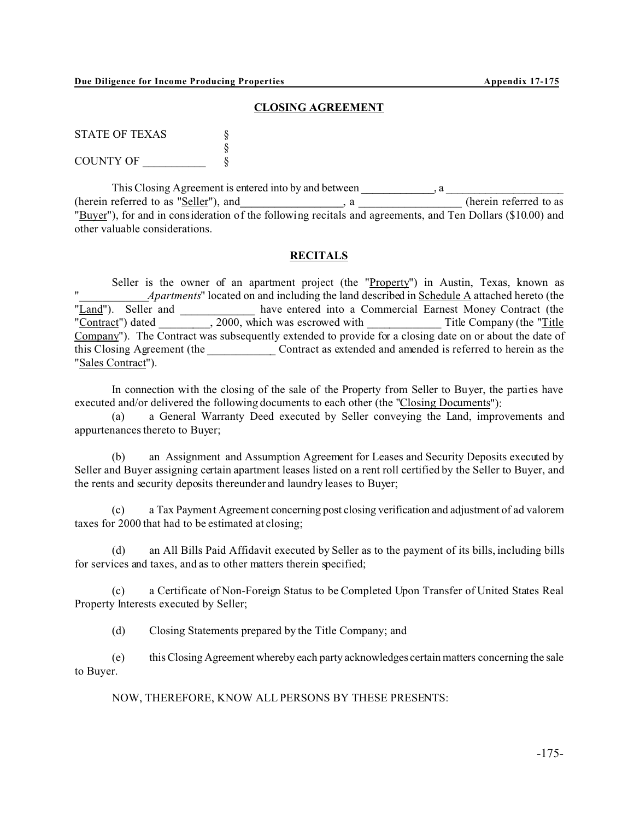§

#### **CLOSING AGREEMENT**

STATE OF TEXAS  $\S$ COUNTY OF

This Closing Agreement is entered into by and between **\_\_\_\_\_\_\_\_\_\_\_\_\_**, a \_\_\_\_\_\_\_\_\_\_\_\_\_\_\_\_\_\_\_\_\_ (herein referred to as "Seller"), and**\_\_\_\_\_\_\_\_\_\_\_\_\_\_\_\_\_\_**, a \_\_\_\_\_\_\_\_\_\_\_\_\_\_\_\_\_\_ (herein referred to as "Buyer"), for and in consideration of the following recitals and agreements, and Ten Dollars (\$10.00) and other valuable considerations.

#### **RECITALS**

Seller is the owner of an apartment project (the "Property") in Austin, Texas, known as "*\_\_\_\_\_\_\_\_\_\_\_\_Apartments*" located on and including the land described in Schedule A attached hereto (the "Land"). Seller and \_\_\_\_\_\_\_\_\_\_ have entered into a Commercial Earnest Money Contract (the "Contract") dated \_\_\_\_\_\_\_\_\_, 2000, which was escrowed with Title Company (the "Title" "Contract") dated \_\_\_\_\_\_\_\_\_, 2000, which was escrowed with Company"). The Contract was subsequently extended to provide for a closing date on or about the date of this Closing Agreement (the Contract as extended and amended is referred to herein as the "Sales Contract").

In connection with the closing of the sale of the Property from Seller to Buyer, the parties have executed and/or delivered the following documents to each other (the "Closing Documents"):

(a) a General Warranty Deed executed by Seller conveying the Land, improvements and appurtenances thereto to Buyer;

(b) an Assignment and Assumption Agreement for Leases and Security Deposits executed by Seller and Buyer assigning certain apartment leases listed on a rent roll certified by the Seller to Buyer, and the rents and security deposits thereunder and laundry leases to Buyer;

(c) a Tax Payment Agreement concerning post closing verification and adjustment of ad valorem taxes for 2000 that had to be estimated at closing;

(d) an All Bills Paid Affidavit executed by Seller as to the payment of its bills, including bills for services and taxes, and as to other matters therein specified;

(c) a Certificate of Non-Foreign Status to be Completed Upon Transfer of United States Real Property Interests executed by Seller;

(d) Closing Statements prepared by the Title Company; and

(e) this Closing Agreement whereby each party acknowledges certainmatters concerning the sale to Buyer.

NOW, THEREFORE, KNOW ALL PERSONS BY THESE PRESENTS: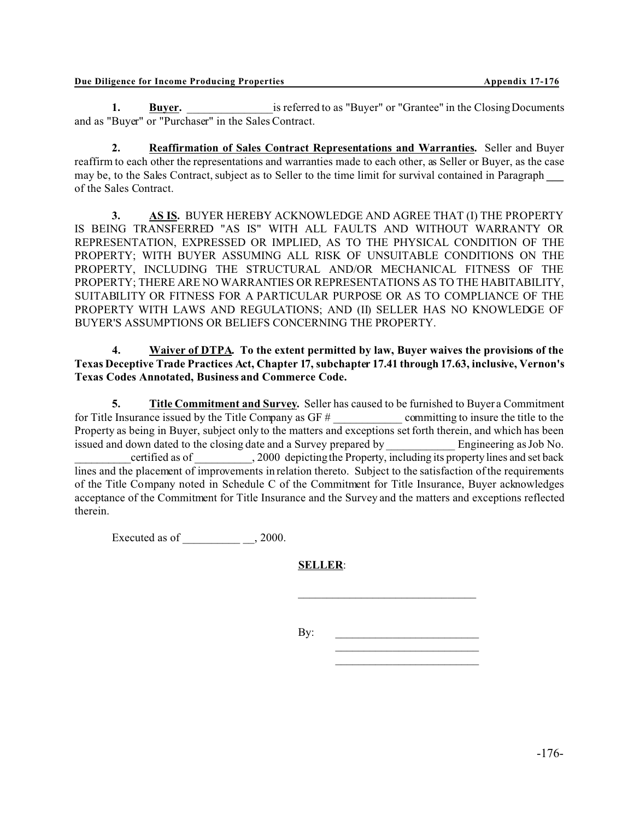**1. Buyer. buyer buyer buyer is referred to as "Buyer" or "Grantee" in the Closing Documents** and as "Buyer" or "Purchaser" in the Sales Contract.

**2. Reaffirmation of Sales Contract Representations and Warranties.** Seller and Buyer reaffirm to each other the representations and warranties made to each other, as Seller or Buyer, as the case may be, to the Sales Contract, subject as to Seller to the time limit for survival contained in Paragraph **\_\_\_** of the Sales Contract.

**3. AS IS.** BUYER HEREBY ACKNOWLEDGE AND AGREE THAT (I) THE PROPERTY IS BEING TRANSFERRED "AS IS" WITH ALL FAULTS AND WITHOUT WARRANTY OR REPRESENTATION, EXPRESSED OR IMPLIED, AS TO THE PHYSICAL CONDITION OF THE PROPERTY; WITH BUYER ASSUMING ALL RISK OF UNSUITABLE CONDITIONS ON THE PROPERTY, INCLUDING THE STRUCTURAL AND/OR MECHANICAL FITNESS OF THE PROPERTY; THERE ARE NO WARRANTIES OR REPRESENTATIONS AS TO THE HABITABILITY, SUITABILITY OR FITNESS FOR A PARTICULAR PURPOSE OR AS TO COMPLIANCE OF THE PROPERTY WITH LAWS AND REGULATIONS; AND (II) SELLER HAS NO KNOWLEDGE OF BUYER'S ASSUMPTIONS OR BELIEFS CONCERNING THE PROPERTY.

**4. Waiver of DTPA. To the extent permitted by law, Buyer waives the provisions of the Texas Deceptive Trade Practices Act, Chapter 17, subchapter 17.41 through 17.63, inclusive, Vernon's Texas Codes Annotated, Business and Commerce Code.**

**5. Title Commitment and Survey.** Seller has caused to be furnished to Buyer a Commitment for Title Insurance issued by the Title Company as GF # committing to insure the title to the Property as being in Buyer, subject only to the matters and exceptions set forth therein, and which has been issued and down dated to the closing date and a Survey prepared by Engineering as Job No. certified as of \_\_\_\_\_\_\_\_\_\_, 2000 depicting the Property, including its property lines and set back lines and the placement of improvements in relation thereto. Subject to the satisfaction of the requirements of the Title Company noted in Schedule C of the Commitment for Title Insurance, Buyer acknowledges acceptance of the Commitment for Title Insurance and the Survey and the matters and exceptions reflected therein.

Executed as of  $\_\_\_\_\_\_\_\_\_\_\_\_\_2000$ .

# **SELLER**:

By: \_\_\_\_\_\_\_\_\_\_\_\_\_\_\_\_\_\_\_\_\_\_\_\_\_

 $\overline{\phantom{a}}$  , where  $\overline{\phantom{a}}$  , where  $\overline{\phantom{a}}$  , where  $\overline{\phantom{a}}$ 

 $\overline{\phantom{a}}$  , where  $\overline{\phantom{a}}$  , where  $\overline{\phantom{a}}$  , where  $\overline{\phantom{a}}$  , where  $\overline{\phantom{a}}$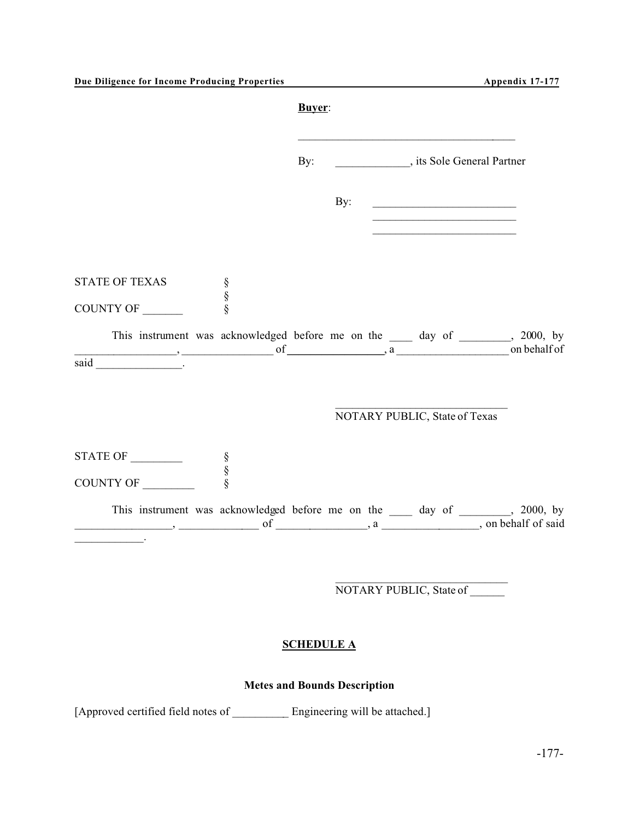|                                                                                                                                                                                                                                          | <b>Buyer:</b>     |     |                               |  |
|------------------------------------------------------------------------------------------------------------------------------------------------------------------------------------------------------------------------------------------|-------------------|-----|-------------------------------|--|
|                                                                                                                                                                                                                                          | By:               |     |                               |  |
|                                                                                                                                                                                                                                          |                   | By: |                               |  |
|                                                                                                                                                                                                                                          |                   |     |                               |  |
| <b>STATE OF TEXAS</b><br>$\frac{\S}{\S}$                                                                                                                                                                                                 |                   |     |                               |  |
| COUNTY OF<br>This instrument was acknowledged before me on the ______ day of ________, 2000, by<br>$\frac{1}{\sqrt{1-\frac{1}{2}}}\left(1-\frac{1}{2}\right)$ of $\frac{1}{\sqrt{1-\frac{1}{2}}}\left(1-\frac{1}{2}\right)$ on behalf of |                   |     |                               |  |
|                                                                                                                                                                                                                                          |                   |     |                               |  |
|                                                                                                                                                                                                                                          |                   |     | NOTARY PUBLIC, State of Texas |  |
| STATE OF<br>§<br>§<br>§                                                                                                                                                                                                                  |                   |     |                               |  |
| COUNTY OF                                                                                                                                                                                                                                |                   |     |                               |  |
| This instrument was acknowledged before me on the ______ day of ________, 2000, by                                                                                                                                                       |                   |     |                               |  |
|                                                                                                                                                                                                                                          |                   |     |                               |  |
|                                                                                                                                                                                                                                          |                   |     | NOTARY PUBLIC, State of       |  |
|                                                                                                                                                                                                                                          | <b>SCHEDULE A</b> |     |                               |  |

# **Metes and Bounds Description**

[Approved certified field notes of \_\_\_\_\_\_\_\_\_\_ Engineering will be attached.]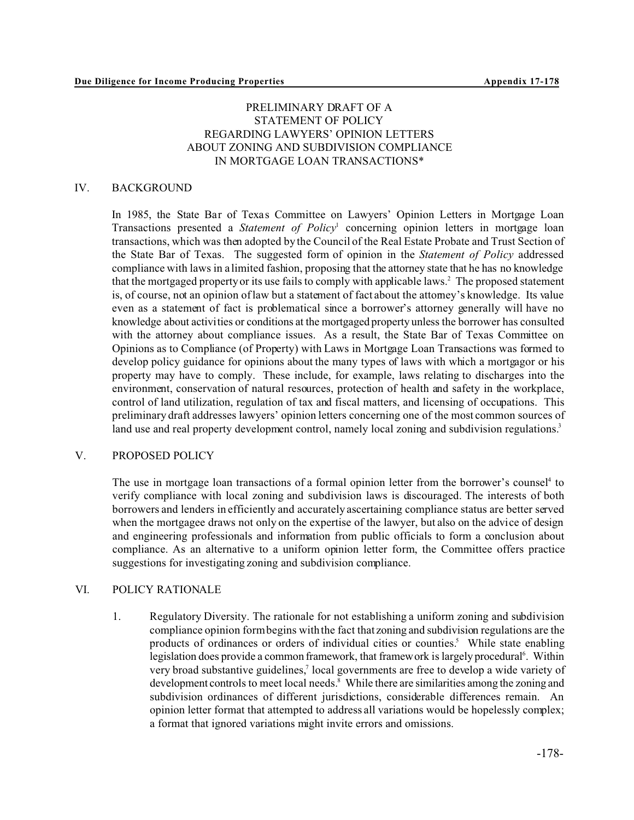## PRELIMINARY DRAFT OF A STATEMENT OF POLICY REGARDING LAWYERS' OPINION LETTERS ABOUT ZONING AND SUBDIVISION COMPLIANCE IN MORTGAGE LOAN TRANSACTIONS\*

#### IV. BACKGROUND

In 1985, the State Bar of Texas Committee on Lawyers' Opinion Letters in Mortgage Loan Transactions presented a *Statement of Policy*<sup>1</sup> concerning opinion letters in mortgage loan transactions, which was then adopted by the Council of the Real Estate Probate and Trust Section of the State Bar of Texas. The suggested form of opinion in the *Statement of Policy* addressed compliance with laws in a limited fashion, proposing that the attorney state that he has no knowledge that the mortgaged property or its use fails to comply with applicable laws.<sup>2</sup> The proposed statement is, of course, not an opinion of law but a statement of fact about the attorney's knowledge. Its value even as a statement of fact is problematical since a borrower's attorney generally will have no knowledge about activities or conditions at the mortgaged property unless the borrower has consulted with the attorney about compliance issues. As a result, the State Bar of Texas Committee on Opinions as to Compliance (of Property) with Laws in Mortgage Loan Transactions was formed to develop policy guidance for opinions about the many types of laws with which a mortgagor or his property may have to comply. These include, for example, laws relating to discharges into the environment, conservation of natural resources, protection of health and safety in the workplace, control of land utilization, regulation of tax and fiscal matters, and licensing of occupations. This preliminary draft addresses lawyers' opinion letters concerning one of the most common sources of land use and real property development control, namely local zoning and subdivision regulations.<sup>3</sup>

## V. PROPOSED POLICY

The use in mortgage loan transactions of a formal opinion letter from the borrower's counsel<sup>4</sup> to verify compliance with local zoning and subdivision laws is discouraged. The interests of both borrowers and lenders in efficiently and accurately ascertaining compliance status are better served when the mortgagee draws not only on the expertise of the lawyer, but also on the advice of design and engineering professionals and information from public officials to form a conclusion about compliance. As an alternative to a uniform opinion letter form, the Committee offers practice suggestions for investigating zoning and subdivision compliance.

#### VI. POLICY RATIONALE

1. Regulatory Diversity. The rationale for not establishing a uniform zoning and subdivision compliance opinion form begins with the fact that zoning and subdivision regulations are the products of ordinances or orders of individual cities or counties.<sup>5</sup> While state enabling legislation does provide a common framework, that framework is largely procedural<sup>6</sup>. Within very broad substantive guidelines,<sup>7</sup> local governments are free to develop a wide variety of development controls to meet local needs.<sup>8</sup> While there are similarities among the zoning and subdivision ordinances of different jurisdictions, considerable differences remain. An opinion letter format that attempted to address all variations would be hopelessly complex; a format that ignored variations might invite errors and omissions.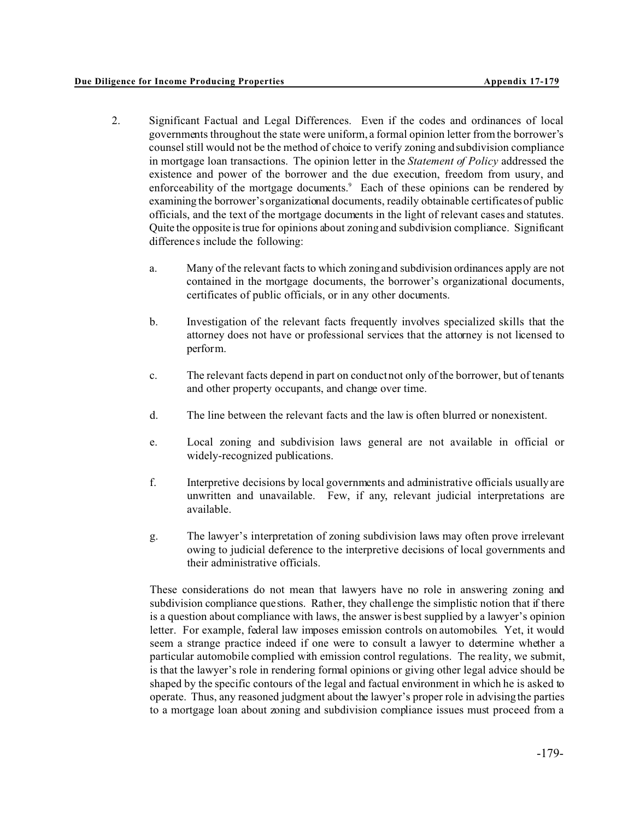- 2. Significant Factual and Legal Differences. Even if the codes and ordinances of local governments throughout the state were uniform, a formal opinion letter from the borrower's counsel still would not be the method of choice to verify zoning and subdivision compliance in mortgage loan transactions. The opinion letter in the *Statement of Policy* addressed the existence and power of the borrower and the due execution, freedom from usury, and enforceability of the mortgage documents.<sup>9</sup> Each of these opinions can be rendered by examining the borrower's organizational documents, readily obtainable certificates of public officials, and the text of the mortgage documents in the light of relevant cases and statutes. Quite the opposite istrue for opinions about zoning and subdivision compliance. Significant differences include the following:
	- a. Many of the relevant facts to which zoning and subdivision ordinances apply are not contained in the mortgage documents, the borrower's organizational documents, certificates of public officials, or in any other documents.
	- b. Investigation of the relevant facts frequently involves specialized skills that the attorney does not have or professional services that the attorney is not licensed to perform.
	- c. The relevant facts depend in part on conduct not only of the borrower, but of tenants and other property occupants, and change over time.
	- d. The line between the relevant facts and the law is often blurred or nonexistent.
	- e. Local zoning and subdivision laws general are not available in official or widely-recognized publications.
	- f. Interpretive decisions by local governments and administrative officials usually are unwritten and unavailable. Few, if any, relevant judicial interpretations are available.
	- g. The lawyer's interpretation of zoning subdivision laws may often prove irrelevant owing to judicial deference to the interpretive decisions of local governments and their administrative officials.

These considerations do not mean that lawyers have no role in answering zoning and subdivision compliance questions. Rather, they challenge the simplistic notion that if there is a question about compliance with laws, the answer is best supplied by a lawyer's opinion letter. For example, federal law imposes emission controls on automobiles. Yet, it would seem a strange practice indeed if one were to consult a lawyer to determine whether a particular automobile complied with emission control regulations. The reality, we submit, is that the lawyer's role in rendering formal opinions or giving other legal advice should be shaped by the specific contours of the legal and factual environment in which he is asked to operate. Thus, any reasoned judgment about the lawyer's proper role in advising the parties to a mortgage loan about zoning and subdivision compliance issues must proceed from a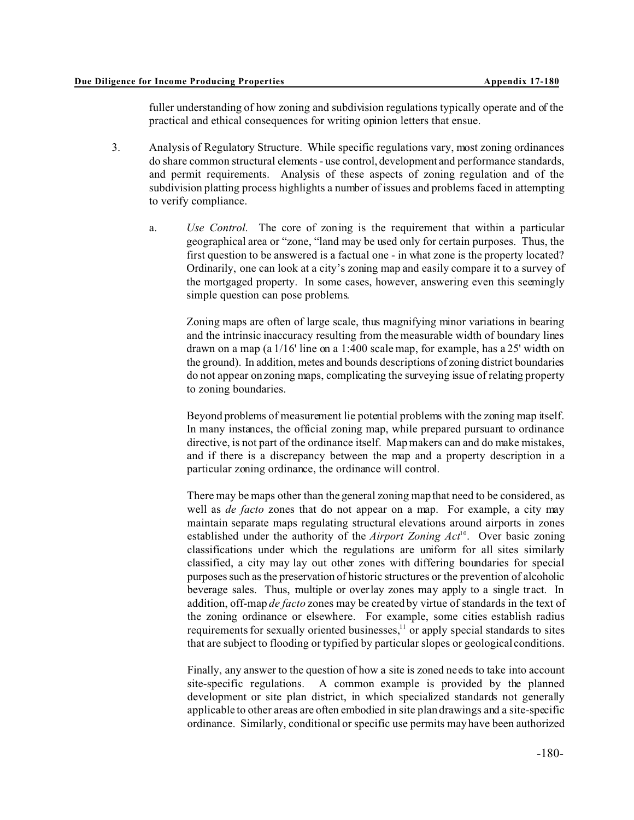fuller understanding of how zoning and subdivision regulations typically operate and of the practical and ethical consequences for writing opinion letters that ensue.

- 3. Analysis of Regulatory Structure. While specific regulations vary, most zoning ordinances do share common structural elements- use control, development and performance standards, and permit requirements. Analysis of these aspects of zoning regulation and of the subdivision platting process highlights a number of issues and problems faced in attempting to verify compliance.
	- a. *Use Control*. The core of zoning is the requirement that within a particular geographical area or "zone, "land may be used only for certain purposes. Thus, the first question to be answered is a factual one - in what zone is the property located? Ordinarily, one can look at a city's zoning map and easily compare it to a survey of the mortgaged property. In some cases, however, answering even this seemingly simple question can pose problems.

Zoning maps are often of large scale, thus magnifying minor variations in bearing and the intrinsic inaccuracy resulting from the measurable width of boundary lines drawn on a map (a 1/16' line on a 1:400 scale map, for example, has a 25' width on the ground). In addition, metes and bounds descriptions of zoning district boundaries do not appear on zoning maps, complicating the surveying issue of relating property to zoning boundaries.

Beyond problems of measurement lie potential problems with the zoning map itself. In many instances, the official zoning map, while prepared pursuant to ordinance directive, is not part of the ordinance itself. Map makers can and do make mistakes, and if there is a discrepancy between the map and a property description in a particular zoning ordinance, the ordinance will control.

There may be maps other than the general zoning map that need to be considered, as well as *de facto* zones that do not appear on a map. For example, a city may maintain separate maps regulating structural elevations around airports in zones established under the authority of the *Airport Zoning Act*<sup>10</sup>. Over basic zoning classifications under which the regulations are uniform for all sites similarly classified, a city may lay out other zones with differing boundaries for special purposes such as the preservation of historic structures or the prevention of alcoholic beverage sales. Thus, multiple or overlay zones may apply to a single tract. In addition, off-map *de facto* zones may be created by virtue of standards in the text of the zoning ordinance or elsewhere. For example, some cities establish radius requirements for sexually oriented businesses,<sup>11</sup> or apply special standards to sites that are subject to flooding or typified by particular slopes or geological conditions.

Finally, any answer to the question of how a site is zoned needs to take into account site-specific regulations. A common example is provided by the planned development or site plan district, in which specialized standards not generally applicable to other areas are often embodied in site plan drawings and a site-specific ordinance. Similarly, conditional or specific use permits may have been authorized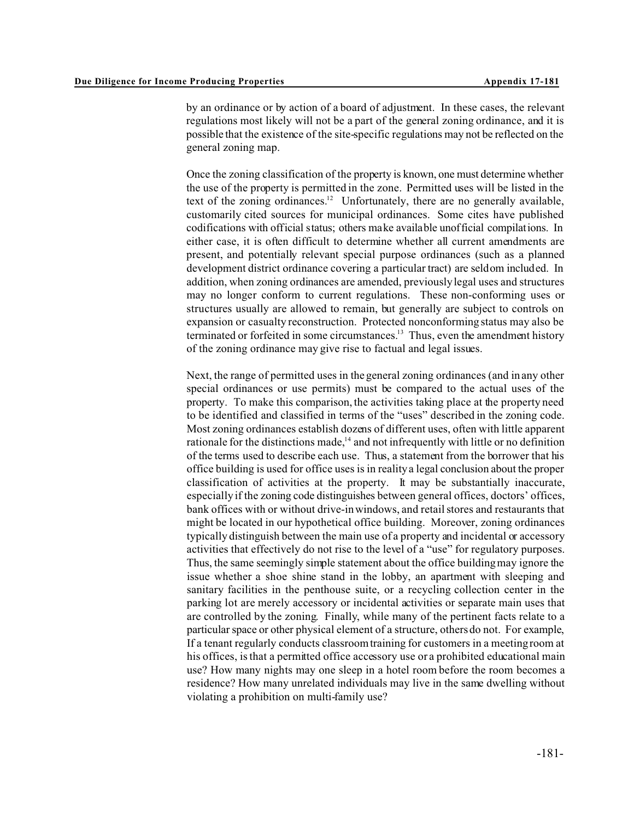by an ordinance or by action of a board of adjustment. In these cases, the relevant regulations most likely will not be a part of the general zoning ordinance, and it is possible that the existence of the site-specific regulations may not be reflected on the general zoning map.

Once the zoning classification of the property is known, one must determine whether the use of the property is permitted in the zone. Permitted uses will be listed in the text of the zoning ordinances.<sup>12</sup> Unfortunately, there are no generally available, customarily cited sources for municipal ordinances. Some cites have published codifications with official status; others make available unofficial compilations. In either case, it is often difficult to determine whether all current amendments are present, and potentially relevant special purpose ordinances (such as a planned development district ordinance covering a particular tract) are seldom included. In addition, when zoning ordinances are amended, previously legal uses and structures may no longer conform to current regulations. These non-conforming uses or structures usually are allowed to remain, but generally are subject to controls on expansion or casualty reconstruction. Protected nonconforming status may also be terminated or forfeited in some circumstances.<sup>13</sup> Thus, even the amendment history of the zoning ordinance may give rise to factual and legal issues.

Next, the range of permitted uses in the general zoning ordinances (and in any other special ordinances or use permits) must be compared to the actual uses of the property. To make this comparison, the activities taking place at the property need to be identified and classified in terms of the "uses" described in the zoning code. Most zoning ordinances establish dozens of different uses, often with little apparent rationale for the distinctions made, $14$  and not infrequently with little or no definition of the terms used to describe each use. Thus, a statement from the borrower that his office building is used for office uses is in reality a legal conclusion about the proper classification of activities at the property. It may be substantially inaccurate, especially if the zoning code distinguishes between general offices, doctors' offices, bank offices with or without drive-in windows, and retail stores and restaurants that might be located in our hypothetical office building. Moreover, zoning ordinances typically distinguish between the main use of a property and incidental or accessory activities that effectively do not rise to the level of a "use" for regulatory purposes. Thus, the same seemingly simple statement about the office building may ignore the issue whether a shoe shine stand in the lobby, an apartment with sleeping and sanitary facilities in the penthouse suite, or a recycling collection center in the parking lot are merely accessory or incidental activities or separate main uses that are controlled by the zoning. Finally, while many of the pertinent facts relate to a particular space or other physical element of a structure, others do not. For example, If a tenant regularly conducts classroom training for customers in a meeting room at his offices, is that a permitted office accessory use or a prohibited educational main use? How many nights may one sleep in a hotel room before the room becomes a residence? How many unrelated individuals may live in the same dwelling without violating a prohibition on multi-family use?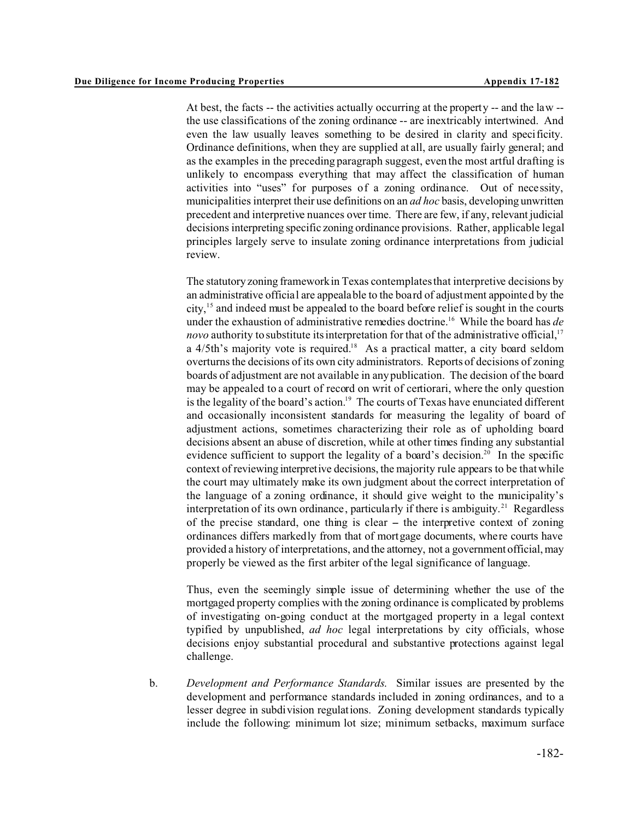At best, the facts -- the activities actually occurring at the property -- and the law - the use classifications of the zoning ordinance -- are inextricably intertwined. And even the law usually leaves something to be desired in clarity and specificity. Ordinance definitions, when they are supplied at all, are usually fairly general; and as the examples in the preceding paragraph suggest, even the most artful drafting is unlikely to encompass everything that may affect the classification of human activities into "uses" for purposes of a zoning ordinance. Out of necessity, municipalities interpret their use definitions on an *ad hoc* basis, developing unwritten precedent and interpretive nuances over time. There are few, if any, relevant judicial decisions interpreting specific zoning ordinance provisions. Rather, applicable legal principles largely serve to insulate zoning ordinance interpretations from judicial review.

The statutory zoning frameworkin Texas contemplates that interpretive decisions by an administrative official are appealable to the board of adjustment appointed by the city,<sup>15</sup> and indeed must be appealed to the board before relief is sought in the courts under the exhaustion of administrative remedies doctrine.<sup>16</sup> While the board has *de novo* authority to substitute its interpretation for that of the administrative official,<sup>17</sup> a 4/5th's majority vote is required.<sup>18</sup> As a practical matter, a city board seldom overturns the decisions of its own city administrators. Reports of decisions of zoning boards of adjustment are not available in any publication. The decision of the board may be appealed to a court of record on writ of certiorari, where the only question is the legality of the board's action.<sup>19</sup> The courts of Texas have enunciated different and occasionally inconsistent standards for measuring the legality of board of adjustment actions, sometimes characterizing their role as of upholding board decisions absent an abuse of discretion, while at other times finding any substantial evidence sufficient to support the legality of a board's decision.<sup>20</sup> In the specific context of reviewing interpretive decisions, the majority rule appears to be that while the court may ultimately make its own judgment about the correct interpretation of the language of a zoning ordinance, it should give weight to the municipality's interpretation of its own ordinance, particularly if there is ambiguity.<sup>21</sup> Regardless of the precise standard, one thing is clear – the interpretive context of zoning ordinances differs markedly from that of mortgage documents, where courts have provided a history of interpretations, and the attorney, not a government official,may properly be viewed as the first arbiter of the legal significance of language.

Thus, even the seemingly simple issue of determining whether the use of the mortgaged property complies with the zoning ordinance is complicated by problems of investigating on-going conduct at the mortgaged property in a legal context typified by unpublished, *ad hoc* legal interpretations by city officials, whose decisions enjoy substantial procedural and substantive protections against legal challenge.

b. *Development and Performance Standards*. Similar issues are presented by the development and performance standards included in zoning ordinances, and to a lesser degree in subdivision regulations. Zoning development standards typically include the following: minimum lot size; minimum setbacks, maximum surface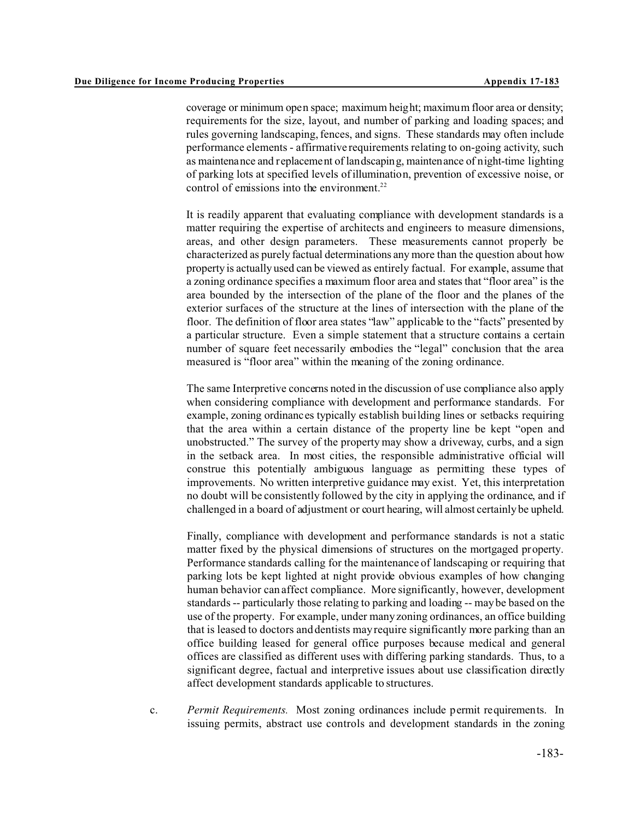coverage or minimum open space; maximum height; maximum floor area or density; requirements for the size, layout, and number of parking and loading spaces; and rules governing landscaping, fences, and signs. These standards may often include performance elements - affirmative requirements relating to on-going activity, such as maintenance and replacement of landscaping, maintenance of night-time lighting of parking lots at specified levels of illumination, prevention of excessive noise, or control of emissions into the environment.<sup>22</sup>

It is readily apparent that evaluating compliance with development standards is a matter requiring the expertise of architects and engineers to measure dimensions, areas, and other design parameters. These measurements cannot properly be characterized as purely factual determinations any more than the question about how property is actually used can be viewed as entirely factual. For example, assume that a zoning ordinance specifies a maximum floor area and states that "floor area" is the area bounded by the intersection of the plane of the floor and the planes of the exterior surfaces of the structure at the lines of intersection with the plane of the floor. The definition of floor area states "law" applicable to the "facts" presented by a particular structure. Even a simple statement that a structure contains a certain number of square feet necessarily embodies the "legal" conclusion that the area measured is "floor area" within the meaning of the zoning ordinance.

The same Interpretive concerns noted in the discussion of use compliance also apply when considering compliance with development and performance standards. For example, zoning ordinances typically establish building lines or setbacks requiring that the area within a certain distance of the property line be kept "open and unobstructed." The survey of the property may show a driveway, curbs, and a sign in the setback area. In most cities, the responsible administrative official will construe this potentially ambiguous language as permitting these types of improvements. No written interpretive guidance may exist. Yet, this interpretation no doubt will be consistently followed by the city in applying the ordinance, and if challenged in a board of adjustment or court hearing, will almost certainly be upheld.

Finally, compliance with development and performance standards is not a static matter fixed by the physical dimensions of structures on the mortgaged property. Performance standards calling for the maintenance of landscaping or requiring that parking lots be kept lighted at night provide obvious examples of how changing human behavior can affect compliance. More significantly, however, development standards -- particularly those relating to parking and loading -- may be based on the use of the property. For example, under many zoning ordinances, an office building that is leased to doctors and dentists may require significantly more parking than an office building leased for general office purposes because medical and general offices are classified as different uses with differing parking standards. Thus, to a significant degree, factual and interpretive issues about use classification directly affect development standards applicable to structures.

c. *Permit Requirements.* Most zoning ordinances include permit requirements. In issuing permits, abstract use controls and development standards in the zoning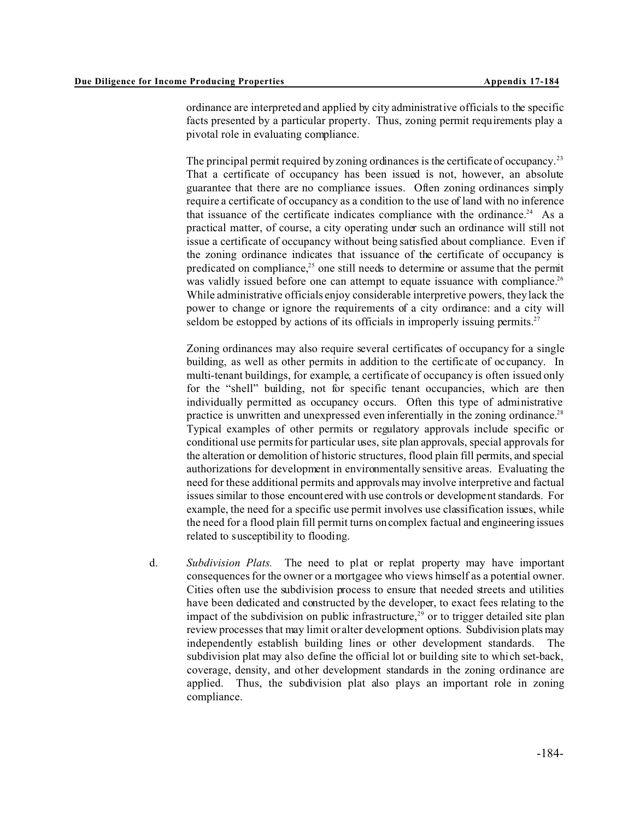ordinance are interpreted and applied by city administrative officials to the specific facts presented by a particular property. Thus, zoning permit requirements play a pivotal role in evaluating compliance.

The principal permit required by zoning ordinances is the certificate of occupancy.<sup>23</sup> That a certificate of occupancy has been issued is not, however, an absolute guarantee that there are no compliance issues. Often zoning ordinances simply require a certificate of occupancy as a condition to the use of land with no inference that issuance of the certificate indicates compliance with the ordinance.<sup>24</sup> As a practical matter, of course, a city operating under such an ordinance will still not issue a certificate of occupancy without being satisfied about compliance. Even if the zoning ordinance indicates that issuance of the certificate of occupancy is predicated on compliance, $25$  one still needs to determine or assume that the permit was validly issued before one can attempt to equate issuance with compliance.<sup>26</sup> While administrative officials enjoy considerable interpretive powers, they lack the power to change or ignore the requirements of a city ordinance: and a city will seldom be estopped by actions of its officials in improperly issuing permits.<sup>27</sup>

Zoning ordinances may also require several certificates of occupancy for a single building, as well as other permits in addition to the certificate of occupancy. In multi-tenant buildings, for example, a certificate of occupancy is often issued only for the "shell" building, not for specific tenant occupancies, which are then individually permitted as occupancy occurs. Often this type of administrative practice is unwritten and unexpressed even inferentially in the zoning ordinance.<sup>28</sup> Typical examples of other permits or regulatory approvals include specific or conditional use permits for particular uses, site plan approvals, special approvals for the alteration or demolition of historic structures, flood plain fill permits, and special authorizations for development in environmentally sensitive areas. Evaluating the need for these additional permits and approvalsmay involve interpretive and factual issues similar to those encountered with use controls or development standards. For example, the need for a specific use permit involves use classification issues, while the need for a flood plain fill permit turns on complex factual and engineering issues related to susceptibility to flooding.

d. *Subdivision Plats.* The need to plat or replat property may have important consequences for the owner or a mortgagee who views himself as a potential owner. Cities often use the subdivision process to ensure that needed streets and utilities have been dedicated and constructed by the developer, to exact fees relating to the impact of the subdivision on public infrastructure,<sup>29</sup> or to trigger detailed site plan review processes that may limit or alter development options. Subdivision plats may independently establish building lines or other development standards. The subdivision plat may also define the official lot or building site to which set-back, coverage, density, and other development standards in the zoning ordinance are applied. Thus, the subdivision plat also plays an important role in zoning compliance.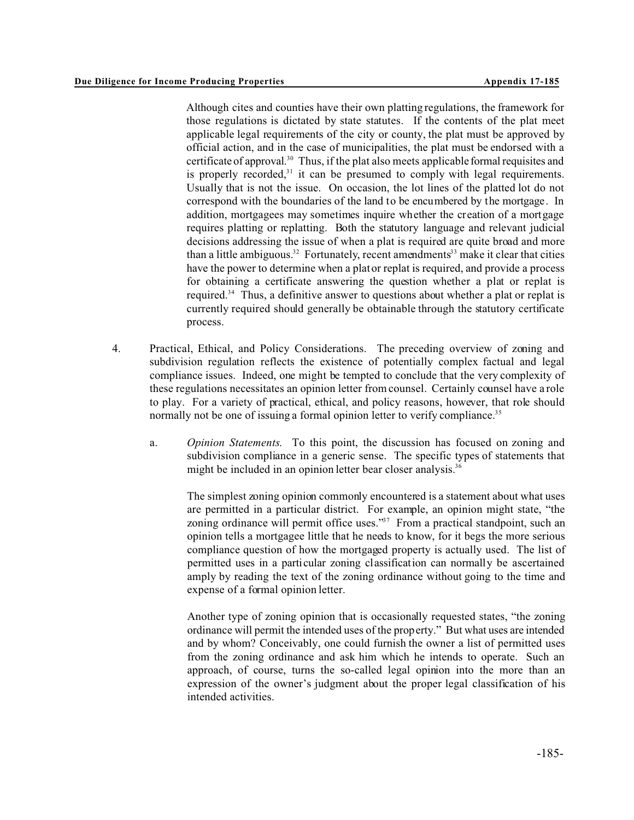Although cites and counties have their own platting regulations, the framework for those regulations is dictated by state statutes. If the contents of the plat meet applicable legal requirements of the city or county, the plat must be approved by official action, and in the case of municipalities, the plat must be endorsed with a certificate of approval. <sup>30</sup> Thus, if the plat also meets applicable formal requisites and is properly recorded, $31$  it can be presumed to comply with legal requirements. Usually that is not the issue. On occasion, the lot lines of the platted lot do not correspond with the boundaries of the land to be encumbered by the mortgage. In addition, mortgagees may sometimes inquire whether the creation of a mortgage requires platting or replatting. Both the statutory language and relevant judicial decisions addressing the issue of when a plat is required are quite broad and more than a little ambiguous.<sup>32</sup> Fortunately, recent amendments<sup>33</sup> make it clear that cities have the power to determine when a plat or replat is required, and provide a process for obtaining a certificate answering the question whether a plat or replat is required.<sup>34</sup> Thus, a definitive answer to questions about whether a plat or replat is currently required should generally be obtainable through the statutory certificate process.

- 4. Practical, Ethical, and Policy Considerations. The preceding overview of zoning and subdivision regulation reflects the existence of potentially complex factual and legal compliance issues. Indeed, one might be tempted to conclude that the very complexity of these regulations necessitates an opinion letter from counsel. Certainly counsel have a role to play. For a variety of practical, ethical, and policy reasons, however, that role should normally not be one of issuing a formal opinion letter to verify compliance.<sup>35</sup>
	- a. *Opinion Statements*. To this point, the discussion has focused on zoning and subdivision compliance in a generic sense. The specific types of statements that might be included in an opinion letter bear closer analysis.<sup>36</sup>

The simplest zoning opinion commonly encountered is a statement about what uses are permitted in a particular district. For example, an opinion might state, "the zoning ordinance will permit office uses."<sup>37</sup> From a practical standpoint, such an opinion tells a mortgagee little that he needs to know, for it begs the more serious compliance question of how the mortgaged property is actually used. The list of permitted uses in a particular zoning classification can normally be ascertained amply by reading the text of the zoning ordinance without going to the time and expense of a formal opinion letter.

Another type of zoning opinion that is occasionally requested states, "the zoning ordinance will permit the intended uses of the property." But what uses are intended and by whom? Conceivably, one could furnish the owner a list of permitted uses from the zoning ordinance and ask him which he intends to operate. Such an approach, of course, turns the so-called legal opinion into the more than an expression of the owner's judgment about the proper legal classification of his intended activities.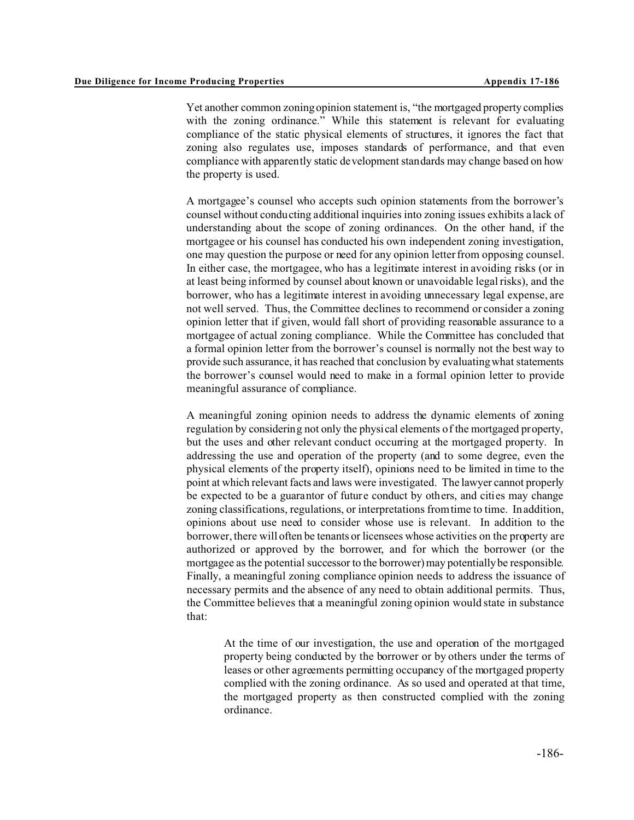Yet another common zoning opinion statement is, "the mortgaged property complies with the zoning ordinance." While this statement is relevant for evaluating compliance of the static physical elements of structures, it ignores the fact that zoning also regulates use, imposes standards of performance, and that even compliance with apparently static development standards may change based on how the property is used.

A mortgagee's counsel who accepts such opinion statements from the borrower's counsel without conducting additional inquiries into zoning issues exhibits a lack of understanding about the scope of zoning ordinances. On the other hand, if the mortgagee or his counsel has conducted his own independent zoning investigation, one may question the purpose or need for any opinion letter from opposing counsel. In either case, the mortgagee, who has a legitimate interest in avoiding risks (or in at least being informed by counsel about known or unavoidable legal risks), and the borrower, who has a legitimate interest in avoiding unnecessary legal expense, are not well served. Thus, the Committee declines to recommend or consider a zoning opinion letter that if given, would fall short of providing reasonable assurance to a mortgagee of actual zoning compliance. While the Committee has concluded that a formal opinion letter from the borrower's counsel is normally not the best way to provide such assurance, it has reached that conclusion by evaluating what statements the borrower's counsel would need to make in a formal opinion letter to provide meaningful assurance of compliance.

A meaningful zoning opinion needs to address the dynamic elements of zoning regulation by considering not only the physical elements of the mortgaged property, but the uses and other relevant conduct occurring at the mortgaged property. In addressing the use and operation of the property (and to some degree, even the physical elements of the property itself), opinions need to be limited in time to the point at which relevant facts and laws were investigated. The lawyer cannot properly be expected to be a guarantor of future conduct by others, and cities may change zoning classifications, regulations, or interpretations from time to time. In addition, opinions about use need to consider whose use is relevant. In addition to the borrower, there will often be tenants or licensees whose activities on the property are authorized or approved by the borrower, and for which the borrower (or the mortgagee as the potential successor to the borrower) may potentially be responsible. Finally, a meaningful zoning compliance opinion needs to address the issuance of necessary permits and the absence of any need to obtain additional permits. Thus, the Committee believes that a meaningful zoning opinion would state in substance that:

At the time of our investigation, the use and operation of the mortgaged property being conducted by the borrower or by others under the terms of leases or other agreements permitting occupancy of the mortgaged property complied with the zoning ordinance. As so used and operated at that time, the mortgaged property as then constructed complied with the zoning ordinance.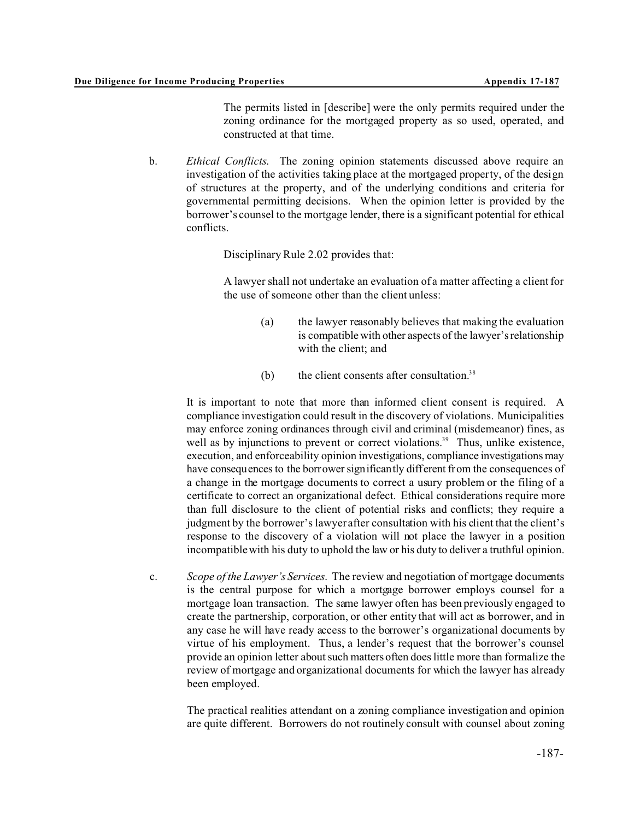The permits listed in [describe] were the only permits required under the zoning ordinance for the mortgaged property as so used, operated, and constructed at that time.

b. *Ethical Conflicts*. The zoning opinion statements discussed above require an investigation of the activities taking place at the mortgaged property, of the design of structures at the property, and of the underlying conditions and criteria for governmental permitting decisions. When the opinion letter is provided by the borrower's counsel to the mortgage lender, there is a significant potential for ethical conflicts.

Disciplinary Rule 2.02 provides that:

A lawyer shall not undertake an evaluation of a matter affecting a client for the use of someone other than the client unless:

- (a) the lawyer reasonably believes that making the evaluation is compatible with other aspects of the lawyer'srelationship with the client; and
- (b) the client consents after consultation.<sup>38</sup>

It is important to note that more than informed client consent is required. A compliance investigation could result in the discovery of violations. Municipalities may enforce zoning ordinances through civil and criminal (misdemeanor) fines, as well as by injunctions to prevent or correct violations.<sup>39</sup> Thus, unlike existence, execution, and enforceability opinion investigations, compliance investigations may have consequences to the borrower significantly different from the consequences of a change in the mortgage documents to correct a usury problem or the filing of a certificate to correct an organizational defect. Ethical considerations require more than full disclosure to the client of potential risks and conflicts; they require a judgment by the borrower's lawyer after consultation with his client that the client's response to the discovery of a violation will not place the lawyer in a position incompatible with his duty to uphold the law or his duty to deliver a truthful opinion.

c. *Scope of the Lawyer's Services*. The review and negotiation of mortgage documents is the central purpose for which a mortgage borrower employs counsel for a mortgage loan transaction. The same lawyer often has been previously engaged to create the partnership, corporation, or other entity that will act as borrower, and in any case he will have ready access to the borrower's organizational documents by virtue of his employment. Thus, a lender's request that the borrower's counsel provide an opinion letter aboutsuch matters often doeslittle more than formalize the review of mortgage and organizational documents for which the lawyer has already been employed.

The practical realities attendant on a zoning compliance investigation and opinion are quite different. Borrowers do not routinely consult with counsel about zoning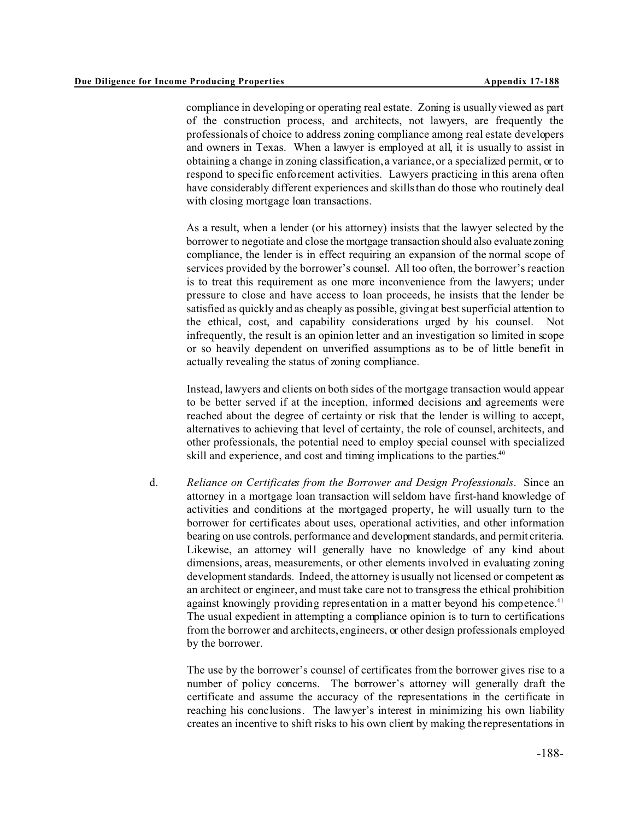compliance in developing or operating real estate. Zoning is usually viewed as part of the construction process, and architects, not lawyers, are frequently the professionals of choice to address zoning compliance among real estate developers and owners in Texas. When a lawyer is employed at all, it is usually to assist in obtaining a change in zoning classification, a variance, or a specialized permit, or to respond to specific enforcement activities. Lawyers practicing in this arena often have considerably different experiences and skills than do those who routinely deal with closing mortgage loan transactions.

As a result, when a lender (or his attorney) insists that the lawyer selected by the borrower to negotiate and close the mortgage transaction should also evaluate zoning compliance, the lender is in effect requiring an expansion of the normal scope of services provided by the borrower's counsel. All too often, the borrower's reaction is to treat this requirement as one more inconvenience from the lawyers; under pressure to close and have access to loan proceeds, he insists that the lender be satisfied as quickly and as cheaply as possible, giving at best superficial attention to the ethical, cost, and capability considerations urged by his counsel. Not infrequently, the result is an opinion letter and an investigation so limited in scope or so heavily dependent on unverified assumptions as to be of little benefit in actually revealing the status of zoning compliance.

Instead, lawyers and clients on both sides of the mortgage transaction would appear to be better served if at the inception, informed decisions and agreements were reached about the degree of certainty or risk that the lender is willing to accept, alternatives to achieving that level of certainty, the role of counsel, architects, and other professionals, the potential need to employ special counsel with specialized skill and experience, and cost and timing implications to the parties.<sup>40</sup>

d. *Reliance on Certificates from the Borrower and Design Professionals*. Since an attorney in a mortgage loan transaction will seldom have first-hand knowledge of activities and conditions at the mortgaged property, he will usually turn to the borrower for certificates about uses, operational activities, and other information bearing on use controls, performance and development standards, and permit criteria. Likewise, an attorney will generally have no knowledge of any kind about dimensions, areas, measurements, or other elements involved in evaluating zoning development standards. Indeed, the attorney is usually not licensed or competent as an architect or engineer, and must take care not to transgress the ethical prohibition against knowingly providing representation in a matter beyond his competence.<sup>41</sup> The usual expedient in attempting a compliance opinion is to turn to certifications from the borrower and architects, engineers, or other design professionals employed by the borrower.

The use by the borrower's counsel of certificates from the borrower gives rise to a number of policy concerns. The borrower's attorney will generally draft the certificate and assume the accuracy of the representations in the certificate in reaching his conclusions. The lawyer's interest in minimizing his own liability creates an incentive to shift risks to his own client by making the representations in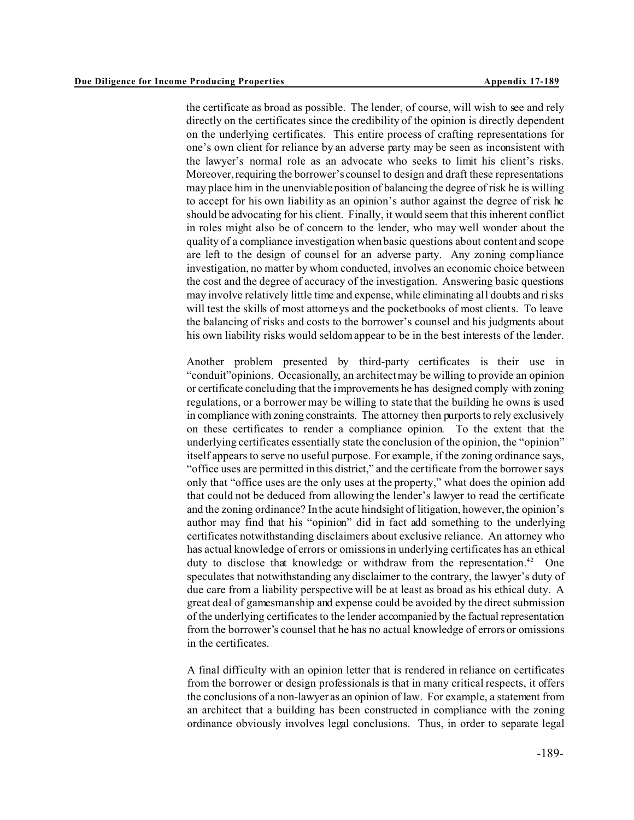the certificate as broad as possible. The lender, of course, will wish to see and rely directly on the certificates since the credibility of the opinion is directly dependent on the underlying certificates. This entire process of crafting representations for one's own client for reliance by an adverse party may be seen as inconsistent with the lawyer's normal role as an advocate who seeks to limit his client's risks. Moreover, requiring the borrower's counsel to design and draft these representations may place him in the unenviable position of balancing the degree of risk he is willing to accept for his own liability as an opinion's author against the degree of risk he should be advocating for his client. Finally, it would seem that this inherent conflict in roles might also be of concern to the lender, who may well wonder about the quality of a compliance investigation when basic questions about content and scope are left to the design of counsel for an adverse party. Any zoning compliance investigation, no matter by whom conducted, involves an economic choice between the cost and the degree of accuracy of the investigation. Answering basic questions may involve relatively little time and expense, while eliminating all doubts and risks will test the skills of most attorneys and the pocketbooks of most clients. To leave the balancing of risks and costs to the borrower's counsel and his judgments about his own liability risks would seldom appear to be in the best interests of the lender.

Another problem presented by third-party certificates is their use in "conduit"opinions. Occasionally, an architect may be willing to provide an opinion or certificate concluding that the improvements he has designed comply with zoning regulations, or a borrower may be willing to state that the building he owns is used in compliance with zoning constraints. The attorney then purports to rely exclusively on these certificates to render a compliance opinion. To the extent that the underlying certificates essentially state the conclusion of the opinion, the "opinion" itself appears to serve no useful purpose. For example, if the zoning ordinance says, "office uses are permitted in this district," and the certificate from the borrower says only that "office uses are the only uses at the property," what does the opinion add that could not be deduced from allowing the lender's lawyer to read the certificate and the zoning ordinance? In the acute hindsight of litigation, however, the opinion's author may find that his "opinion" did in fact add something to the underlying certificates notwithstanding disclaimers about exclusive reliance. An attorney who has actual knowledge of errors or omissions in underlying certificates has an ethical duty to disclose that knowledge or withdraw from the representation.<sup>42</sup> One speculates that notwithstanding any disclaimer to the contrary, the lawyer's duty of due care from a liability perspective will be at least as broad as his ethical duty. A great deal of gamesmanship and expense could be avoided by the direct submission of the underlying certificates to the lender accompanied by the factual representation from the borrower's counsel that he has no actual knowledge of errors or omissions in the certificates.

A final difficulty with an opinion letter that is rendered in reliance on certificates from the borrower or design professionals is that in many critical respects, it offers the conclusions of a non-lawyer as an opinion of law. For example, a statement from an architect that a building has been constructed in compliance with the zoning ordinance obviously involves legal conclusions. Thus, in order to separate legal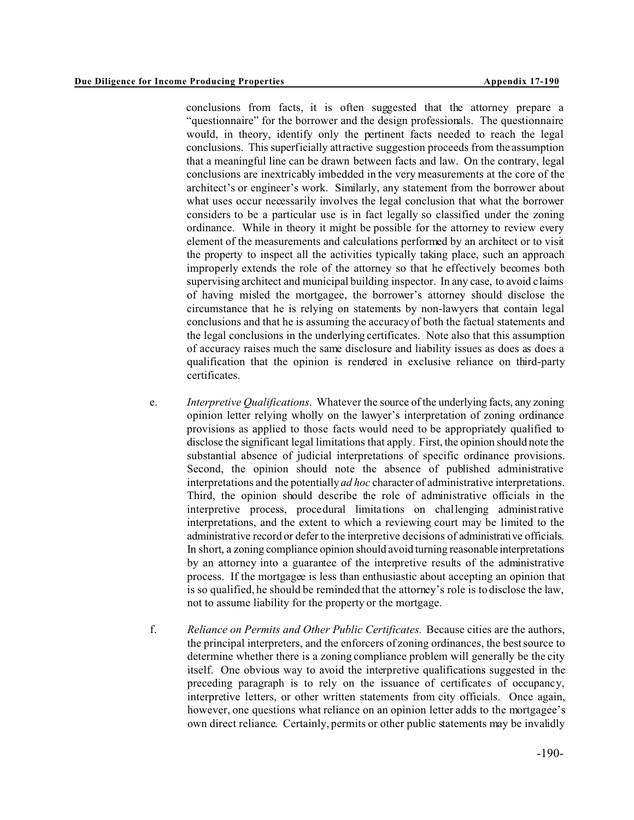conclusions from facts, it is often suggested that the attorney prepare a "questionnaire" for the borrower and the design professionals. The questionnaire would, in theory, identify only the pertinent facts needed to reach the legal conclusions. This superficially attractive suggestion proceeds from the assumption that a meaningful line can be drawn between facts and law. On the contrary, legal conclusions are inextricably imbedded in the very measurements at the core of the architect's or engineer's work. Similarly, any statement from the borrower about what uses occur necessarily involves the legal conclusion that what the borrower considers to be a particular use is in fact legally so classified under the zoning ordinance. While in theory it might be possible for the attorney to review every element of the measurements and calculations performed by an architect or to visit the property to inspect all the activities typically taking place, such an approach improperly extends the role of the attorney so that he effectively becomes both supervising architect and municipal building inspector. In any case, to avoid claims of having misled the mortgagee, the borrower's attorney should disclose the circumstance that he is relying on statements by non-lawyers that contain legal conclusions and that he is assuming the accuracy of both the factual statements and the legal conclusions in the underlying certificates. Note also that this assumption of accuracy raises much the same disclosure and liability issues as does as does a qualification that the opinion is rendered in exclusive reliance on third-party certificates.

- e. *Interpretive Qualifications*. Whatever the source of the underlying facts, any zoning opinion letter relying wholly on the lawyer's interpretation of zoning ordinance provisions as applied to those facts would need to be appropriately qualified to disclose the significant legal limitations that apply. First, the opinion should note the substantial absence of judicial interpretations of specific ordinance provisions. Second, the opinion should note the absence of published administrative interpretations and the potentially*ad hoc* character of administrative interpretations. Third, the opinion should describe the role of administrative officials in the interpretive process, procedural limitations on challenging administrative interpretations, and the extent to which a reviewing court may be limited to the administrative record or defer to the interpretive decisions of administrative officials. In short, a zoning compliance opinion should avoid turning reasonable interpretations by an attorney into a guarantee of the interpretive results of the administrative process. If the mortgagee is less than enthusiastic about accepting an opinion that is so qualified, he should be reminded that the attorney's role is to disclose the law, not to assume liability for the property or the mortgage.
- f. *Reliance on Permits and Other Public Certificates.* Because cities are the authors, the principal interpreters, and the enforcers of zoning ordinances, the best source to determine whether there is a zoning compliance problem will generally be the city itself. One obvious way to avoid the interpretive qualifications suggested in the preceding paragraph is to rely on the issuance of certificates of occupancy, interpretive letters, or other written statements from city officials. Once again, however, one questions what reliance on an opinion letter adds to the mortgagee's own direct reliance. Certainly, permits or other public statements may be invalidly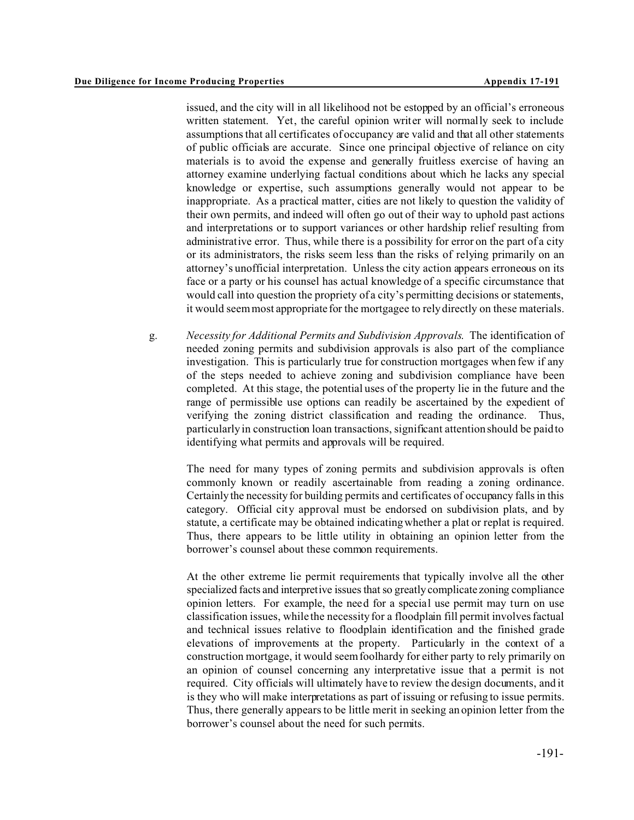issued, and the city will in all likelihood not be estopped by an official's erroneous written statement. Yet, the careful opinion writer will normally seek to include assumptions that all certificates of occupancy are valid and that all other statements of public officials are accurate. Since one principal objective of reliance on city materials is to avoid the expense and generally fruitless exercise of having an attorney examine underlying factual conditions about which he lacks any special knowledge or expertise, such assumptions generally would not appear to be inappropriate. As a practical matter, cities are not likely to question the validity of their own permits, and indeed will often go out of their way to uphold past actions and interpretations or to support variances or other hardship relief resulting from administrative error. Thus, while there is a possibility for error on the part of a city or its administrators, the risks seem less than the risks of relying primarily on an attorney's unofficial interpretation. Unless the city action appears erroneous on its face or a party or his counsel has actual knowledge of a specific circumstance that would call into question the propriety of a city's permitting decisions or statements, it would seem most appropriate for the mortgagee to rely directly on these materials.

g. *Necessity for Additional Permits and Subdivision Approvals*. The identification of needed zoning permits and subdivision approvals is also part of the compliance investigation. This is particularly true for construction mortgages when few if any of the steps needed to achieve zoning and subdivision compliance have been completed. At this stage, the potential uses of the property lie in the future and the range of permissible use options can readily be ascertained by the expedient of verifying the zoning district classification and reading the ordinance. Thus, particularly in construction loan transactions, significant attention should be paid to identifying what permits and approvals will be required.

The need for many types of zoning permits and subdivision approvals is often commonly known or readily ascertainable from reading a zoning ordinance. Certainlythe necessity for building permits and certificates of occupancy fallsin this category. Official city approval must be endorsed on subdivision plats, and by statute, a certificate may be obtained indicating whether a plat or replat is required. Thus, there appears to be little utility in obtaining an opinion letter from the borrower's counsel about these common requirements.

At the other extreme lie permit requirements that typically involve all the other specialized facts and interpretive issuesthatso greatly complicate zoning compliance opinion letters. For example, the need for a special use permit may turn on use classification issues, while the necessity for a floodplain fill permit involves factual and technical issues relative to floodplain identification and the finished grade elevations of improvements at the property. Particularly in the context of a construction mortgage, it would seem foolhardy for either party to rely primarily on an opinion of counsel concerning any interpretative issue that a permit is not required. City officials will ultimately have to review the design documents, and it is they who will make interpretations as part of issuing or refusing to issue permits. Thus, there generally appears to be little merit in seeking an opinion letter from the borrower's counsel about the need for such permits.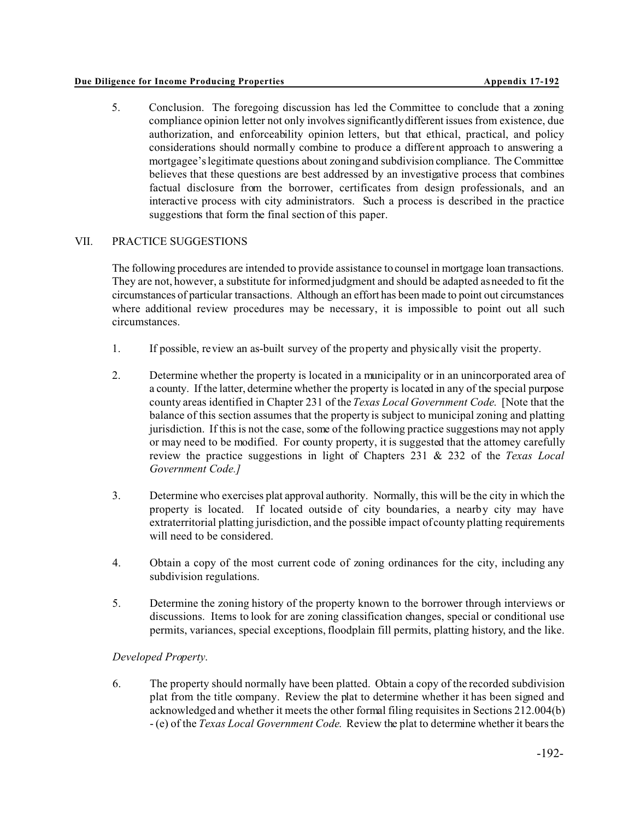#### **Due Diligence for Income Producing Properties <b>Appendix 17-192 Appendix 17-192**

5. Conclusion. The foregoing discussion has led the Committee to conclude that a zoning compliance opinion letter not only involves significantly different issues from existence, due authorization, and enforceability opinion letters, but that ethical, practical, and policy considerations should normally combine to produce a different approach to answering a mortgagee's legitimate questions about zoning and subdivision compliance. The Committee believes that these questions are best addressed by an investigative process that combines factual disclosure from the borrower, certificates from design professionals, and an interactive process with city administrators. Such a process is described in the practice suggestions that form the final section of this paper.

# VII. PRACTICE SUGGESTIONS

The following procedures are intended to provide assistance to counsel in mortgage loan transactions. They are not, however, a substitute for informed judgment and should be adapted as needed to fit the circumstances of particular transactions. Although an effort has been made to point out circumstances where additional review procedures may be necessary, it is impossible to point out all such circumstances.

- 1. If possible, review an as-built survey of the property and physically visit the property.
- 2. Determine whether the property is located in a municipality or in an unincorporated area of a county. If the latter, determine whether the property is located in any of the special purpose county areas identified in Chapter 231 of the *Texas Local Government Code*. [Note that the balance of this section assumes that the property is subject to municipal zoning and platting jurisdiction. If this is not the case, some of the following practice suggestions may not apply or may need to be modified. For county property, it is suggested that the attorney carefully review the practice suggestions in light of Chapters 231 & 232 of the *Texas Local Government Code.]*
- 3. Determine who exercises plat approval authority. Normally, this will be the city in which the property is located. If located outside of city boundaries, a nearby city may have extraterritorial platting jurisdiction, and the possible impact of county platting requirements will need to be considered.
- 4. Obtain a copy of the most current code of zoning ordinances for the city, including any subdivision regulations.
- 5. Determine the zoning history of the property known to the borrower through interviews or discussions. Items to look for are zoning classification changes, special or conditional use permits, variances, special exceptions, floodplain fill permits, platting history, and the like.

### *Developed Property*.

6. The property should normally have been platted. Obtain a copy of the recorded subdivision plat from the title company. Review the plat to determine whether it has been signed and acknowledged and whether it meets the other formal filing requisites in Sections 212.004(b) - (e) of the *Texas Local Government Code*. Review the plat to determine whether it bearsthe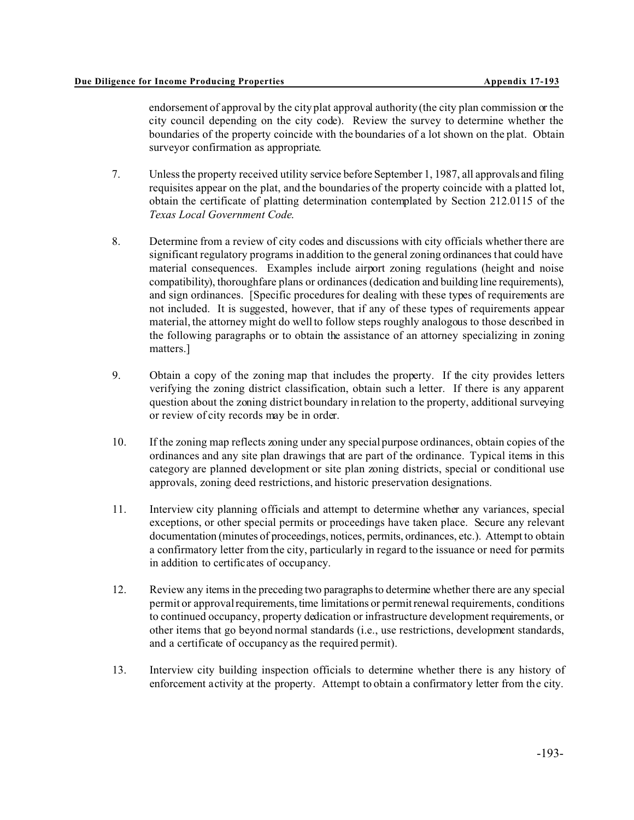endorsement of approval by the city plat approval authority (the city plan commission or the city council depending on the city code). Review the survey to determine whether the boundaries of the property coincide with the boundaries of a lot shown on the plat. Obtain surveyor confirmation as appropriate.

- 7. Unlessthe property received utility service before September 1, 1987, all approvals and filing requisites appear on the plat, and the boundaries of the property coincide with a platted lot, obtain the certificate of platting determination contemplated by Section 212.0115 of the *Texas Local Government Code*.
- 8. Determine from a review of city codes and discussions with city officials whether there are significant regulatory programs in addition to the general zoning ordinances that could have material consequences. Examples include airport zoning regulations (height and noise compatibility), thoroughfare plans or ordinances (dedication and building line requirements), and sign ordinances. [Specific procedures for dealing with these types of requirements are not included. It is suggested, however, that if any of these types of requirements appear material, the attorney might do well to follow steps roughly analogous to those described in the following paragraphs or to obtain the assistance of an attorney specializing in zoning matters.]
- 9. Obtain a copy of the zoning map that includes the property. If the city provides letters verifying the zoning district classification, obtain such a letter. If there is any apparent question about the zoning district boundary in relation to the property, additional surveying or review of city records may be in order.
- 10. If the zoning map reflects zoning under any special purpose ordinances, obtain copies of the ordinances and any site plan drawings that are part of the ordinance. Typical items in this category are planned development or site plan zoning districts, special or conditional use approvals, zoning deed restrictions, and historic preservation designations.
- 11. Interview city planning officials and attempt to determine whether any variances, special exceptions, or other special permits or proceedings have taken place. Secure any relevant documentation (minutes of proceedings, notices, permits, ordinances, etc.). Attempt to obtain a confirmatory letter from the city, particularly in regard to the issuance or need for permits in addition to certificates of occupancy.
- 12. Review any items in the preceding two paragraphsto determine whether there are any special permit or approval requirements, time limitations or permitrenewal requirements, conditions to continued occupancy, property dedication or infrastructure development requirements, or other items that go beyond normal standards (i.e., use restrictions, development standards, and a certificate of occupancy as the required permit).
- 13. Interview city building inspection officials to determine whether there is any history of enforcement activity at the property. Attempt to obtain a confirmatory letter from the city.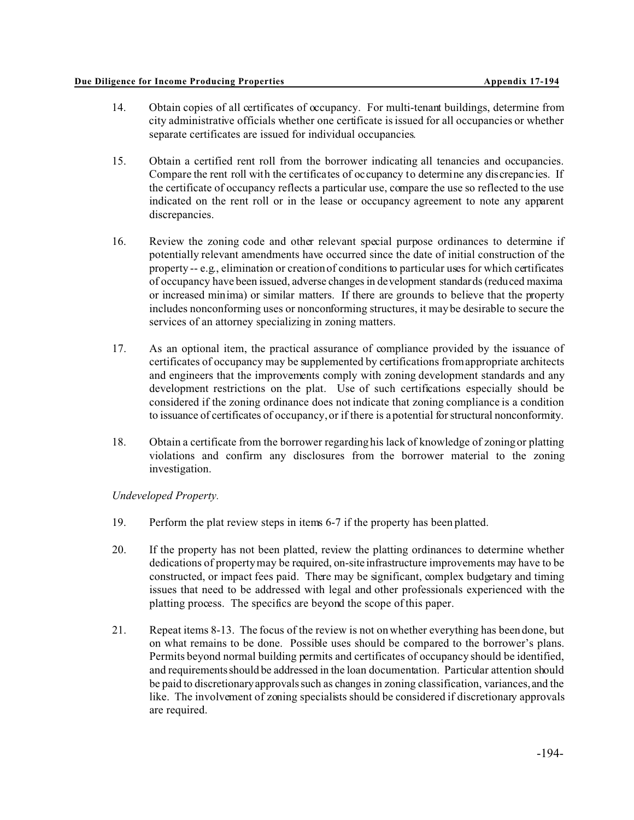#### **Due Diligence for Income Producing Properties <b>Appendix 17-194 Appendix 17-194**

- 14. Obtain copies of all certificates of occupancy. For multi-tenant buildings, determine from city administrative officials whether one certificate is issued for all occupancies or whether separate certificates are issued for individual occupancies.
- 15. Obtain a certified rent roll from the borrower indicating all tenancies and occupancies. Compare the rent roll with the certificates of occupancy to determine any discrepancies. If the certificate of occupancy reflects a particular use, compare the use so reflected to the use indicated on the rent roll or in the lease or occupancy agreement to note any apparent discrepancies.
- 16. Review the zoning code and other relevant special purpose ordinances to determine if potentially relevant amendments have occurred since the date of initial construction of the property -- e.g., elimination or creation of conditions to particular uses for which certificates of occupancy have been issued, adverse changes in development standards (reduced maxima or increased minima) or similar matters. If there are grounds to believe that the property includes nonconforming uses or nonconforming structures, it may be desirable to secure the services of an attorney specializing in zoning matters.
- 17. As an optional item, the practical assurance of compliance provided by the issuance of certificates of occupancy may be supplemented by certifications from appropriate architects and engineers that the improvements comply with zoning development standards and any development restrictions on the plat. Use of such certifications especially should be considered if the zoning ordinance does not indicate that zoning compliance is a condition to issuance of certificates of occupancy, or if there is a potential for structural nonconformity.
- 18. Obtain a certificate from the borrower regarding his lack of knowledge of zoning or platting violations and confirm any disclosures from the borrower material to the zoning investigation.

*Undeveloped Property.*

- 19. Perform the plat review steps in items 6-7 if the property has been platted.
- 20. If the property has not been platted, review the platting ordinances to determine whether dedications of property may be required, on-site infrastructure improvements may have to be constructed, or impact fees paid. There may be significant, complex budgetary and timing issues that need to be addressed with legal and other professionals experienced with the platting process. The specifics are beyond the scope of this paper.
- 21. Repeat items 8-13. The focus of the review is not on whether everything has been done, but on what remains to be done. Possible uses should be compared to the borrower's plans. Permits beyond normal building permits and certificates of occupancy should be identified, and requirementsshould be addressed in the loan documentation. Particular attention should be paid to discretionaryapprovalssuch as changes in zoning classification, variances,and the like. The involvement of zoning specialists should be considered if discretionary approvals are required.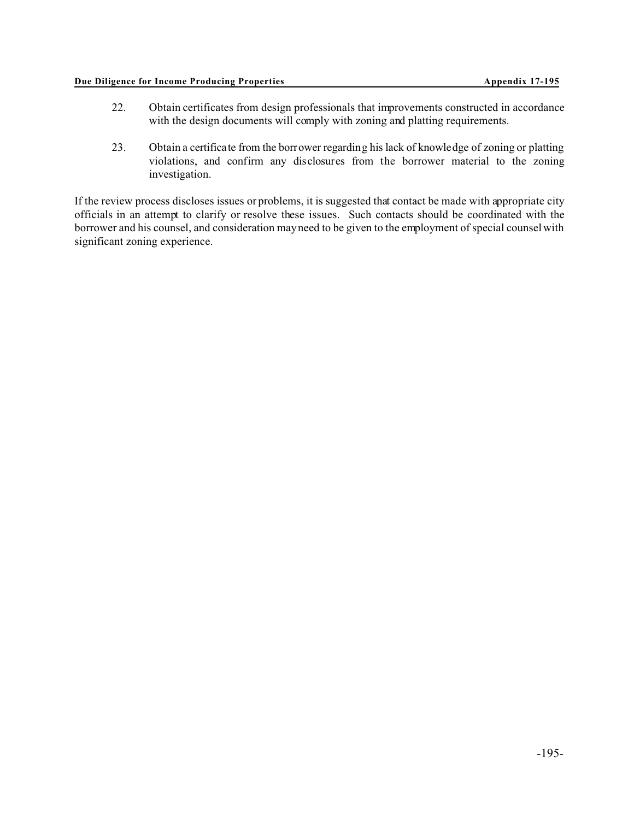#### **Due Diligence for Income Producing Properties and Appendix 17-195 Appendix 17-195**

- 22. Obtain certificates from design professionals that improvements constructed in accordance with the design documents will comply with zoning and platting requirements.
- 23. Obtain a certificate from the borrower regarding his lack of knowledge of zoning or platting violations, and confirm any disclosures from the borrower material to the zoning investigation.

If the review process discloses issues or problems, it is suggested that contact be made with appropriate city officials in an attempt to clarify or resolve these issues. Such contacts should be coordinated with the borrower and his counsel, and consideration may need to be given to the employment of special counsel with significant zoning experience.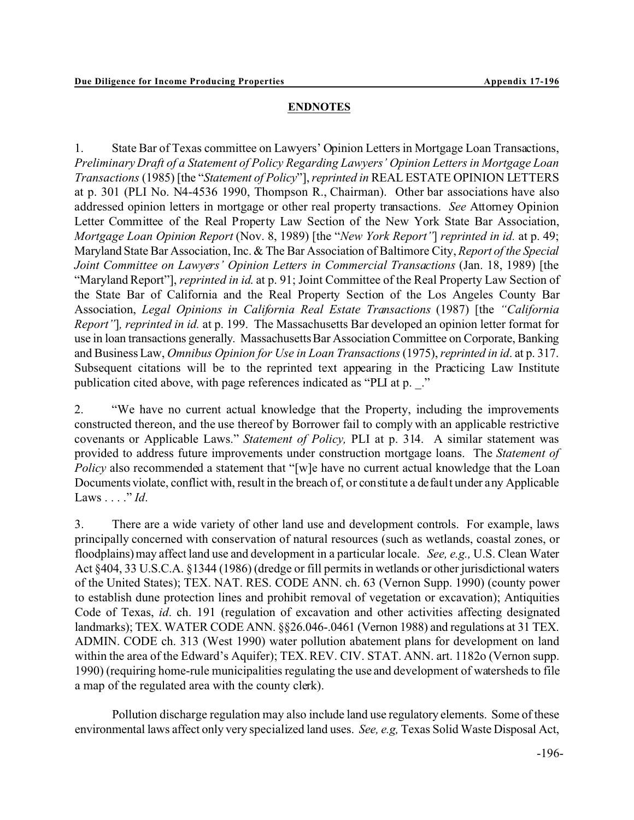## **ENDNOTES**

1. State Bar of Texas committee on Lawyers' Opinion Letters in Mortgage Loan Transactions, *Preliminary Draft of a Statement of Policy Regarding Lawyers' Opinion Letters in Mortgage Loan Transactions* (1985) [the "*Statement of Policy*"],*reprinted in* REAL ESTATE OPINION LETTERS at p. 301 (PLI No. N4-4536 1990, Thompson R., Chairman). Other bar associations have also addressed opinion letters in mortgage or other real property transactions. *See* Attorney Opinion Letter Committee of the Real Property Law Section of the New York State Bar Association, *Mortgage Loan Opinion Report* (Nov. 8, 1989) [the "*New York Report"*] *reprinted in id.* at p. 49; Maryland State Bar Association, Inc. & The Bar Association of Baltimore City, *Report of the Special Joint Committee on Lawyers' Opinion Letters in Commercial Transactions (Jan. 18, 1989)* [the "Maryland Report"], *reprinted in id*. at p. 91; Joint Committee of the Real Property Law Section of the State Bar of California and the Real Property Section of the Los Angeles County Bar Association, *Legal Opinions in California Real Estate Transactions* (1987) [the *"California Report"*]*, reprinted in id.* at p. 199. The Massachusetts Bar developed an opinion letter format for use in loan transactions generally. MassachusettsBar Association Committee on Corporate, Banking and BusinessLaw, *Omnibus Opinion for Use in Loan Transactions* (1975),*reprinted in id*. at p. 317. Subsequent citations will be to the reprinted text appearing in the Practicing Law Institute publication cited above, with page references indicated as "PLI at p. \_."

2. "We have no current actual knowledge that the Property, including the improvements constructed thereon, and the use thereof by Borrower fail to comply with an applicable restrictive covenants or Applicable Laws." *Statement of Policy,* PLI at p. 314. A similar statement was provided to address future improvements under construction mortgage loans. The *Statement of Policy* also recommended a statement that "[w]e have no current actual knowledge that the Loan Documents violate, conflict with, result in the breach of, or constitute a default under any Applicable Laws . . . ." *Id*.

3. There are a wide variety of other land use and development controls. For example, laws principally concerned with conservation of natural resources (such as wetlands, coastal zones, or floodplains)may affect land use and development in a particular locale. *See, e.g.,* U.S. Clean Water Act §404, 33 U.S.C.A. §1344 (1986) (dredge or fill permits in wetlands or other jurisdictional waters of the United States); TEX. NAT. RES. CODE ANN. ch. 63 (Vernon Supp. 1990) (county power to establish dune protection lines and prohibit removal of vegetation or excavation); Antiquities Code of Texas, *id*. ch. 191 (regulation of excavation and other activities affecting designated landmarks); TEX. WATER CODE ANN. §§26.046-.0461 (Vernon 1988) and regulations at 31 TEX. ADMIN. CODE ch. 313 (West 1990) water pollution abatement plans for development on land within the area of the Edward's Aquifer); TEX. REV. CIV. STAT. ANN. art. 1182o (Vernon supp. 1990) (requiring home-rule municipalities regulating the use and development of watersheds to file a map of the regulated area with the county clerk).

Pollution discharge regulation may also include land use regulatory elements. Some of these environmental laws affect only very specialized land uses. *See, e.g,* Texas Solid Waste Disposal Act,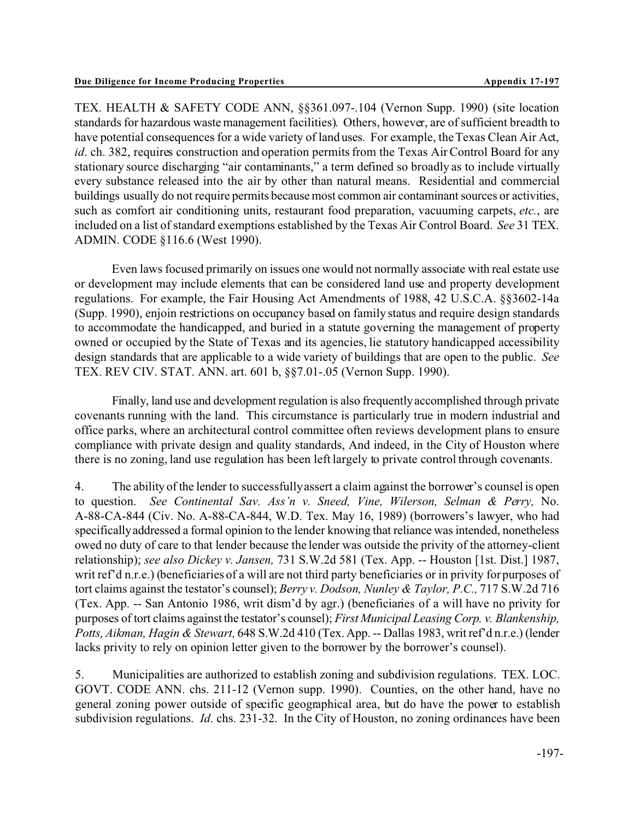TEX. HEALTH & SAFETY CODE ANN, §§361.097-.104 (Vernon Supp. 1990) (site location standards for hazardous waste management facilities). Others, however, are of sufficient breadth to have potential consequences for a wide variety of land uses. For example, the Texas Clean Air Act, *id*. ch. 382, requires construction and operation permits from the Texas Air Control Board for any stationary source discharging "air contaminants," a term defined so broadly as to include virtually every substance released into the air by other than natural means. Residential and commercial buildings usually do not require permits because most common air contaminant sources or activities, such as comfort air conditioning units, restaurant food preparation, vacuuming carpets, *etc.*, are included on a list of standard exemptions established by the Texas Air Control Board. *See* 31 TEX. ADMIN. CODE §116.6 (West 1990).

Even laws focused primarily on issues one would not normally associate with real estate use or development may include elements that can be considered land use and property development regulations. For example, the Fair Housing Act Amendments of 1988, 42 U.S.C.A. §§3602-14a (Supp. 1990), enjoin restrictions on occupancy based on family status and require design standards to accommodate the handicapped, and buried in a statute governing the management of property owned or occupied by the State of Texas and its agencies, lie statutory handicapped accessibility design standards that are applicable to a wide variety of buildings that are open to the public. *See* TEX. REV CIV. STAT. ANN. art. 601 b, §§7.01-.05 (Vernon Supp. 1990).

Finally, land use and development regulation is also frequentlyaccomplished through private covenants running with the land. This circumstance is particularly true in modern industrial and office parks, where an architectural control committee often reviews development plans to ensure compliance with private design and quality standards, And indeed, in the City of Houston where there is no zoning, land use regulation has been left largely to private control through covenants.

4. The ability of the lender to successfully assert a claim against the borrower's counsel is open to question. *See Continental Sav. Ass'n v. Sneed, Vine, Wilerson, Selman & Perry,* No. A-88-CA-844 (Civ. No. A-88-CA-844, W.D. Tex. May 16, 1989) (borrowers's lawyer, who had specifically addressed a formal opinion to the lender knowing that reliance was intended, nonetheless owed no duty of care to that lender because the lender was outside the privity of the attorney-client relationship); *see also Dickey v. Jansen,* 731 S.W.2d 581 (Tex. App. -- Houston [1st. Dist.] 1987, writ ref'd n.r.e.) (beneficiaries of a will are not third party beneficiaries or in privity for purposes of tort claims against the testator's counsel); *Berry v. Dodson, Nunley & Taylor, P.C.,* 717 S.W.2d 716 (Tex. App. -- San Antonio 1986, writ dism'd by agr.) (beneficiaries of a will have no privity for purposes of tort claims against the testator's counsel); *First Municipal Leasing Corp. v. Blankenship, Potts, Aikman, Hagin & Stewart,* 648 S.W.2d 410 (Tex. App. -- Dallas 1983, writ ref'd n.r.e.) (lender lacks privity to rely on opinion letter given to the borrower by the borrower's counsel).

5. Municipalities are authorized to establish zoning and subdivision regulations. TEX. LOC. GOVT. CODE ANN. chs. 211-12 (Vernon supp. 1990). Counties, on the other hand, have no general zoning power outside of specific geographical area, but do have the power to establish subdivision regulations. *Id*. chs. 231-32. In the City of Houston, no zoning ordinances have been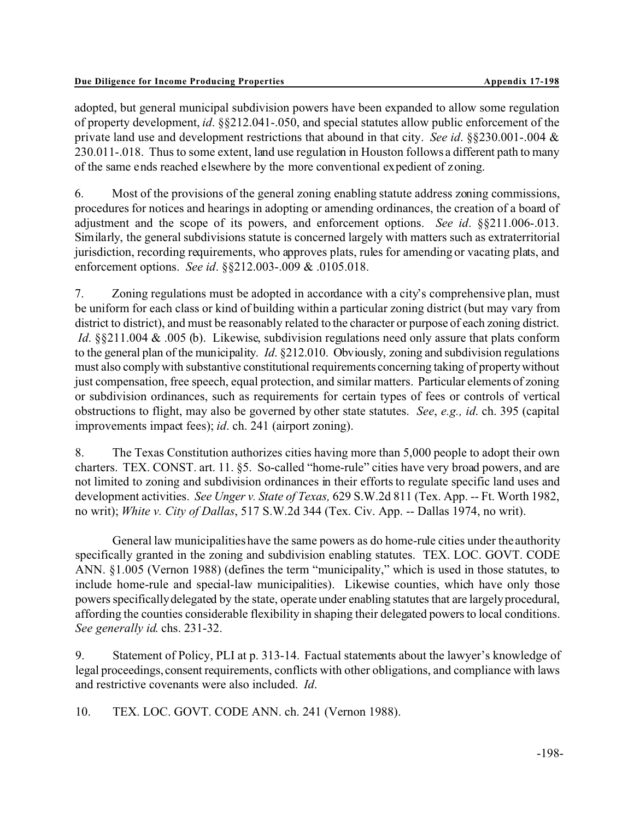adopted, but general municipal subdivision powers have been expanded to allow some regulation of property development, *id*. §§212.041-.050, and special statutes allow public enforcement of the private land use and development restrictions that abound in that city. *See id*. §§230.001-.004 & 230.011-.018. Thus to some extent, land use regulation in Houston follows a different path to many of the same ends reached elsewhere by the more conventional expedient of zoning.

6. Most of the provisions of the general zoning enabling statute address zoning commissions, procedures for notices and hearings in adopting or amending ordinances, the creation of a board of adjustment and the scope of its powers, and enforcement options. *See id*. §§211.006-.013. Similarly, the general subdivisions statute is concerned largely with matters such as extraterritorial jurisdiction, recording requirements, who approves plats, rules for amending or vacating plats, and enforcement options. *See id*. §§212.003-.009 & .0105.018.

7. Zoning regulations must be adopted in accordance with a city's comprehensive plan, must be uniform for each class or kind of building within a particular zoning district (but may vary from district to district), and must be reasonably related to the character or purpose of each zoning district. *Id.* §§211.004 & .005 (b). Likewise, subdivision regulations need only assure that plats conform to the general plan of the municipality. *Id*. §212.010. Obviously, zoning and subdivision regulations must also complywith substantive constitutional requirements concerning taking of propertywithout just compensation, free speech, equal protection, and similar matters. Particular elements of zoning or subdivision ordinances, such as requirements for certain types of fees or controls of vertical obstructions to flight, may also be governed by other state statutes. *See*, *e.g., id*. ch. 395 (capital improvements impact fees); *id*. ch. 241 (airport zoning).

8. The Texas Constitution authorizes cities having more than 5,000 people to adopt their own charters. TEX. CONST. art. 11. §5. So-called "home-rule" cities have very broad powers, and are not limited to zoning and subdivision ordinances in their efforts to regulate specific land uses and development activities. *See Unger v. State of Texas,* 629 S.W.2d 811 (Tex. App. -- Ft. Worth 1982, no writ); *White v. City of Dallas*, 517 S.W.2d 344 (Tex. Civ. App. -- Dallas 1974, no writ).

General law municipalities have the same powers as do home-rule cities under the authority specifically granted in the zoning and subdivision enabling statutes. TEX. LOC. GOVT. CODE ANN. §1.005 (Vernon 1988) (defines the term "municipality," which is used in those statutes, to include home-rule and special-law municipalities). Likewise counties, which have only those powers specifically delegated by the state, operate under enabling statutes that are largely procedural, affording the counties considerable flexibility in shaping their delegated powersto local conditions. *See generally id*. chs. 231-32.

9. Statement of Policy, PLI at p. 313-14. Factual statements about the lawyer's knowledge of legal proceedings, consent requirements, conflicts with other obligations, and compliance with laws and restrictive covenants were also included. *Id*.

10. TEX. LOC. GOVT. CODE ANN. ch. 241 (Vernon 1988).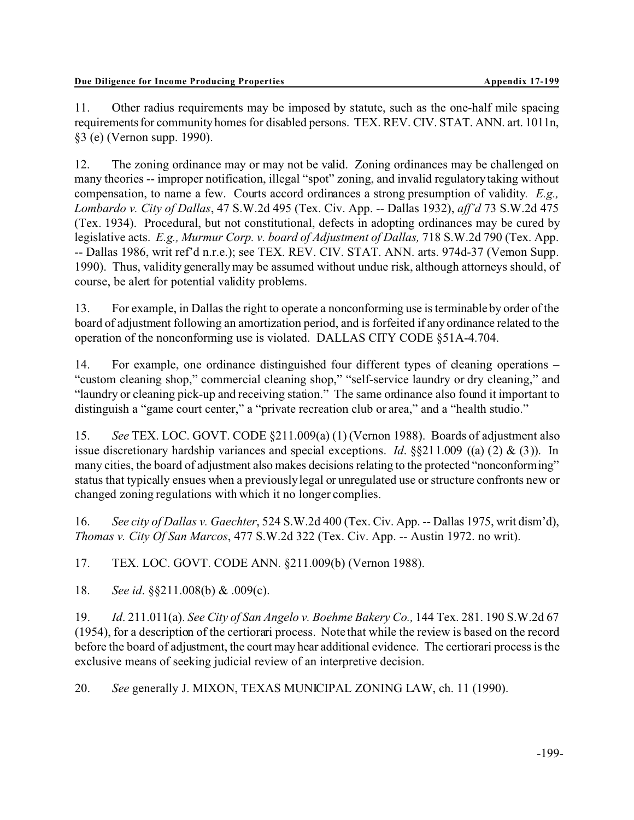11. Other radius requirements may be imposed by statute, such as the one-half mile spacing requirements for community homes for disabled persons. TEX. REV. CIV. STAT. ANN. art. 1011n, §3 (e) (Vernon supp. 1990).

12. The zoning ordinance may or may not be valid. Zoning ordinances may be challenged on many theories -- improper notification, illegal "spot" zoning, and invalid regulatory taking without compensation, to name a few. Courts accord ordinances a strong presumption of validity*. E.g., Lombardo v. City of Dallas*, 47 S.W.2d 495 (Tex. Civ. App. -- Dallas 1932), *aff'd* 73 S.W.2d 475 (Tex. 1934). Procedural, but not constitutional, defects in adopting ordinances may be cured by legislative acts. *E.g., Murmur Corp. v. board of Adjustment of Dallas,* 718 S.W.2d 790 (Tex. App. -- Dallas 1986, writ ref'd n.r.e.); see TEX. REV. CIV. STAT. ANN. arts. 974d-37 (Vernon Supp. 1990). Thus, validity generally may be assumed without undue risk, although attorneys should, of course, be alert for potential validity problems.

13. For example, in Dallas the right to operate a nonconforming use isterminable by order of the board of adjustment following an amortization period, and is forfeited if any ordinance related to the operation of the nonconforming use is violated. DALLAS CITY CODE §51A-4.704.

14. For example, one ordinance distinguished four different types of cleaning operations – "custom cleaning shop," commercial cleaning shop," "self-service laundry or dry cleaning," and "laundry or cleaning pick-up and receiving station." The same ordinance also found it important to distinguish a "game court center," a "private recreation club or area," and a "health studio."

15. *See* TEX. LOC. GOVT. CODE §211.009(a) (1) (Vernon 1988). Boards of adjustment also issue discretionary hardship variances and special exceptions. *Id*. §§211.009 ((a) (2) & (3)). In many cities, the board of adjustment also makes decisions relating to the protected "nonconforming" status that typically ensues when a previously legal or unregulated use or structure confronts new or changed zoning regulations with which it no longer complies.

16. *See city of Dallas v. Gaechter*, 524 S.W.2d 400 (Tex. Civ. App. -- Dallas 1975, writ dism'd), *Thomas v. City Of San Marcos*, 477 S.W.2d 322 (Tex. Civ. App. -- Austin 1972. no writ).

17. TEX. LOC. GOVT. CODE ANN. §211.009(b) (Vernon 1988).

18. *See id*. §§211.008(b) & .009(c).

19. *Id*. 211.011(a). *See City of San Angelo v. Boehme Bakery Co.,* 144 Tex. 281. 190 S.W.2d 67 (1954), for a description of the certiorari process. Note that while the review is based on the record before the board of adjustment, the court may hear additional evidence. The certiorari process is the exclusive means of seeking judicial review of an interpretive decision.

20. *See* generally J. MIXON, TEXAS MUNICIPAL ZONING LAW, ch. 11 (1990).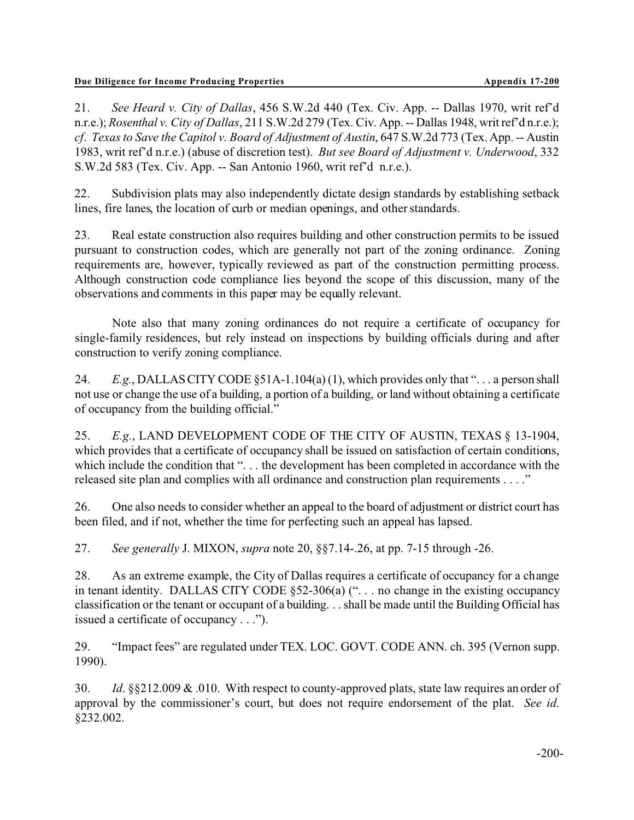21. *See Heard v. City of Dallas*, 456 S.W.2d 440 (Tex. Civ. App. -- Dallas 1970, writ ref'd n.r.e.); *Rosenthal v. City of Dallas*, 211 S.W.2d 279 (Tex. Civ. App. -- Dallas 1948, writ ref'd n.r.e.); *cf*. *Texas to Save the Capitol v. Board of Adjustment of Austin*, 647 S.W.2d 773 (Tex. App. -- Austin 1983, writ ref'd n.r.e.) (abuse of discretion test). *But see Board of Adjustment v. Underwood*, 332 S.W.2d 583 (Tex. Civ. App. -- San Antonio 1960, writ ref'd n.r.e.).

22. Subdivision plats may also independently dictate design standards by establishing setback lines, fire lanes, the location of curb or median openings, and other standards.

23. Real estate construction also requires building and other construction permits to be issued pursuant to construction codes, which are generally not part of the zoning ordinance. Zoning requirements are, however, typically reviewed as part of the construction permitting process. Although construction code compliance lies beyond the scope of this discussion, many of the observations and comments in this paper may be equally relevant.

Note also that many zoning ordinances do not require a certificate of occupancy for single-family residences, but rely instead on inspections by building officials during and after construction to verify zoning compliance.

24. *E.g.*, DALLASCITY CODE §51A-1.104(a) (1), which provides only that ". . . a person shall not use or change the use of a building, a portion of a building, or land without obtaining a certificate of occupancy from the building official."

25. *E.g.*, LAND DEVELOPMENT CODE OF THE CITY OF AUSTIN, TEXAS § 13-1904, which provides that a certificate of occupancy shall be issued on satisfaction of certain conditions, which include the condition that "... the development has been completed in accordance with the released site plan and complies with all ordinance and construction plan requirements . . . ."

26. One also needs to consider whether an appeal to the board of adjustment or district court has been filed, and if not, whether the time for perfecting such an appeal has lapsed.

27. *See generally* J. MIXON, *supra* note 20, §§7.14-.26, at pp. 7-15 through -26.

28. As an extreme example, the City of Dallas requires a certificate of occupancy for a change in tenant identity. DALLAS CITY CODE §52-306(a) (". . . no change in the existing occupancy classification or the tenant or occupant of a building. . . shall be made until the Building Official has issued a certificate of occupancy . . .").

29. "Impact fees" are regulated under TEX. LOC. GOVT. CODE ANN. ch. 395 (Vernon supp. 1990).

30. *Id*. §§212.009 & .010. With respect to county-approved plats, state law requires an order of approval by the commissioner's court, but does not require endorsement of the plat. *See id*. §232.002.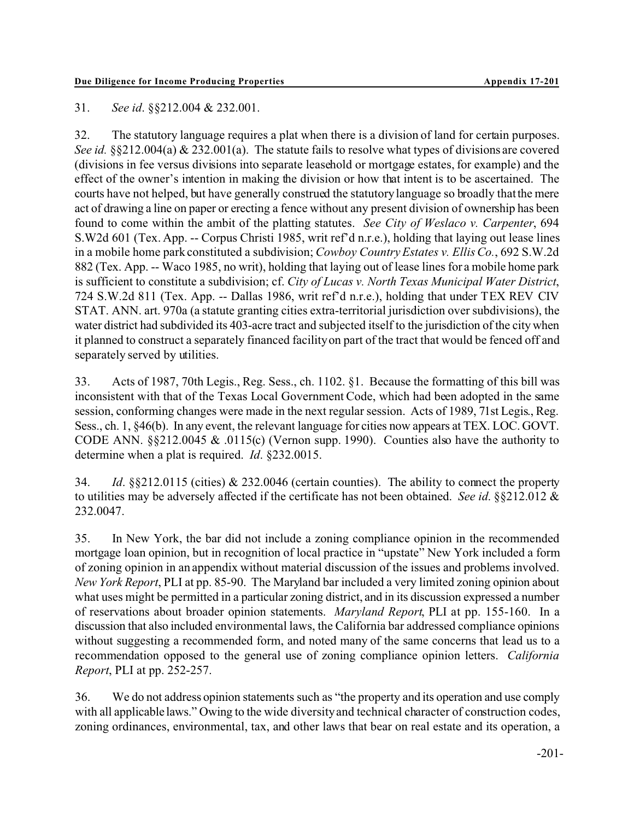31. *See id*. §§212.004 & 232.001.

32. The statutory language requires a plat when there is a division of land for certain purposes. *See id.* §§212.004(a) & 232.001(a). The statute fails to resolve what types of divisions are covered (divisions in fee versus divisions into separate leasehold or mortgage estates, for example) and the effect of the owner's intention in making the division or how that intent is to be ascertained. The courts have not helped, but have generally construed the statutory language so broadly thatthe mere act of drawing a line on paper or erecting a fence without any present division of ownership has been found to come within the ambit of the platting statutes. *See City of Weslaco v. Carpenter*, 694 S.W2d 601 (Tex. App. -- Corpus Christi 1985, writ ref'd n.r.e.), holding that laying out lease lines in a mobile home park constituted a subdivision; *Cowboy Country Estates v. Ellis Co.*, 692 S.W.2d 882 (Tex. App. -- Waco 1985, no writ), holding that laying out of lease lines for a mobile home park is sufficient to constitute a subdivision; cf. *City of Lucas v. North Texas Municipal Water District*, 724 S.W.2d 811 (Tex. App. -- Dallas 1986, writ ref'd n.r.e.), holding that under TEX REV CIV STAT. ANN. art. 970a (a statute granting cities extra-territorial jurisdiction over subdivisions), the water district had subdivided its 403-acre tract and subjected itself to the jurisdiction of the city when it planned to construct a separately financed facility on part of the tract that would be fenced off and separately served by utilities.

33. Acts of 1987, 70th Legis., Reg. Sess., ch. 1102. §1. Because the formatting of this bill was inconsistent with that of the Texas Local Government Code, which had been adopted in the same session, conforming changes were made in the next regular session. Acts of 1989, 71st Legis., Reg. Sess., ch. 1, §46(b). In any event, the relevant language for cities now appears at TEX. LOC. GOVT. CODE ANN. §§212.0045 & .0115(c) (Vernon supp. 1990). Counties also have the authority to determine when a plat is required. *Id*. §232.0015.

34. *Id*. §§212.0115 (cities) & 232.0046 (certain counties). The ability to connect the property to utilities may be adversely affected if the certificate has not been obtained. *See id*. §§212.012 & 232.0047.

35. In New York, the bar did not include a zoning compliance opinion in the recommended mortgage loan opinion, but in recognition of local practice in "upstate" New York included a form of zoning opinion in an appendix without material discussion of the issues and problems involved. *New York Report*, PLI at pp. 85-90. The Maryland bar included a very limited zoning opinion about what uses might be permitted in a particular zoning district, and in its discussion expressed a number of reservations about broader opinion statements. *Maryland Report*, PLI at pp. 155-160. In a discussion that also included environmental laws, the California bar addressed compliance opinions without suggesting a recommended form, and noted many of the same concerns that lead us to a recommendation opposed to the general use of zoning compliance opinion letters. *California Report*, PLI at pp. 252-257.

36. We do not address opinion statements such as "the property and its operation and use comply with all applicable laws." Owing to the wide diversity and technical character of construction codes, zoning ordinances, environmental, tax, and other laws that bear on real estate and its operation, a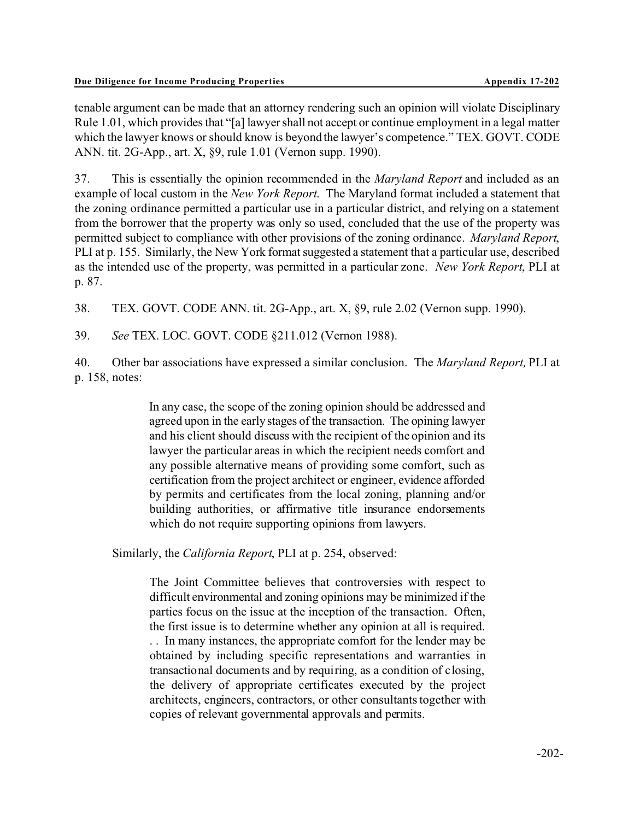tenable argument can be made that an attorney rendering such an opinion will violate Disciplinary Rule 1.01, which provides that "[a] lawyer shall not accept or continue employment in a legal matter which the lawyer knows or should know is beyond the lawyer's competence." TEX. GOVT. CODE ANN. tit. 2G-App., art. X, §9, rule 1.01 (Vernon supp. 1990).

37. This is essentially the opinion recommended in the *Maryland Report* and included as an example of local custom in the *New York Report*. The Maryland format included a statement that the zoning ordinance permitted a particular use in a particular district, and relying on a statement from the borrower that the property was only so used, concluded that the use of the property was permitted subject to compliance with other provisions of the zoning ordinance. *Maryland Report*, PLI at p. 155. Similarly, the New York format suggested a statement that a particular use, described as the intended use of the property, was permitted in a particular zone. *New York Report*, PLI at p. 87.

38. TEX. GOVT. CODE ANN. tit. 2G-App., art. X, §9, rule 2.02 (Vernon supp. 1990).

39. *See* TEX. LOC. GOVT. CODE §211.012 (Vernon 1988).

40. Other bar associations have expressed a similar conclusion. The *Maryland Report,* PLI at p. 158, notes:

> In any case, the scope of the zoning opinion should be addressed and agreed upon in the early stages of the transaction. The opining lawyer and his client should discuss with the recipient of the opinion and its lawyer the particular areas in which the recipient needs comfort and any possible alternative means of providing some comfort, such as certification from the project architect or engineer, evidence afforded by permits and certificates from the local zoning, planning and/or building authorities, or affirmative title insurance endorsements which do not require supporting opinions from lawyers.

Similarly, the *California Report*, PLI at p. 254, observed:

The Joint Committee believes that controversies with respect to difficult environmental and zoning opinions may be minimized if the parties focus on the issue at the inception of the transaction. Often, the first issue is to determine whether any opinion at all is required. . . In many instances, the appropriate comfort for the lender may be obtained by including specific representations and warranties in transactional documents and by requiring, as a condition of closing, the delivery of appropriate certificates executed by the project architects, engineers, contractors, or other consultants together with copies of relevant governmental approvals and permits.